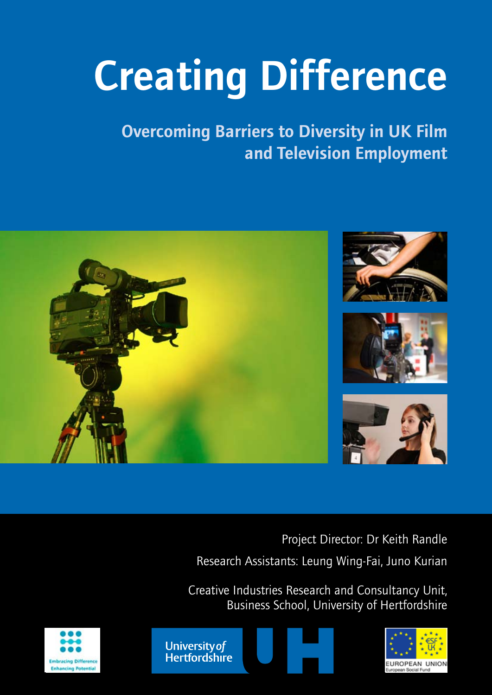# Creating Difference

# Overcoming Barriers to Diversity in UK Film and Television Employment



Project Director: Dr Keith Randle Research Assistants: Leung Wing-Fai, Juno Kurian

Creative Industries Research and Consultancy Unit, Business School, University of Hertfordshire







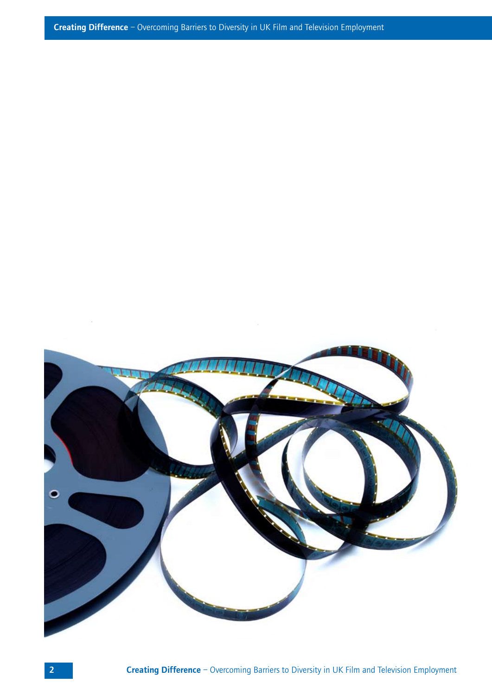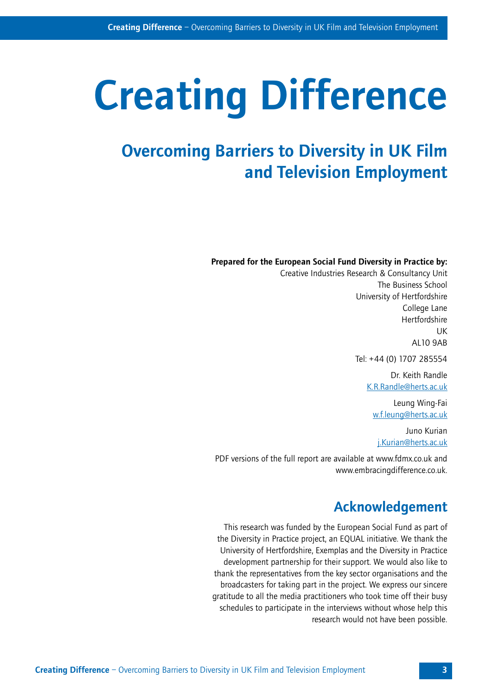# Creating Difference

# Overcoming Barriers to Diversity in UK Film and Television Employment

#### Prepared for the European Social Fund Diversity in Practice by:

Creative Industries Research & Consultancy Unit The Business School University of Hertfordshire College Lane Hertfordshire UK AL10 9AB

Tel: +44 (0) 1707 285554

Dr. Keith Randle K.R.Randle@herts.ac.uk

Leung Wing-Fai w.f.leung@herts.ac.uk

Juno Kurian j.Kurian@herts.ac.uk

PDF versions of the full report are available at www.fdmx.co.uk and www.embracingdifference.co.uk.

# Acknowledgement

This research was funded by the European Social Fund as part of the Diversity in Practice project, an EQUAL initiative. We thank the University of Hertfordshire, Exemplas and the Diversity in Practice development partnership for their support. We would also like to thank the representatives from the key sector organisations and the broadcasters for taking part in the project. We express our sincere gratitude to all the media practitioners who took time off their busy schedules to participate in the interviews without whose help this research would not have been possible.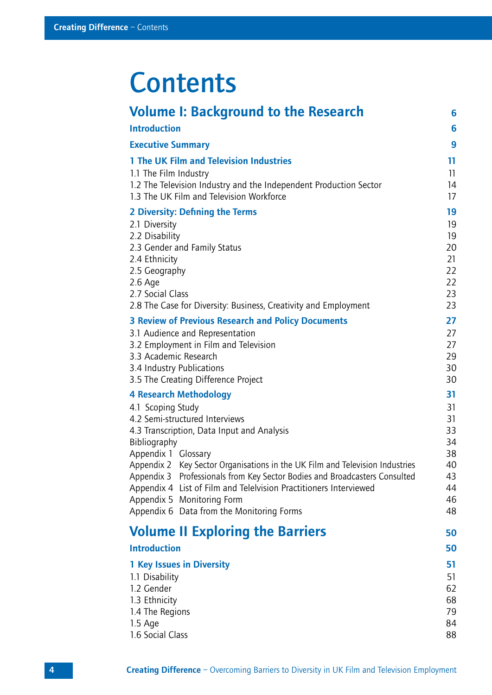# **Contents**

| <b>Introduction</b><br>$6\phantom{1}6$<br>9<br><b>Executive Summary</b><br><b>1 The UK Film and Television Industries</b><br>11<br>11<br>1.1 The Film Industry<br>1.2 The Television Industry and the Independent Production Sector<br>14<br>1.3 The UK Film and Television Workforce<br>17<br>19<br><b>2 Diversity: Defining the Terms</b><br>2.1 Diversity<br>19<br>19<br>2.2 Disability<br>2.3 Gender and Family Status<br>20<br>2.4 Ethnicity<br>21<br>22<br>2.5 Geography<br>$2.6$ Age<br>22<br>2.7 Social Class<br>23<br>23<br>2.8 The Case for Diversity: Business, Creativity and Employment<br><b>3 Review of Previous Research and Policy Documents</b><br>27<br>3.1 Audience and Representation<br>27<br>3.2 Employment in Film and Television<br>27<br>3.3 Academic Research<br>29<br>3.4 Industry Publications<br>30<br>3.5 The Creating Difference Project<br>30<br><b>4 Research Methodology</b><br>31 |
|-----------------------------------------------------------------------------------------------------------------------------------------------------------------------------------------------------------------------------------------------------------------------------------------------------------------------------------------------------------------------------------------------------------------------------------------------------------------------------------------------------------------------------------------------------------------------------------------------------------------------------------------------------------------------------------------------------------------------------------------------------------------------------------------------------------------------------------------------------------------------------------------------------------------------|
|                                                                                                                                                                                                                                                                                                                                                                                                                                                                                                                                                                                                                                                                                                                                                                                                                                                                                                                       |
|                                                                                                                                                                                                                                                                                                                                                                                                                                                                                                                                                                                                                                                                                                                                                                                                                                                                                                                       |
|                                                                                                                                                                                                                                                                                                                                                                                                                                                                                                                                                                                                                                                                                                                                                                                                                                                                                                                       |
|                                                                                                                                                                                                                                                                                                                                                                                                                                                                                                                                                                                                                                                                                                                                                                                                                                                                                                                       |
|                                                                                                                                                                                                                                                                                                                                                                                                                                                                                                                                                                                                                                                                                                                                                                                                                                                                                                                       |
|                                                                                                                                                                                                                                                                                                                                                                                                                                                                                                                                                                                                                                                                                                                                                                                                                                                                                                                       |
|                                                                                                                                                                                                                                                                                                                                                                                                                                                                                                                                                                                                                                                                                                                                                                                                                                                                                                                       |
|                                                                                                                                                                                                                                                                                                                                                                                                                                                                                                                                                                                                                                                                                                                                                                                                                                                                                                                       |
|                                                                                                                                                                                                                                                                                                                                                                                                                                                                                                                                                                                                                                                                                                                                                                                                                                                                                                                       |
|                                                                                                                                                                                                                                                                                                                                                                                                                                                                                                                                                                                                                                                                                                                                                                                                                                                                                                                       |
|                                                                                                                                                                                                                                                                                                                                                                                                                                                                                                                                                                                                                                                                                                                                                                                                                                                                                                                       |
|                                                                                                                                                                                                                                                                                                                                                                                                                                                                                                                                                                                                                                                                                                                                                                                                                                                                                                                       |
|                                                                                                                                                                                                                                                                                                                                                                                                                                                                                                                                                                                                                                                                                                                                                                                                                                                                                                                       |
|                                                                                                                                                                                                                                                                                                                                                                                                                                                                                                                                                                                                                                                                                                                                                                                                                                                                                                                       |
|                                                                                                                                                                                                                                                                                                                                                                                                                                                                                                                                                                                                                                                                                                                                                                                                                                                                                                                       |
|                                                                                                                                                                                                                                                                                                                                                                                                                                                                                                                                                                                                                                                                                                                                                                                                                                                                                                                       |
|                                                                                                                                                                                                                                                                                                                                                                                                                                                                                                                                                                                                                                                                                                                                                                                                                                                                                                                       |
|                                                                                                                                                                                                                                                                                                                                                                                                                                                                                                                                                                                                                                                                                                                                                                                                                                                                                                                       |
|                                                                                                                                                                                                                                                                                                                                                                                                                                                                                                                                                                                                                                                                                                                                                                                                                                                                                                                       |
|                                                                                                                                                                                                                                                                                                                                                                                                                                                                                                                                                                                                                                                                                                                                                                                                                                                                                                                       |
| 4.1 Scoping Study<br>31<br>4.2 Semi-structured Interviews                                                                                                                                                                                                                                                                                                                                                                                                                                                                                                                                                                                                                                                                                                                                                                                                                                                             |
| 31<br>4.3 Transcription, Data Input and Analysis<br>33                                                                                                                                                                                                                                                                                                                                                                                                                                                                                                                                                                                                                                                                                                                                                                                                                                                                |
| Bibliography<br>34                                                                                                                                                                                                                                                                                                                                                                                                                                                                                                                                                                                                                                                                                                                                                                                                                                                                                                    |
| Appendix 1 Glossary<br>38                                                                                                                                                                                                                                                                                                                                                                                                                                                                                                                                                                                                                                                                                                                                                                                                                                                                                             |
| Appendix 2 Key Sector Organisations in the UK Film and Television Industries<br>40                                                                                                                                                                                                                                                                                                                                                                                                                                                                                                                                                                                                                                                                                                                                                                                                                                    |
| Appendix 3 Professionals from Key Sector Bodies and Broadcasters Consulted<br>43<br>44<br>Appendix 4 List of Film and Telelvision Practitioners Interviewed                                                                                                                                                                                                                                                                                                                                                                                                                                                                                                                                                                                                                                                                                                                                                           |
| Appendix 5 Monitoring Form<br>46                                                                                                                                                                                                                                                                                                                                                                                                                                                                                                                                                                                                                                                                                                                                                                                                                                                                                      |
| Appendix 6 Data from the Monitoring Forms<br>48                                                                                                                                                                                                                                                                                                                                                                                                                                                                                                                                                                                                                                                                                                                                                                                                                                                                       |
| <b>Volume II Exploring the Barriers</b><br>50                                                                                                                                                                                                                                                                                                                                                                                                                                                                                                                                                                                                                                                                                                                                                                                                                                                                         |
| <b>Introduction</b><br>50                                                                                                                                                                                                                                                                                                                                                                                                                                                                                                                                                                                                                                                                                                                                                                                                                                                                                             |
| <b>1 Key Issues in Diversity</b><br>51                                                                                                                                                                                                                                                                                                                                                                                                                                                                                                                                                                                                                                                                                                                                                                                                                                                                                |
| 51<br>1.1 Disability                                                                                                                                                                                                                                                                                                                                                                                                                                                                                                                                                                                                                                                                                                                                                                                                                                                                                                  |
| 1.2 Gender<br>62                                                                                                                                                                                                                                                                                                                                                                                                                                                                                                                                                                                                                                                                                                                                                                                                                                                                                                      |
| 1.3 Ethnicity<br>68                                                                                                                                                                                                                                                                                                                                                                                                                                                                                                                                                                                                                                                                                                                                                                                                                                                                                                   |
| 79<br>1.4 The Regions<br>84<br>$1.5$ Age                                                                                                                                                                                                                                                                                                                                                                                                                                                                                                                                                                                                                                                                                                                                                                                                                                                                              |
| 1.6 Social Class<br>88                                                                                                                                                                                                                                                                                                                                                                                                                                                                                                                                                                                                                                                                                                                                                                                                                                                                                                |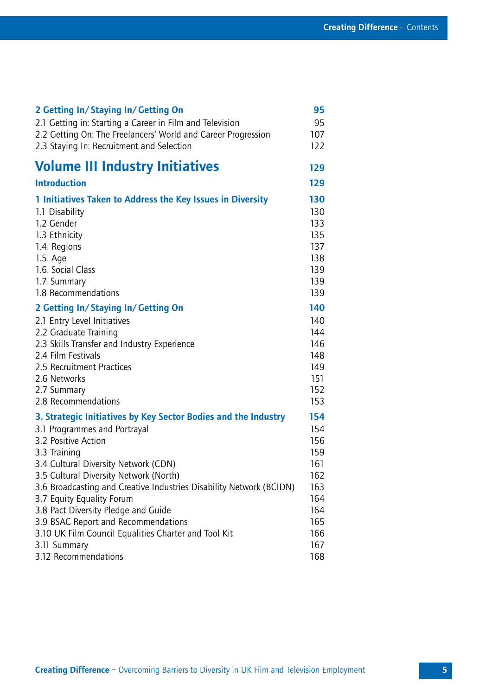| 2 Getting In/Staying In/Getting On                                                                            | 95         |
|---------------------------------------------------------------------------------------------------------------|------------|
| 2.1 Getting in: Starting a Career in Film and Television                                                      | 95         |
| 2.2 Getting On: The Freelancers' World and Career Progression                                                 | 107        |
| 2.3 Staying In: Recruitment and Selection                                                                     | 122        |
| <b>Volume III Industry Initiatives</b>                                                                        | 129        |
| <b>Introduction</b>                                                                                           | 129        |
| 1 Initiatives Taken to Address the Key Issues in Diversity                                                    | 130        |
| 1.1 Disability                                                                                                | 130        |
| 1.2 Gender                                                                                                    | 133        |
| 1.3 Ethnicity                                                                                                 | 135        |
| 1.4. Regions                                                                                                  | 137        |
| 1.5. Age                                                                                                      | 138        |
| 1.6. Social Class                                                                                             | 139        |
| 1.7. Summary                                                                                                  | 139        |
| 1.8 Recommendations                                                                                           | 139        |
| 2 Getting In/Staying In/Getting On                                                                            | 140        |
| 2.1 Entry Level Initiatives                                                                                   | 140        |
| 2.2 Graduate Training                                                                                         | 144        |
| 2.3 Skills Transfer and Industry Experience                                                                   | 146        |
| 2.4 Film Festivals                                                                                            | 148        |
| 2.5 Recruitment Practices                                                                                     | 149        |
| 2.6 Networks                                                                                                  | 151        |
| 2.7 Summary<br>2.8 Recommendations                                                                            | 152        |
|                                                                                                               | 153        |
| 3. Strategic Initiatives by Key Sector Bodies and the Industry                                                | 154        |
| 3.1 Programmes and Portrayal                                                                                  | 154        |
| 3.2 Positive Action                                                                                           | 156        |
| 3.3 Training                                                                                                  | 159        |
| 3.4 Cultural Diversity Network (CDN)                                                                          | 161        |
| 3.5 Cultural Diversity Network (North)<br>3.6 Broadcasting and Creative Industries Disability Network (BCIDN) | 162<br>163 |
| 3.7 Equity Equality Forum                                                                                     | 164        |
| 3.8 Pact Diversity Pledge and Guide                                                                           | 164        |
| 3.9 BSAC Report and Recommendations                                                                           | 165        |
| 3.10 UK Film Council Equalities Charter and Tool Kit                                                          | 166        |
| 3.11 Summary                                                                                                  | 167        |
| 3.12 Recommendations                                                                                          | 168        |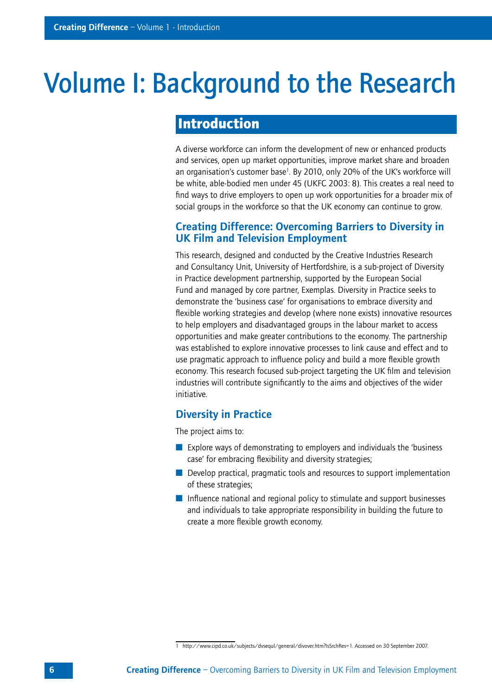# Volume I: Background to the Research

# **Introduction**

A diverse workforce can inform the development of new or enhanced products and services, open up market opportunities, improve market share and broaden an organisation's customer base<sup>1</sup>. By 2010, only 20% of the UK's workforce will be white, able-bodied men under 45 (UKFC 2003: 8). This creates a real need to find ways to drive employers to open up work opportunities for a broader mix of social groups in the workforce so that the UK economy can continue to grow.

#### Creating Difference: Overcoming Barriers to Diversity in UK Film and Television Employment

This research, designed and conducted by the Creative Industries Research and Consultancy Unit, University of Hertfordshire, is a sub-project of Diversity in Practice development partnership, supported by the European Social Fund and managed by core partner, Exemplas. Diversity in Practice seeks to demonstrate the 'business case' for organisations to embrace diversity and flexible working strategies and develop (where none exists) innovative resources to help employers and disadvantaged groups in the labour market to access opportunities and make greater contributions to the economy. The partnership was established to explore innovative processes to link cause and effect and to use pragmatic approach to influence policy and build a more flexible growth economy. This research focused sub-project targeting the UK film and television industries will contribute significantly to the aims and objectives of the wider initiative.

#### Diversity in Practice

The project aims to:

- Explore ways of demonstrating to employers and individuals the 'business case' for embracing flexibility and diversity strategies;
- Develop practical, pragmatic tools and resources to support implementation of these strategies;
- $\blacksquare$  Influence national and regional policy to stimulate and support businesses and individuals to take appropriate responsibility in building the future to create a more flexible growth economy.

<sup>1</sup> http://www.cipd.co.uk/subjects/dvsequl/general/divover.htm?IsSrchRes=1. Accessed on 30 September 2007.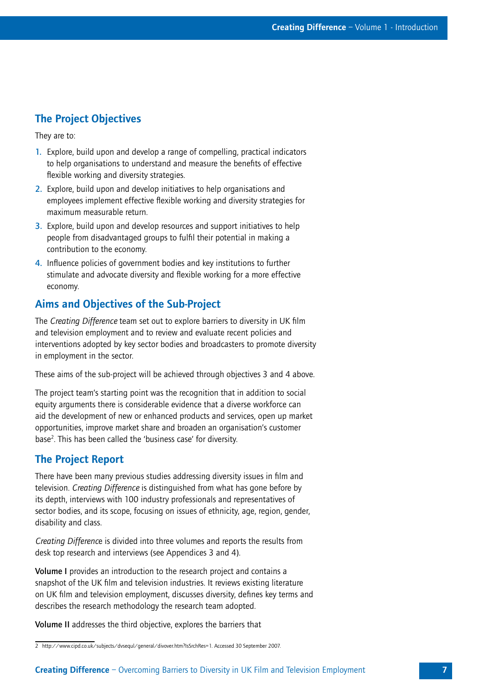### The Project Objectives

They are to:

- 1. Explore, build upon and develop a range of compelling, practical indicators to help organisations to understand and measure the benefits of effective flexible working and diversity strategies.
- 2. Explore, build upon and develop initiatives to help organisations and employees implement effective flexible working and diversity strategies for maximum measurable return.
- 3. Explore, build upon and develop resources and support initiatives to help people from disadvantaged groups to fulfil their potential in making a contribution to the economy.
- 4. Influence policies of government bodies and key institutions to further stimulate and advocate diversity and flexible working for a more effective economy.

#### Aims and Objectives of the Sub-Project

The *Creating Difference* team set out to explore barriers to diversity in UK film and television employment and to review and evaluate recent policies and interventions adopted by key sector bodies and broadcasters to promote diversity in employment in the sector.

These aims of the sub-project will be achieved through objectives 3 and 4 above.

The project team's starting point was the recognition that in addition to social equity arguments there is considerable evidence that a diverse workforce can aid the development of new or enhanced products and services, open up market opportunities, improve market share and broaden an organisation's customer base<sup>2</sup>. This has been called the 'business case' for diversity.

#### The Project Report

There have been many previous studies addressing diversity issues in film and television. *Creating Difference* is distinguished from what has gone before by its depth, interviews with 100 industry professionals and representatives of sector bodies, and its scope, focusing on issues of ethnicity, age, region, gender, disability and class.

*Creating Differenc*e is divided into three volumes and reports the results from desk top research and interviews (see Appendices 3 and 4).

Volume I provides an introduction to the research project and contains a snapshot of the UK film and television industries. It reviews existing literature on UK film and television employment, discusses diversity, defines key terms and describes the research methodology the research team adopted.

Volume II addresses the third objective, explores the barriers that

<sup>2</sup> http://www.cipd.co.uk/subjects/dvsequl/general/divover.htm?IsSrchRes=1. Accessed 30 September 2007.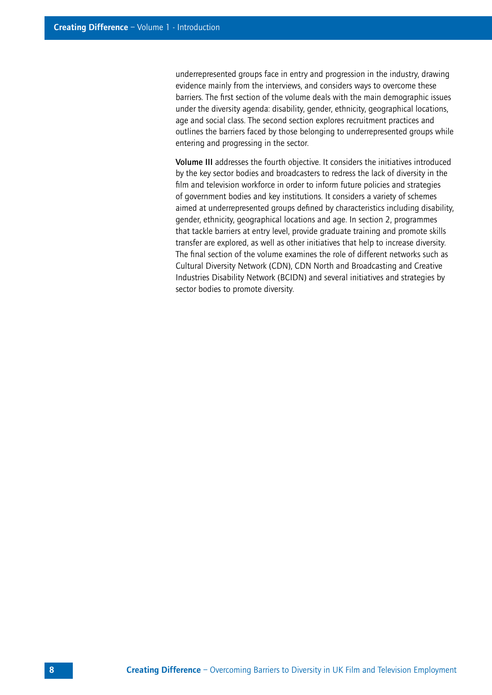underrepresented groups face in entry and progression in the industry, drawing evidence mainly from the interviews, and considers ways to overcome these barriers. The first section of the volume deals with the main demographic issues under the diversity agenda: disability, gender, ethnicity, geographical locations, age and social class. The second section explores recruitment practices and outlines the barriers faced by those belonging to underrepresented groups while entering and progressing in the sector.

Volume III addresses the fourth objective. It considers the initiatives introduced by the key sector bodies and broadcasters to redress the lack of diversity in the film and television workforce in order to inform future policies and strategies of government bodies and key institutions. It considers a variety of schemes aimed at underrepresented groups defined by characteristics including disability, gender, ethnicity, geographical locations and age. In section 2, programmes that tackle barriers at entry level, provide graduate training and promote skills transfer are explored, as well as other initiatives that help to increase diversity. The final section of the volume examines the role of different networks such as Cultural Diversity Network (CDN), CDN North and Broadcasting and Creative Industries Disability Network (BCIDN) and several initiatives and strategies by sector bodies to promote diversity.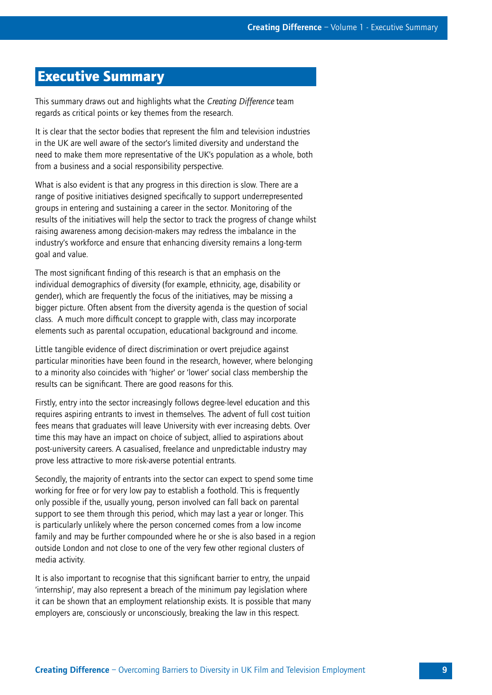## **Executive Summary**

This summary draws out and highlights what the *Creating Difference* team regards as critical points or key themes from the research.

It is clear that the sector bodies that represent the film and television industries in the UK are well aware of the sector's limited diversity and understand the need to make them more representative of the UK's population as a whole, both from a business and a social responsibility perspective.

What is also evident is that any progress in this direction is slow. There are a range of positive initiatives designed specifically to support underrepresented groups in entering and sustaining a career in the sector. Monitoring of the results of the initiatives will help the sector to track the progress of change whilst raising awareness among decision-makers may redress the imbalance in the industry's workforce and ensure that enhancing diversity remains a long-term goal and value.

The most significant finding of this research is that an emphasis on the individual demographics of diversity (for example, ethnicity, age, disability or gender), which are frequently the focus of the initiatives, may be missing a bigger picture. Often absent from the diversity agenda is the question of social class. A much more difficult concept to grapple with, class may incorporate elements such as parental occupation, educational background and income.

Little tangible evidence of direct discrimination or overt prejudice against particular minorities have been found in the research, however, where belonging to a minority also coincides with 'higher' or 'lower' social class membership the results can be significant. There are good reasons for this.

Firstly, entry into the sector increasingly follows degree-level education and this requires aspiring entrants to invest in themselves. The advent of full cost tuition fees means that graduates will leave University with ever increasing debts. Over time this may have an impact on choice of subject, allied to aspirations about post-university careers. A casualised, freelance and unpredictable industry may prove less attractive to more risk-averse potential entrants.

Secondly, the majority of entrants into the sector can expect to spend some time working for free or for very low pay to establish a foothold. This is frequently only possible if the, usually young, person involved can fall back on parental support to see them through this period, which may last a year or longer. This is particularly unlikely where the person concerned comes from a low income family and may be further compounded where he or she is also based in a region outside London and not close to one of the very few other regional clusters of media activity.

It is also important to recognise that this significant barrier to entry, the unpaid 'internship', may also represent a breach of the minimum pay legislation where it can be shown that an employment relationship exists. It is possible that many employers are, consciously or unconsciously, breaking the law in this respect.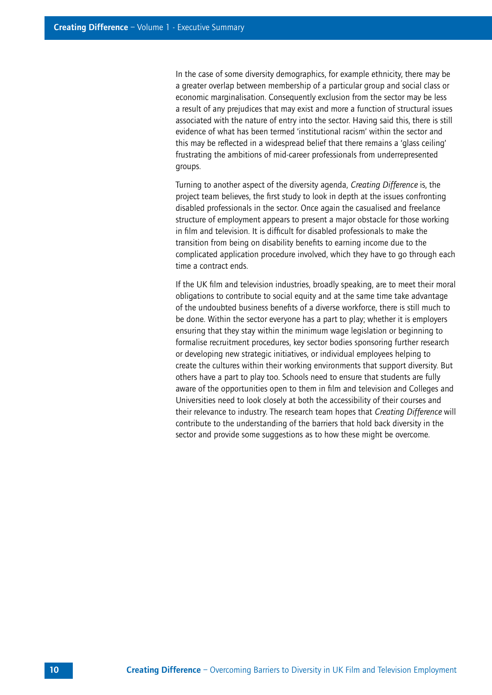In the case of some diversity demographics, for example ethnicity, there may be a greater overlap between membership of a particular group and social class or economic marginalisation. Consequently exclusion from the sector may be less a result of any prejudices that may exist and more a function of structural issues associated with the nature of entry into the sector. Having said this, there is still evidence of what has been termed 'institutional racism' within the sector and this may be reflected in a widespread belief that there remains a 'glass ceiling' frustrating the ambitions of mid-career professionals from underrepresented groups.

Turning to another aspect of the diversity agenda, *Creating Difference* is, the project team believes, the first study to look in depth at the issues confronting disabled professionals in the sector. Once again the casualised and freelance structure of employment appears to present a major obstacle for those working in film and television. It is difficult for disabled professionals to make the transition from being on disability benefits to earning income due to the complicated application procedure involved, which they have to go through each time a contract ends.

If the UK film and television industries, broadly speaking, are to meet their moral obligations to contribute to social equity and at the same time take advantage of the undoubted business benefits of a diverse workforce, there is still much to be done. Within the sector everyone has a part to play; whether it is employers ensuring that they stay within the minimum wage legislation or beginning to formalise recruitment procedures, key sector bodies sponsoring further research or developing new strategic initiatives, or individual employees helping to create the cultures within their working environments that support diversity. But others have a part to play too. Schools need to ensure that students are fully aware of the opportunities open to them in film and television and Colleges and Universities need to look closely at both the accessibility of their courses and their relevance to industry. The research team hopes that *Creating Difference* will contribute to the understanding of the barriers that hold back diversity in the sector and provide some suggestions as to how these might be overcome.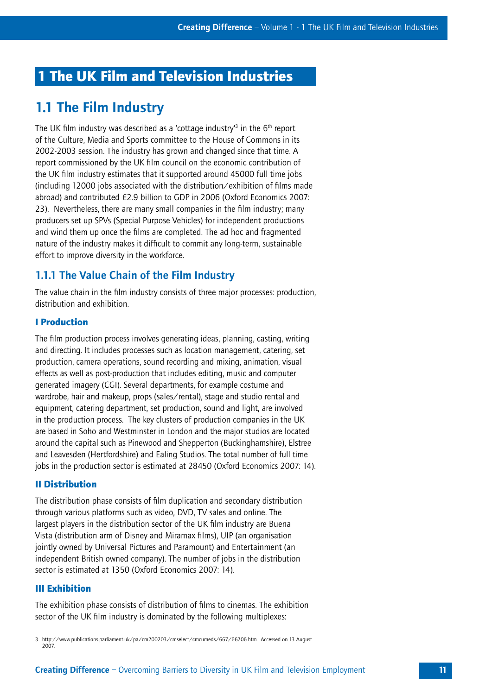# **1 The UK Film and Television Industries**

# 1.1 The Film Industry

The UK film industry was described as a 'cottage industry'<sup>3</sup> in the  $6^\text{th}$  report of the Culture, Media and Sports committee to the House of Commons in its 2002-2003 session. The industry has grown and changed since that time. A report commissioned by the UK film council on the economic contribution of the UK film industry estimates that it supported around 45000 full time jobs (including 12000 jobs associated with the distribution/exhibition of films made abroad) and contributed £2.9 billion to GDP in 2006 (Oxford Economics 2007: 23). Nevertheless, there are many small companies in the film industry; many producers set up SPVs (Special Purpose Vehicles) for independent productions and wind them up once the films are completed. The ad hoc and fragmented nature of the industry makes it difficult to commit any long-term, sustainable effort to improve diversity in the workforce.

#### 1.1.1 The Value Chain of the Film Industry

The value chain in the film industry consists of three major processes: production, distribution and exhibition.

#### **I Production**

The film production process involves generating ideas, planning, casting, writing and directing. It includes processes such as location management, catering, set production, camera operations, sound recording and mixing, animation, visual effects as well as post-production that includes editing, music and computer generated imagery (CGI). Several departments, for example costume and wardrobe, hair and makeup, props (sales/rental), stage and studio rental and equipment, catering department, set production, sound and light, are involved in the production process. The key clusters of production companies in the UK are based in Soho and Westminster in London and the major studios are located around the capital such as Pinewood and Shepperton (Buckinghamshire), Elstree and Leavesden (Hertfordshire) and Ealing Studios. The total number of full time jobs in the production sector is estimated at 28450 (Oxford Economics 2007: 14).

#### **II Distribution**

The distribution phase consists of film duplication and secondary distribution through various platforms such as video, DVD, TV sales and online. The largest players in the distribution sector of the UK film industry are Buena Vista (distribution arm of Disney and Miramax films), UIP (an organisation jointly owned by Universal Pictures and Paramount) and Entertainment (an independent British owned company). The number of jobs in the distribution sector is estimated at 1350 (Oxford Economics 2007: 14).

#### **III Exhibition**

The exhibition phase consists of distribution of films to cinemas. The exhibition sector of the UK film industry is dominated by the following multiplexes:

<sup>3</sup> http://www.publications.parliament.uk/pa/cm200203/cmselect/cmcumeds/667/66706.htm. Accessed on 13 August 2007.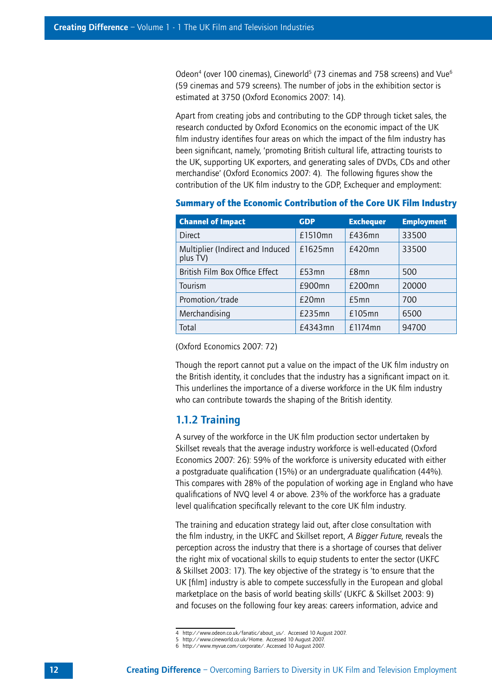Odeon<sup>4</sup> (over 100 cinemas), Cineworld<sup>5</sup> (73 cinemas and 758 screens) and Vue<sup>6</sup> (59 cinemas and 579 screens). The number of jobs in the exhibition sector is estimated at 3750 (Oxford Economics 2007: 14).

Apart from creating jobs and contributing to the GDP through ticket sales, the research conducted by Oxford Economics on the economic impact of the UK film industry identifies four areas on which the impact of the film industry has been significant, namely, 'promoting British cultural life, attracting tourists to the UK, supporting UK exporters, and generating sales of DVDs, CDs and other merchandise' (Oxford Economics 2007: 4). The following figures show the contribution of the UK film industry to the GDP, Exchequer and employment:

#### **Summary of the Economic Contribution of the Core UK Film Industry**

| <b>Channel of Impact</b>                     | <b>GDP</b> | <b>Exchequer</b> | <b>Employment</b> |
|----------------------------------------------|------------|------------------|-------------------|
| Direct                                       | £1510mn    | £436mn           | 33500             |
| Multiplier (Indirect and Induced<br>plus TV) | £1625mn    | $E420$ mn        | 33500             |
| British Film Box Office Effect               | £53mn      | £8mn             | 500               |
| Tourism                                      | £900mn     | £200mn           | 20000             |
| Promotion/trade                              | £20mn      | £5mn             | 700               |
| Merchandising                                | £235mn     | £105mn           | 6500              |
| Total                                        | £4343mn    | £1174mn          | 94700             |

(Oxford Economics 2007: 72)

Though the report cannot put a value on the impact of the UK film industry on the British identity, it concludes that the industry has a significant impact on it. This underlines the importance of a diverse workforce in the UK film industry who can contribute towards the shaping of the British identity.

#### 1.1.2 Training

A survey of the workforce in the UK film production sector undertaken by Skillset reveals that the average industry workforce is well-educated (Oxford Economics 2007: 26): 59% of the workforce is university educated with either a postgraduate qualification (15%) or an undergraduate qualification (44%). This compares with 28% of the population of working age in England who have qualifications of NVQ level 4 or above. 23% of the workforce has a graduate level qualification specifically relevant to the core UK film industry.

The training and education strategy laid out, after close consultation with the film industry, in the UKFC and Skillset report, *A Bigger Future,* reveals the perception across the industry that there is a shortage of courses that deliver the right mix of vocational skills to equip students to enter the sector (UKFC & Skillset 2003: 17). The key objective of the strategy is 'to ensure that the UK [film] industry is able to compete successfully in the European and global marketplace on the basis of world beating skills' (UKFC & Skillset 2003: 9) and focuses on the following four key areas: careers information, advice and

<sup>4</sup> http://www.odeon.co.uk/fanatic/about\_us/. Accessed 10 August 2007.

<sup>5</sup> http://www.cineworld.co.uk/Home. Accessed 10 August 2007.

<sup>6</sup> http://www.myvue.com/corporate/. Accessed 10 August 2007.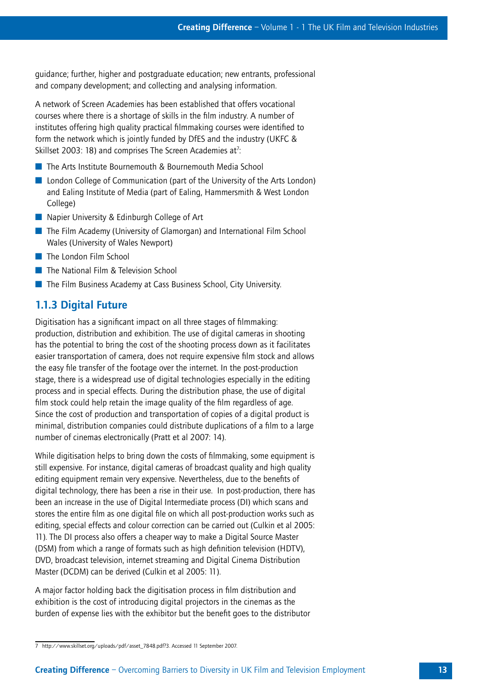guidance; further, higher and postgraduate education; new entrants, professional and company development; and collecting and analysing information.

A network of Screen Academies has been established that offers vocational courses where there is a shortage of skills in the film industry. A number of institutes offering high quality practical filmmaking courses were identified to form the network which is jointly funded by DfES and the industry (UKFC & Skillset 2003: 18) and comprises The Screen Academies at<sup>7</sup>: :

- The Arts Institute Bournemouth & Bournemouth Media School
- London College of Communication (part of the University of the Arts London) and Ealing Institute of Media (part of Ealing, Hammersmith & West London College)
- Napier University & Edinburgh College of Art
- The Film Academy (University of Glamorgan) and International Film School Wales (University of Wales Newport)
- The London Film School
- The National Film & Television School
- The Film Business Academy at Cass Business School, City University.

#### 1.1.3 Digital Future

Digitisation has a significant impact on all three stages of filmmaking: production, distribution and exhibition. The use of digital cameras in shooting has the potential to bring the cost of the shooting process down as it facilitates easier transportation of camera, does not require expensive film stock and allows the easy file transfer of the footage over the internet. In the post-production stage, there is a widespread use of digital technologies especially in the editing process and in special effects. During the distribution phase, the use of digital film stock could help retain the image quality of the film regardless of age. Since the cost of production and transportation of copies of a digital product is minimal, distribution companies could distribute duplications of a film to a large number of cinemas electronically (Pratt et al 2007: 14).

While digitisation helps to bring down the costs of filmmaking, some equipment is still expensive. For instance, digital cameras of broadcast quality and high quality editing equipment remain very expensive. Nevertheless, due to the benefits of digital technology, there has been a rise in their use. In post-production, there has been an increase in the use of Digital Intermediate process (DI) which scans and stores the entire film as one digital file on which all post-production works such as editing, special effects and colour correction can be carried out (Culkin et al 2005: 11). The DI process also offers a cheaper way to make a Digital Source Master (DSM) from which a range of formats such as high definition television (HDTV), DVD, broadcast television, internet streaming and Digital Cinema Distribution Master (DCDM) can be derived (Culkin et al 2005: 11).

A major factor holding back the digitisation process in film distribution and exhibition is the cost of introducing digital projectors in the cinemas as the burden of expense lies with the exhibitor but the benefit goes to the distributor

<sup>7</sup> http://www.skillset.org/uploads/pdf/asset\_7848.pdf?3. Accessed 11 September 2007.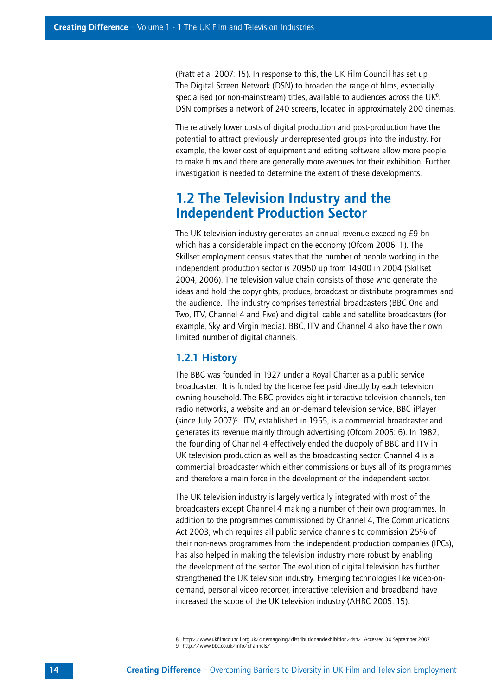(Pratt et al 2007: 15). In response to this, the UK Film Council has set up The Digital Screen Network (DSN) to broaden the range of films, especially specialised (or non-mainstream) titles, available to audiences across the UK $8$ . DSN comprises a network of 240 screens, located in approximately 200 cinemas.

The relatively lower costs of digital production and post-production have the potential to attract previously underrepresented groups into the industry. For example, the lower cost of equipment and editing software allow more people to make films and there are generally more avenues for their exhibition. Further investigation is needed to determine the extent of these developments.

# 1.2 The Television Industry and the Independent Production Sector

The UK television industry generates an annual revenue exceeding £9 bn which has a considerable impact on the economy (Ofcom 2006: 1). The Skillset employment census states that the number of people working in the independent production sector is 20950 up from 14900 in 2004 (Skillset 2004, 2006). The television value chain consists of those who generate the ideas and hold the copyrights, produce, broadcast or distribute programmes and the audience. The industry comprises terrestrial broadcasters (BBC One and Two, ITV, Channel 4 and Five) and digital, cable and satellite broadcasters (for example, Sky and Virgin media). BBC, ITV and Channel 4 also have their own limited number of digital channels.

#### 1.2.1 History

The BBC was founded in 1927 under a Royal Charter as a public service broadcaster. It is funded by the license fee paid directly by each television owning household. The BBC provides eight interactive television channels, ten radio networks, a website and an on-demand television service, BBC iPlayer (since July 2007)<sup>9</sup>. ITV, established in 1955, is a commercial broadcaster and generates its revenue mainly through advertising (Ofcom 2005: 6). In 1982, the founding of Channel 4 effectively ended the duopoly of BBC and ITV in UK television production as well as the broadcasting sector. Channel 4 is a commercial broadcaster which either commissions or buys all of its programmes and therefore a main force in the development of the independent sector.

The UK television industry is largely vertically integrated with most of the broadcasters except Channel 4 making a number of their own programmes. In addition to the programmes commissioned by Channel 4, The Communications Act 2003, which requires all public service channels to commission 25% of their non-news programmes from the independent production companies (IPCs), has also helped in making the television industry more robust by enabling the development of the sector. The evolution of digital television has further strengthened the UK television industry. Emerging technologies like video-ondemand, personal video recorder, interactive television and broadband have increased the scope of the UK television industry (AHRC 2005: 15).

<sup>8</sup> http://www.ukfilmcouncil.org.uk/cinemagoing/distributionandexhibition/dsn/. Accessed 30 September 2007.

<sup>9</sup> http://www.bbc.co.uk/info/channels/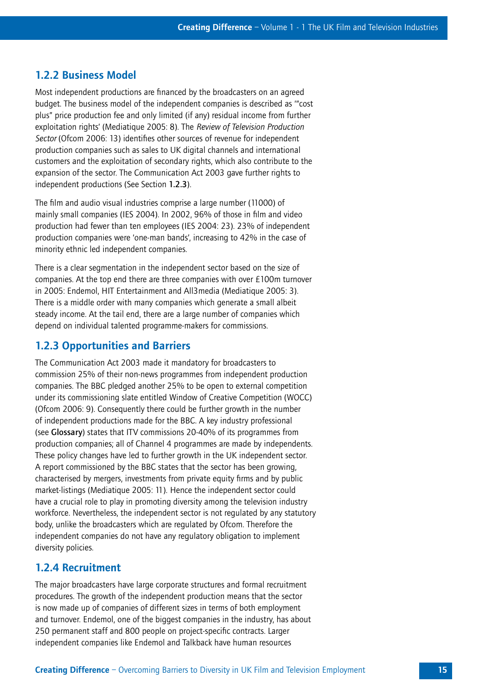#### 1.2.2 Business Model

Most independent productions are financed by the broadcasters on an agreed budget. The business model of the independent companies is described as '"cost plus" price production fee and only limited (if any) residual income from further exploitation rights' (Mediatique 2005: 8). The *Review of Television Production Sector* (Ofcom 2006: 13) identifies other sources of revenue for independent production companies such as sales to UK digital channels and international customers and the exploitation of secondary rights, which also contribute to the expansion of the sector. The Communication Act 2003 gave further rights to independent productions (See Section 1.2.3).

The film and audio visual industries comprise a large number (11000) of mainly small companies (IES 2004). In 2002, 96% of those in film and video production had fewer than ten employees (IES 2004: 23). 23% of independent production companies were 'one-man bands', increasing to 42% in the case of minority ethnic led independent companies.

There is a clear segmentation in the independent sector based on the size of companies. At the top end there are three companies with over £100m turnover in 2005: Endemol, HIT Entertainment and All3media (Mediatique 2005: 3). There is a middle order with many companies which generate a small albeit steady income. At the tail end, there are a large number of companies which depend on individual talented programme-makers for commissions.

#### 1.2.3 Opportunities and Barriers

The Communication Act 2003 made it mandatory for broadcasters to commission 25% of their non-news programmes from independent production companies. The BBC pledged another 25% to be open to external competition under its commissioning slate entitled Window of Creative Competition (WOCC) (Ofcom 2006: 9). Consequently there could be further growth in the number of independent productions made for the BBC. A key industry professional (see Glossary) states that ITV commissions 20-40% of its programmes from production companies; all of Channel 4 programmes are made by independents. These policy changes have led to further growth in the UK independent sector. A report commissioned by the BBC states that the sector has been growing, characterised by mergers, investments from private equity firms and by public market-listings (Mediatique 2005: 11). Hence the independent sector could have a crucial role to play in promoting diversity among the television industry workforce. Nevertheless, the independent sector is not regulated by any statutory body, unlike the broadcasters which are regulated by Ofcom. Therefore the independent companies do not have any regulatory obligation to implement diversity policies.

#### 1.2.4 Recruitment

The major broadcasters have large corporate structures and formal recruitment procedures. The growth of the independent production means that the sector is now made up of companies of different sizes in terms of both employment and turnover. Endemol, one of the biggest companies in the industry, has about 250 permanent staff and 800 people on project-specific contracts. Larger independent companies like Endemol and Talkback have human resources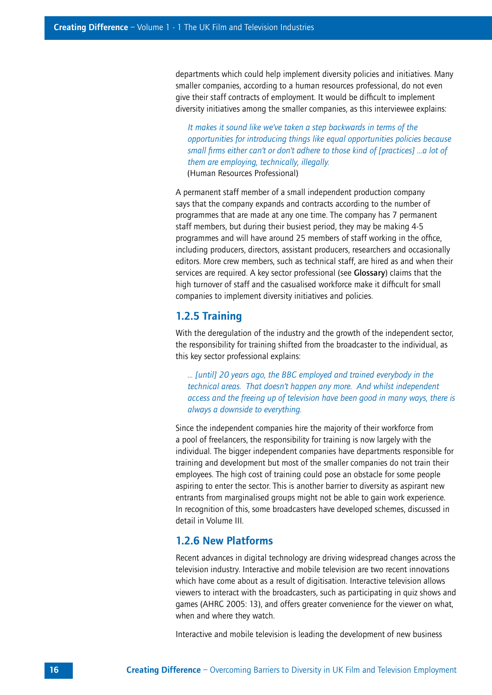departments which could help implement diversity policies and initiatives. Many smaller companies, according to a human resources professional, do not even give their staff contracts of employment. It would be difficult to implement diversity initiatives among the smaller companies, as this interviewee explains:

*It makes it sound like we've taken a step backwards in terms of the opportunities for introducing things like equal opportunities policies because small firms either can't or don't adhere to those kind of [practices] …a lot of them are employing, technically, illegally.*  (Human Resources Professional)

A permanent staff member of a small independent production company says that the company expands and contracts according to the number of programmes that are made at any one time. The company has 7 permanent staff members, but during their busiest period, they may be making 4-5 programmes and will have around 25 members of staff working in the office, including producers, directors, assistant producers, researchers and occasionally editors. More crew members, such as technical staff, are hired as and when their services are required. A key sector professional (see Glossary) claims that the high turnover of staff and the casualised workforce make it difficult for small companies to implement diversity initiatives and policies.

#### 1.2.5 Training

With the deregulation of the industry and the growth of the independent sector. the responsibility for training shifted from the broadcaster to the individual, as this key sector professional explains:

*... [until] 20 years ago, the BBC employed and trained everybody in the technical areas. That doesn't happen any more. And whilst independent access and the freeing up of television have been good in many ways, there is always a downside to everything.* 

Since the independent companies hire the majority of their workforce from a pool of freelancers, the responsibility for training is now largely with the individual. The bigger independent companies have departments responsible for training and development but most of the smaller companies do not train their employees. The high cost of training could pose an obstacle for some people aspiring to enter the sector. This is another barrier to diversity as aspirant new entrants from marginalised groups might not be able to gain work experience. In recognition of this, some broadcasters have developed schemes, discussed in detail in Volume III.

#### 1.2.6 New Platforms

Recent advances in digital technology are driving widespread changes across the television industry. Interactive and mobile television are two recent innovations which have come about as a result of digitisation. Interactive television allows viewers to interact with the broadcasters, such as participating in quiz shows and games (AHRC 2005: 13), and offers greater convenience for the viewer on what, when and where they watch.

Interactive and mobile television is leading the development of new business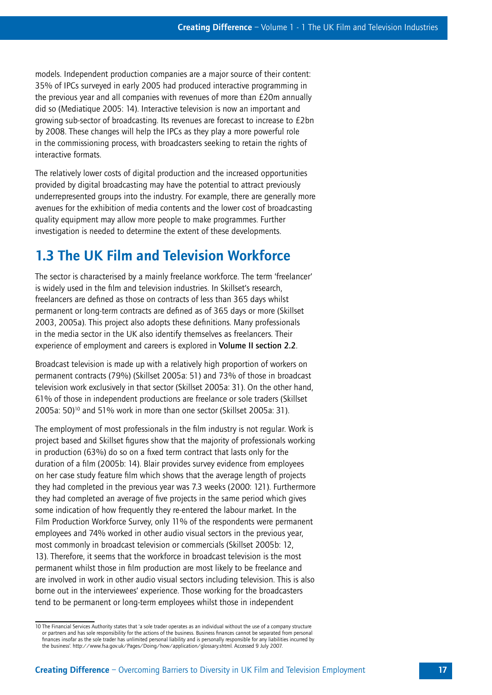models. Independent production companies are a major source of their content: 35% of IPCs surveyed in early 2005 had produced interactive programming in the previous year and all companies with revenues of more than £20m annually did so (Mediatique 2005: 14). Interactive television is now an important and growing sub-sector of broadcasting. Its revenues are forecast to increase to £2bn by 2008. These changes will help the IPCs as they play a more powerful role in the commissioning process, with broadcasters seeking to retain the rights of interactive formats.

The relatively lower costs of digital production and the increased opportunities provided by digital broadcasting may have the potential to attract previously underrepresented groups into the industry. For example, there are generally more avenues for the exhibition of media contents and the lower cost of broadcasting quality equipment may allow more people to make programmes. Further investigation is needed to determine the extent of these developments.

# 1.3 The UK Film and Television Workforce

The sector is characterised by a mainly freelance workforce. The term 'freelancer' is widely used in the film and television industries. In Skillset's research, freelancers are defined as those on contracts of less than 365 days whilst permanent or long-term contracts are defined as of 365 days or more (Skillset 2003, 2005a). This project also adopts these definitions. Many professionals in the media sector in the UK also identify themselves as freelancers. Their experience of employment and careers is explored in Volume II section 2.2.

Broadcast television is made up with a relatively high proportion of workers on permanent contracts (79%) (Skillset 2005a: 51) and 73% of those in broadcast television work exclusively in that sector (Skillset 2005a: 31). On the other hand, 61% of those in independent productions are freelance or sole traders (Skillset 2005a: 50)<sup>10</sup> and 51% work in more than one sector (Skillset 2005a: 31).

The employment of most professionals in the film industry is not regular. Work is project based and Skillset figures show that the majority of professionals working in production (63%) do so on a fixed term contract that lasts only for the duration of a film (2005b: 14). Blair provides survey evidence from employees on her case study feature film which shows that the average length of projects they had completed in the previous year was 7.3 weeks (2000: 121). Furthermore they had completed an average of five projects in the same period which gives some indication of how frequently they re-entered the labour market. In the Film Production Workforce Survey, only 11% of the respondents were permanent employees and 74% worked in other audio visual sectors in the previous year, most commonly in broadcast television or commercials (Skillset 2005b: 12, 13). Therefore, it seems that the workforce in broadcast television is the most permanent whilst those in film production are most likely to be freelance and are involved in work in other audio visual sectors including television. This is also borne out in the interviewees' experience. Those working for the broadcasters tend to be permanent or long-term employees whilst those in independent

<sup>10</sup> The Financial Services Authority states that 'a sole trader operates as an individual without the use of a company structure or partners and has sole responsibility for the actions of the business. Business finances cannot be separated from personal finances insofar as the sole trader has unlimited personal liability and is personally responsible for any liabilities incurred by the business'. http://www.fsa.gov.uk/Pages/Doing/how/application/glossary.shtml. Accessed 9 July 2007.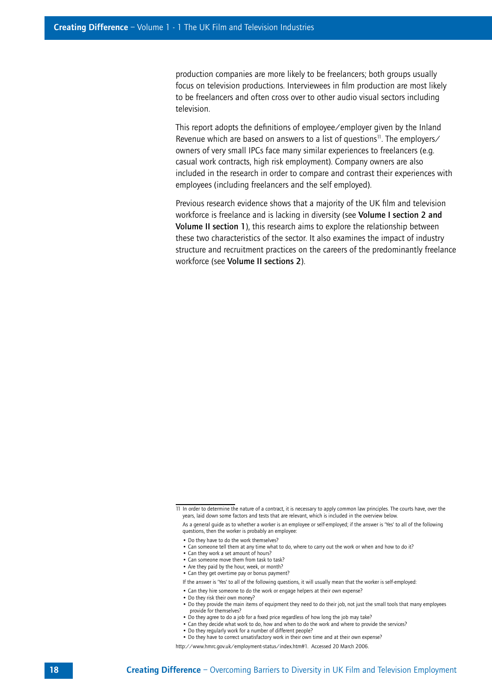production companies are more likely to be freelancers; both groups usually focus on television productions. Interviewees in film production are most likely to be freelancers and often cross over to other audio visual sectors including television.

This report adopts the definitions of employee/employer given by the Inland Revenue which are based on answers to a list of questions<sup>11</sup>. The employers/ owners of very small IPCs face many similar experiences to freelancers (e.g. casual work contracts, high risk employment). Company owners are also included in the research in order to compare and contrast their experiences with employees (including freelancers and the self employed).

Previous research evidence shows that a majority of the UK film and television workforce is freelance and is lacking in diversity (see Volume I section 2 and Volume II section 1), this research aims to explore the relationship between these two characteristics of the sector. It also examines the impact of industry structure and recruitment practices on the careers of the predominantly freelance workforce (see Volume II sections 2).

- Can someone tell them at any time what to do, where to carry out the work or when and how to do it?
- Can they work a set amount of hours?
- Can someone move them from task to task?
- Are they paid by the hour, week, or month? • Can they get overtime pay or bonus payment?
- 

- Can they hire someone to do the work or engage helpers at their own expense?
- Do they risk their own money?
- Do they provide the main items of equipment they need to do their job, not just the small tools that many employees provide for themselves?
- Do they agree to do a job for a fixed price regardless of how long the job may take?
- Can they decide what work to do, how and when to do the work and where to provide the services? • Do they regularly work for a number of different people?
- Do they have to correct unsatisfactory work in their own time and at their own expense?

http://www.hmrc.gov.uk/employment-status/index.htm#1. Accessed 20 March 2006.

<sup>11</sup> In order to determine the nature of a contract, it is necessary to apply common law principles. The courts have, over the years, laid down some factors and tests that are relevant, which is included in the overview below.

As a general guide as to whether a worker is an employee or self-employed; if the answer is 'Yes' to all of the following questions, then the worker is probably an employee:

<sup>•</sup> Do they have to do the work themselves?

If the answer is 'Yes' to all of the following questions, it will usually mean that the worker is self-employed: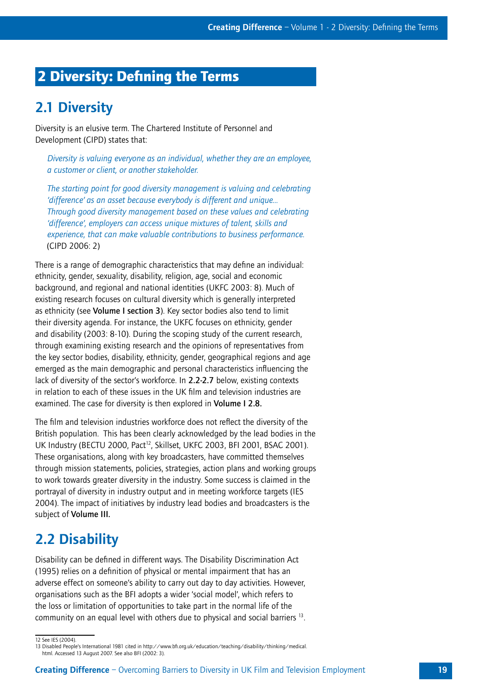# **2 Diversity: Defining the Terms**

# 2.1 Diversity

Diversity is an elusive term. The Chartered Institute of Personnel and Development (CIPD) states that:

*Diversity is valuing everyone as an individual, whether they are an employee, a customer or client, or another stakeholder.*

*The starting point for good diversity management is valuing and celebrating 'difference' as an asset because everybody is different and unique... Through good diversity management based on these values and celebrating 'difference', employers can access unique mixtures of talent, skills and experience, that can make valuable contributions to business performance.*  (CIPD 2006: 2)

There is a range of demographic characteristics that may define an individual: ethnicity, gender, sexuality, disability, religion, age, social and economic background, and regional and national identities (UKFC 2003: 8). Much of existing research focuses on cultural diversity which is generally interpreted as ethnicity (see Volume I section 3). Key sector bodies also tend to limit their diversity agenda. For instance, the UKFC focuses on ethnicity, gender and disability (2003: 8-10). During the scoping study of the current research, through examining existing research and the opinions of representatives from the key sector bodies, disability, ethnicity, gender, geographical regions and age emerged as the main demographic and personal characteristics influencing the lack of diversity of the sector's workforce. In 2.2-2.7 below, existing contexts in relation to each of these issues in the UK film and television industries are examined. The case for diversity is then explored in Volume I 2.8.

The film and television industries workforce does not reflect the diversity of the British population. This has been clearly acknowledged by the lead bodies in the UK Industry (BECTU 2000, Pact<sup>12</sup>, Skillset, UKFC 2003, BFI 2001, BSAC 2001). These organisations, along with key broadcasters, have committed themselves through mission statements, policies, strategies, action plans and working groups to work towards greater diversity in the industry. Some success is claimed in the portrayal of diversity in industry output and in meeting workforce targets (IES 2004). The impact of initiatives by industry lead bodies and broadcasters is the subject of Volume III.

# 2.2 Disability

Disability can be defined in different ways. The Disability Discrimination Act (1995) relies on a definition of physical or mental impairment that has an adverse effect on someone's ability to carry out day to day activities. However, organisations such as the BFI adopts a wider 'social model', which refers to the loss or limitation of opportunities to take part in the normal life of the community on an equal level with others due to physical and social barriers 13.

12 See IES (2004).

<sup>13</sup> Disabled People's International 1981 cited in http://www.bfi.org.uk/education/teaching/disability/thinking/medical. html. Accessed 13 August 2007. See also BFI (2002: 3).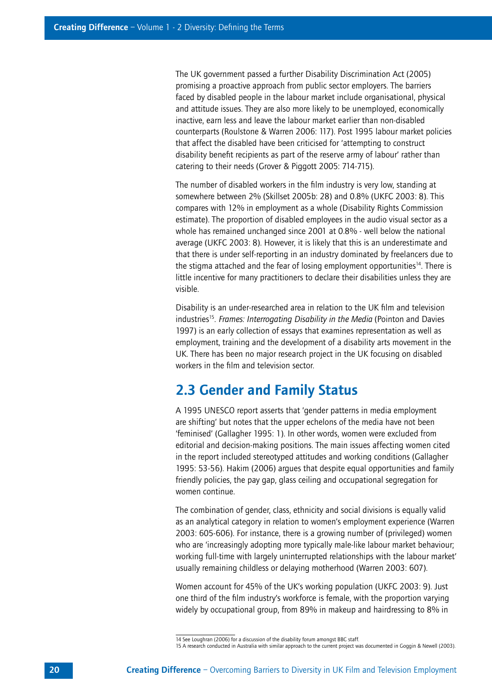The UK government passed a further Disability Discrimination Act (2005) promising a proactive approach from public sector employers. The barriers faced by disabled people in the labour market include organisational, physical and attitude issues. They are also more likely to be unemployed, economically inactive, earn less and leave the labour market earlier than non-disabled counterparts (Roulstone & Warren 2006: 117). Post 1995 labour market policies that affect the disabled have been criticised for 'attempting to construct disability benefit recipients as part of the reserve army of labour' rather than catering to their needs (Grover & Piggott 2005: 714-715).

The number of disabled workers in the film industry is very low, standing at somewhere between 2% (Skillset 2005b: 28) and 0.8% (UKFC 2003: 8). This compares with 12% in employment as a whole (Disability Rights Commission estimate). The proportion of disabled employees in the audio visual sector as a whole has remained unchanged since 2001 at 0.8% - well below the national average (UKFC 2003: 8). However, it is likely that this is an underestimate and that there is under self-reporting in an industry dominated by freelancers due to the stigma attached and the fear of losing employment opportunities<sup>14</sup>. There is little incentive for many practitioners to declare their disabilities unless they are visible.

Disability is an under-researched area in relation to the UK film and television industries15. *Frames: Interrogating Disability in the Media* (Pointon and Davies 1997) is an early collection of essays that examines representation as well as employment, training and the development of a disability arts movement in the UK. There has been no major research project in the UK focusing on disabled workers in the film and television sector.

# 2.3 Gender and Family Status

A 1995 UNESCO report asserts that 'gender patterns in media employment are shifting' but notes that the upper echelons of the media have not been 'feminised' (Gallagher 1995: 1). In other words, women were excluded from editorial and decision-making positions. The main issues affecting women cited in the report included stereotyped attitudes and working conditions (Gallagher 1995: 53-56). Hakim (2006) argues that despite equal opportunities and family friendly policies, the pay gap, glass ceiling and occupational segregation for women continue.

The combination of gender, class, ethnicity and social divisions is equally valid as an analytical category in relation to women's employment experience (Warren 2003: 605-606). For instance, there is a growing number of (privileged) women who are 'increasingly adopting more typically male-like labour market behaviour; working full-time with largely uninterrupted relationships with the labour market' usually remaining childless or delaying motherhood (Warren 2003: 607).

Women account for 45% of the UK's working population (UKFC 2003: 9). Just one third of the film industry's workforce is female, with the proportion varying widely by occupational group, from 89% in makeup and hairdressing to 8% in

<sup>14</sup> See Loughran (2006) for a discussion of the disability forum amongst BBC staff.

<sup>15</sup> A research conducted in Australia with similar approach to the current project was documented in Goggin & Newell (2003).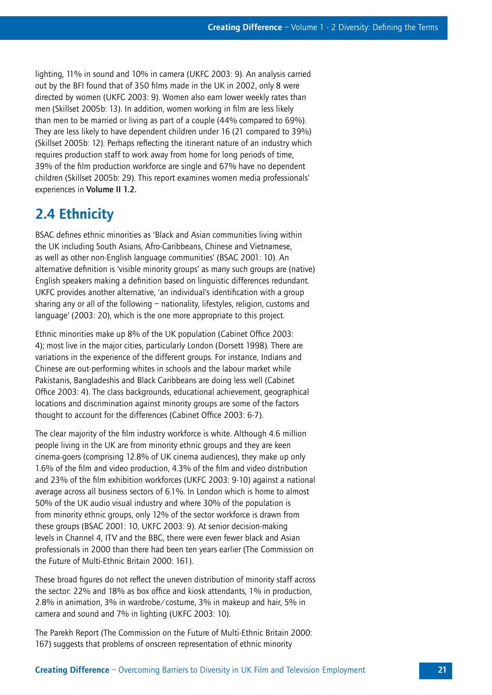lighting, 11% in sound and 10% in camera (UKFC 2003: 9). An analysis carried out by the BFI found that of 350 films made in the UK in 2002, only 8 were directed by women (UKFC 2003: 9). Women also earn lower weekly rates than men (Skillset 2005b: 13). In addition, women working in film are less likely than men to be married or living as part of a couple (44% compared to 69%). They are less likely to have dependent children under 16 (21 compared to 39%) (Skillset 2005b: 12). Perhaps reflecting the itinerant nature of an industry which requires production staff to work away from home for long periods of time, 39% of the film production workforce are single and 67% have no dependent children (Skillset 2005b: 29). This report examines women media professionals' experiences in Volume II 1.2.

# 2.4 Ethnicity

BSAC defines ethnic minorities as 'Black and Asian communities living within the UK including South Asians, Afro-Caribbeans, Chinese and Vietnamese, as well as other non-English language communities' (BSAC 2001: 10). An alternative definition is 'visible minority groups' as many such groups are (native) English speakers making a definition based on linguistic differences redundant. UKFC provides another alternative, 'an individual's identification with a group sharing any or all of the following – nationality, lifestyles, religion, customs and language' (2003: 20), which is the one more appropriate to this project.

Ethnic minorities make up 8% of the UK population (Cabinet Office 2003: 4); most live in the major cities, particularly London (Dorsett 1998). There are variations in the experience of the different groups. For instance, Indians and Chinese are out-performing whites in schools and the labour market while Pakistanis, Bangladeshis and Black Caribbeans are doing less well (Cabinet Office 2003: 4). The class backgrounds, educational achievement, geographical locations and discrimination against minority groups are some of the factors thought to account for the differences (Cabinet Office 2003: 6-7).

The clear majority of the film industry workforce is white. Although 4.6 million people living in the UK are from minority ethnic groups and they are keen cinema-goers (comprising 12.8% of UK cinema audiences), they make up only 1.6% of the film and video production, 4.3% of the film and video distribution and 23% of the film exhibition workforces (UKFC 2003: 9-10) against a national average across all business sectors of 6.1%. In London which is home to almost 50% of the UK audio visual industry and where 30% of the population is from minority ethnic groups, only 12% of the sector workforce is drawn from these groups (BSAC 2001: 10, UKFC 2003: 9). At senior decision-making levels in Channel 4, ITV and the BBC, there were even fewer black and Asian professionals in 2000 than there had been ten years earlier (The Commission on the Future of Multi-Ethnic Britain 2000: 161).

These broad figures do not reflect the uneven distribution of minority staff across the sector: 22% and 18% as box office and kiosk attendants, 1% in production, 2.8% in animation, 3% in wardrobe/costume, 3% in makeup and hair, 5% in camera and sound and 7% in lighting (UKFC 2003: 10).

The Parekh Report (The Commission on the Future of Multi-Ethnic Britain 2000: 167) suggests that problems of onscreen representation of ethnic minority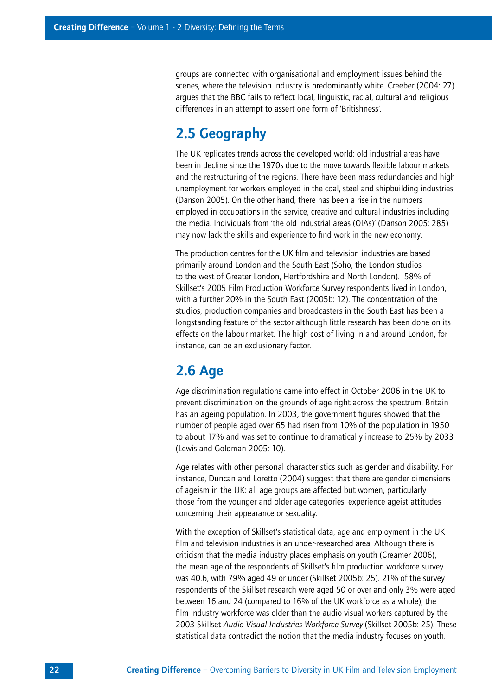groups are connected with organisational and employment issues behind the scenes, where the television industry is predominantly white. Creeber (2004: 27) argues that the BBC fails to reflect local, linguistic, racial, cultural and religious differences in an attempt to assert one form of 'Britishness'.

# 2.5 Geography

The UK replicates trends across the developed world: old industrial areas have been in decline since the 1970s due to the move towards flexible labour markets and the restructuring of the regions. There have been mass redundancies and high unemployment for workers employed in the coal, steel and shipbuilding industries (Danson 2005). On the other hand, there has been a rise in the numbers employed in occupations in the service, creative and cultural industries including the media. Individuals from 'the old industrial areas (OIAs)' (Danson 2005: 285) may now lack the skills and experience to find work in the new economy.

The production centres for the UK film and television industries are based primarily around London and the South East (Soho, the London studios to the west of Greater London, Hertfordshire and North London). 58% of Skillset's 2005 Film Production Workforce Survey respondents lived in London, with a further 20% in the South East (2005b: 12). The concentration of the studios, production companies and broadcasters in the South East has been a longstanding feature of the sector although little research has been done on its effects on the labour market. The high cost of living in and around London, for instance, can be an exclusionary factor.

# 2.6 Age

Age discrimination regulations came into effect in October 2006 in the UK to prevent discrimination on the grounds of age right across the spectrum. Britain has an ageing population. In 2003*,* the government figures showed that the number of people aged over 65 had risen from 10% of the population in 1950 to about 17% and was set to continue to dramatically increase to 25% by 2033 (Lewis and Goldman 2005: 10).

Age relates with other personal characteristics such as gender and disability. For instance, Duncan and Loretto (2004) suggest that there are gender dimensions of ageism in the UK: all age groups are affected but women, particularly those from the younger and older age categories, experience ageist attitudes concerning their appearance or sexuality.

With the exception of Skillset's statistical data, age and employment in the UK film and television industries is an under-researched area. Although there is criticism that the media industry places emphasis on youth (Creamer 2006), the mean age of the respondents of Skillset's film production workforce survey was 40.6, with 79% aged 49 or under (Skillset 2005b: 25). 21% of the survey respondents of the Skillset research were aged 50 or over and only 3% were aged between 16 and 24 (compared to 16% of the UK workforce as a whole); the film industry workforce was older than the audio visual workers captured by the 2003 Skillset *Audio Visual Industries Workforce Survey* (Skillset 2005b: 25). These statistical data contradict the notion that the media industry focuses on youth.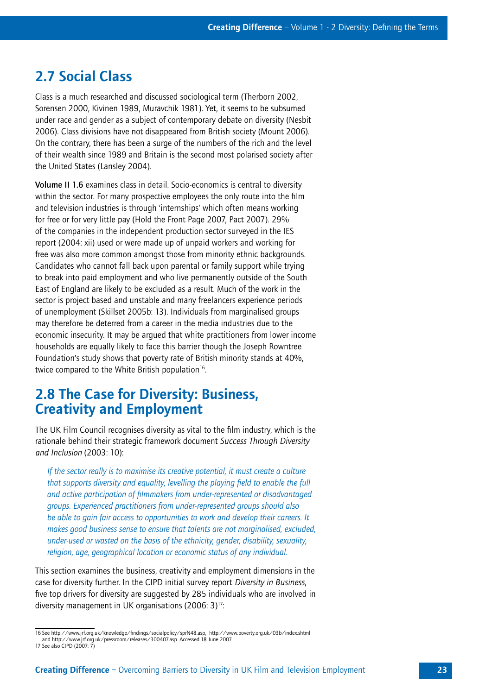# 2.7 Social Class

Class is a much researched and discussed sociological term (Therborn 2002, Sorensen 2000, Kivinen 1989, Muravchik 1981). Yet, it seems to be subsumed under race and gender as a subject of contemporary debate on diversity (Nesbit 2006). Class divisions have not disappeared from British society (Mount 2006). On the contrary, there has been a surge of the numbers of the rich and the level of their wealth since 1989 and Britain is the second most polarised society after the United States (Lansley 2004).

Volume II 1.6 examines class in detail. Socio-economics is central to diversity within the sector. For many prospective employees the only route into the film and television industries is through 'internships' which often means working for free or for very little pay (Hold the Front Page 2007, Pact 2007). 29% of the companies in the independent production sector surveyed in the IES report (2004: xii) used or were made up of unpaid workers and working for free was also more common amongst those from minority ethnic backgrounds. Candidates who cannot fall back upon parental or family support while trying to break into paid employment and who live permanently outside of the South East of England are likely to be excluded as a result. Much of the work in the sector is project based and unstable and many freelancers experience periods of unemployment (Skillset 2005b: 13). Individuals from marginalised groups may therefore be deterred from a career in the media industries due to the economic insecurity. It may be argued that white practitioners from lower income households are equally likely to face this barrier though the Joseph Rowntree Foundation's study shows that poverty rate of British minority stands at 40%, twice compared to the White British population<sup>16</sup>.

# 2.8 The Case for Diversity: Business, Creativity and Employment

The UK Film Council recognises diversity as vital to the film industry, which is the rationale behind their strategic framework document *Success Through Diversity and Inclusion* (2003: 10):

*If the sector really is to maximise its creative potential, it must create a culture that supports diversity and equality, levelling the playing field to enable the full and active participation of filmmakers from under-represented or disadvantaged groups. Experienced practitioners from under-represented groups should also be able to gain fair access to opportunities to work and develop their careers. It makes good business sense to ensure that talents are not marginalised, excluded, under-used or wasted on the basis of the ethnicity, gender, disability, sexuality, religion, age, geographical location or economic status of any individual.* 

This section examines the business, creativity and employment dimensions in the case for diversity further. In the CIPD initial survey report *Diversity in Business*, five top drivers for diversity are suggested by 285 individuals who are involved in diversity management in UK organisations  $(2006:3)^{17}$ :

<sup>16</sup> See http://www.jrf.org.uk/knowledge/findings/socialpolicy/sprN48.asp, http://www.poverty.org.uk/03b/index.shtml and http://www.jrf.org.uk/pressroom/releases/300407.asp. Accessed 18 June 2007. 17 See also CIPD (2007: 7)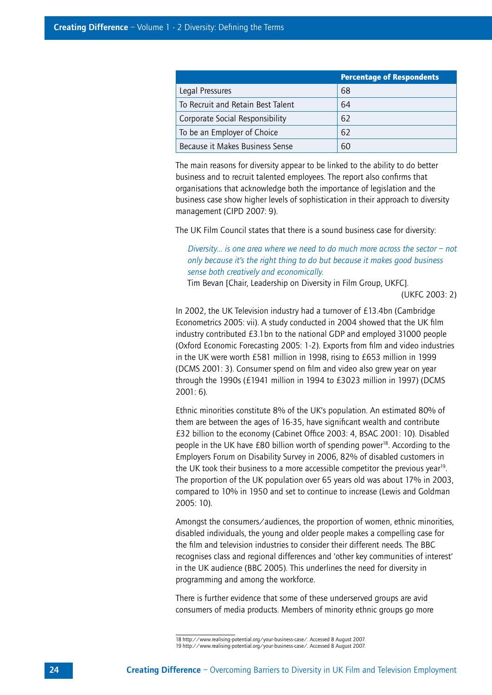|                                   | <b>Percentage of Respondents</b> |
|-----------------------------------|----------------------------------|
| Legal Pressures                   | 68                               |
| To Recruit and Retain Best Talent | 64                               |
| Corporate Social Responsibility   | 62                               |
| To be an Employer of Choice       | 62                               |
| Because it Makes Business Sense   | 60                               |

The main reasons for diversity appear to be linked to the ability to do better business and to recruit talented employees. The report also confirms that organisations that acknowledge both the importance of legislation and the business case show higher levels of sophistication in their approach to diversity management (CIPD 2007: 9).

The UK Film Council states that there is a sound business case for diversity:

#### *Diversity… is one area where we need to do much more across the sector – not only because it's the right thing to do but because it makes good business sense both creatively and economically.*

Tim Bevan [Chair, Leadership on Diversity in Film Group, UKFC].

(UKFC 2003: 2)

In 2002, the UK Television industry had a turnover of £13.4bn (Cambridge Econometrics 2005: vii). A study conducted in 2004 showed that the UK film industry contributed £3.1bn to the national GDP and employed 31000 people (Oxford Economic Forecasting 2005: 1-2). Exports from film and video industries in the UK were worth £581 million in 1998, rising to £653 million in 1999 (DCMS 2001: 3). Consumer spend on film and video also grew year on year through the 1990s (£1941 million in 1994 to £3023 million in 1997) (DCMS 2001: 6).

Ethnic minorities constitute 8% of the UK's population. An estimated 80% of them are between the ages of 16-35, have significant wealth and contribute £32 billion to the economy (Cabinet Office 2003: 4, BSAC 2001: 10). Disabled people in the UK have £80 billion worth of spending power<sup>18</sup>. According to the Employers Forum on Disability Survey in 2006, 82% of disabled customers in the UK took their business to a more accessible competitor the previous year<sup>19</sup>. The proportion of the UK population over 65 years old was about 17% in 2003, compared to 10% in 1950 and set to continue to increase (Lewis and Goldman 2005: 10).

Amongst the consumers/audiences, the proportion of women, ethnic minorities, disabled individuals, the young and older people makes a compelling case for the film and television industries to consider their different needs. The BBC recognises class and regional differences and 'other key communities of interest' in the UK audience (BBC 2005). This underlines the need for diversity in programming and among the workforce.

There is further evidence that some of these underserved groups are avid consumers of media products. Members of minority ethnic groups go more

<sup>18</sup> http://www.realising-potential.org/your-business-case/. Accessed 8 August 2007. 19 http://www.realising-potential.org/your-business-case/. Accessed 8 August 2007.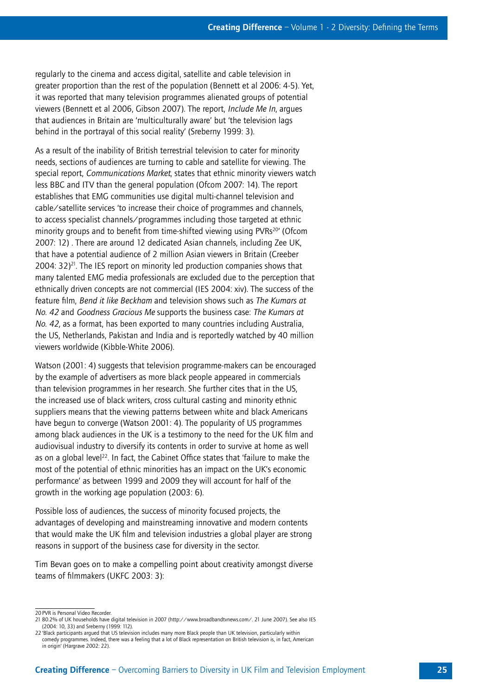regularly to the cinema and access digital, satellite and cable television in greater proportion than the rest of the population (Bennett et al 2006: 4-5). Yet, it was reported that many television programmes alienated groups of potential viewers (Bennett et al 2006, Gibson 2007). The report, *Include Me In*, argues that audiences in Britain are 'multiculturally aware' but 'the television lags behind in the portrayal of this social reality' (Sreberny 1999: 3).

As a result of the inability of British terrestrial television to cater for minority needs, sections of audiences are turning to cable and satellite for viewing. The special report, *Communications Market*, states that ethnic minority viewers watch less BBC and ITV than the general population (Ofcom 2007: 14). The report establishes that EMG communities use digital multi-channel television and cable/satellite services 'to increase their choice of programmes and channels, to access specialist channels/programmes including those targeted at ethnic minority groups and to benefit from time-shifted viewing using PVRs<sup>20</sup>' (Ofcom 2007: 12) . There are around 12 dedicated Asian channels, including Zee UK, that have a potential audience of 2 million Asian viewers in Britain (Creeber  $2004: 32)^{21}$ . The IES report on minority led production companies shows that many talented EMG media professionals are excluded due to the perception that ethnically driven concepts are not commercial (IES 2004: xiv). The success of the feature film, *Bend it like Beckham* and television shows such as *The Kumars at No. 42* and *Goodness Gracious Me* supports the business case: *The Kumars at No. 42,* as a format, has been exported to many countries including Australia, the US, Netherlands, Pakistan and India and is reportedly watched by 40 million viewers worldwide (Kibble-White 2006).

Watson (2001: 4) suggests that television programme-makers can be encouraged by the example of advertisers as more black people appeared in commercials than television programmes in her research. She further cites that in the US, the increased use of black writers, cross cultural casting and minority ethnic suppliers means that the viewing patterns between white and black Americans have begun to converge (Watson 2001: 4). The popularity of US programmes among black audiences in the UK is a testimony to the need for the UK film and audiovisual industry to diversify its contents in order to survive at home as well as on a global level<sup>22</sup>. In fact, the Cabinet Office states that 'failure to make the most of the potential of ethnic minorities has an impact on the UK's economic performance' as between 1999 and 2009 they will account for half of the growth in the working age population (2003: 6).

Possible loss of audiences, the success of minority focused projects, the advantages of developing and mainstreaming innovative and modern contents that would make the UK film and television industries a global player are strong reasons in support of the business case for diversity in the sector.

Tim Bevan goes on to make a compelling point about creativity amongst diverse teams of filmmakers (UKFC 2003: 3):

<sup>20</sup> PVR is Personal Video Recorder.

<sup>21</sup> 80.2% of UK households have digital television in 2007 (http://www.broadbandtvnews.com/. 21 June 2007). See also IES (2004: 10, 33) and Sreberny (1999: 112).

<sup>22</sup> 'Black participants argued that US television includes many more Black people than UK television, particularly within comedy programmes. Indeed, there was a feeling that a lot of Black representation on British television is, in fact, American in origin' (Hargrave 2002: 22).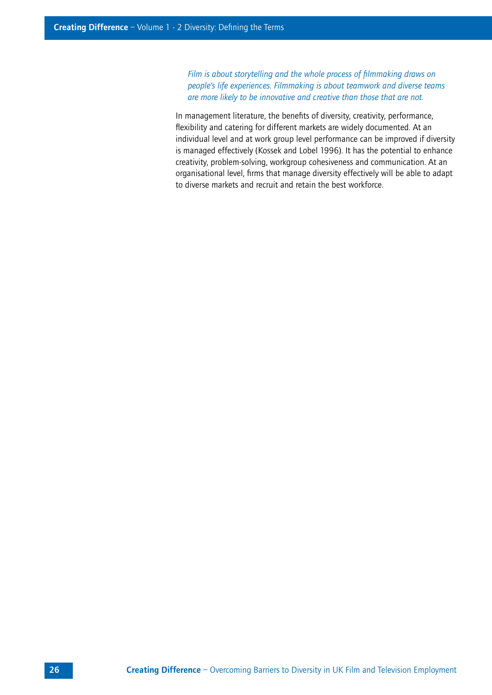*Film is about storytelling and the whole process of filmmaking draws on people's life experiences. Filmmaking is about teamwork and diverse teams are more likely to be innovative and creative than those that are not.*

In management literature, the benefits of diversity, creativity, performance, flexibility and catering for different markets are widely documented. At an individual level and at work group level performance can be improved if diversity is managed effectively (Kossek and Lobel 1996). It has the potential to enhance creativity, problem-solving, workgroup cohesiveness and communication. At an organisational level, firms that manage diversity effectively will be able to adapt to diverse markets and recruit and retain the best workforce.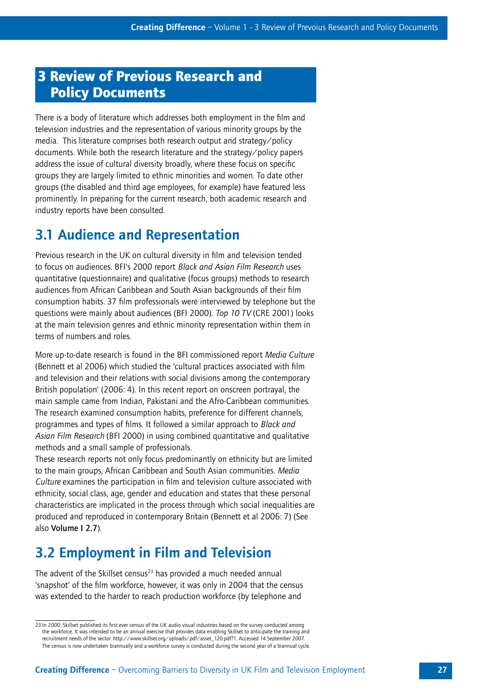# **3 Review of Previous Research and Policy Documents**

There is a body of literature which addresses both employment in the film and television industries and the representation of various minority groups by the media. This literature comprises both research output and strategy/policy documents. While both the research literature and the strategy/policy papers address the issue of cultural diversity broadly, where these focus on specific groups they are largely limited to ethnic minorities and women. To date other groups (the disabled and third age employees, for example) have featured less prominently. In preparing for the current research, both academic research and industry reports have been consulted.

# 3.1 Audience and Representation

Previous research in the UK on cultural diversity in film and television tended to focus on audiences. BFI's 2000 report *Black and Asian Film Research* uses quantitative (questionnaire) and qualitative (focus groups) methods to research audiences from African Caribbean and South Asian backgrounds of their film consumption habits. 37 film professionals were interviewed by telephone but the questions were mainly about audiences (BFI 2000). *Top 10 TV* (CRE 2001) looks at the main television genres and ethnic minority representation within them in terms of numbers and roles.

More up-to-date research is found in the BFI commissioned report *Media Culture* (Bennett et al 2006) which studied the 'cultural practices associated with film and television and their relations with social divisions among the contemporary British population' (2006: 4). In this recent report on onscreen portrayal, the main sample came from Indian, Pakistani and the Afro-Caribbean communities. The research examined consumption habits, preference for different channels, programmes and types of films. It followed a similar approach to *Black and Asian Film Research* (BFI 2000) in using combined quantitative and qualitative methods and a small sample of professionals.

These research reports not only focus predominantly on ethnicity but are limited to the main groups, African Caribbean and South Asian communities. *Media Culture* examines the participation in film and television culture associated with ethnicity, social class, age, gender and education and states that these personal characteristics are implicated in the process through which social inequalities are produced and reproduced in contemporary Britain (Bennett et al 2006: 7) (See also Volume I 2.7).

# 3.2 Employment in Film and Television

The advent of the Skillset census<sup>23</sup> has provided a much needed annual 'snapshot' of the film workforce, however, it was only in 2004 that the census was extended to the harder to reach production workforce (by telephone and

<sup>23</sup> In 2000, Skillset published its first ever census of the UK audio visual industries based on the survey conducted among the workforce. It was intended to be an annual exercise that provides data enabling Skillset to anticipate the training and recruitment needs of the sector. http://www.skillset.org/uploads/pdf/asset\_120.pdf?1. Accessed 14 September 2007. The census is now undertaken biannually and a workforce survey is conducted during the second year of a biannual cycle.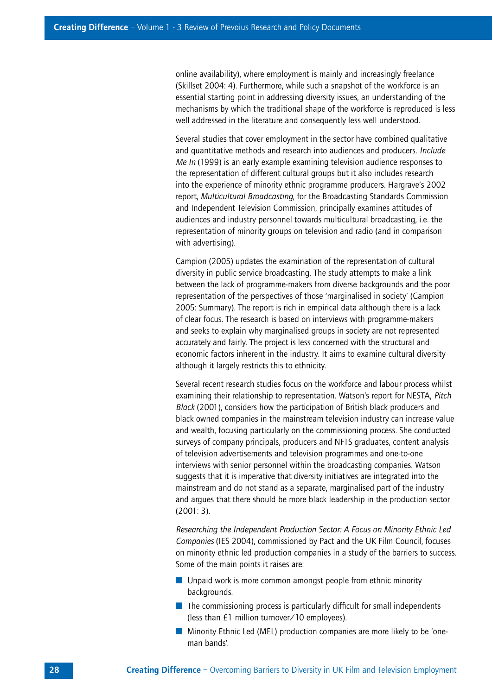online availability), where employment is mainly and increasingly freelance (Skillset 2004: 4). Furthermore, while such a snapshot of the workforce is an essential starting point in addressing diversity issues, an understanding of the mechanisms by which the traditional shape of the workforce is reproduced is less well addressed in the literature and consequently less well understood.

Several studies that cover employment in the sector have combined qualitative and quantitative methods and research into audiences and producers. *Include Me In* (1999) is an early example examining television audience responses to the representation of different cultural groups but it also includes research into the experience of minority ethnic programme producers. Hargrave's 2002 report, *Multicultural Broadcasting*, for the Broadcasting Standards Commission and Independent Television Commission, principally examines attitudes of audiences and industry personnel towards multicultural broadcasting, i.e. the representation of minority groups on television and radio (and in comparison with advertising).

Campion (2005) updates the examination of the representation of cultural diversity in public service broadcasting. The study attempts to make a link between the lack of programme-makers from diverse backgrounds and the poor representation of the perspectives of those 'marginalised in society' (Campion 2005: Summary). The report is rich in empirical data although there is a lack of clear focus. The research is based on interviews with programme-makers and seeks to explain why marginalised groups in society are not represented accurately and fairly. The project is less concerned with the structural and economic factors inherent in the industry. It aims to examine cultural diversity although it largely restricts this to ethnicity.

Several recent research studies focus on the workforce and labour process whilst examining their relationship to representation. Watson's report for NESTA, *Pitch Black* (2001), considers how the participation of British black producers and black owned companies in the mainstream television industry can increase value and wealth, focusing particularly on the commissioning process. She conducted surveys of company principals, producers and NFTS graduates, content analysis of television advertisements and television programmes and one-to-one interviews with senior personnel within the broadcasting companies. Watson suggests that it is imperative that diversity initiatives are integrated into the mainstream and do not stand as a separate, marginalised part of the industry and argues that there should be more black leadership in the production sector (2001: 3).

*Researching the Independent Production Sector: A Focus on Minority Ethnic Led Companies* (IES 2004), commissioned by Pact and the UK Film Council, focuses on minority ethnic led production companies in a study of the barriers to success. Some of the main points it raises are:

- Unpaid work is more common amongst people from ethnic minority backgrounds.
- $\blacksquare$  The commissioning process is particularly difficult for small independents (less than £1 million turnover/10 employees).
- Minority Ethnic Led (MEL) production companies are more likely to be 'oneman bands'.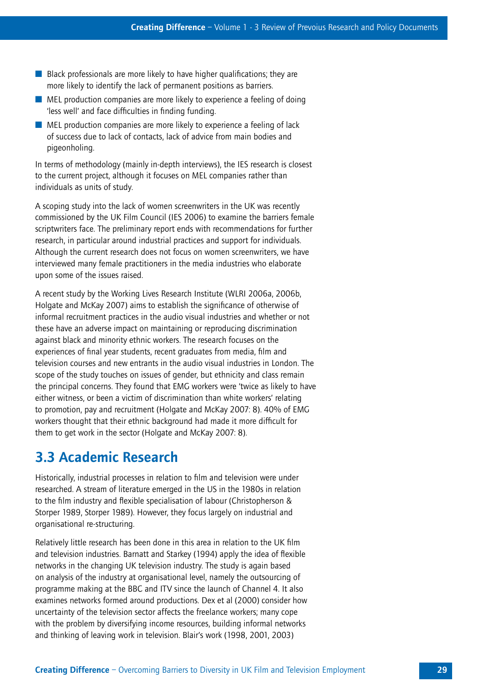- $\blacksquare$  Black professionals are more likely to have higher qualifications; they are more likely to identify the lack of permanent positions as barriers.
- MEL production companies are more likely to experience a feeling of doing 'less well' and face difficulties in finding funding.
- MEL production companies are more likely to experience a feeling of lack of success due to lack of contacts, lack of advice from main bodies and pigeonholing.

In terms of methodology (mainly in-depth interviews), the IES research is closest to the current project, although it focuses on MEL companies rather than individuals as units of study.

A scoping study into the lack of women screenwriters in the UK was recently commissioned by the UK Film Council (IES 2006) to examine the barriers female scriptwriters face. The preliminary report ends with recommendations for further research, in particular around industrial practices and support for individuals. Although the current research does not focus on women screenwriters, we have interviewed many female practitioners in the media industries who elaborate upon some of the issues raised.

A recent study by the Working Lives Research Institute (WLRI 2006a, 2006b, Holgate and McKay 2007) aims to establish the significance of otherwise of informal recruitment practices in the audio visual industries and whether or not these have an adverse impact on maintaining or reproducing discrimination against black and minority ethnic workers. The research focuses on the experiences of final year students, recent graduates from media, film and television courses and new entrants in the audio visual industries in London. The scope of the study touches on issues of gender, but ethnicity and class remain the principal concerns. They found that EMG workers were 'twice as likely to have either witness, or been a victim of discrimination than white workers' relating to promotion, pay and recruitment (Holgate and McKay 2007: 8). 40% of EMG workers thought that their ethnic background had made it more difficult for them to get work in the sector (Holgate and McKay 2007: 8).

# 3.3 Academic Research

Historically, industrial processes in relation to film and television were under researched. A stream of literature emerged in the US in the 1980s in relation to the film industry and flexible specialisation of labour (Christopherson & Storper 1989, Storper 1989). However, they focus largely on industrial and organisational re-structuring.

Relatively little research has been done in this area in relation to the UK film and television industries. Barnatt and Starkey (1994) apply the idea of flexible networks in the changing UK television industry. The study is again based on analysis of the industry at organisational level, namely the outsourcing of programme making at the BBC and ITV since the launch of Channel 4. It also examines networks formed around productions. Dex et al (2000) consider how uncertainty of the television sector affects the freelance workers; many cope with the problem by diversifying income resources, building informal networks and thinking of leaving work in television. Blair's work (1998, 2001, 2003)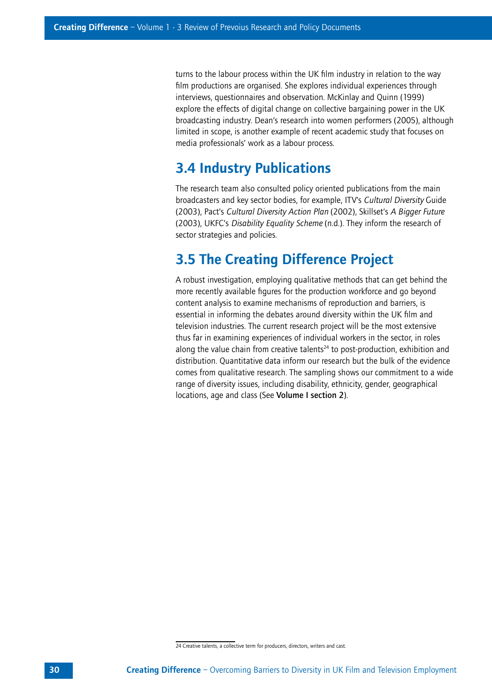turns to the labour process within the UK film industry in relation to the way film productions are organised. She explores individual experiences through interviews, questionnaires and observation. McKinlay and Quinn (1999) explore the effects of digital change on collective bargaining power in the UK broadcasting industry. Dean's research into women performers (2005), although limited in scope, is another example of recent academic study that focuses on media professionals' work as a labour process.

# 3.4 Industry Publications

The research team also consulted policy oriented publications from the main broadcasters and key sector bodies, for example, ITV's *Cultural Diversity* Guide (2003), Pact's *Cultural Diversity Action Plan* (2002), Skillset's *A Bigger Future* (2003), UKFC's *Disability Equality Scheme* (n.d.). They inform the research of sector strategies and policies.

# 3.5 The Creating Difference Project

A robust investigation, employing qualitative methods that can get behind the more recently available figures for the production workforce and go beyond content analysis to examine mechanisms of reproduction and barriers, is essential in informing the debates around diversity within the UK film and television industries. The current research project will be the most extensive thus far in examining experiences of individual workers in the sector, in roles along the value chain from creative talents<sup>24</sup> to post-production, exhibition and distribution. Quantitative data inform our research but the bulk of the evidence comes from qualitative research. The sampling shows our commitment to a wide range of diversity issues, including disability, ethnicity, gender, geographical locations, age and class (See Volume I section 2).

<sup>24</sup> Creative talents, a collective term for producers, directors, writers and cast.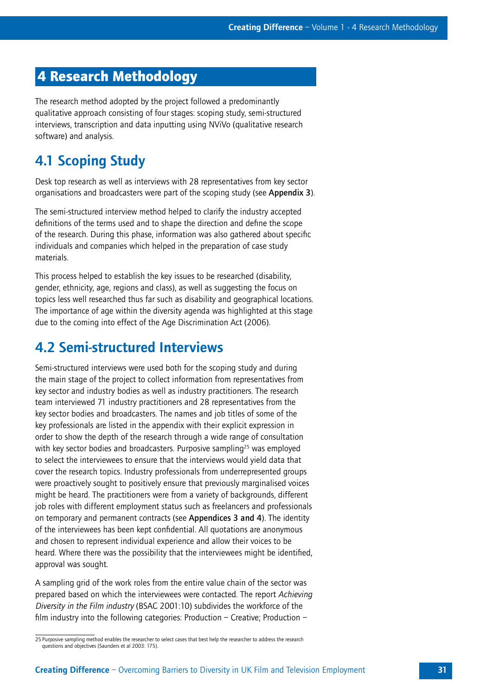# **4 Research Methodology**

The research method adopted by the project followed a predominantly qualitative approach consisting of four stages: scoping study, semi-structured interviews, transcription and data inputting using NViVo (qualitative research software) and analysis.

# 4.1 Scoping Study

Desk top research as well as interviews with 28 representatives from key sector organisations and broadcasters were part of the scoping study (see Appendix 3).

The semi-structured interview method helped to clarify the industry accepted definitions of the terms used and to shape the direction and define the scope of the research. During this phase, information was also gathered about specific individuals and companies which helped in the preparation of case study materials.

This process helped to establish the key issues to be researched (disability, gender, ethnicity, age, regions and class), as well as suggesting the focus on topics less well researched thus far such as disability and geographical locations. The importance of age within the diversity agenda was highlighted at this stage due to the coming into effect of the Age Discrimination Act (2006).

# 4.2 Semi-structured Interviews

Semi-structured interviews were used both for the scoping study and during the main stage of the project to collect information from representatives from key sector and industry bodies as well as industry practitioners. The research team interviewed 71 industry practitioners and 28 representatives from the key sector bodies and broadcasters. The names and job titles of some of the key professionals are listed in the appendix with their explicit expression in order to show the depth of the research through a wide range of consultation with key sector bodies and broadcasters. Purposive sampling<sup>25</sup> was employed to select the interviewees to ensure that the interviews would yield data that cover the research topics. Industry professionals from underrepresented groups were proactively sought to positively ensure that previously marginalised voices might be heard. The practitioners were from a variety of backgrounds, different job roles with different employment status such as freelancers and professionals on temporary and permanent contracts (see Appendices 3 and 4). The identity of the interviewees has been kept confidential. All quotations are anonymous and chosen to represent individual experience and allow their voices to be heard. Where there was the possibility that the interviewees might be identified, approval was sought.

A sampling grid of the work roles from the entire value chain of the sector was prepared based on which the interviewees were contacted. The report *Achieving Diversity in the Film industry* (BSAC 2001:10) subdivides the workforce of the film industry into the following categories: Production – Creative; Production –

<sup>25</sup> Purposive sampling method enables the researcher to select cases that best help the researcher to address the research questions and objectives (Saunders et al 2003: 175).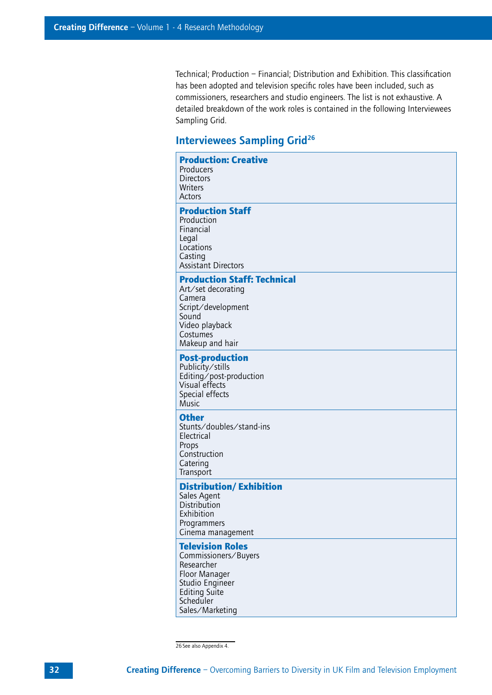Technical; Production – Financial; Distribution and Exhibition. This classification has been adopted and television specific roles have been included, such as commissioners, researchers and studio engineers. The list is not exhaustive. A detailed breakdown of the work roles is contained in the following Interviewees Sampling Grid.

#### **Interviewees Sampling Grid<sup>26</sup>**

| <b>Production: Creative</b><br>Producers                                                                                                                  |
|-----------------------------------------------------------------------------------------------------------------------------------------------------------|
| Directors                                                                                                                                                 |
| Writers                                                                                                                                                   |
| Actors                                                                                                                                                    |
| <b>Production Staff</b><br>Production<br>Financial<br>Legal<br>Locations<br>Casting<br><b>Assistant Directors</b>                                         |
| <b>Production Staff: Technical</b><br>Art/set decorating<br>Camera<br>Script/development<br>Sound<br>Video playback<br>Costumes<br>Makeup and hair        |
| <b>Post-production</b><br>Publicity/stills<br>Editing/post-production<br>Visual effects<br>Special effects<br><b>Music</b>                                |
| <b>Other</b><br>Stunts/doubles/stand-ins<br>Electrical<br>Props<br>Construction<br>Catering<br>Transport                                                  |
| <b>Distribution/Exhibition</b><br>Sales Agent<br>Distribution<br>Exhibition<br>Programmers<br>Cinema management                                           |
| <b>Television Roles</b><br>Commissioners/Buyers<br>Researcher<br>Floor Manager<br>Studio Engineer<br><b>Editing Suite</b><br>Scheduler<br>Sales/Marketing |

26 See also Appendix 4.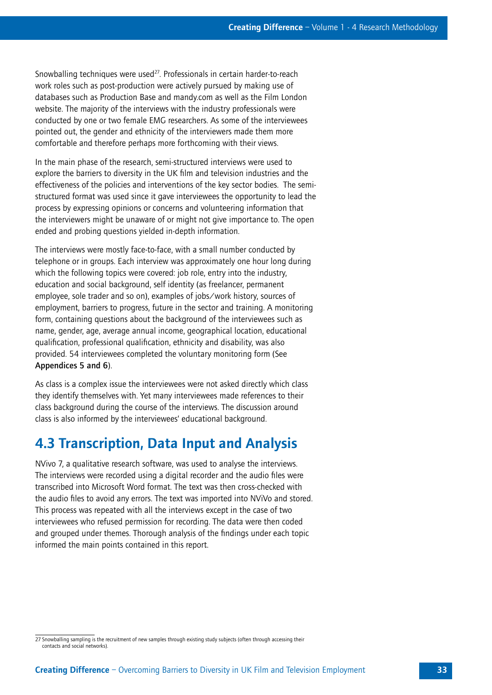Snowballing techniques were used<sup>27</sup>. Professionals in certain harder-to-reach work roles such as post-production were actively pursued by making use of databases such as Production Base and mandy.com as well as the Film London website. The majority of the interviews with the industry professionals were conducted by one or two female EMG researchers. As some of the interviewees pointed out, the gender and ethnicity of the interviewers made them more comfortable and therefore perhaps more forthcoming with their views.

In the main phase of the research, semi-structured interviews were used to explore the barriers to diversity in the UK film and television industries and the effectiveness of the policies and interventions of the key sector bodies. The semistructured format was used since it gave interviewees the opportunity to lead the process by expressing opinions or concerns and volunteering information that the interviewers might be unaware of or might not give importance to. The open ended and probing questions yielded in-depth information.

The interviews were mostly face-to-face, with a small number conducted by telephone or in groups. Each interview was approximately one hour long during which the following topics were covered: job role, entry into the industry, education and social background, self identity (as freelancer, permanent employee, sole trader and so on), examples of jobs/work history, sources of employment, barriers to progress, future in the sector and training. A monitoring form, containing questions about the background of the interviewees such as name, gender, age, average annual income, geographical location, educational qualification, professional qualification, ethnicity and disability, was also provided. 54 interviewees completed the voluntary monitoring form (See Appendices 5 and 6).

As class is a complex issue the interviewees were not asked directly which class they identify themselves with. Yet many interviewees made references to their class background during the course of the interviews. The discussion around class is also informed by the interviewees' educational background.

# 4.3 Transcription, Data Input and Analysis

NVivo 7, a qualitative research software, was used to analyse the interviews. The interviews were recorded using a digital recorder and the audio files were transcribed into Microsoft Word format. The text was then cross-checked with the audio files to avoid any errors. The text was imported into NViVo and stored. This process was repeated with all the interviews except in the case of two interviewees who refused permission for recording. The data were then coded and grouped under themes. Thorough analysis of the findings under each topic informed the main points contained in this report.

<sup>27</sup> Snowballing sampling is the recruitment of new samples through existing study subjects (often through accessing their contacts and social networks).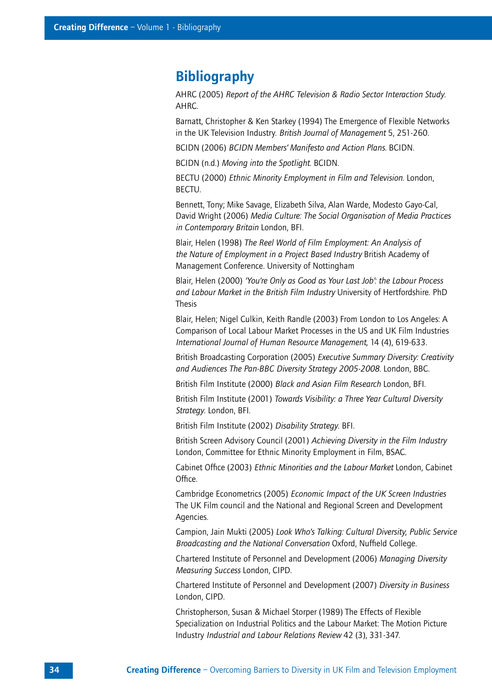# **Bibliography**

AHRC (2005) *Report of the AHRC Television & Radio Sector Interaction Study*. AHRC.

Barnatt, Christopher & Ken Starkey (1994) The Emergence of Flexible Networks in the UK Television Industry. *British Journal of Management* 5, 251-260.

BCIDN (2006) *BCIDN Members' Manifesto and Action Plans*. BCIDN.

BCIDN (n.d.) *Moving into the Spotlight*. BCIDN.

BECTU (2000) *Ethnic Minority Employment in Film and Television*. London, BECTU.

Bennett, Tony; Mike Savage, Elizabeth Silva, Alan Warde, Modesto Gayo-Cal, David Wright (2006) *Media Culture: The Social Organisation of Media Practices in Contemporary Britain* London, BFI.

Blair, Helen (1998) *The Reel World of Film Employment: An Analysis of the Nature of Employment in a Project Based Industry* British Academy of Management Conference*.* University of Nottingham

Blair, Helen (2000) *'You're Only as Good as Your Last Job': the Labour Process and Labour Market in the British Film Industry* University of Hertfordshire. PhD Thesis

Blair, Helen; Nigel Culkin, Keith Randle (2003) From London to Los Angeles: A Comparison of Local Labour Market Processes in the US and UK Film Industries *International Journal of Human Resource Management,* 14 (4), 619-633.

British Broadcasting Corporation (2005) *Executive Summary Diversity: Creativity and Audiences The Pan-BBC Diversity Strategy 2005-2008*. London, BBC.

British Film Institute (2000) *Black and Asian Film Research* London, BFI.

British Film Institute (2001) *Towards Visibility: a Three Year Cultural Diversity Strategy*. London, BFI.

British Film Institute (2002) *Disability Strategy*. BFI.

British Screen Advisory Council (2001) *Achieving Diversity in the Film Industry*  London, Committee for Ethnic Minority Employment in Film, BSAC.

Cabinet Office (2003) *Ethnic Minorities and the Labour Market* London, Cabinet Office.

Cambridge Econometrics (2005) *Economic Impact of the UK Screen Industries*  The UK Film council and the National and Regional Screen and Development Agencies.

Campion, Jain Mukti (2005) *Look Who's Talking: Cultural Diversity, Public Service Broadcasting and the National Conversation* Oxford, Nuffield College.

Chartered Institute of Personnel and Development (2006) *Managing Diversity Measuring Success* London, CIPD.

Chartered Institute of Personnel and Development (2007) *Diversity in Business*  London, CIPD.

Christopherson, Susan & Michael Storper (1989) The Effects of Flexible Specialization on Industrial Politics and the Labour Market: The Motion Picture Industry *Industrial and Labour Relations Review* 42 (3), 331-347.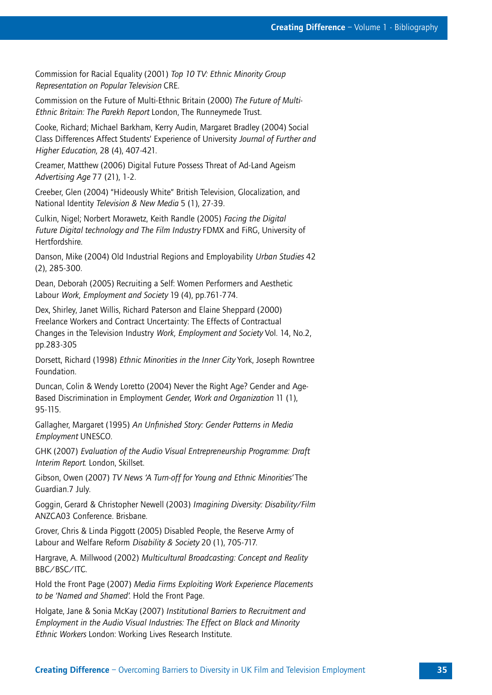Commission for Racial Equality (2001) *Top 10 TV: Ethnic Minority Group Representation on Popular Television* CRE.

Commission on the Future of Multi-Ethnic Britain (2000) *The Future of Multi-Ethnic Britain: The Parekh Report* London, The Runneymede Trust.

Cooke, Richard; Michael Barkham, Kerry Audin, Margaret Bradley (2004) Social Class Differences Affect Students' Experience of University *Journal of Further and Higher Education,* 28 (4), 407-421.

Creamer, Matthew (2006) Digital Future Possess Threat of Ad-Land Ageism *Advertising Age* 77 (21), 1-2.

Creeber, Glen (2004) "Hideously White" British Television, Glocalization, and National Identity *Television & New Media* 5 (1), 27-39.

Culkin, Nigel; Norbert Morawetz, Keith Randle (2005) *Facing the Digital Future Digital technology and The Film Industry* FDMX and FiRG, University of Hertfordshire.

Danson, Mike (2004) Old Industrial Regions and Employability *Urban Studies* 42 (2), 285-300.

Dean, Deborah (2005) Recruiting a Self: Women Performers and Aesthetic Labour *Work, Employment and Society* 19 (4), pp.761-774.

Dex, Shirley, Janet Willis, Richard Paterson and Elaine Sheppard (2000) Freelance Workers and Contract Uncertainty: The Effects of Contractual Changes in the Television Industry *Work, Employment and Society* Vol. 14, No.2, pp.283-305

Dorsett, Richard (1998) *Ethnic Minorities in the Inner City* York, Joseph Rowntree Foundation.

Duncan, Colin & Wendy Loretto (2004) Never the Right Age? Gender and Age-Based Discrimination in Employment *Gender, Work and Organization* 11 (1), 95-115.

Gallagher, Margaret (1995) *An Unfinished Story: Gender Patterns in Media Employment* UNESCO.

GHK (2007) *Evaluation of the Audio Visual Entrepreneurship Programme: Draft Interim Report*. London, Skillset.

Gibson, Owen (2007) *TV News 'A Turn-off for Young and Ethnic Minorities'* The Guardian*.*7 July.

Goggin, Gerard & Christopher Newell (2003) *Imagining Diversity: Disability/Film*  ANZCA03 Conference*.* Brisbane.

Grover, Chris & Linda Piggott (2005) Disabled People, the Reserve Army of Labour and Welfare Reform *Disability & Society* 20 (1), 705-717.

Hargrave, A. Millwood (2002) *Multicultural Broadcasting: Concept and Reality*  BBC/BSC/ITC.

Hold the Front Page (2007) *Media Firms Exploiting Work Experience Placements to be 'Named and Shamed'*. Hold the Front Page*.*

Holgate, Jane & Sonia McKay (2007) *Institutional Barriers to Recruitment and Employment in the Audio Visual Industries: The Effect on Black and Minority Ethnic Workers* London: Working Lives Research Institute.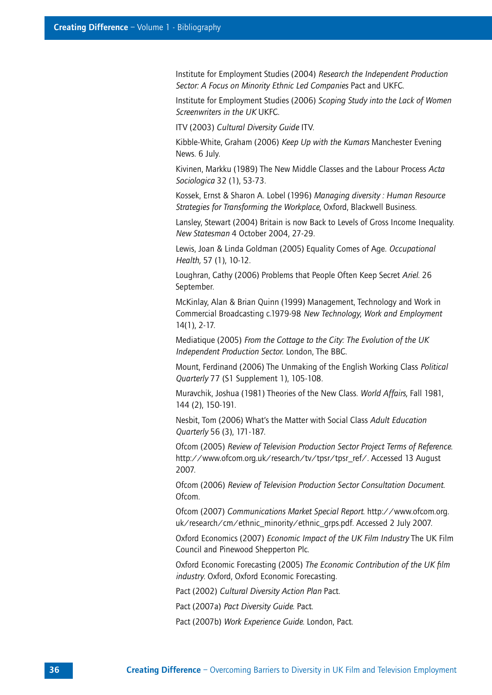Institute for Employment Studies (2004) *Research the Independent Production Sector: A Focus on Minority Ethnic Led Companies* Pact and UKFC.

Institute for Employment Studies (2006) *Scoping Study into the Lack of Women Screenwriters in the UK* UKFC.

ITV (2003) *Cultural Diversity Guide* ITV.

Kibble-White, Graham (2006) *Keep Up with the Kumars* Manchester Evening News. 6 July.

Kivinen, Markku (1989) The New Middle Classes and the Labour Process *Acta Sociologica* 32 (1), 53-73.

Kossek, Ernst & Sharon A. Lobel (1996) *Managing diversity : Human Resource Strategies for Transforming the Workplace,* Oxford, Blackwell Business.

Lansley, Stewart (2004) Britain is now Back to Levels of Gross Income Inequality. *New Statesman* 4 October 2004, 27-29.

Lewis, Joan & Linda Goldman (2005) Equality Comes of Age. *Occupational Health,* 57 (1), 10-12.

Loughran, Cathy (2006) Problems that People Often Keep Secret *Ariel.* 26 September.

McKinlay, Alan & Brian Quinn (1999) Management, Technology and Work in Commercial Broadcasting c.1979-98 *New Technology, Work and Employment* 14(1), 2-17.

Mediatique (2005) *From the Cottage to the City: The Evolution of the UK Independent Production Sector*. London, The BBC.

Mount, Ferdinand (2006) The Unmaking of the English Working Class *Political Quarterly* 77 (S1 Supplement 1), 105-108.

Muravchik, Joshua (1981) Theories of the New Class. *World Affairs,* Fall 1981, 144 (2), 150-191.

Nesbit, Tom (2006) What's the Matter with Social Class *Adult Education Quarterly* 56 (3), 171-187.

Ofcom (2005) *Review of Television Production Sector Project Terms of Reference.*  http://www.ofcom.org.uk/research/tv/tpsr/tpsr\_ref/. Accessed 13 August 2007.

Ofcom (2006) *Review of Television Production Sector Consultation Document.*  Ofcom.

Ofcom (2007) *Communications Market Special Report*. http://www.ofcom.org. uk/research/cm/ethnic\_minority/ethnic\_grps.pdf. Accessed 2 July 2007.

Oxford Economics (2007) *Economic Impact of the UK Film Industry* The UK Film Council and Pinewood Shepperton Plc.

Oxford Economic Forecasting (2005) *The Economic Contribution of the UK film industry*. Oxford, Oxford Economic Forecasting.

Pact (2002) *Cultural Diversity Action Plan* Pact.

Pact (2007a) *Pact Diversity Guide*. Pact.

Pact (2007b) *Work Experience Guide*. London, Pact.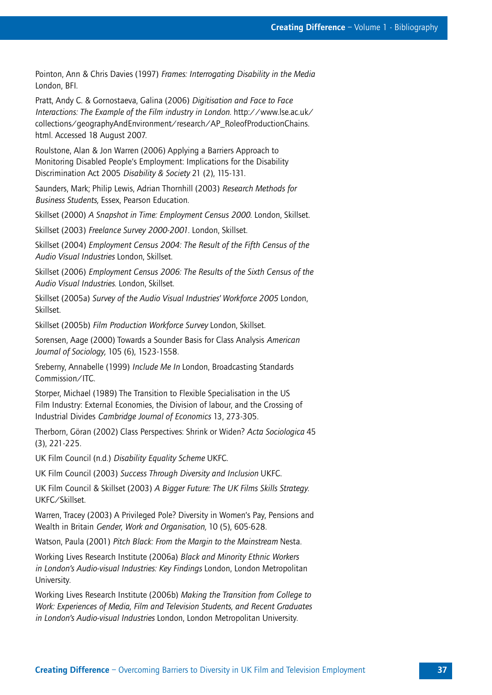Pointon, Ann & Chris Davies (1997) *Frames: Interrogating Disability in the Media*  London, BFI.

Pratt, Andy C. & Gornostaeva, Galina (2006) *Digitisation and Face to Face Interactions: The Example of the Film industry in London.* http://www.lse.ac.uk/ collections/geographyAndEnvironment/research/AP\_RoleofProductionChains. html. Accessed 18 August 2007.

Roulstone, Alan & Jon Warren (2006) Applying a Barriers Approach to Monitoring Disabled People's Employment: Implications for the Disability Discrimination Act 2005 *Disability & Society* 21 (2), 115-131.

Saunders, Mark; Philip Lewis, Adrian Thornhill (2003) *Research Methods for Business Students,* Essex, Pearson Education.

Skillset (2000) *A Snapshot in Time: Employment Census 2000*. London, Skillset.

Skillset (2003) *Freelance Survey 2000-2001*. London, Skillset.

Skillset (2004) *Employment Census 2004: The Result of the Fifth Census of the Audio Visual Industries* London, Skillset.

Skillset (2006) *Employment Census 2006: The Results of the Sixth Census of the Audio Visual Industries*. London, Skillset.

Skillset (2005a) *Survey of the Audio Visual Industries' Workforce 2005* London, Skillset.

Skillset (2005b) *Film Production Workforce Survey* London, Skillset.

Sorensen, Aage (2000) Towards a Sounder Basis for Class Analysis *American Journal of Sociology,* 105 (6), 1523-1558.

Sreberny, Annabelle (1999) *Include Me In* London, Broadcasting Standards Commission/ITC.

Storper, Michael (1989) The Transition to Flexible Specialisation in the US Film Industry: External Economies, the Division of labour, and the Crossing of Industrial Divides *Cambridge Journal of Economics* 13, 273-305.

Therborn, Göran (2002) Class Perspectives: Shrink or Widen? *Acta Sociologica* 45 (3), 221-225.

UK Film Council (n.d.) *Disability Equality Scheme* UKFC.

UK Film Council (2003) *Success Through Diversity and Inclusion* UKFC.

UK Film Council & Skillset (2003) *A Bigger Future: The UK Films Skills Strategy*. UKFC/Skillset.

Warren, Tracey (2003) A Privileged Pole? Diversity in Women's Pay, Pensions and Wealth in Britain *Gender, Work and Organisation,* 10 (5), 605-628.

Watson, Paula (2001) *Pitch Black: From the Margin to the Mainstream* Nesta.

Working Lives Research Institute (2006a) *Black and Minority Ethnic Workers in London's Audio-visual Industries: Key Findings* London, London Metropolitan University.

Working Lives Research Institute (2006b) *Making the Transition from College to Work: Experiences of Media, Film and Television Students, and Recent Graduates in London's Audio-visual Industries* London, London Metropolitan University.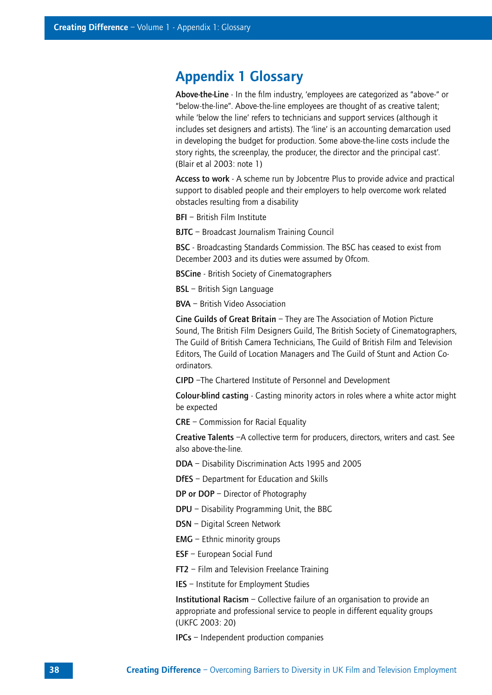## Appendix 1 Glossary

Above-the-Line - In the film industry, 'employees are categorized as "above-" or "below-the-line". Above-the-line employees are thought of as creative talent; while 'below the line' refers to technicians and support services (although it includes set designers and artists). The 'line' is an accounting demarcation used in developing the budget for production. Some above-the-line costs include the story rights, the screenplay, the producer, the director and the principal cast'. (Blair et al 2003: note 1)

Access to work - A scheme run by Jobcentre Plus to provide advice and practical support to disabled people and their employers to help overcome work related obstacles resulting from a disability

BFI – British Film Institute

BJTC – Broadcast Journalism Training Council

BSC - Broadcasting Standards Commission. The BSC has ceased to exist from December 2003 and its duties were assumed by Ofcom.

BSCine - British Society of Cinematographers

BSL – British Sign Language

BVA – British Video Association

Cine Guilds of Great Britain – They are The Association of Motion Picture Sound, The British Film Designers Guild, The British Society of Cinematographers, The Guild of British Camera Technicians, The Guild of British Film and Television Editors, The Guild of Location Managers and The Guild of Stunt and Action Coordinators.

CIPD –The Chartered Institute of Personnel and Development

Colour-blind casting - Casting minority actors in roles where a white actor might be expected

CRE – Commission for Racial Equality

Creative Talents –A collective term for producers, directors, writers and cast. See also above-the-line.

DDA – Disability Discrimination Acts 1995 and 2005

DfES – Department for Education and Skills

DP or DOP – Director of Photography

DPU – Disability Programming Unit, the BBC

DSN – Digital Screen Network

EMG – Ethnic minority groups

ESF – European Social Fund

FT2 – Film and Television Freelance Training

IES – Institute for Employment Studies

Institutional Racism – Collective failure of an organisation to provide an appropriate and professional service to people in different equality groups (UKFC 2003: 20)

IPCs – Independent production companies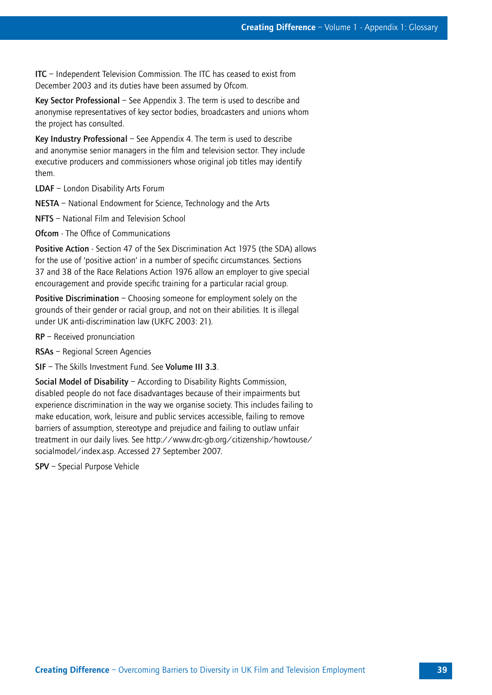ITC – Independent Television Commission. The ITC has ceased to exist from December 2003 and its duties have been assumed by Ofcom.

Key Sector Professional – See Appendix 3. The term is used to describe and anonymise representatives of key sector bodies, broadcasters and unions whom the project has consulted.

Key Industry Professional – See Appendix 4. The term is used to describe and anonymise senior managers in the film and television sector. They include executive producers and commissioners whose original job titles may identify them.

LDAF – London Disability Arts Forum

NESTA – National Endowment for Science, Technology and the Arts

NFTS – National Film and Television School

Ofcom - The Office of Communications

Positive Action - Section 47 of the Sex Discrimination Act 1975 (the SDA) allows for the use of 'positive action' in a number of specific circumstances. Sections 37 and 38 of the Race Relations Action 1976 allow an employer to give special encouragement and provide specific training for a particular racial group.

Positive Discrimination – Choosing someone for employment solely on the grounds of their gender or racial group, and not on their abilities. It is illegal under UK anti-discrimination law (UKFC 2003: 21).

RP – Received pronunciation

RSAs – Regional Screen Agencies

SIF – The Skills Investment Fund. See Volume III 3.3.

Social Model of Disability – According to Disability Rights Commission, disabled people do not face disadvantages because of their impairments but experience discrimination in the way we organise society. This includes failing to make education, work, leisure and public services accessible, failing to remove barriers of assumption, stereotype and prejudice and failing to outlaw unfair treatment in our daily lives. See http://www.drc-gb.org/citizenship/howtouse/ socialmodel/index.asp. Accessed 27 September 2007.

SPV – Special Purpose Vehicle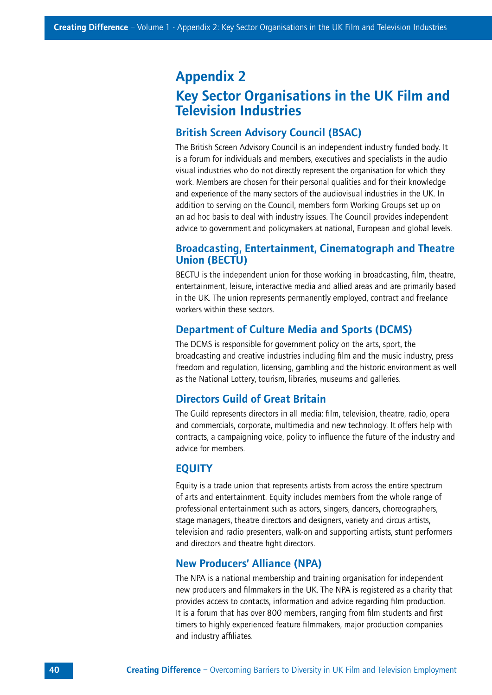### Appendix 2

## Key Sector Organisations in the UK Film and Television Industries

#### British Screen Advisory Council (BSAC)

The British Screen Advisory Council is an independent industry funded body. It is a forum for individuals and members, executives and specialists in the audio visual industries who do not directly represent the organisation for which they work. Members are chosen for their personal qualities and for their knowledge and experience of the many sectors of the audiovisual industries in the UK. In addition to serving on the Council, members form Working Groups set up on an ad hoc basis to deal with industry issues. The Council provides independent advice to government and policymakers at national, European and global levels.

#### Broadcasting, Entertainment, Cinematograph and Theatre Union (BECTU)

BECTU is the independent union for those working in broadcasting, film, theatre, entertainment, leisure, interactive media and allied areas and are primarily based in the UK. The union represents permanently employed, contract and freelance workers within these sectors.

#### Department of Culture Media and Sports (DCMS)

The DCMS is responsible for government policy on the arts, sport, the broadcasting and creative industries including film and the music industry, press freedom and regulation, licensing, gambling and the historic environment as well as the National Lottery, tourism, libraries, museums and galleries.

#### Directors Guild of Great Britain

The Guild represents directors in all media: film, television, theatre, radio, opera and commercials, corporate, multimedia and new technology. It offers help with contracts, a campaigning voice, policy to influence the future of the industry and advice for members.

#### **EOUITY**

Equity is a trade union that represents artists from across the entire spectrum of arts and entertainment. Equity includes members from the whole range of professional entertainment such as actors, singers, dancers, choreographers, stage managers, theatre directors and designers, variety and circus artists, television and radio presenters, walk-on and supporting artists, stunt performers and directors and theatre fight directors.

#### New Producers' Alliance (NPA)

The NPA is a national membership and training organisation for independent new producers and filmmakers in the UK. The NPA is registered as a charity that provides access to contacts, information and advice regarding film production. It is a forum that has over 800 members, ranging from film students and first timers to highly experienced feature filmmakers, major production companies and industry affiliates.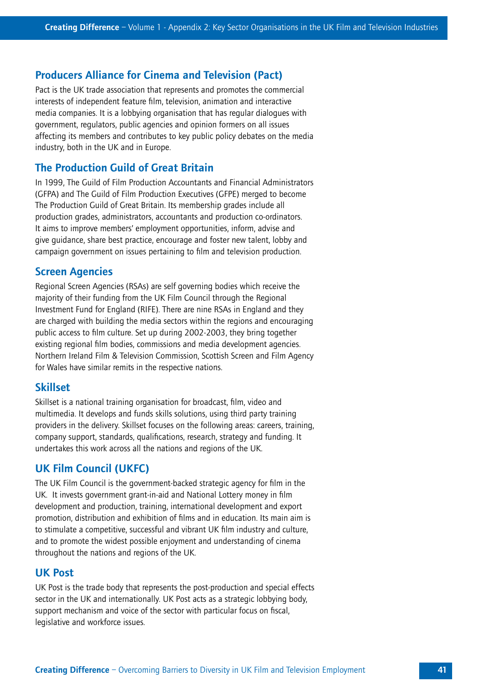#### Producers Alliance for Cinema and Television (Pact)

Pact is the UK trade association that represents and promotes the commercial interests of independent feature film, television, animation and interactive media companies. It is a lobbying organisation that has regular dialogues with government, regulators, public agencies and opinion formers on all issues affecting its members and contributes to key public policy debates on the media industry, both in the UK and in Europe.

#### The Production Guild of Great Britain

In 1999, The Guild of Film Production Accountants and Financial Administrators (GFPA) and The Guild of Film Production Executives (GFPE) merged to become The Production Guild of Great Britain. Its membership grades include all production grades, administrators, accountants and production co-ordinators. It aims to improve members' employment opportunities, inform, advise and give guidance, share best practice, encourage and foster new talent, lobby and campaign government on issues pertaining to film and television production.

#### Screen Agencies

Regional Screen Agencies (RSAs) are self governing bodies which receive the majority of their funding from the UK Film Council through the Regional Investment Fund for England (RIFE). There are nine RSAs in England and they are charged with building the media sectors within the regions and encouraging public access to film culture. Set up during 2002-2003, they bring together existing regional film bodies, commissions and media development agencies. Northern Ireland Film & Television Commission, Scottish Screen and Film Agency for Wales have similar remits in the respective nations.

#### Skillset

Skillset is a national training organisation for broadcast, film, video and multimedia. It develops and funds skills solutions, using third party training providers in the delivery. Skillset focuses on the following areas: careers, training, company support, standards, qualifications, research, strategy and funding. It undertakes this work across all the nations and regions of the UK.

#### UK Film Council (UKFC)

The UK Film Council is the government-backed strategic agency for film in the UK. It invests government grant-in-aid and National Lottery money in film development and production, training, international development and export promotion, distribution and exhibition of films and in education. Its main aim is to stimulate a competitive, successful and vibrant UK film industry and culture, and to promote the widest possible enjoyment and understanding of cinema throughout the nations and regions of the UK.

#### UK Post

UK Post is the trade body that represents the post-production and special effects sector in the UK and internationally. UK Post acts as a strategic lobbying body, support mechanism and voice of the sector with particular focus on fiscal, legislative and workforce issues.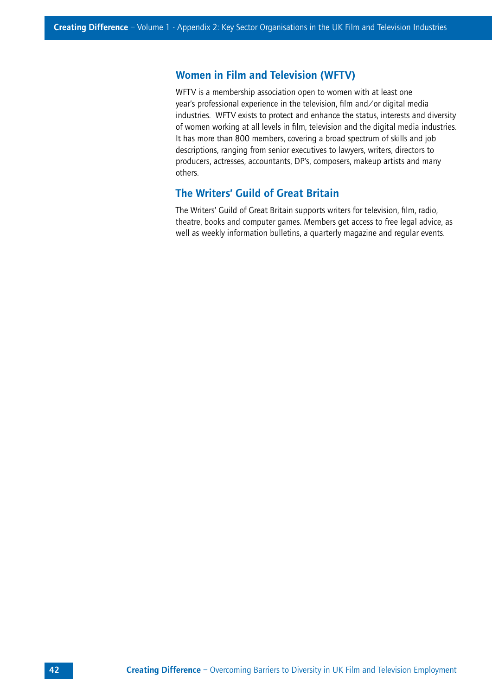#### Women in Film and Television (WFTV)

WFTV is a membership association open to women with at least one year's professional experience in the television, film and/or digital media industries. WFTV exists to protect and enhance the status, interests and diversity of women working at all levels in film, television and the digital media industries. It has more than 800 members, covering a broad spectrum of skills and job descriptions, ranging from senior executives to lawyers, writers, directors to producers, actresses, accountants, DP's, composers, makeup artists and many others.

#### The Writers' Guild of Great Britain

The Writers' Guild of Great Britain supports writers for television, film, radio, theatre, books and computer games. Members get access to free legal advice, as well as weekly information bulletins, a quarterly magazine and regular events.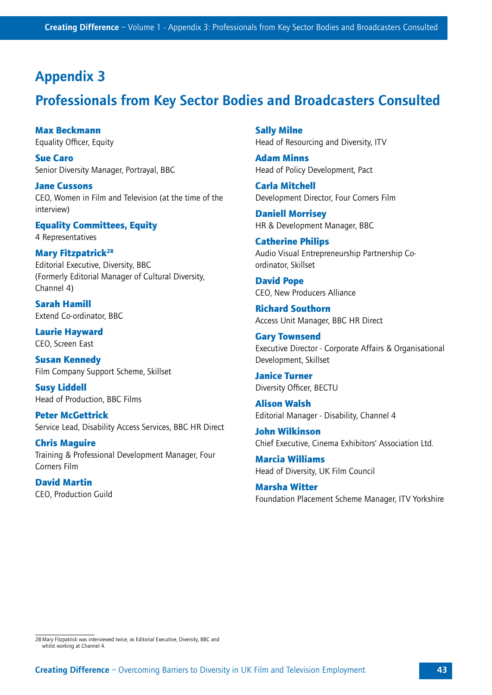## Appendix 3

# Professionals from Key Sector Bodies and Broadcasters Consulted

**Max Beckmann** Equality Officer, Equity

**Sue Caro** Senior Diversity Manager, Portrayal, BBC

**Jane Cussons** CEO, Women in Film and Television (at the time of the interview)

**Equality Committees, Equity** 4 Representatives

**Mary Fitzpatrick<sup>28</sup>** 

Editorial Executive, Diversity, BBC (Formerly Editorial Manager of Cultural Diversity, Channel 4)

**Sarah Hamill** Extend Co-ordinator, BBC

**Laurie Hayward** CEO, Screen East

**Susan Kennedy** Film Company Support Scheme, Skillset

**Susy Liddell**  Head of Production, BBC Films

**Peter McGettrick**  Service Lead, Disability Access Services, BBC HR Direct

**Chris Maguire** Training & Professional Development Manager, Four Corners Film

**David Martin** CEO, Production Guild **Sally Milne** Head of Resourcing and Diversity, ITV

**Adam Minns** Head of Policy Development, Pact

**Carla Mitchell** Development Director, Four Corners Film

**Daniell Morrisey** HR & Development Manager, BBC

**Catherine Philips** Audio Visual Entrepreneurship Partnership Coordinator, Skillset

**David Pope** CEO, New Producers Alliance

**Richard Southorn**  Access Unit Manager, BBC HR Direct

**Gary Townsend** Executive Director - Corporate Affairs & Organisational Development, Skillset

**Janice Turner** Diversity Officer, BECTU

**Alison Walsh** Editorial Manager - Disability, Channel 4

**John Wilkinson** Chief Executive, Cinema Exhibitors' Association Ltd.

**Marcia Williams** Head of Diversity, UK Film Council

**Marsha Witter** Foundation Placement Scheme Manager, ITV Yorkshire

<sup>28</sup>Mary Fitzpatrick was interviewed twice, as Editorial Executive, Diversity, BBC and whilst working at Channel 4.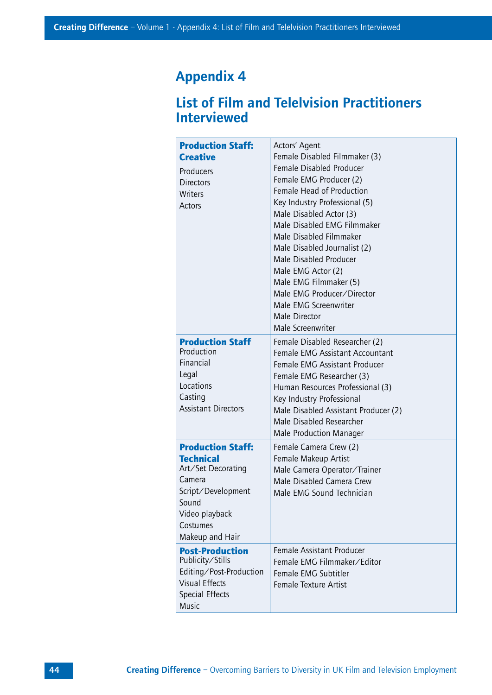# Appendix 4

# List of Film and Telelvision Practitioners Interviewed

| <b>Production Staff:</b><br><b>Creative</b><br>Producers<br><b>Directors</b><br>Writers<br>Actors                                                            | Actors' Agent<br>Female Disabled Filmmaker (3)<br>Female Disabled Producer<br>Female EMG Producer (2)<br>Female Head of Production<br>Key Industry Professional (5)<br>Male Disabled Actor (3)<br>Male Disabled EMG Filmmaker<br>Male Disabled Filmmaker<br>Male Disabled Journalist (2)<br>Male Disabled Producer<br>Male EMG Actor (2)<br>Male EMG Filmmaker (5)<br>Male EMG Producer/Director<br>Male EMG Screenwriter<br>Male Director<br>Male Screenwriter |
|--------------------------------------------------------------------------------------------------------------------------------------------------------------|-----------------------------------------------------------------------------------------------------------------------------------------------------------------------------------------------------------------------------------------------------------------------------------------------------------------------------------------------------------------------------------------------------------------------------------------------------------------|
| <b>Production Staff</b><br>Production<br>Financial<br>Legal<br>Locations<br>Casting<br><b>Assistant Directors</b>                                            | Female Disabled Researcher (2)<br>Female EMG Assistant Accountant<br>Female EMG Assistant Producer<br>Female EMG Researcher (3)<br>Human Resources Professional (3)<br>Key Industry Professional<br>Male Disabled Assistant Producer (2)<br>Male Disabled Researcher<br><b>Male Production Manager</b>                                                                                                                                                          |
| <b>Production Staff:</b><br><b>Technical</b><br>Art/Set Decorating<br>Camera<br>Script/Development<br>Sound<br>Video playback<br>Costumes<br>Makeup and Hair | Female Camera Crew (2)<br>Female Makeup Artist<br>Male Camera Operator/Trainer<br>Male Disabled Camera Crew<br>Male EMG Sound Technician                                                                                                                                                                                                                                                                                                                        |
| <b>Post-Production</b><br>Publicity/Stills<br>Editing/Post-Production<br><b>Visual Effects</b><br><b>Special Effects</b><br>Music                            | Female Assistant Producer<br>Female EMG Filmmaker/Editor<br>Female EMG Subtitler<br>Female Texture Artist                                                                                                                                                                                                                                                                                                                                                       |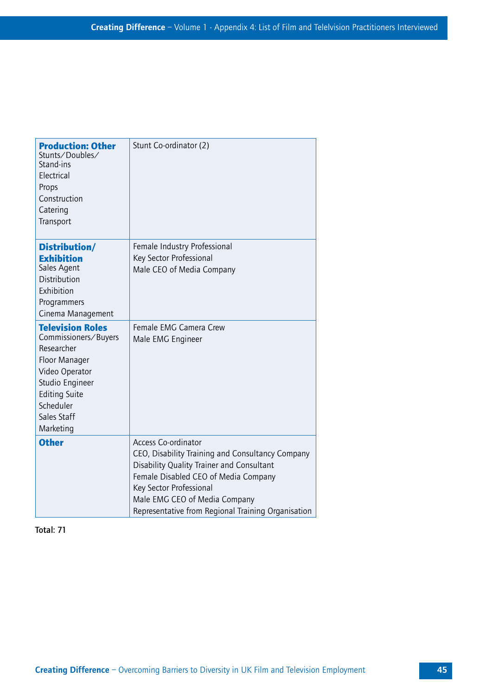| <b>Production: Other</b><br>Stunts/Doubles/<br>Stand-ins<br>Electrical<br>Props<br>Construction<br>Catering<br>Transport                                                             | Stunt Co-ordinator (2)                                                                                                                                                                                                                                                                |
|--------------------------------------------------------------------------------------------------------------------------------------------------------------------------------------|---------------------------------------------------------------------------------------------------------------------------------------------------------------------------------------------------------------------------------------------------------------------------------------|
| Distribution/<br><b>Exhibition</b><br>Sales Agent<br>Distribution<br>Exhibition<br>Programmers<br>Cinema Management                                                                  | Female Industry Professional<br>Key Sector Professional<br>Male CEO of Media Company                                                                                                                                                                                                  |
| <b>Television Roles</b><br>Commissioners/Buyers<br>Researcher<br>Floor Manager<br>Video Operator<br>Studio Engineer<br><b>Editing Suite</b><br>Scheduler<br>Sales Staff<br>Marketing | Female EMG Camera Crew<br>Male EMG Engineer                                                                                                                                                                                                                                           |
| <b>Other</b>                                                                                                                                                                         | <b>Access Co-ordinator</b><br>CEO, Disability Training and Consultancy Company<br>Disability Quality Trainer and Consultant<br>Female Disabled CEO of Media Company<br>Key Sector Professional<br>Male EMG CEO of Media Company<br>Representative from Regional Training Organisation |

Total: 71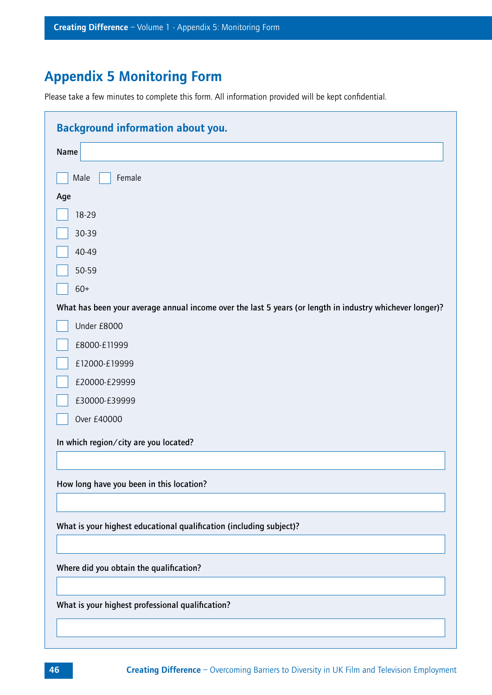# Appendix 5 Monitoring Form

Please take a few minutes to complete this form. All information provided will be kept confidential.

| <b>Background information about you.</b>                                                                 |
|----------------------------------------------------------------------------------------------------------|
| Name                                                                                                     |
| Female<br>Male                                                                                           |
| Age                                                                                                      |
| 18-29                                                                                                    |
| 30-39                                                                                                    |
| 40-49                                                                                                    |
| 50-59                                                                                                    |
| $60+$                                                                                                    |
| What has been your average annual income over the last 5 years (or length in industry whichever longer)? |
| Under £8000                                                                                              |
| £8000-£11999                                                                                             |
| £12000-£19999                                                                                            |
| £20000-£29999                                                                                            |
| £30000-£39999                                                                                            |
| Over £40000                                                                                              |
| In which region/city are you located?                                                                    |
|                                                                                                          |
| How long have you been in this location?                                                                 |
|                                                                                                          |
| What is your highest educational qualification (including subject)?                                      |
|                                                                                                          |
| Where did you obtain the qualification?                                                                  |
|                                                                                                          |
| What is your highest professional qualification?                                                         |
|                                                                                                          |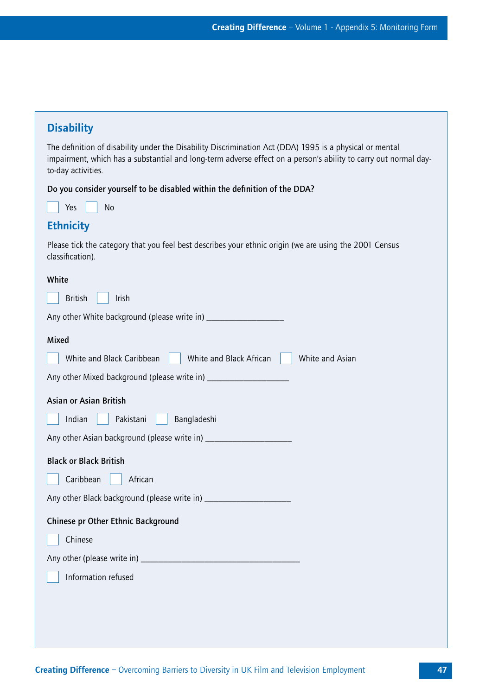| <b>Disability</b>                                                                                                                                                                                                                                |  |  |
|--------------------------------------------------------------------------------------------------------------------------------------------------------------------------------------------------------------------------------------------------|--|--|
| The definition of disability under the Disability Discrimination Act (DDA) 1995 is a physical or mental<br>impairment, which has a substantial and long-term adverse effect on a person's ability to carry out normal day-<br>to-day activities. |  |  |
| Do you consider yourself to be disabled within the definition of the DDA?                                                                                                                                                                        |  |  |
| No<br>Yes                                                                                                                                                                                                                                        |  |  |
| <b>Ethnicity</b>                                                                                                                                                                                                                                 |  |  |
| Please tick the category that you feel best describes your ethnic origin (we are using the 2001 Census<br>classification).                                                                                                                       |  |  |
| White                                                                                                                                                                                                                                            |  |  |
| <b>British</b><br>Irish                                                                                                                                                                                                                          |  |  |
|                                                                                                                                                                                                                                                  |  |  |
| <b>Mixed</b>                                                                                                                                                                                                                                     |  |  |
| White and Black African<br>White and Asian<br>White and Black Caribbean                                                                                                                                                                          |  |  |
|                                                                                                                                                                                                                                                  |  |  |
| Asian or Asian British                                                                                                                                                                                                                           |  |  |
| Bangladeshi<br>Indian<br>Pakistani                                                                                                                                                                                                               |  |  |
|                                                                                                                                                                                                                                                  |  |  |
| <b>Black or Black British</b>                                                                                                                                                                                                                    |  |  |
| Caribbean<br>African                                                                                                                                                                                                                             |  |  |
|                                                                                                                                                                                                                                                  |  |  |
| Chinese pr Other Ethnic Background                                                                                                                                                                                                               |  |  |
| Chinese                                                                                                                                                                                                                                          |  |  |
|                                                                                                                                                                                                                                                  |  |  |
| Information refused                                                                                                                                                                                                                              |  |  |
|                                                                                                                                                                                                                                                  |  |  |
|                                                                                                                                                                                                                                                  |  |  |
|                                                                                                                                                                                                                                                  |  |  |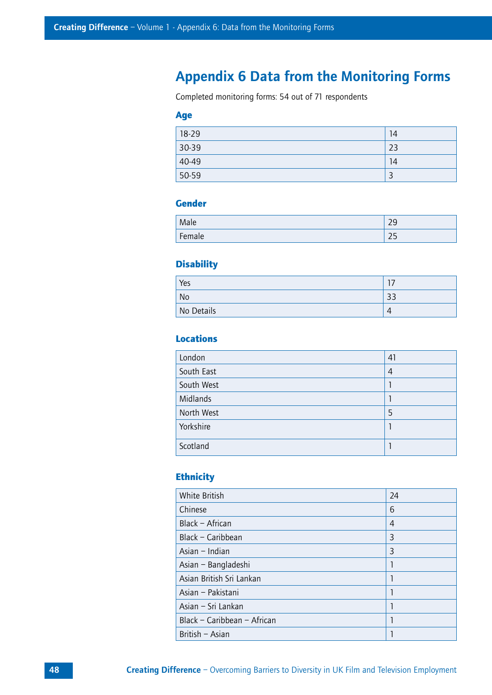# Appendix 6 Data from the Monitoring Forms

Completed monitoring forms: 54 out of 71 respondents

#### **Age**

| 18-29 | 14 |
|-------|----|
| 30-39 | 23 |
| 40-49 | 14 |
| 50-59 | ◡  |

#### **Gender**

| Male   | $\Omega$<br>ر ے    |
|--------|--------------------|
| Female | $\sim$ $-$<br>ت ہے |

#### **Disability**

| Yes        |            |
|------------|------------|
| No         | ר ר<br>ر ر |
| No Details |            |

#### **Locations**

| London     | 41             |
|------------|----------------|
| South East | $\overline{4}$ |
| South West |                |
| Midlands   |                |
| North West | 5              |
| Yorkshire  |                |
| Scotland   |                |

#### **Ethnicity**

| 24             |
|----------------|
| 6              |
| $\overline{A}$ |
| 3              |
| 3              |
|                |
|                |
|                |
|                |
|                |
|                |
|                |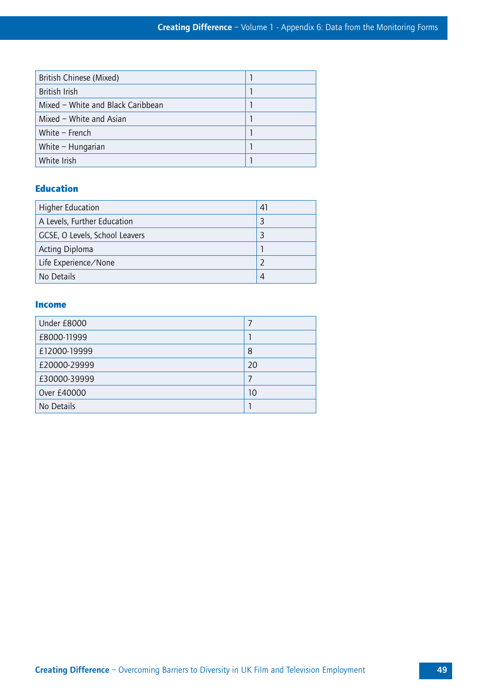| British Chinese (Mixed)           |  |
|-----------------------------------|--|
| British Irish                     |  |
| Mixed – White and Black Caribbean |  |
| Mixed – White and Asian           |  |
| White $-$ French                  |  |
| White $-$ Hungarian               |  |
| White Irish                       |  |

#### **Education**

| <b>Higher Education</b>        | 41 |
|--------------------------------|----|
| A Levels, Further Education    | 3  |
| GCSE, O Levels, School Leavers | 3  |
| Acting Diploma                 |    |
| Life Experience/None           |    |
| No Details                     |    |

#### **Income**

| Under £8000  |    |
|--------------|----|
| £8000-11999  |    |
| £12000-19999 | 8  |
| £20000-29999 | 20 |
| £30000-39999 |    |
| Over £40000  | 10 |
| No Details   |    |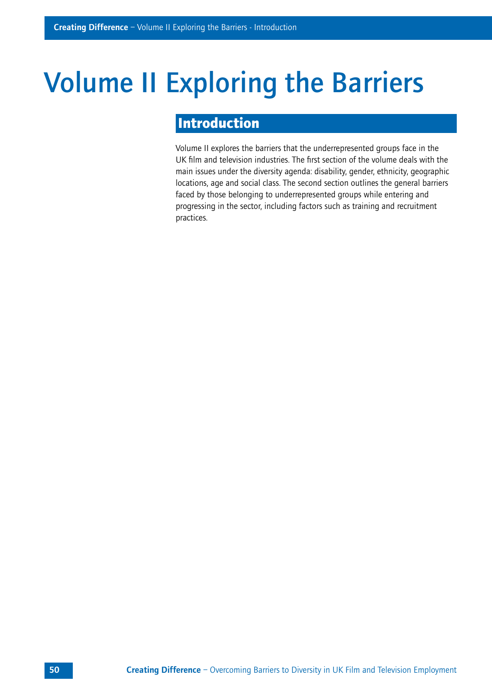# Volume II Exploring the Barriers

# **Introduction**

Volume II explores the barriers that the underrepresented groups face in the UK film and television industries. The first section of the volume deals with the main issues under the diversity agenda: disability, gender, ethnicity, geographic locations, age and social class. The second section outlines the general barriers faced by those belonging to underrepresented groups while entering and progressing in the sector, including factors such as training and recruitment practices.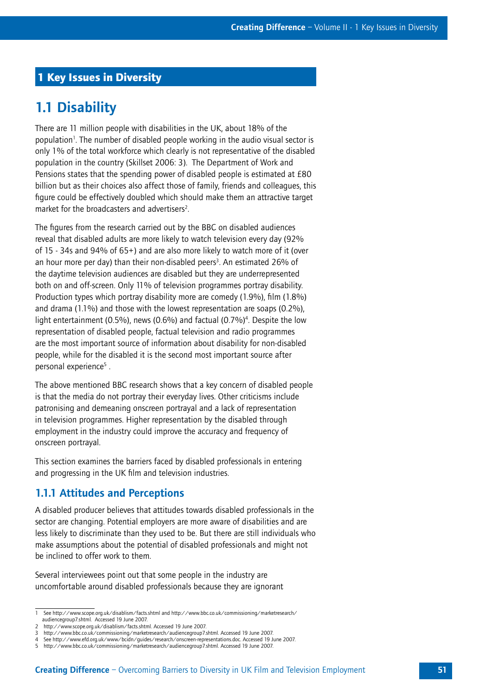#### **1 Key Issues in Diversity**

## 1.1 Disability

There are 11 million people with disabilities in the UK, about 18% of the population<sup>1</sup>. The number of disabled people working in the audio visual sector is only 1% of the total workforce which clearly is not representative of the disabled population in the country (Skillset 2006: 3). The Department of Work and Pensions states that the spending power of disabled people is estimated at £80 billion but as their choices also affect those of family, friends and colleagues, this figure could be effectively doubled which should make them an attractive target market for the broadcasters and advertisers<sup>2</sup>.

The figures from the research carried out by the BBC on disabled audiences reveal that disabled adults are more likely to watch television every day (92% of 15 - 34s and 94% of 65+) and are also more likely to watch more of it (over an hour more per day) than their non-disabled peers<sup>3</sup>. An estimated 26% of the daytime television audiences are disabled but they are underrepresented both on and off-screen. Only 11% of television programmes portray disability. Production types which portray disability more are comedy (1.9%), film (1.8%) and drama (1.1%) and those with the lowest representation are soaps (0.2%), light entertainment (0.5%), news (0.6%) and factual (0.7%)<sup>4</sup>. Despite the low representation of disabled people, factual television and radio programmes are the most important source of information about disability for non-disabled people, while for the disabled it is the second most important source after personal experience<sup>5</sup>.

The above mentioned BBC research shows that a key concern of disabled people is that the media do not portray their everyday lives. Other criticisms include patronising and demeaning onscreen portrayal and a lack of representation in television programmes. Higher representation by the disabled through employment in the industry could improve the accuracy and frequency of onscreen portrayal.

This section examines the barriers faced by disabled professionals in entering and progressing in the UK film and television industries.

#### 1.1.1 Attitudes and Perceptions

A disabled producer believes that attitudes towards disabled professionals in the sector are changing. Potential employers are more aware of disabilities and are less likely to discriminate than they used to be. But there are still individuals who make assumptions about the potential of disabled professionals and might not be inclined to offer work to them.

Several interviewees point out that some people in the industry are uncomfortable around disabled professionals because they are ignorant

<sup>1</sup> See http://www.scope.org.uk/disablism/facts.shtml and http://www.bbc.co.uk/commissioning/marketresearch/ audiencegroup7.shtml. Accessed 19 June 2007.

<sup>2</sup> http://www.scope.org.uk/disablism/facts.shtml. Accessed 19 June 2007.

<sup>3</sup> http://www.bbc.co.uk/commissioning/marketresearch/audiencegroup7.shtml. Accessed 19 June 2007.

<sup>4</sup> See http://www.efd.org.uk/www/bcidn/guides/research/onscreen-representations.doc. Accessed 19 June 2007.

<sup>5</sup> http://www.bbc.co.uk/commissioning/marketresearch/audiencegroup7.shtml. Accessed 19 June 2007.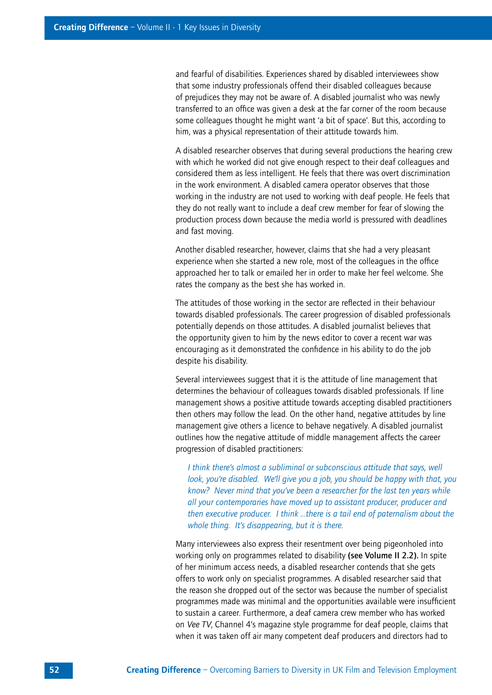and fearful of disabilities. Experiences shared by disabled interviewees show that some industry professionals offend their disabled colleagues because of prejudices they may not be aware of. A disabled journalist who was newly transferred to an office was given a desk at the far corner of the room because some colleagues thought he might want 'a bit of space'. But this, according to him, was a physical representation of their attitude towards him.

A disabled researcher observes that during several productions the hearing crew with which he worked did not give enough respect to their deaf colleagues and considered them as less intelligent. He feels that there was overt discrimination in the work environment. A disabled camera operator observes that those working in the industry are not used to working with deaf people. He feels that they do not really want to include a deaf crew member for fear of slowing the production process down because the media world is pressured with deadlines and fast moving.

Another disabled researcher, however, claims that she had a very pleasant experience when she started a new role, most of the colleagues in the office approached her to talk or emailed her in order to make her feel welcome. She rates the company as the best she has worked in.

The attitudes of those working in the sector are reflected in their behaviour towards disabled professionals. The career progression of disabled professionals potentially depends on those attitudes. A disabled journalist believes that the opportunity given to him by the news editor to cover a recent war was encouraging as it demonstrated the confidence in his ability to do the job despite his disability.

Several interviewees suggest that it is the attitude of line management that determines the behaviour of colleagues towards disabled professionals. If line management shows a positive attitude towards accepting disabled practitioners then others may follow the lead. On the other hand, negative attitudes by line management give others a licence to behave negatively. A disabled journalist outlines how the negative attitude of middle management affects the career progression of disabled practitioners:

*I think there's almost a subliminal or subconscious attitude that says, well look, you're disabled. We'll give you a job, you should be happy with that, you know? Never mind that you've been a researcher for the last ten years while all your contemporaries have moved up to assistant producer, producer and then executive producer. I think …there is a tail end of paternalism about the whole thing. It's disappearing, but it is there.* 

Many interviewees also express their resentment over being pigeonholed into working only on programmes related to disability (see Volume II 2.2). In spite of her minimum access needs, a disabled researcher contends that she gets offers to work only on specialist programmes. A disabled researcher said that the reason she dropped out of the sector was because the number of specialist programmes made was minimal and the opportunities available were insufficient to sustain a career. Furthermore, a deaf camera crew member who has worked on *Vee TV*, Channel 4's magazine style programme for deaf people, claims that when it was taken off air many competent deaf producers and directors had to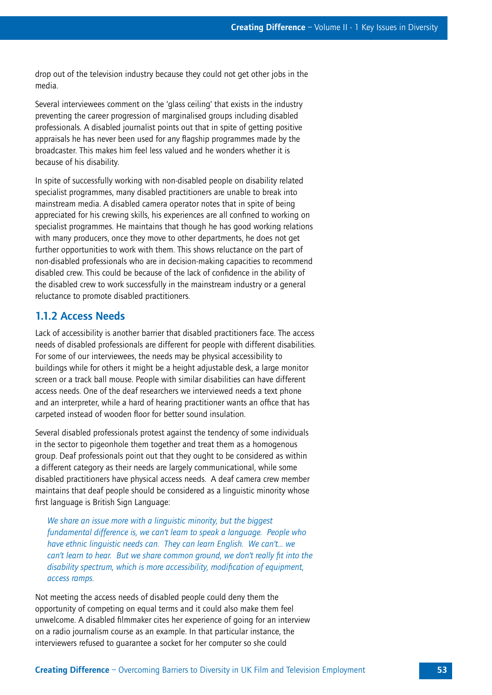drop out of the television industry because they could not get other jobs in the media.

Several interviewees comment on the 'glass ceiling' that exists in the industry preventing the career progression of marginalised groups including disabled professionals. A disabled journalist points out that in spite of getting positive appraisals he has never been used for any flagship programmes made by the broadcaster. This makes him feel less valued and he wonders whether it is because of his disability.

In spite of successfully working with non-disabled people on disability related specialist programmes, many disabled practitioners are unable to break into mainstream media. A disabled camera operator notes that in spite of being appreciated for his crewing skills, his experiences are all confined to working on specialist programmes. He maintains that though he has good working relations with many producers, once they move to other departments, he does not get further opportunities to work with them. This shows reluctance on the part of non-disabled professionals who are in decision-making capacities to recommend disabled crew. This could be because of the lack of confidence in the ability of the disabled crew to work successfully in the mainstream industry or a general reluctance to promote disabled practitioners.

#### 1.1.2 Access Needs

Lack of accessibility is another barrier that disabled practitioners face. The access needs of disabled professionals are different for people with different disabilities. For some of our interviewees, the needs may be physical accessibility to buildings while for others it might be a height adjustable desk, a large monitor screen or a track ball mouse. People with similar disabilities can have different access needs. One of the deaf researchers we interviewed needs a text phone and an interpreter, while a hard of hearing practitioner wants an office that has carpeted instead of wooden floor for better sound insulation.

Several disabled professionals protest against the tendency of some individuals in the sector to pigeonhole them together and treat them as a homogenous group. Deaf professionals point out that they ought to be considered as within a different category as their needs are largely communicational, while some disabled practitioners have physical access needs. A deaf camera crew member maintains that deaf people should be considered as a linguistic minority whose first language is British Sign Language:

*We share an issue more with a linguistic minority, but the biggest fundamental difference is, we can't learn to speak a language. People who have ethnic linguistic needs can. They can learn English. We can't... we can't learn to hear. But we share common ground, we don't really fit into the disability spectrum, which is more accessibility, modification of equipment, access ramps.* 

Not meeting the access needs of disabled people could deny them the opportunity of competing on equal terms and it could also make them feel unwelcome. A disabled filmmaker cites her experience of going for an interview on a radio journalism course as an example. In that particular instance, the interviewers refused to guarantee a socket for her computer so she could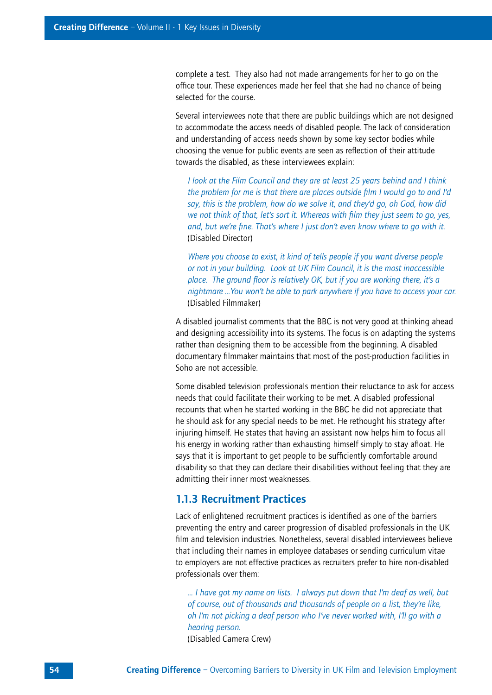complete a test. They also had not made arrangements for her to go on the office tour. These experiences made her feel that she had no chance of being selected for the course.

Several interviewees note that there are public buildings which are not designed to accommodate the access needs of disabled people. The lack of consideration and understanding of access needs shown by some key sector bodies while choosing the venue for public events are seen as reflection of their attitude towards the disabled, as these interviewees explain:

*I look at the Film Council and they are at least 25 years behind and I think the problem for me is that there are places outside film I would go to and I'd say, this is the problem, how do we solve it, and they'd go, oh God, how did we not think of that, let's sort it. Whereas with film they just seem to go, yes, and, but we're fine. That's where I just don't even know where to go with it.*  (Disabled Director)

*Where you choose to exist, it kind of tells people if you want diverse people or not in your building. Look at UK Film Council, it is the most inaccessible place. The ground floor is relatively OK, but if you are working there, it's a nightmare ...You won't be able to park anywhere if you have to access your car.* (Disabled Filmmaker)

A disabled journalist comments that the BBC is not very good at thinking ahead and designing accessibility into its systems. The focus is on adapting the systems rather than designing them to be accessible from the beginning. A disabled documentary filmmaker maintains that most of the post-production facilities in Soho are not accessible.

Some disabled television professionals mention their reluctance to ask for access needs that could facilitate their working to be met. A disabled professional recounts that when he started working in the BBC he did not appreciate that he should ask for any special needs to be met. He rethought his strategy after injuring himself. He states that having an assistant now helps him to focus all his energy in working rather than exhausting himself simply to stay afloat. He says that it is important to get people to be sufficiently comfortable around disability so that they can declare their disabilities without feeling that they are admitting their inner most weaknesses.

#### 1.1.3 Recruitment Practices

Lack of enlightened recruitment practices is identified as one of the barriers preventing the entry and career progression of disabled professionals in the UK film and television industries. Nonetheless, several disabled interviewees believe that including their names in employee databases or sending curriculum vitae to employers are not effective practices as recruiters prefer to hire non-disabled professionals over them:

*… I have got my name on lists. I always put down that I'm deaf as well, but of course, out of thousands and thousands of people on a list, they're like, oh I'm not picking a deaf person who I've never worked with, I'll go with a hearing person.*  (Disabled Camera Crew)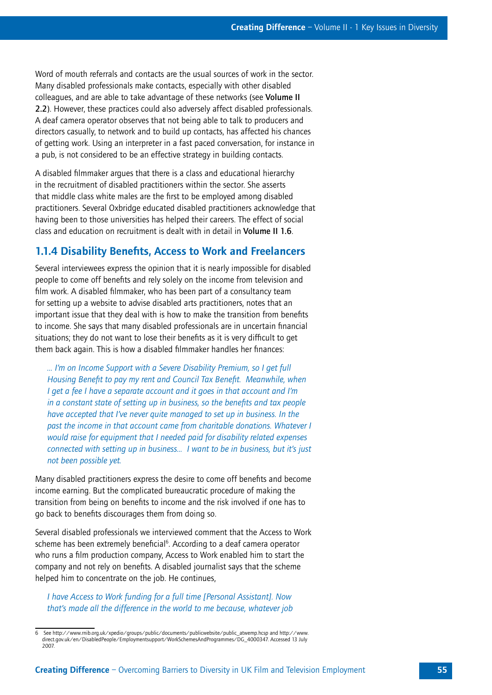Word of mouth referrals and contacts are the usual sources of work in the sector. Many disabled professionals make contacts, especially with other disabled colleagues, and are able to take advantage of these networks (see Volume II 2.2). However, these practices could also adversely affect disabled professionals. A deaf camera operator observes that not being able to talk to producers and directors casually, to network and to build up contacts, has affected his chances of getting work. Using an interpreter in a fast paced conversation, for instance in a pub, is not considered to be an effective strategy in building contacts.

A disabled filmmaker argues that there is a class and educational hierarchy in the recruitment of disabled practitioners within the sector. She asserts that middle class white males are the first to be employed among disabled practitioners. Several Oxbridge educated disabled practitioners acknowledge that having been to those universities has helped their careers. The effect of social class and education on recruitment is dealt with in detail in Volume II 1.6.

#### 1.1.4 Disability Benefits, Access to Work and Freelancers

Several interviewees express the opinion that it is nearly impossible for disabled people to come off benefits and rely solely on the income from television and film work. A disabled filmmaker, who has been part of a consultancy team for setting up a website to advise disabled arts practitioners, notes that an important issue that they deal with is how to make the transition from benefits to income. She says that many disabled professionals are in uncertain financial situations; they do not want to lose their benefits as it is very difficult to get them back again. This is how a disabled filmmaker handles her finances:

*… I'm on Income Support with a Severe Disability Premium, so I get full Housing Benefit to pay my rent and Council Tax Benefit. Meanwhile, when I get a fee I have a separate account and it goes in that account and I'm in a constant state of setting up in business, so the benefits and tax people have accepted that I've never quite managed to set up in business. In the past the income in that account came from charitable donations. Whatever I would raise for equipment that I needed paid for disability related expenses connected with setting up in business... I want to be in business, but it's just not been possible yet.* 

Many disabled practitioners express the desire to come off benefits and become income earning. But the complicated bureaucratic procedure of making the transition from being on benefits to income and the risk involved if one has to go back to benefits discourages them from doing so.

Several disabled professionals we interviewed comment that the Access to Work scheme has been extremely beneficial<sup>6</sup>. According to a deaf camera operator who runs a film production company, Access to Work enabled him to start the company and not rely on benefits. A disabled journalist says that the scheme helped him to concentrate on the job. He continues,

*I have Access to Work funding for a full time [Personal Assistant]. Now that's made all the difference in the world to me because, whatever job* 

<sup>6</sup> See http://www.rnib.org.uk/xpedio/groups/public/documents/publicwebsite/public\_atwemp.hcsp and http://www. direct.gov.uk/en/DisabledPeople/Employmentsupport/WorkSchemesAndProgrammes/DG\_4000347. Accessed 13 July 2007.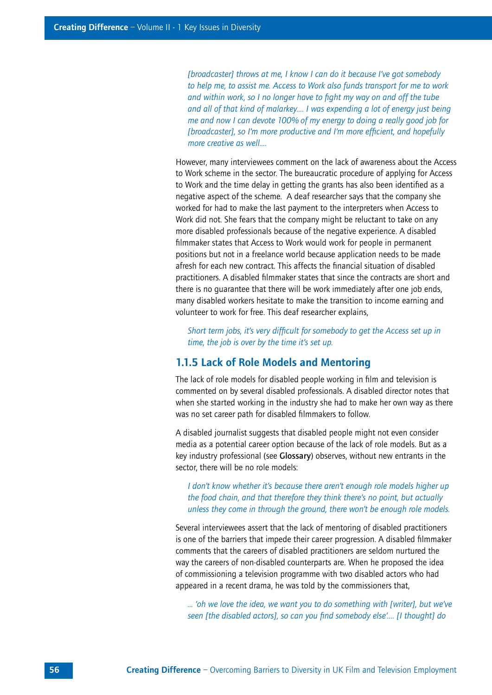*[broadcaster] throws at me, I know I can do it because I've got somebody to help me, to assist me. Access to Work also funds transport for me to work and within work, so I no longer have to fight my way on and off the tube and all of that kind of malarkey.… I was expending a lot of energy just being me and now I can devote 100% of my energy to doing a really good job for [broadcaster], so I'm more productive and I'm more efficient, and hopefully more creative as well....* 

However, many interviewees comment on the lack of awareness about the Access to Work scheme in the sector. The bureaucratic procedure of applying for Access to Work and the time delay in getting the grants has also been identified as a negative aspect of the scheme. A deaf researcher says that the company she worked for had to make the last payment to the interpreters when Access to Work did not. She fears that the company might be reluctant to take on any more disabled professionals because of the negative experience. A disabled filmmaker states that Access to Work would work for people in permanent positions but not in a freelance world because application needs to be made afresh for each new contract. This affects the financial situation of disabled practitioners. A disabled filmmaker states that since the contracts are short and there is no guarantee that there will be work immediately after one job ends, many disabled workers hesitate to make the transition to income earning and volunteer to work for free. This deaf researcher explains,

*Short term jobs, it's very difficult for somebody to get the Access set up in time, the job is over by the time it's set up.* 

#### 1.1.5 Lack of Role Models and Mentoring

The lack of role models for disabled people working in film and television is commented on by several disabled professionals. A disabled director notes that when she started working in the industry she had to make her own way as there was no set career path for disabled filmmakers to follow.

A disabled journalist suggests that disabled people might not even consider media as a potential career option because of the lack of role models. But as a key industry professional (see Glossary) observes, without new entrants in the sector, there will be no role models:

*I don't know whether it's because there aren't enough role models higher up the food chain, and that therefore they think there's no point, but actually unless they come in through the ground, there won't be enough role models.* 

Several interviewees assert that the lack of mentoring of disabled practitioners is one of the barriers that impede their career progression. A disabled filmmaker comments that the careers of disabled practitioners are seldom nurtured the way the careers of non-disabled counterparts are. When he proposed the idea of commissioning a television programme with two disabled actors who had appeared in a recent drama, he was told by the commissioners that,

*... 'oh we love the idea, we want you to do something with [writer], but we've seen [the disabled actors], so can you find somebody else'.... [I thought] do*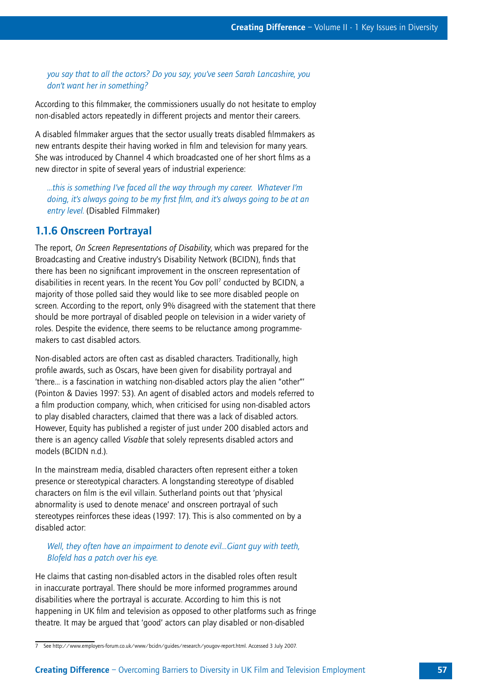*you say that to all the actors? Do you say, you've seen Sarah Lancashire, you don't want her in something?* 

According to this filmmaker, the commissioners usually do not hesitate to employ non-disabled actors repeatedly in different projects and mentor their careers.

A disabled filmmaker argues that the sector usually treats disabled filmmakers as new entrants despite their having worked in film and television for many years. She was introduced by Channel 4 which broadcasted one of her short films as a new director in spite of several years of industrial experience:

*...this is something I've faced all the way through my career. Whatever I'm doing, it's always going to be my first film, and it's always going to be at an entry level.* (Disabled Filmmaker)

#### 1.1.6 Onscreen Portrayal

The report, *On Screen Representations of Disability*, which was prepared for the Broadcasting and Creative industry's Disability Network (BCIDN), finds that there has been no significant improvement in the onscreen representation of disabilities in recent years. In the recent You Gov poll<sup>7</sup> conducted by BCIDN, a majority of those polled said they would like to see more disabled people on screen. According to the report, only 9% disagreed with the statement that there should be more portrayal of disabled people on television in a wider variety of roles. Despite the evidence, there seems to be reluctance among programmemakers to cast disabled actors.

Non-disabled actors are often cast as disabled characters. Traditionally, high profile awards, such as Oscars, have been given for disability portrayal and 'there... is a fascination in watching non-disabled actors play the alien "other"' (Pointon & Davies 1997: 53). An agent of disabled actors and models referred to a film production company, which, when criticised for using non-disabled actors to play disabled characters, claimed that there was a lack of disabled actors. However, Equity has published a register of just under 200 disabled actors and there is an agency called *Visable* that solely represents disabled actors and models (BCIDN n.d.).

In the mainstream media, disabled characters often represent either a token presence or stereotypical characters. A longstanding stereotype of disabled characters on film is the evil villain. Sutherland points out that 'physical abnormality is used to denote menace' and onscreen portrayal of such stereotypes reinforces these ideas (1997: 17). This is also commented on by a disabled actor:

#### *Well, they often have an impairment to denote evil…Giant guy with teeth, Blofeld has a patch over his eye.*

He claims that casting non-disabled actors in the disabled roles often result in inaccurate portrayal. There should be more informed programmes around disabilities where the portrayal is accurate. According to him this is not happening in UK film and television as opposed to other platforms such as fringe theatre. It may be argued that 'good' actors can play disabled or non-disabled

<sup>7</sup> See http://www.employers-forum.co.uk/www/bcidn/guides/research/yougov-report.html. Accessed 3 July 2007.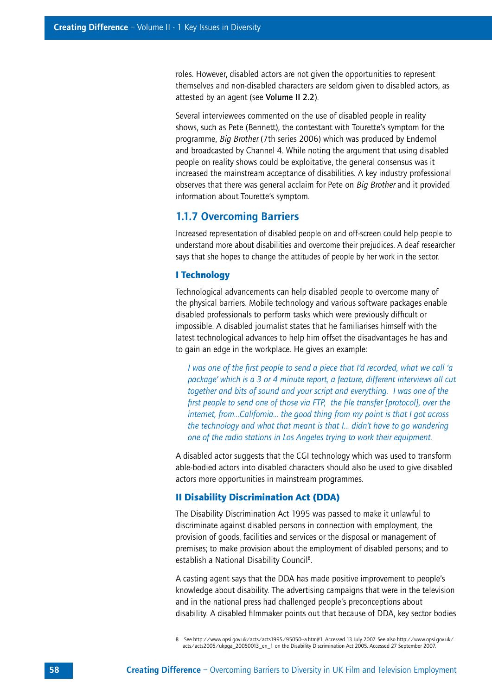roles. However, disabled actors are not given the opportunities to represent themselves and non-disabled characters are seldom given to disabled actors, as attested by an agent (see Volume II 2.2).

Several interviewees commented on the use of disabled people in reality shows, such as Pete (Bennett), the contestant with Tourette's symptom for the programme, *Big Brother* (7th series 2006) which was produced by Endemol and broadcasted by Channel 4. While noting the argument that using disabled people on reality shows could be exploitative, the general consensus was it increased the mainstream acceptance of disabilities. A key industry professional observes that there was general acclaim for Pete on *Big Brother* and it provided information about Tourette's symptom.

#### 1.1.7 Overcoming Barriers

Increased representation of disabled people on and off-screen could help people to understand more about disabilities and overcome their prejudices. A deaf researcher says that she hopes to change the attitudes of people by her work in the sector.

#### **I Technology**

Technological advancements can help disabled people to overcome many of the physical barriers. Mobile technology and various software packages enable disabled professionals to perform tasks which were previously difficult or impossible. A disabled journalist states that he familiarises himself with the latest technological advances to help him offset the disadvantages he has and to gain an edge in the workplace. He gives an example:

*I was one of the first people to send a piece that I'd recorded, what we call 'a package' which is a 3 or 4 minute report, a feature, different interviews all cut together and bits of sound and your script and everything. I was one of the first people to send one of those via FTP, the file transfer [protocol], over the internet, from...California... the good thing from my point is that I got across the technology and what that meant is that I… didn't have to go wandering one of the radio stations in Los Angeles trying to work their equipment.* 

A disabled actor suggests that the CGI technology which was used to transform able-bodied actors into disabled characters should also be used to give disabled actors more opportunities in mainstream programmes.

#### **II Disability Discrimination Act (DDA)**

The Disability Discrimination Act 1995 was passed to make it unlawful to discriminate against disabled persons in connection with employment, the provision of goods, facilities and services or the disposal or management of premises; to make provision about the employment of disabled persons; and to establish a National Disability Council<sup>8</sup>. .

A casting agent says that the DDA has made positive improvement to people's knowledge about disability. The advertising campaigns that were in the television and in the national press had challenged people's preconceptions about disability. A disabled filmmaker points out that because of DDA, key sector bodies

<sup>8</sup> See http://www.opsi.gov.uk/acts/acts1995/95050--a.htm#1. Accessed 13 July 2007. See also http://www.opsi.gov.uk/ acts/acts2005/ukpga\_20050013\_en\_1 on the Disability Discrimination Act 2005. Accessed 27 September 2007.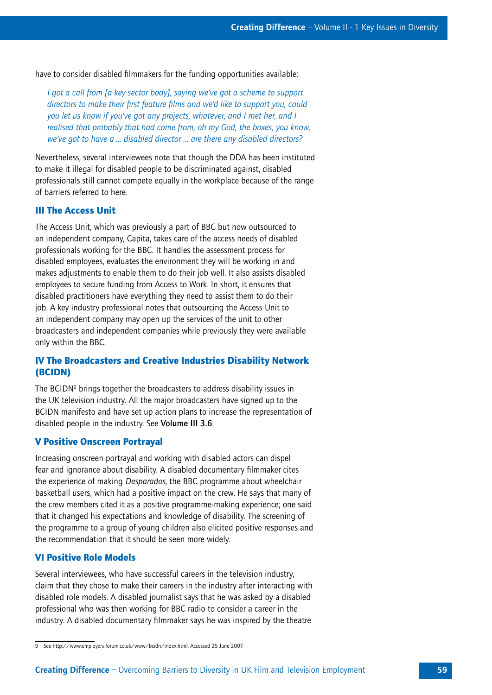have to consider disabled filmmakers for the funding opportunities available:

*I got a call from [a key sector body], saying we've got a scheme to support directors to make their first feature films and we'd like to support you, could you let us know if you've got any projects, whatever, and I met her, and I realised that probably that had come from, oh my God, the boxes, you know, we've got to have a … disabled director ... are there any disabled directors?* 

Nevertheless, several interviewees note that though the DDA has been instituted to make it illegal for disabled people to be discriminated against, disabled professionals still cannot compete equally in the workplace because of the range of barriers referred to here.

#### **III The Access Unit**

The Access Unit, which was previously a part of BBC but now outsourced to an independent company, Capita, takes care of the access needs of disabled professionals working for the BBC. It handles the assessment process for disabled employees, evaluates the environment they will be working in and makes adjustments to enable them to do their job well. It also assists disabled employees to secure funding from Access to Work. In short, it ensures that disabled practitioners have everything they need to assist them to do their job. A key industry professional notes that outsourcing the Access Unit to an independent company may open up the services of the unit to other broadcasters and independent companies while previously they were available only within the BBC.

#### **IV The Broadcasters and Creative Industries Disability Network (BCIDN)**

The BCIDN<sup>9</sup> brings together the broadcasters to address disability issues in the UK television industry. All the major broadcasters have signed up to the BCIDN manifesto and have set up action plans to increase the representation of disabled people in the industry. See Volume III 3.6.

#### **V Positive Onscreen Portrayal**

Increasing onscreen portrayal and working with disabled actors can dispel fear and ignorance about disability. A disabled documentary filmmaker cites the experience of making *Desparados*, the BBC programme about wheelchair basketball users, which had a positive impact on the crew. He says that many of the crew members cited it as a positive programme-making experience; one said that it changed his expectations and knowledge of disability. The screening of the programme to a group of young children also elicited positive responses and the recommendation that it should be seen more widely.

#### **VI Positive Role Models**

Several interviewees, who have successful careers in the television industry, claim that they chose to make their careers in the industry after interacting with disabled role models. A disabled journalist says that he was asked by a disabled professional who was then working for BBC radio to consider a career in the industry. A disabled documentary filmmaker says he was inspired by the theatre

<sup>9</sup> See http://www.employers-forum.co.uk/www/bcidn/index.html. Accessed 25 June 2007.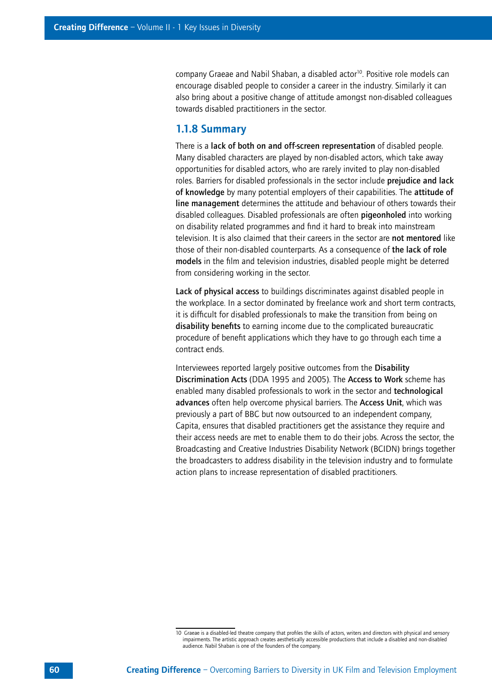company Graeae and Nabil Shaban, a disabled actor<sup>10</sup>. Positive role models can encourage disabled people to consider a career in the industry. Similarly it can also bring about a positive change of attitude amongst non-disabled colleagues towards disabled practitioners in the sector.

#### 1.1.8 Summary

There is a lack of both on and off-screen representation of disabled people. Many disabled characters are played by non-disabled actors, which take away opportunities for disabled actors, who are rarely invited to play non-disabled roles. Barriers for disabled professionals in the sector include prejudice and lack of knowledge by many potential employers of their capabilities. The attitude of line management determines the attitude and behaviour of others towards their disabled colleagues. Disabled professionals are often pigeonholed into working on disability related programmes and find it hard to break into mainstream television. It is also claimed that their careers in the sector are not mentored like those of their non-disabled counterparts. As a consequence of the lack of role models in the film and television industries, disabled people might be deterred from considering working in the sector.

Lack of physical access to buildings discriminates against disabled people in the workplace. In a sector dominated by freelance work and short term contracts, it is difficult for disabled professionals to make the transition from being on disability benefits to earning income due to the complicated bureaucratic procedure of benefit applications which they have to go through each time a contract ends.

Interviewees reported largely positive outcomes from the Disability Discrimination Acts (DDA 1995 and 2005). The Access to Work scheme has enabled many disabled professionals to work in the sector and technological advances often help overcome physical barriers. The Access Unit, which was previously a part of BBC but now outsourced to an independent company, Capita, ensures that disabled practitioners get the assistance they require and their access needs are met to enable them to do their jobs. Across the sector, the Broadcasting and Creative Industries Disability Network (BCIDN) brings together the broadcasters to address disability in the television industry and to formulate action plans to increase representation of disabled practitioners.

<sup>10</sup> Graeae is a disabled-led theatre company that profiles the skills of actors, writers and directors with physical and sensory impairments. The artistic approach creates aesthetically accessible productions that include a disabled and non-disabled audience. Nabil Shaban is one of the founders of the company.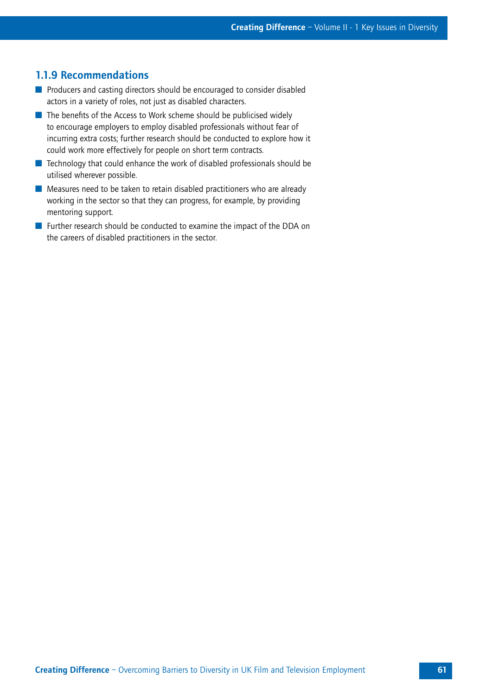#### 1.1.9 Recommendations

- Producers and casting directors should be encouraged to consider disabled actors in a variety of roles, not just as disabled characters.
- The benefits of the Access to Work scheme should be publicised widely to encourage employers to employ disabled professionals without fear of incurring extra costs; further research should be conducted to explore how it could work more effectively for people on short term contracts.
- Technology that could enhance the work of disabled professionals should be utilised wherever possible.
- Measures need to be taken to retain disabled practitioners who are already working in the sector so that they can progress, for example, by providing mentoring support.
- Further research should be conducted to examine the impact of the DDA on the careers of disabled practitioners in the sector.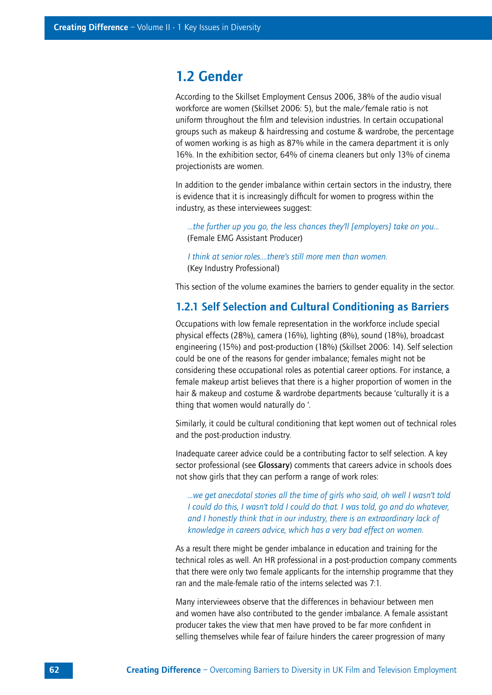## 1.2 Gender

According to the Skillset Employment Census 2006, 38% of the audio visual workforce are women (Skillset 2006: 5), but the male/female ratio is not uniform throughout the film and television industries. In certain occupational groups such as makeup & hairdressing and costume & wardrobe, the percentage of women working is as high as 87% while in the camera department it is only 16%. In the exhibition sector, 64% of cinema cleaners but only 13% of cinema projectionists are women.

In addition to the gender imbalance within certain sectors in the industry, there is evidence that it is increasingly difficult for women to progress within the industry, as these interviewees suggest:

*...the further up you go, the less chances they'll [employers] take on you...*  (Female EMG Assistant Producer)

*I think at senior roles….there's still more men than women.*  (Key Industry Professional)

This section of the volume examines the barriers to gender equality in the sector.

#### 1.2.1 Self Selection and Cultural Conditioning as Barriers

Occupations with low female representation in the workforce include special physical effects (28%), camera (16%), lighting (8%), sound (18%), broadcast engineering (15%) and post-production (18%) (Skillset 2006: 14). Self selection could be one of the reasons for gender imbalance; females might not be considering these occupational roles as potential career options. For instance, a female makeup artist believes that there is a higher proportion of women in the hair & makeup and costume & wardrobe departments because 'culturally it is a thing that women would naturally do '.

Similarly, it could be cultural conditioning that kept women out of technical roles and the post-production industry.

Inadequate career advice could be a contributing factor to self selection. A key sector professional (see Glossary) comments that careers advice in schools does not show girls that they can perform a range of work roles:

*...we get anecdotal stories all the time of girls who said, oh well I wasn't told I could do this, I wasn't told I could do that. I was told, go and do whatever, and I honestly think that in our industry, there is an extraordinary lack of knowledge in careers advice, which has a very bad effect on women.*

As a result there might be gender imbalance in education and training for the technical roles as well. An HR professional in a post-production company comments that there were only two female applicants for the internship programme that they ran and the male-female ratio of the interns selected was 7:1.

Many interviewees observe that the differences in behaviour between men and women have also contributed to the gender imbalance. A female assistant producer takes the view that men have proved to be far more confident in selling themselves while fear of failure hinders the career progression of many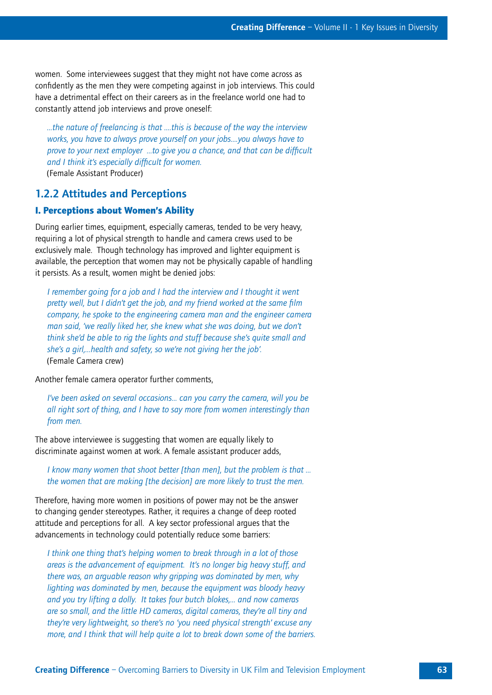women. Some interviewees suggest that they might not have come across as confidently as the men they were competing against in job interviews. This could have a detrimental effect on their careers as in the freelance world one had to constantly attend job interviews and prove oneself:

*…the nature of freelancing is that ….this is because of the way the interview works, you have to always prove yourself on your jobs….you always have to prove to your next employer …to give you a chance, and that can be difficult and I think it's especially difficult for women.*  (Female Assistant Producer)

#### 1.2.2 Attitudes and Perceptions

#### **I. Perceptions about Women's Ability**

During earlier times, equipment, especially cameras, tended to be very heavy, requiring a lot of physical strength to handle and camera crews used to be exclusively male. Though technology has improved and lighter equipment is available, the perception that women may not be physically capable of handling it persists. As a result, women might be denied jobs:

*I remember going for a job and I had the interview and I thought it went pretty well, but I didn't get the job, and my friend worked at the same film company, he spoke to the engineering camera man and the engineer camera man said, 'we really liked her, she knew what she was doing, but we don't think she'd be able to rig the lights and stuff because she's quite small and she's a girl,…health and safety, so we're not giving her the job'.*  (Female Camera crew)

Another female camera operator further comments,

*I've been asked on several occasions... can you carry the camera, will you be all right sort of thing, and I have to say more from women interestingly than from men.* 

The above interviewee is suggesting that women are equally likely to discriminate against women at work. A female assistant producer adds,

*I know many women that shoot better [than men], but the problem is that … the women that are making [the decision] are more likely to trust the men.* 

Therefore, having more women in positions of power may not be the answer to changing gender stereotypes. Rather, it requires a change of deep rooted attitude and perceptions for all. A key sector professional argues that the advancements in technology could potentially reduce some barriers:

*I think one thing that's helping women to break through in a lot of those areas is the advancement of equipment. It's no longer big heavy stuff, and there was, an arguable reason why gripping was dominated by men, why lighting was dominated by men, because the equipment was bloody heavy and you try lifting a dolly. It takes four butch blokes,… and now cameras are so small, and the little HD cameras, digital cameras, they're all tiny and they're very lightweight, so there's no 'you need physical strength' excuse any more, and I think that will help quite a lot to break down some of the barriers.*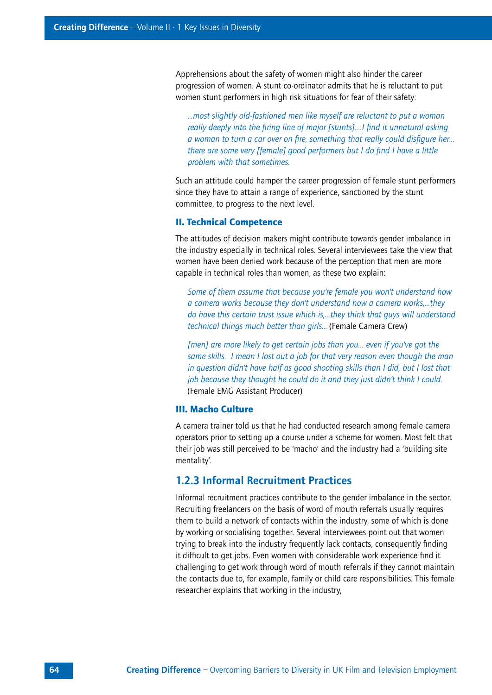Apprehensions about the safety of women might also hinder the career progression of women. A stunt co-ordinator admits that he is reluctant to put women stunt performers in high risk situations for fear of their safety:

*...most slightly old-fashioned men like myself are reluctant to put a woman really deeply into the firing line of major [stunts]….I find it unnatural asking a woman to turn a car over on fire, something that really could disfigure her… there are some very [female] good performers but I do find I have a little problem with that sometimes.* 

Such an attitude could hamper the career progression of female stunt performers since they have to attain a range of experience, sanctioned by the stunt committee, to progress to the next level.

#### **II. Technical Competence**

The attitudes of decision makers might contribute towards gender imbalance in the industry especially in technical roles. Several interviewees take the view that women have been denied work because of the perception that men are more capable in technical roles than women, as these two explain:

*Some of them assume that because you're female you won't understand how a camera works because they don't understand how a camera works,…they do have this certain trust issue which is,…they think that guys will understand technical things much better than girls...* (Female Camera Crew)

[men] are more likely to get certain jobs than you... even if you've got the *same skills. I mean I lost out a job for that very reason even though the man in question didn't have half as good shooting skills than I did, but I lost that job because they thought he could do it and they just didn't think I could.* (Female EMG Assistant Producer)

#### **III. Macho Culture**

A camera trainer told us that he had conducted research among female camera operators prior to setting up a course under a scheme for women. Most felt that their job was still perceived to be 'macho' and the industry had a 'building site mentality'.

#### 1.2.3 Informal Recruitment Practices

Informal recruitment practices contribute to the gender imbalance in the sector. Recruiting freelancers on the basis of word of mouth referrals usually requires them to build a network of contacts within the industry, some of which is done by working or socialising together. Several interviewees point out that women trying to break into the industry frequently lack contacts, consequently finding it difficult to get jobs. Even women with considerable work experience find it challenging to get work through word of mouth referrals if they cannot maintain the contacts due to, for example, family or child care responsibilities. This female researcher explains that working in the industry,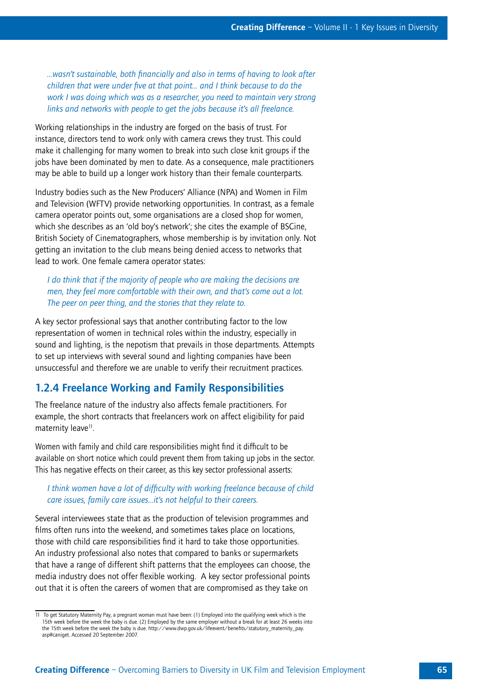*...wasn't sustainable, both financially and also in terms of having to look after children that were under five at that point... and I think because to do the work I was doing which was as a researcher, you need to maintain very strong links and networks with people to get the jobs because it's all freelance.* 

Working relationships in the industry are forged on the basis of trust. For instance, directors tend to work only with camera crews they trust. This could make it challenging for many women to break into such close knit groups if the jobs have been dominated by men to date. As a consequence, male practitioners may be able to build up a longer work history than their female counterparts.

Industry bodies such as the New Producers' Alliance (NPA) and Women in Film and Television (WFTV) provide networking opportunities. In contrast, as a female camera operator points out, some organisations are a closed shop for women, which she describes as an 'old boy's network'; she cites the example of BSCine, British Society of Cinematographers, whose membership is by invitation only. Not getting an invitation to the club means being denied access to networks that lead to work. One female camera operator states:

*I do think that if the majority of people who are making the decisions are men, they feel more comfortable with their own, and that's come out a lot. The peer on peer thing, and the stories that they relate to.* 

A key sector professional says that another contributing factor to the low representation of women in technical roles within the industry, especially in sound and lighting, is the nepotism that prevails in those departments. Attempts to set up interviews with several sound and lighting companies have been unsuccessful and therefore we are unable to verify their recruitment practices.

#### 1.2.4 Freelance Working and Family Responsibilities

The freelance nature of the industry also affects female practitioners. For example, the short contracts that freelancers work on affect eligibility for paid maternity leave<sup>11</sup>.

Women with family and child care responsibilities might find it difficult to be available on short notice which could prevent them from taking up jobs in the sector. This has negative effects on their career, as this key sector professional asserts:

#### *I think women have a lot of difficulty with working freelance because of child care issues, family care issues…it's not helpful to their careers.*

Several interviewees state that as the production of television programmes and films often runs into the weekend, and sometimes takes place on locations, those with child care responsibilities find it hard to take those opportunities. An industry professional also notes that compared to banks or supermarkets that have a range of different shift patterns that the employees can choose, the media industry does not offer flexible working. A key sector professional points out that it is often the careers of women that are compromised as they take on

<sup>11</sup> To get Statutory Maternity Pay, a pregnant woman must have been: (1) Employed into the qualifying week which is the 15th week before the week the baby is due. (2) Employed by the same employer without a break for at least 26 weeks into the 15th week before the week the baby is due. http://www.dwp.gov.uk/lifeevent/benefits/statutory\_maternity\_pay. asp#caniget. Accessed 20 September 2007.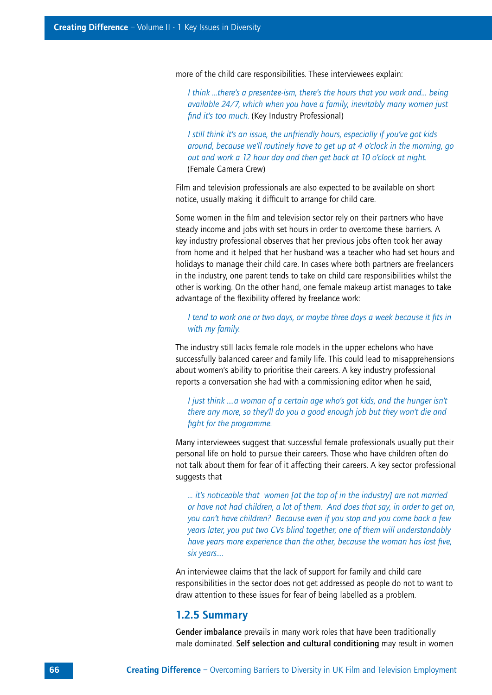more of the child care responsibilities. These interviewees explain:

*I think …there's a presentee-ism, there's the hours that you work and... being available 24/7, which when you have a family, inevitably many women just find it's too much.* (Key Industry Professional)

*I still think it's an issue, the unfriendly hours, especially if you've got kids around, because we'll routinely have to get up at 4 o'clock in the morning, go out and work a 12 hour day and then get back at 10 o'clock at night.* (Female Camera Crew)

Film and television professionals are also expected to be available on short notice, usually making it difficult to arrange for child care.

Some women in the film and television sector rely on their partners who have steady income and jobs with set hours in order to overcome these barriers. A key industry professional observes that her previous jobs often took her away from home and it helped that her husband was a teacher who had set hours and holidays to manage their child care. In cases where both partners are freelancers in the industry, one parent tends to take on child care responsibilities whilst the other is working. On the other hand, one female makeup artist manages to take advantage of the flexibility offered by freelance work:

*I tend to work one or two days, or maybe three days a week because it fits in with my family.* 

The industry still lacks female role models in the upper echelons who have successfully balanced career and family life. This could lead to misapprehensions about women's ability to prioritise their careers. A key industry professional reports a conversation she had with a commissioning editor when he said,

*I* just think ....a woman of a certain age who's got kids, and the hunger isn't *there any more, so they'll do you a good enough job but they won't die and fight for the programme.*

Many interviewees suggest that successful female professionals usually put their personal life on hold to pursue their careers. Those who have children often do not talk about them for fear of it affecting their careers. A key sector professional suggests that

*... it's noticeable that women [at the top of in the industry] are not married or have not had children, a lot of them. And does that say, in order to get on, you can't have children? Because even if you stop and you come back a few years later, you put two CVs blind together, one of them will understandably have years more experience than the other, because the woman has lost five, six years….* 

An interviewee claims that the lack of support for family and child care responsibilities in the sector does not get addressed as people do not to want to draw attention to these issues for fear of being labelled as a problem.

#### 1.2.5 Summary

Gender imbalance prevails in many work roles that have been traditionally male dominated. Self selection and cultural conditioning may result in women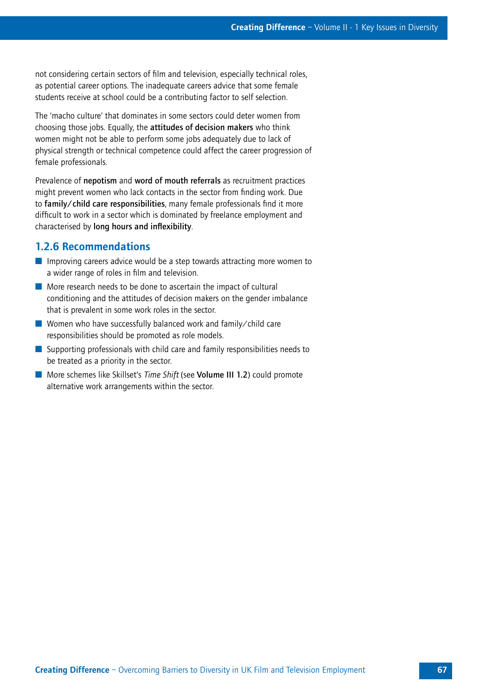not considering certain sectors of film and television, especially technical roles, as potential career options. The inadequate careers advice that some female students receive at school could be a contributing factor to self selection.

The 'macho culture' that dominates in some sectors could deter women from choosing those jobs. Equally, the attitudes of decision makers who think women might not be able to perform some jobs adequately due to lack of physical strength or technical competence could affect the career progression of female professionals.

Prevalence of nepotism and word of mouth referrals as recruitment practices might prevent women who lack contacts in the sector from finding work. Due to family/child care responsibilities, many female professionals find it more difficult to work in a sector which is dominated by freelance employment and characterised by long hours and inflexibility.

#### 1.2.6 Recommendations

- Improving careers advice would be a step towards attracting more women to a wider range of roles in film and television.
- More research needs to be done to ascertain the impact of cultural conditioning and the attitudes of decision makers on the gender imbalance that is prevalent in some work roles in the sector.
- $\blacksquare$  Women who have successfully balanced work and family/child care responsibilities should be promoted as role models.
- Supporting professionals with child care and family responsibilities needs to be treated as a priority in the sector.
- More schemes like Skillset's *Time Shift* (see **Volume III 1.2**) could promote alternative work arrangements within the sector.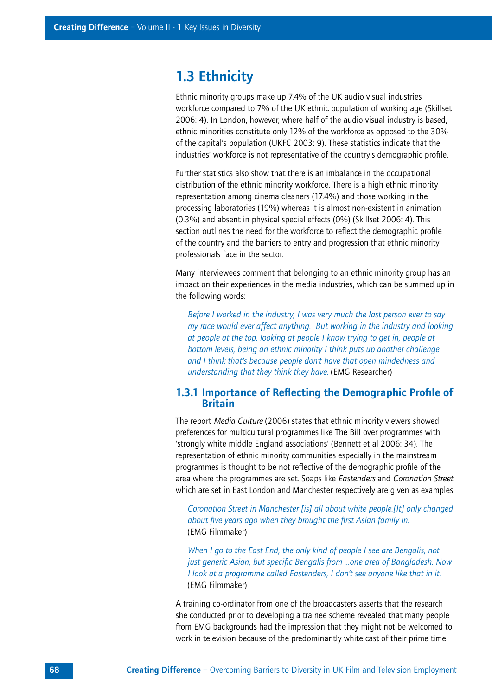## 1.3 Ethnicity

Ethnic minority groups make up 7.4% of the UK audio visual industries workforce compared to 7% of the UK ethnic population of working age (Skillset 2006: 4). In London, however, where half of the audio visual industry is based, ethnic minorities constitute only 12% of the workforce as opposed to the 30% of the capital's population (UKFC 2003: 9). These statistics indicate that the industries' workforce is not representative of the country's demographic profile.

Further statistics also show that there is an imbalance in the occupational distribution of the ethnic minority workforce. There is a high ethnic minority representation among cinema cleaners (17.4%) and those working in the processing laboratories (19%) whereas it is almost non-existent in animation (0.3%) and absent in physical special effects (0%) (Skillset 2006: 4). This section outlines the need for the workforce to reflect the demographic profile of the country and the barriers to entry and progression that ethnic minority professionals face in the sector.

Many interviewees comment that belonging to an ethnic minority group has an impact on their experiences in the media industries, which can be summed up in the following words:

*Before I worked in the industry, I was very much the last person ever to say my race would ever affect anything. But working in the industry and looking at people at the top, looking at people I know trying to get in, people at bottom levels, being an ethnic minority I think puts up another challenge and I think that's because people don't have that open mindedness and understanding that they think they have.* (EMG Researcher)

#### 1.3.1 Importance of Reflecting the Demographic Profile of Britain

The report *Media Culture* (2006) states that ethnic minority viewers showed preferences for multicultural programmes like The Bill over programmes with 'strongly white middle England associations' (Bennett et al 2006: 34). The representation of ethnic minority communities especially in the mainstream programmes is thought to be not reflective of the demographic profile of the area where the programmes are set. Soaps like *Eastenders* and *Coronation Street*  which are set in East London and Manchester respectively are given as examples:

*Coronation Street in Manchester [is] all about white people.[It] only changed about five years ago when they brought the first Asian family in.*  (EMG Filmmaker)

*When I go to the East End, the only kind of people I see are Bengalis, not just generic Asian, but specific Bengalis from …one area of Bangladesh. Now I look at a programme called Eastenders, I don't see anyone like that in it.* (EMG Filmmaker)

A training co-ordinator from one of the broadcasters asserts that the research she conducted prior to developing a trainee scheme revealed that many people from EMG backgrounds had the impression that they might not be welcomed to work in television because of the predominantly white cast of their prime time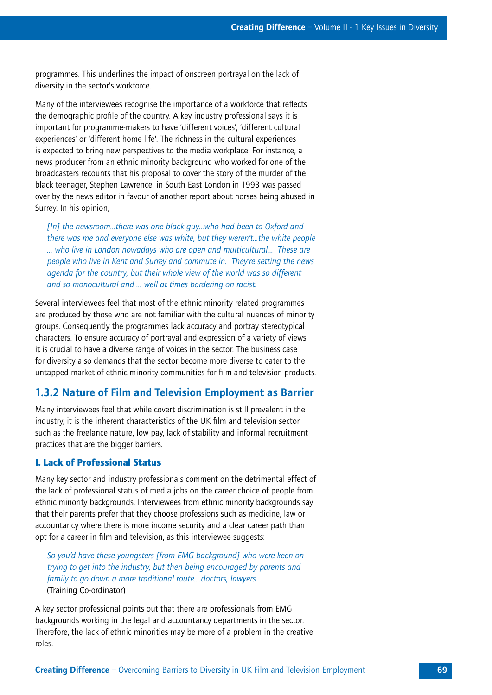programmes. This underlines the impact of onscreen portrayal on the lack of diversity in the sector's workforce.

Many of the interviewees recognise the importance of a workforce that reflects the demographic profile of the country. A key industry professional says it is important for programme-makers to have 'different voices', 'different cultural experiences' or 'different home life'. The richness in the cultural experiences is expected to bring new perspectives to the media workplace. For instance, a news producer from an ethnic minority background who worked for one of the broadcasters recounts that his proposal to cover the story of the murder of the black teenager, Stephen Lawrence, in South East London in 1993 was passed over by the news editor in favour of another report about horses being abused in Surrey. In his opinion,

*[In] the newsroom…there was one black guy...who had been to Oxford and there was me and everyone else was white, but they weren't…the white people ... who live in London nowadays who are open and multicultural... These are people who live in Kent and Surrey and commute in. They're setting the news agenda for the country, but their whole view of the world was so different and so monocultural and ... well at times bordering on racist.* 

Several interviewees feel that most of the ethnic minority related programmes are produced by those who are not familiar with the cultural nuances of minority groups. Consequently the programmes lack accuracy and portray stereotypical characters. To ensure accuracy of portrayal and expression of a variety of views it is crucial to have a diverse range of voices in the sector. The business case for diversity also demands that the sector become more diverse to cater to the untapped market of ethnic minority communities for film and television products.

#### 1.3.2 Nature of Film and Television Employment as Barrier

Many interviewees feel that while covert discrimination is still prevalent in the industry, it is the inherent characteristics of the UK film and television sector such as the freelance nature, low pay, lack of stability and informal recruitment practices that are the bigger barriers.

#### **I. Lack of Professional Status**

Many key sector and industry professionals comment on the detrimental effect of the lack of professional status of media jobs on the career choice of people from ethnic minority backgrounds. Interviewees from ethnic minority backgrounds say that their parents prefer that they choose professions such as medicine, law or accountancy where there is more income security and a clear career path than opt for a career in film and television, as this interviewee suggests:

*So you'd have these youngsters [from EMG background] who were keen on trying to get into the industry, but then being encouraged by parents and family to go down a more traditional route….doctors, lawyers…*  (Training Co-ordinator)

A key sector professional points out that there are professionals from EMG backgrounds working in the legal and accountancy departments in the sector. Therefore, the lack of ethnic minorities may be more of a problem in the creative roles.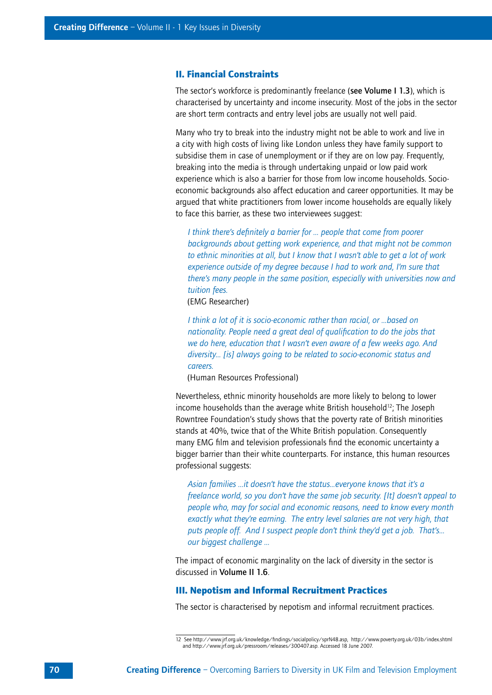#### **II. Financial Constraints**

The sector's workforce is predominantly freelance (see Volume I 1.3), which is characterised by uncertainty and income insecurity. Most of the jobs in the sector are short term contracts and entry level jobs are usually not well paid.

Many who try to break into the industry might not be able to work and live in a city with high costs of living like London unless they have family support to subsidise them in case of unemployment or if they are on low pay. Frequently, breaking into the media is through undertaking unpaid or low paid work experience which is also a barrier for those from low income households. Socioeconomic backgrounds also affect education and career opportunities. It may be argued that white practitioners from lower income households are equally likely to face this barrier, as these two interviewees suggest:

*I think there's definitely a barrier for … people that come from poorer backgrounds about getting work experience, and that might not be common to ethnic minorities at all, but I know that I wasn't able to get a lot of work experience outside of my degree because I had to work and, I'm sure that there's many people in the same position, especially with universities now and tuition fees.* 

(EMG Researcher)

*I think a lot of it is socio-economic rather than racial, or ...based on nationality. People need a great deal of qualification to do the jobs that we do here, education that I wasn't even aware of a few weeks ago. And diversity... [is] always going to be related to socio-economic status and careers.* 

(Human Resources Professional)

Nevertheless, ethnic minority households are more likely to belong to lower income households than the average white British household<sup>12</sup>; The Joseph Rowntree Foundation's study shows that the poverty rate of British minorities stands at 40%, twice that of the White British population. Consequently many EMG film and television professionals find the economic uncertainty a bigger barrier than their white counterparts. For instance, this human resources professional suggests:

*Asian families …it doesn't have the status…everyone knows that it's a freelance world, so you don't have the same job security. [It] doesn't appeal to people who, may for social and economic reasons, need to know every month exactly what they're earning. The entry level salaries are not very high, that puts people off. And I suspect people don't think they'd get a job. That's… our biggest challenge …* 

The impact of economic marginality on the lack of diversity in the sector is discussed in Volume II 1.6.

#### **III. Nepotism and Informal Recruitment Practices**

The sector is characterised by nepotism and informal recruitment practices.

<sup>12</sup> See http://www.jrf.org.uk/knowledge/findings/socialpolicy/sprN48.asp, http://www.poverty.org.uk/03b/index.shtml and http://www.jrf.org.uk/pressroom/releases/300407.asp. Accessed 18 June 2007.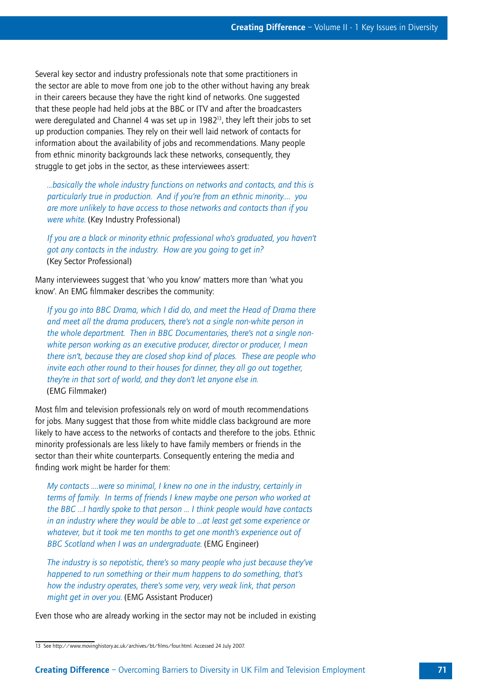Several key sector and industry professionals note that some practitioners in the sector are able to move from one job to the other without having any break in their careers because they have the right kind of networks. One suggested that these people had held jobs at the BBC or ITV and after the broadcasters were derequlated and Channel 4 was set up in 1982<sup>13</sup>, they left their jobs to set up production companies. They rely on their well laid network of contacts for information about the availability of jobs and recommendations. Many people from ethnic minority backgrounds lack these networks, consequently, they struggle to get jobs in the sector, as these interviewees assert:

*...basically the whole industry functions on networks and contacts, and this is particularly true in production. And if you're from an ethnic minority.... you are more unlikely to have access to those networks and contacts than if you were white.* (Key Industry Professional)

*If you are a black or minority ethnic professional who's graduated, you haven't got any contacts in the industry. How are you going to get in?*  (Key Sector Professional)

Many interviewees suggest that 'who you know' matters more than 'what you know'. An EMG filmmaker describes the community:

*If you go into BBC Drama, which I did do, and meet the Head of Drama there and meet all the drama producers, there's not a single non-white person in the whole department. Then in BBC Documentaries, there's not a single nonwhite person working as an executive producer, director or producer, I mean there isn't, because they are closed shop kind of places. These are people who invite each other round to their houses for dinner, they all go out together, they're in that sort of world, and they don't let anyone else in.*  (EMG Filmmaker)

Most film and television professionals rely on word of mouth recommendations for jobs. Many suggest that those from white middle class background are more likely to have access to the networks of contacts and therefore to the jobs. Ethnic minority professionals are less likely to have family members or friends in the sector than their white counterparts. Consequently entering the media and finding work might be harder for them:

*My contacts ….were so minimal, I knew no one in the industry, certainly in terms of family. In terms of friends I knew maybe one person who worked at the BBC …I hardly spoke to that person ... I think people would have contacts in an industry where they would be able to …at least get some experience or whatever, but it took me ten months to get one month's experience out of BBC Scotland when I was an undergraduate.* (EMG Engineer)

*The industry is so nepotistic, there's so many people who just because they've happened to run something or their mum happens to do something, that's how the industry operates, there's some very, very weak link, that person might get in over you.* (EMG Assistant Producer)

Even those who are already working in the sector may not be included in existing

<sup>13</sup> See http://www.movinghistory.ac.uk/archives/bt/films/four.html. Accessed 24 July 2007.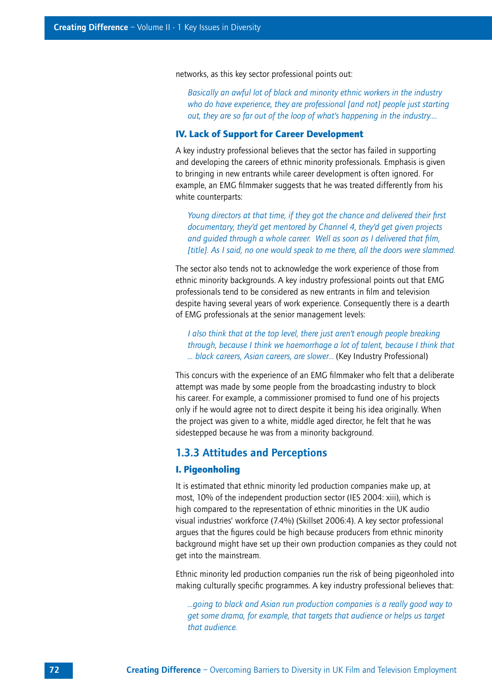networks, as this key sector professional points out:

*Basically an awful lot of black and minority ethnic workers in the industry who do have experience, they are professional [and not] people just starting out, they are so far out of the loop of what's happening in the industry....* 

#### **IV. Lack of Support for Career Development**

A key industry professional believes that the sector has failed in supporting and developing the careers of ethnic minority professionals. Emphasis is given to bringing in new entrants while career development is often ignored. For example, an EMG filmmaker suggests that he was treated differently from his white counterparts:

*Young directors at that time, if they got the chance and delivered their first documentary, they'd get mentored by Channel 4, they'd get given projects and guided through a whole career. Well as soon as I delivered that film, [title]. As I said, no one would speak to me there, all the doors were slammed.* 

The sector also tends not to acknowledge the work experience of those from ethnic minority backgrounds. A key industry professional points out that EMG professionals tend to be considered as new entrants in film and television despite having several years of work experience. Consequently there is a dearth of EMG professionals at the senior management levels:

*I* also think that at the top level, there just aren't enough people breaking *through, because I think we haemorrhage a lot of talent, because I think that ... black careers, Asian careers, are slower…* (Key Industry Professional)

This concurs with the experience of an EMG filmmaker who felt that a deliberate attempt was made by some people from the broadcasting industry to block his career. For example, a commissioner promised to fund one of his projects only if he would agree not to direct despite it being his idea originally. When the project was given to a white, middle aged director, he felt that he was sidestepped because he was from a minority background.

#### 1.3.3 Attitudes and Perceptions

#### **I. Pigeonholing**

It is estimated that ethnic minority led production companies make up, at most, 10% of the independent production sector (IES 2004: xiii), which is high compared to the representation of ethnic minorities in the UK audio visual industries' workforce (7.4%) (Skillset 2006:4). A key sector professional argues that the figures could be high because producers from ethnic minority background might have set up their own production companies as they could not get into the mainstream.

Ethnic minority led production companies run the risk of being pigeonholed into making culturally specific programmes. A key industry professional believes that:

*...going to black and Asian run production companies is a really good way to get some drama, for example, that targets that audience or helps us target that audience.*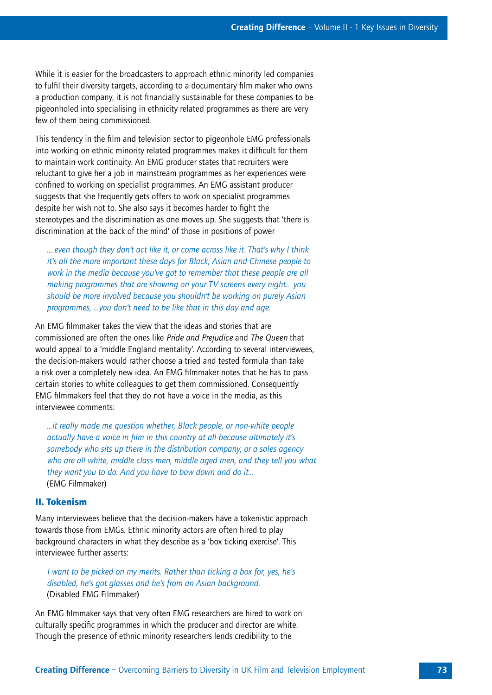While it is easier for the broadcasters to approach ethnic minority led companies to fulfil their diversity targets, according to a documentary film maker who owns a production company, it is not financially sustainable for these companies to be pigeonholed into specialising in ethnicity related programmes as there are very few of them being commissioned.

This tendency in the film and television sector to pigeonhole EMG professionals into working on ethnic minority related programmes makes it difficult for them to maintain work continuity. An EMG producer states that recruiters were reluctant to give her a job in mainstream programmes as her experiences were confined to working on specialist programmes. An EMG assistant producer suggests that she frequently gets offers to work on specialist programmes despite her wish not to. She also says it becomes harder to fight the stereotypes and the discrimination as one moves up. She suggests that 'there is discrimination at the back of the mind' of those in positions of power

*….even though they don't act like it, or come across like it. That's why I think it's all the more important these days for Black, Asian and Chinese people to work in the media because you've got to remember that these people are all making programmes that are showing on your TV screens every night... you should be more involved because you shouldn't be working on purely Asian programmes, …you don't need to be like that in this day and age.* 

An EMG filmmaker takes the view that the ideas and stories that are commissioned are often the ones like *Pride and Prejudice* and *The Queen* that would appeal to a 'middle England mentality'. According to several interviewees, the decision-makers would rather choose a tried and tested formula than take a risk over a completely new idea. An EMG filmmaker notes that he has to pass certain stories to white colleagues to get them commissioned. Consequently EMG filmmakers feel that they do not have a voice in the media, as this interviewee comments:

*...it really made me question whether, Black people, or non-white people actually have a voice in film in this country at all because ultimately it's somebody who sits up there in the distribution company, or a sales agency who are all white, middle class men, middle aged men, and they tell you what they want you to do. And you have to bow down and do it...*  (EMG Filmmaker)

#### **II. Tokenism**

Many interviewees believe that the decision-makers have a tokenistic approach towards those from EMGs. Ethnic minority actors are often hired to play background characters in what they describe as a 'box ticking exercise'. This interviewee further asserts:

*I* want to be picked on my merits. Rather than ticking a box for, yes, he's *disabled, he's got glasses and he's from an Asian background.*  (Disabled EMG Filmmaker)

An EMG filmmaker says that very often EMG researchers are hired to work on culturally specific programmes in which the producer and director are white. Though the presence of ethnic minority researchers lends credibility to the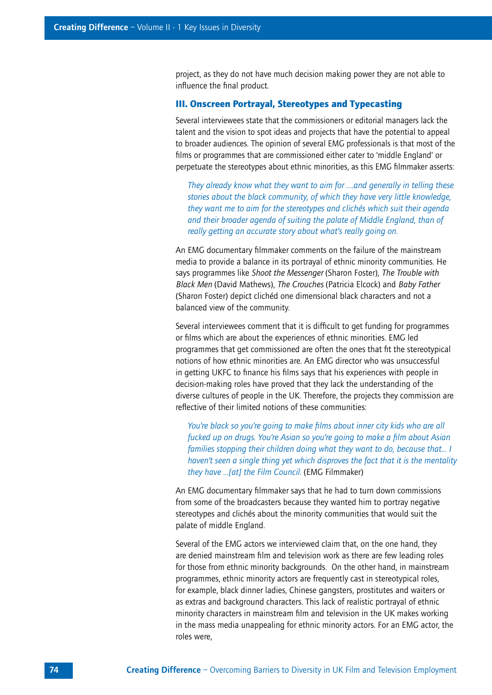project, as they do not have much decision making power they are not able to influence the final product.

#### **III. Onscreen Portrayal, Stereotypes and Typecasting**

Several interviewees state that the commissioners or editorial managers lack the talent and the vision to spot ideas and projects that have the potential to appeal to broader audiences. The opinion of several EMG professionals is that most of the films or programmes that are commissioned either cater to 'middle England' or perpetuate the stereotypes about ethnic minorities, as this EMG filmmaker asserts:

*They already know what they want to aim for ….and generally in telling these stories about the black community, of which they have very little knowledge, they want me to aim for the stereotypes and clichés which suit their agenda and their broader agenda of suiting the palate of Middle England, than of really getting an accurate story about what's really going on.* 

An EMG documentary filmmaker comments on the failure of the mainstream media to provide a balance in its portrayal of ethnic minority communities. He says programmes like *Shoot the Messenger* (Sharon Foster), *The Trouble with Black Men* (David Mathews), *The Crouches* (Patricia Elcock) and *Baby Father*  (Sharon Foster) depict clichéd one dimensional black characters and not a balanced view of the community.

Several interviewees comment that it is difficult to get funding for programmes or films which are about the experiences of ethnic minorities. EMG led programmes that get commissioned are often the ones that fit the stereotypical notions of how ethnic minorities are. An EMG director who was unsuccessful in getting UKFC to finance his films says that his experiences with people in decision-making roles have proved that they lack the understanding of the diverse cultures of people in the UK. Therefore, the projects they commission are reflective of their limited notions of these communities:

*You're black so you're going to make films about inner city kids who are all fucked up on drugs. You're Asian so you're going to make a film about Asian families stopping their children doing what they want to do, because that… I haven't seen a single thing yet which disproves the fact that it is the mentality they have ...[at] the Film Council.* (EMG Filmmaker)

An EMG documentary filmmaker says that he had to turn down commissions from some of the broadcasters because they wanted him to portray negative stereotypes and clichés about the minority communities that would suit the palate of middle England.

Several of the EMG actors we interviewed claim that, on the one hand, they are denied mainstream film and television work as there are few leading roles for those from ethnic minority backgrounds. On the other hand, in mainstream programmes, ethnic minority actors are frequently cast in stereotypical roles, for example, black dinner ladies, Chinese gangsters, prostitutes and waiters or as extras and background characters. This lack of realistic portrayal of ethnic minority characters in mainstream film and television in the UK makes working in the mass media unappealing for ethnic minority actors. For an EMG actor, the roles were,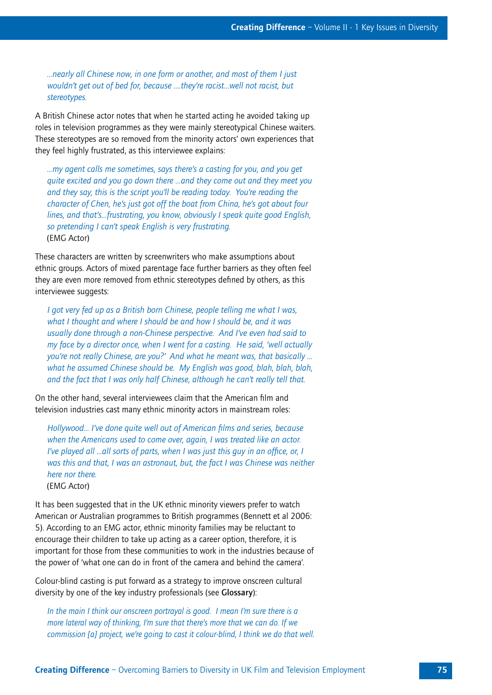*...nearly all Chinese now, in one form or another, and most of them I just wouldn't get out of bed for, because ….they're racist…well not racist, but stereotypes.* 

A British Chinese actor notes that when he started acting he avoided taking up roles in television programmes as they were mainly stereotypical Chinese waiters. These stereotypes are so removed from the minority actors' own experiences that they feel highly frustrated, as this interviewee explains:

*...my agent calls me sometimes, says there's a casting for you, and you get quite excited and you go down there …and they come out and they meet you and they say, this is the script you'll be reading today. You're reading the character of Chen, he's just got off the boat from China, he's got about four lines, and that's…frustrating, you know, obviously I speak quite good English, so pretending I can't speak English is very frustrating.* (EMG Actor)

These characters are written by screenwriters who make assumptions about ethnic groups. Actors of mixed parentage face further barriers as they often feel they are even more removed from ethnic stereotypes defined by others, as this interviewee suggests:

*I got very fed up as a British born Chinese, people telling me what I was, what I thought and where I should be and how I should be, and it was usually done through a non-Chinese perspective. And I've even had said to my face by a director once, when I went for a casting. He said, 'well actually you're not really Chinese, are you?' And what he meant was, that basically … what he assumed Chinese should be. My English was good, blah, blah, blah, and the fact that I was only half Chinese, although he can't really tell that.*

On the other hand, several interviewees claim that the American film and television industries cast many ethnic minority actors in mainstream roles:

*Hollywood… I've done quite well out of American films and series, because when the Americans used to come over, again, I was treated like an actor. I've played all …all sorts of parts, when I was just this guy in an office, or, I was this and that, I was an astronaut, but, the fact I was Chinese was neither here nor there.*  (EMG Actor)

It has been suggested that in the UK ethnic minority viewers prefer to watch American or Australian programmes to British programmes (Bennett et al 2006: 5). According to an EMG actor, ethnic minority families may be reluctant to encourage their children to take up acting as a career option, therefore, it is important for those from these communities to work in the industries because of the power of 'what one can do in front of the camera and behind the camera'.

Colour-blind casting is put forward as a strategy to improve onscreen cultural diversity by one of the key industry professionals (see Glossary):

*In the main I think our onscreen portrayal is good. I mean I'm sure there is a more lateral way of thinking, I'm sure that there's more that we can do. If we commission [a] project, we're going to cast it colour-blind, I think we do that well.*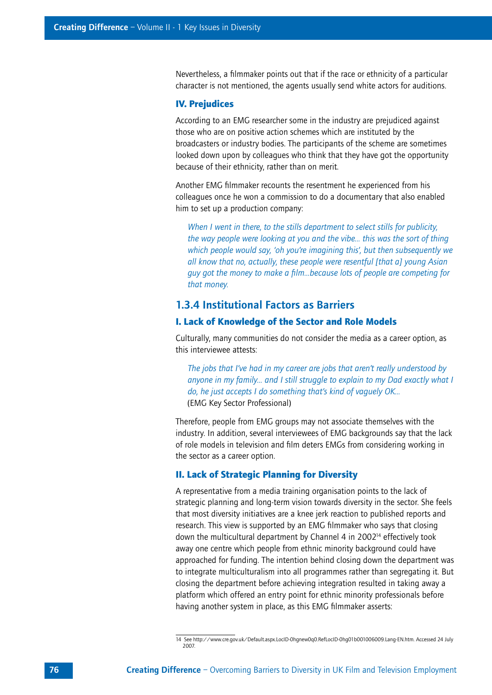Nevertheless, a filmmaker points out that if the race or ethnicity of a particular character is not mentioned, the agents usually send white actors for auditions.

#### **IV. Prejudices**

According to an EMG researcher some in the industry are prejudiced against those who are on positive action schemes which are instituted by the broadcasters or industry bodies. The participants of the scheme are sometimes looked down upon by colleagues who think that they have got the opportunity because of their ethnicity, rather than on merit.

Another EMG filmmaker recounts the resentment he experienced from his colleagues once he won a commission to do a documentary that also enabled him to set up a production company:

*When I went in there, to the stills department to select stills for publicity, the way people were looking at you and the vibe... this was the sort of thing which people would say, 'oh you're imagining this', but then subsequently we all know that no, actually, these people were resentful [that a] young Asian guy got the money to make a film...because lots of people are competing for that money.* 

### 1.3.4 Institutional Factors as Barriers

#### **I. Lack of Knowledge of the Sector and Role Models**

Culturally, many communities do not consider the media as a career option, as this interviewee attests:

*The jobs that I've had in my career are jobs that aren't really understood by anyone in my family... and I still struggle to explain to my Dad exactly what I do, he just accepts I do something that's kind of vaguely OK...*  (EMG Key Sector Professional)

Therefore, people from EMG groups may not associate themselves with the industry. In addition, several interviewees of EMG backgrounds say that the lack of role models in television and film deters EMGs from considering working in the sector as a career option.

#### **II. Lack of Strategic Planning for Diversity**

A representative from a media training organisation points to the lack of strategic planning and long-term vision towards diversity in the sector. She feels that most diversity initiatives are a knee jerk reaction to published reports and research. This view is supported by an EMG filmmaker who says that closing down the multicultural department by Channel 4 in 2002<sup>14</sup> effectively took away one centre which people from ethnic minority background could have approached for funding. The intention behind closing down the department was to integrate multiculturalism into all programmes rather than segregating it. But closing the department before achieving integration resulted in taking away a platform which offered an entry point for ethnic minority professionals before having another system in place, as this EMG filmmaker asserts:

<sup>14</sup> See http://www.cre.gov.uk/Default.aspx.LocID-0hgnew0q0.RefLocID-0hg01b001006009.Lang-EN.htm. Accessed 24 July 2007.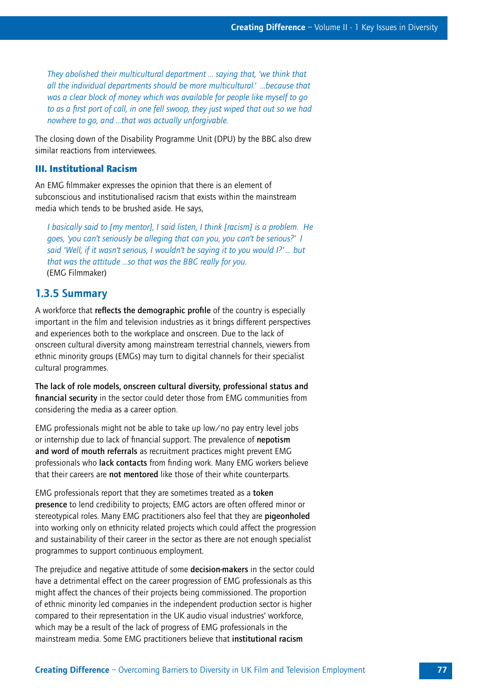*They abolished their multicultural department ... saying that, 'we think that all the individual departments should be more multicultural.' ...because that was a clear block of money which was available for people like myself to go to as a first port of call, in one fell swoop, they just wiped that out so we had nowhere to go, and …that was actually unforgivable.* 

The closing down of the Disability Programme Unit (DPU) by the BBC also drew similar reactions from interviewees.

#### **III. Institutional Racism**

An EMG filmmaker expresses the opinion that there is an element of subconscious and institutionalised racism that exists within the mainstream media which tends to be brushed aside. He says,

*I basically said to [my mentor], I said listen, I think [racism] is a problem. He goes, 'you can't seriously be alleging that can you, you can't be serious?' I said 'Well, if it wasn't serious, I wouldn't be saying it to you would I?' … but that was the attitude …so that was the BBC really for you.*  (EMG Filmmaker)

### 1.3.5 Summary

A workforce that reflects the demographic profile of the country is especially important in the film and television industries as it brings different perspectives and experiences both to the workplace and onscreen. Due to the lack of onscreen cultural diversity among mainstream terrestrial channels, viewers from ethnic minority groups (EMGs) may turn to digital channels for their specialist cultural programmes.

The lack of role models, onscreen cultural diversity, professional status and financial security in the sector could deter those from EMG communities from considering the media as a career option.

EMG professionals might not be able to take up low/no pay entry level jobs or internship due to lack of financial support. The prevalence of nepotism and word of mouth referrals as recruitment practices might prevent EMG professionals who lack contacts from finding work. Many EMG workers believe that their careers are not mentored like those of their white counterparts.

EMG professionals report that they are sometimes treated as a token presence to lend credibility to projects; EMG actors are often offered minor or stereotypical roles. Many EMG practitioners also feel that they are **pigeonholed** into working only on ethnicity related projects which could affect the progression and sustainability of their career in the sector as there are not enough specialist programmes to support continuous employment.

The prejudice and negative attitude of some decision-makers in the sector could have a detrimental effect on the career progression of EMG professionals as this might affect the chances of their projects being commissioned. The proportion of ethnic minority led companies in the independent production sector is higher compared to their representation in the UK audio visual industries' workforce, which may be a result of the lack of progress of EMG professionals in the mainstream media. Some EMG practitioners believe that institutional racism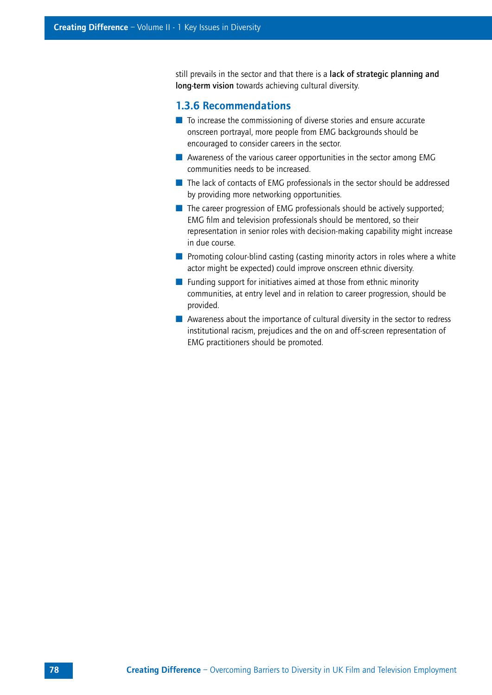still prevails in the sector and that there is a lack of strategic planning and long-term vision towards achieving cultural diversity.

### 1.3.6 Recommendations

- To increase the commissioning of diverse stories and ensure accurate onscreen portrayal, more people from EMG backgrounds should be encouraged to consider careers in the sector.
- Awareness of the various career opportunities in the sector among EMG communities needs to be increased.
- The lack of contacts of EMG professionals in the sector should be addressed by providing more networking opportunities.
- The career progression of EMG professionals should be actively supported; EMG film and television professionals should be mentored, so their representation in senior roles with decision-making capability might increase in due course.
- Promoting colour-blind casting (casting minority actors in roles where a white actor might be expected) could improve onscreen ethnic diversity.
- Funding support for initiatives aimed at those from ethnic minority communities, at entry level and in relation to career progression, should be provided.
- Awareness about the importance of cultural diversity in the sector to redress institutional racism, prejudices and the on and off-screen representation of EMG practitioners should be promoted.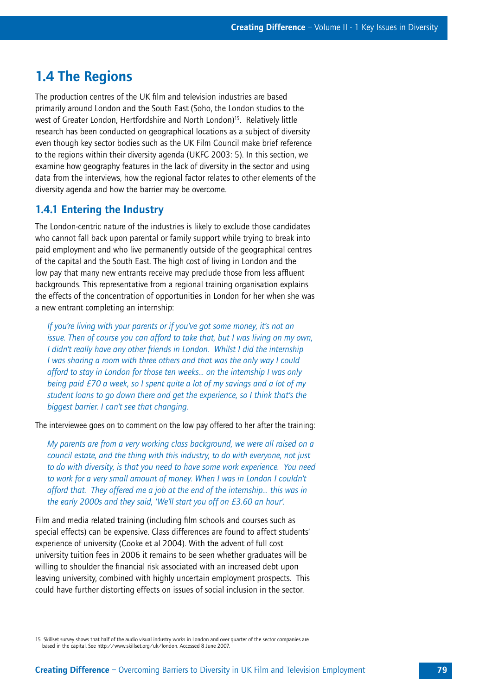# 1.4 The Regions

The production centres of the UK film and television industries are based primarily around London and the South East (Soho, the London studios to the west of Greater London, Hertfordshire and North London)<sup>15</sup>. Relatively little research has been conducted on geographical locations as a subject of diversity even though key sector bodies such as the UK Film Council make brief reference to the regions within their diversity agenda (UKFC 2003: 5). In this section, we examine how geography features in the lack of diversity in the sector and using data from the interviews, how the regional factor relates to other elements of the diversity agenda and how the barrier may be overcome.

### 1.4.1 Entering the Industry

The London-centric nature of the industries is likely to exclude those candidates who cannot fall back upon parental or family support while trying to break into paid employment and who live permanently outside of the geographical centres of the capital and the South East. The high cost of living in London and the low pay that many new entrants receive may preclude those from less affluent backgrounds. This representative from a regional training organisation explains the effects of the concentration of opportunities in London for her when she was a new entrant completing an internship:

*If you're living with your parents or if you've got some money, it's not an issue. Then of course you can afford to take that, but I was living on my own, I didn't really have any other friends in London. Whilst I did the internship I was sharing a room with three others and that was the only way I could afford to stay in London for those ten weeks... on the internship I was only being paid £70 a week, so I spent quite a lot of my savings and a lot of my student loans to go down there and get the experience, so I think that's the biggest barrier. I can't see that changing.* 

The interviewee goes on to comment on the low pay offered to her after the training:

*My parents are from a very working class background, we were all raised on a council estate, and the thing with this industry, to do with everyone, not just to do with diversity, is that you need to have some work experience. You need*  to work for a very small amount of money. When I was in London I couldn't *afford that. They offered me a job at the end of the internship… this was in the early 2000s and they said, 'We'll start you off on £3.60 an hour'.* 

Film and media related training (including film schools and courses such as special effects) can be expensive. Class differences are found to affect students' experience of university (Cooke et al 2004). With the advent of full cost university tuition fees in 2006 it remains to be seen whether graduates will be willing to shoulder the financial risk associated with an increased debt upon leaving university, combined with highly uncertain employment prospects. This could have further distorting effects on issues of social inclusion in the sector.

<sup>15</sup> Skillset survey shows that half of the audio visual industry works in London and over quarter of the sector companies are based in the capital. See http://www.skillset.org/uk/london. Accessed 8 June 2007.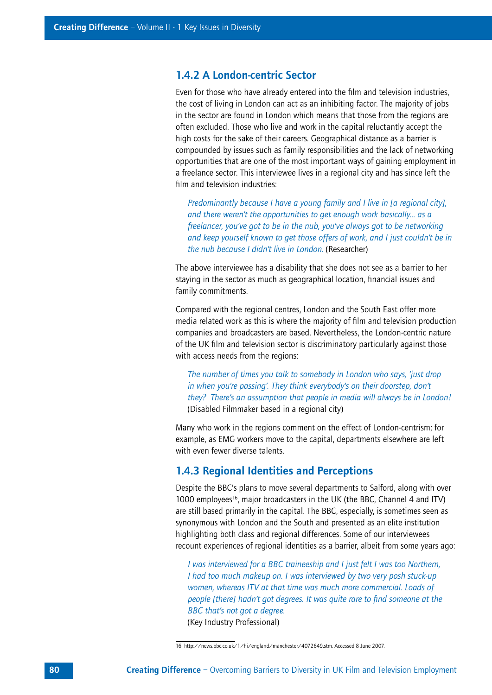### 1.4.2 A London-centric Sector

Even for those who have already entered into the film and television industries, the cost of living in London can act as an inhibiting factor. The majority of jobs in the sector are found in London which means that those from the regions are often excluded. Those who live and work in the capital reluctantly accept the high costs for the sake of their careers. Geographical distance as a barrier is compounded by issues such as family responsibilities and the lack of networking opportunities that are one of the most important ways of gaining employment in a freelance sector. This interviewee lives in a regional city and has since left the film and television industries:

*Predominantly because I have a young family and I live in [a regional city], and there weren't the opportunities to get enough work basically... as a freelancer, you've got to be in the nub, you've always got to be networking and keep yourself known to get those offers of work, and I just couldn't be in the nub because I didn't live in London.* (Researcher)

The above interviewee has a disability that she does not see as a barrier to her staying in the sector as much as geographical location, financial issues and family commitments.

Compared with the regional centres, London and the South East offer more media related work as this is where the majority of film and television production companies and broadcasters are based. Nevertheless, the London-centric nature of the UK film and television sector is discriminatory particularly against those with access needs from the regions:

*The number of times you talk to somebody in London who says, 'just drop*  in when you're passing'. They think everybody's on their doorstep, don't *they? There's an assumption that people in media will always be in London!*  (Disabled Filmmaker based in a regional city)

Many who work in the regions comment on the effect of London-centrism; for example, as EMG workers move to the capital, departments elsewhere are left with even fewer diverse talents.

### 1.4.3 Regional Identities and Perceptions

Despite the BBC's plans to move several departments to Salford, along with over 1000 employees<sup>16</sup>, major broadcasters in the UK (the BBC, Channel 4 and ITV) are still based primarily in the capital. The BBC, especially, is sometimes seen as synonymous with London and the South and presented as an elite institution highlighting both class and regional differences. Some of our interviewees recount experiences of regional identities as a barrier, albeit from some years ago:

*I was interviewed for a BBC traineeship and I just felt I was too Northern, I had too much makeup on. I was interviewed by two very posh stuck-up women, whereas ITV at that time was much more commercial. Loads of people [there] hadn't got degrees. It was quite rare to find someone at the BBC that's not got a degree.*  (Key Industry Professional)

<sup>16</sup> http://news.bbc.co.uk/1/hi/england/manchester/4072649.stm. Accessed 8 June 2007.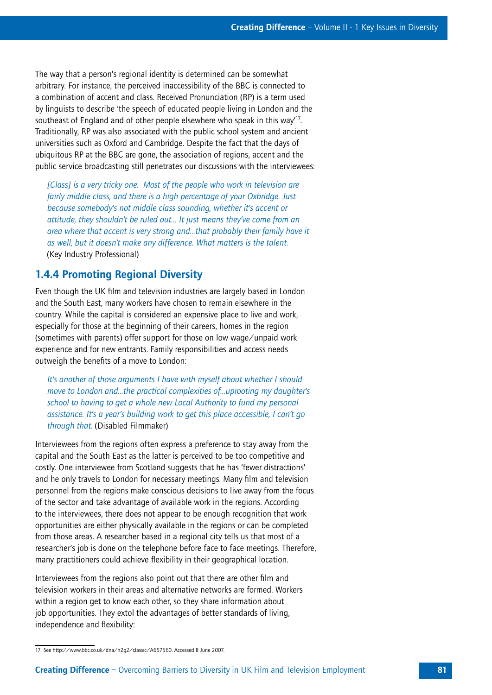The way that a person's regional identity is determined can be somewhat arbitrary. For instance, the perceived inaccessibility of the BBC is connected to a combination of accent and class. Received Pronunciation (RP) is a term used by linguists to describe 'the speech of educated people living in London and the southeast of England and of other people elsewhere who speak in this way'17. Traditionally, RP was also associated with the public school system and ancient universities such as Oxford and Cambridge. Despite the fact that the days of ubiquitous RP at the BBC are gone, the association of regions, accent and the public service broadcasting still penetrates our discussions with the interviewees:

*[Class] is a very tricky one. Most of the people who work in television are fairly middle class, and there is a high percentage of your Oxbridge. Just because somebody's not middle class sounding, whether it's accent or attitude, they shouldn't be ruled out… It just means they've come from an area where that accent is very strong and…that probably their family have it as well, but it doesn't make any difference. What matters is the talent.*  (Key Industry Professional)

### 1.4.4 Promoting Regional Diversity

Even though the UK film and television industries are largely based in London and the South East, many workers have chosen to remain elsewhere in the country. While the capital is considered an expensive place to live and work, especially for those at the beginning of their careers, homes in the region (sometimes with parents) offer support for those on low wage/unpaid work experience and for new entrants. Family responsibilities and access needs outweigh the benefits of a move to London:

*It's another of those arguments I have with myself about whether I should move to London and...the practical complexities of...uprooting my daughter's school to having to get a whole new Local Authority to fund my personal assistance. It's a year's building work to get this place accessible, I can't go through that.* (Disabled Filmmaker)

Interviewees from the regions often express a preference to stay away from the capital and the South East as the latter is perceived to be too competitive and costly. One interviewee from Scotland suggests that he has 'fewer distractions' and he only travels to London for necessary meetings. Many film and television personnel from the regions make conscious decisions to live away from the focus of the sector and take advantage of available work in the regions. According to the interviewees, there does not appear to be enough recognition that work opportunities are either physically available in the regions or can be completed from those areas. A researcher based in a regional city tells us that most of a researcher's job is done on the telephone before face to face meetings. Therefore, many practitioners could achieve flexibility in their geographical location.

Interviewees from the regions also point out that there are other film and television workers in their areas and alternative networks are formed. Workers within a region get to know each other, so they share information about job opportunities. They extol the advantages of better standards of living, independence and flexibility:

<sup>17</sup> See http://www.bbc.co.uk/dna/h2g2/classic/A657560. Accessed 8 June 2007.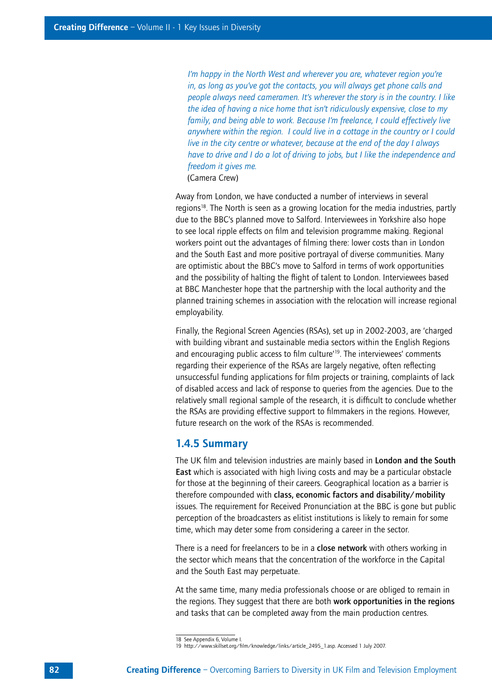*I'm happy in the North West and wherever you are, whatever region you're* in, as long as you've got the contacts, you will always get phone calls and *people always need cameramen. It's wherever the story is in the country. I like the idea of having a nice home that isn't ridiculously expensive, close to my family, and being able to work. Because I'm freelance, I could effectively live anywhere within the region. I could live in a cottage in the country or I could live in the city centre or whatever, because at the end of the day I always have to drive and I do a lot of driving to jobs, but I like the independence and freedom it gives me.* 

(Camera Crew)

Away from London, we have conducted a number of interviews in several regions<sup>18</sup>. The North is seen as a growing location for the media industries, partly due to the BBC's planned move to Salford. Interviewees in Yorkshire also hope to see local ripple effects on film and television programme making. Regional workers point out the advantages of filming there: lower costs than in London and the South East and more positive portrayal of diverse communities. Many are optimistic about the BBC's move to Salford in terms of work opportunities and the possibility of halting the flight of talent to London. Interviewees based at BBC Manchester hope that the partnership with the local authority and the planned training schemes in association with the relocation will increase regional employability.

Finally, the Regional Screen Agencies (RSAs), set up in 2002-2003, are 'charged with building vibrant and sustainable media sectors within the English Regions and encouraging public access to film culture'19. The interviewees' comments regarding their experience of the RSAs are largely negative, often reflecting unsuccessful funding applications for film projects or training, complaints of lack of disabled access and lack of response to queries from the agencies. Due to the relatively small regional sample of the research, it is difficult to conclude whether the RSAs are providing effective support to filmmakers in the regions. However, future research on the work of the RSAs is recommended.

#### 1.4.5 Summary

The UK film and television industries are mainly based in London and the South East which is associated with high living costs and may be a particular obstacle for those at the beginning of their careers. Geographical location as a barrier is therefore compounded with class, economic factors and disability/mobility issues. The requirement for Received Pronunciation at the BBC is gone but public perception of the broadcasters as elitist institutions is likely to remain for some time, which may deter some from considering a career in the sector.

There is a need for freelancers to be in a **close network** with others working in the sector which means that the concentration of the workforce in the Capital and the South East may perpetuate.

At the same time, many media professionals choose or are obliged to remain in the regions. They suggest that there are both work opportunities in the regions and tasks that can be completed away from the main production centres.

<sup>18</sup> See Appendix 6, Volume I.

<sup>19</sup> http://www.skillset.org/film/knowledge/links/article\_2495\_1.asp. Accessed 1 July 2007.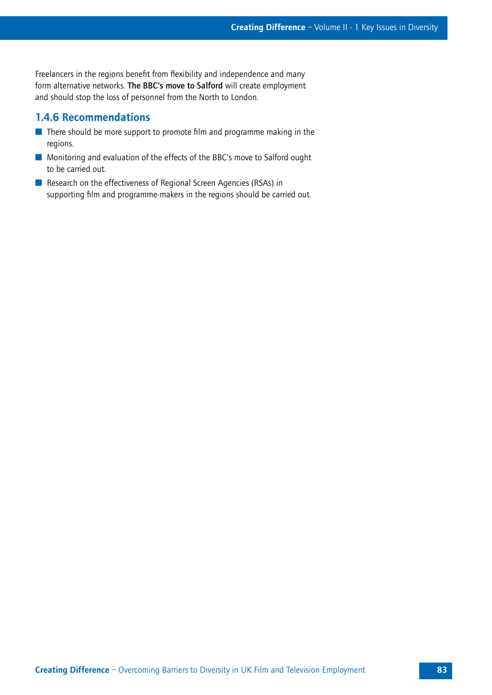Freelancers in the regions benefit from flexibility and independence and many form alternative networks. The BBC's move to Salford will create employment and should stop the loss of personnel from the North to London.

### 1.4.6 Recommendations

- There should be more support to promote film and programme making in the regions.
- Monitoring and evaluation of the effects of the BBC's move to Salford ought to be carried out.
- Research on the effectiveness of Regional Screen Agencies (RSAs) in supporting film and programme-makers in the regions should be carried out.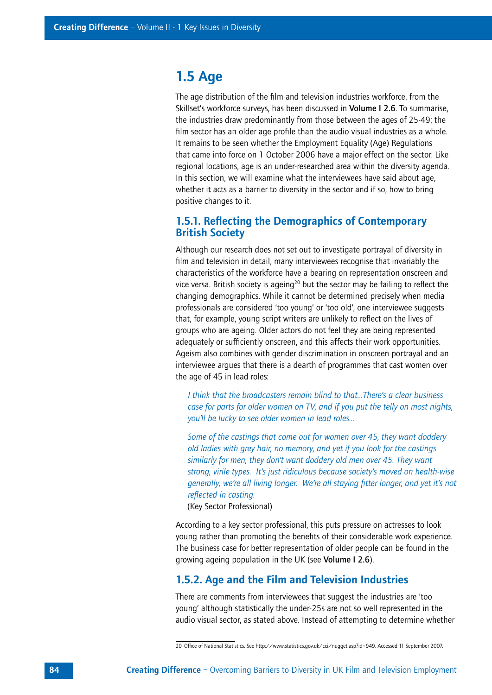## 1.5 Age

The age distribution of the film and television industries workforce, from the Skillset's workforce surveys, has been discussed in Volume I 2.6. To summarise, the industries draw predominantly from those between the ages of 25-49; the film sector has an older age profile than the audio visual industries as a whole. It remains to be seen whether the Employment Equality (Age) Regulations that came into force on 1 October 2006 have a major effect on the sector. Like regional locations, age is an under-researched area within the diversity agenda. In this section, we will examine what the interviewees have said about age, whether it acts as a barrier to diversity in the sector and if so, how to bring positive changes to it.

### 1.5.1. Reflecting the Demographics of Contemporary British Society

Although our research does not set out to investigate portrayal of diversity in film and television in detail, many interviewees recognise that invariably the characteristics of the workforce have a bearing on representation onscreen and vice versa. British society is ageing<sup>20</sup> but the sector may be failing to reflect the changing demographics. While it cannot be determined precisely when media professionals are considered 'too young' or 'too old', one interviewee suggests that, for example, young script writers are unlikely to reflect on the lives of groups who are ageing. Older actors do not feel they are being represented adequately or sufficiently onscreen, and this affects their work opportunities. Ageism also combines with gender discrimination in onscreen portrayal and an interviewee argues that there is a dearth of programmes that cast women over the age of 45 in lead roles:

*I think that the broadcasters remain blind to that...There's a clear business case for parts for older women on TV, and if you put the telly on most nights, you'll be lucky to see older women in lead roles...*

*Some of the castings that come out for women over 45, they want doddery old ladies with grey hair, no memory, and yet if you look for the castings similarly for men, they don't want doddery old men over 45. They want strong, virile types. It's just ridiculous because society's moved on health-wise generally, we're all living longer. We're all staying fitter longer, and yet it's not reflected in casting.* 

(Key Sector Professional)

According to a key sector professional, this puts pressure on actresses to look young rather than promoting the benefits of their considerable work experience. The business case for better representation of older people can be found in the growing ageing population in the UK (see Volume I 2.6).

### 1.5.2. Age and the Film and Television Industries

There are comments from interviewees that suggest the industries are 'too young' although statistically the under-25s are not so well represented in the audio visual sector, as stated above. Instead of attempting to determine whether

<sup>20</sup> Office of National Statistics. See http://www.statistics.gov.uk/cci/nugget.asp?id=949. Accessed 11 September 2007.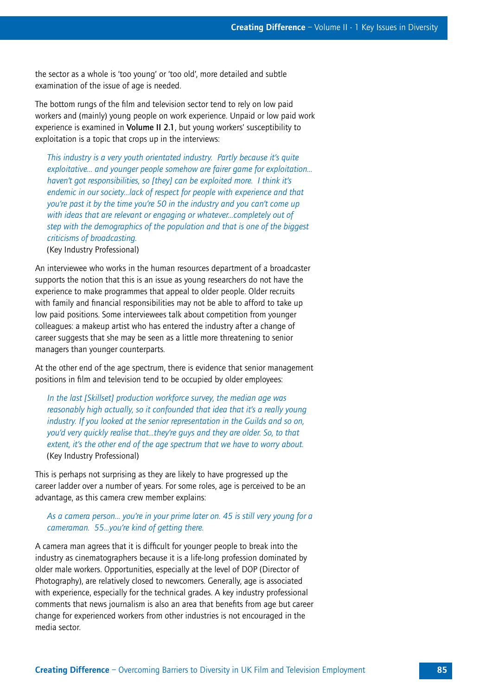the sector as a whole is 'too young' or 'too old', more detailed and subtle examination of the issue of age is needed.

The bottom rungs of the film and television sector tend to rely on low paid workers and (mainly) young people on work experience. Unpaid or low paid work experience is examined in Volume II 2.1, but young workers' susceptibility to exploitation is a topic that crops up in the interviews:

*This industry is a very youth orientated industry. Partly because it's quite exploitative... and younger people somehow are fairer game for exploitation... haven't got responsibilities, so [they] can be exploited more. I think it's endemic in our society...lack of respect for people with experience and that you're past it by the time you're 50 in the industry and you can't come up*  with ideas that are relevant or engaging or whatever...completely out of *step with the demographics of the population and that is one of the biggest criticisms of broadcasting.* 

(Key Industry Professional)

An interviewee who works in the human resources department of a broadcaster supports the notion that this is an issue as young researchers do not have the experience to make programmes that appeal to older people. Older recruits with family and financial responsibilities may not be able to afford to take up low paid positions. Some interviewees talk about competition from younger colleagues: a makeup artist who has entered the industry after a change of career suggests that she may be seen as a little more threatening to senior managers than younger counterparts.

At the other end of the age spectrum, there is evidence that senior management positions in film and television tend to be occupied by older employees:

*In the last [Skillset] production workforce survey, the median age was reasonably high actually, so it confounded that idea that it's a really young industry. If you looked at the senior representation in the Guilds and so on, you'd very quickly realise that...they're guys and they are older. So, to that extent, it's the other end of the age spectrum that we have to worry about.*  (Key Industry Professional)

This is perhaps not surprising as they are likely to have progressed up the career ladder over a number of years. For some roles, age is perceived to be an advantage, as this camera crew member explains:

#### *As a camera person… you're in your prime later on. 45 is still very young for a cameraman. 55…you're kind of getting there.*

A camera man agrees that it is difficult for younger people to break into the industry as cinematographers because it is a life-long profession dominated by older male workers. Opportunities, especially at the level of DOP (Director of Photography), are relatively closed to newcomers. Generally, age is associated with experience, especially for the technical grades. A key industry professional comments that news journalism is also an area that benefits from age but career change for experienced workers from other industries is not encouraged in the media sector.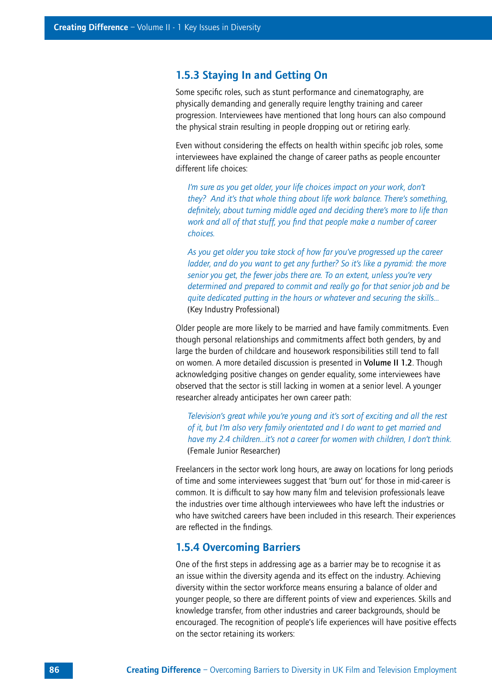#### 1.5.3 Staying In and Getting On

Some specific roles, such as stunt performance and cinematography, are physically demanding and generally require lengthy training and career progression. Interviewees have mentioned that long hours can also compound the physical strain resulting in people dropping out or retiring early.

Even without considering the effects on health within specific job roles, some interviewees have explained the change of career paths as people encounter different life choices:

*I'm sure as you get older, your life choices impact on your work, don't they? And it's that whole thing about life work balance. There's something, definitely, about turning middle aged and deciding there's more to life than work and all of that stuff, you find that people make a number of career choices.* 

*As you get older you take stock of how far you've progressed up the career ladder, and do you want to get any further? So it's like a pyramid: the more senior you get, the fewer jobs there are. To an extent, unless you're very determined and prepared to commit and really go for that senior job and be quite dedicated putting in the hours or whatever and securing the skills...*  (Key Industry Professional)

Older people are more likely to be married and have family commitments. Even though personal relationships and commitments affect both genders, by and large the burden of childcare and housework responsibilities still tend to fall on women. A more detailed discussion is presented in Volume II 1.2. Though acknowledging positive changes on gender equality, some interviewees have observed that the sector is still lacking in women at a senior level. A younger researcher already anticipates her own career path:

*Television's great while you're young and it's sort of exciting and all the rest of it, but I'm also very family orientated and I do want to get married and have my 2.4 children…it's not a career for women with children, I don't think.*  (Female Junior Researcher)

Freelancers in the sector work long hours, are away on locations for long periods of time and some interviewees suggest that 'burn out' for those in mid-career is common. It is difficult to say how many film and television professionals leave the industries over time although interviewees who have left the industries or who have switched careers have been included in this research. Their experiences are reflected in the findings.

### 1.5.4 Overcoming Barriers

One of the first steps in addressing age as a barrier may be to recognise it as an issue within the diversity agenda and its effect on the industry. Achieving diversity within the sector workforce means ensuring a balance of older and younger people, so there are different points of view and experiences. Skills and knowledge transfer, from other industries and career backgrounds, should be encouraged. The recognition of people's life experiences will have positive effects on the sector retaining its workers: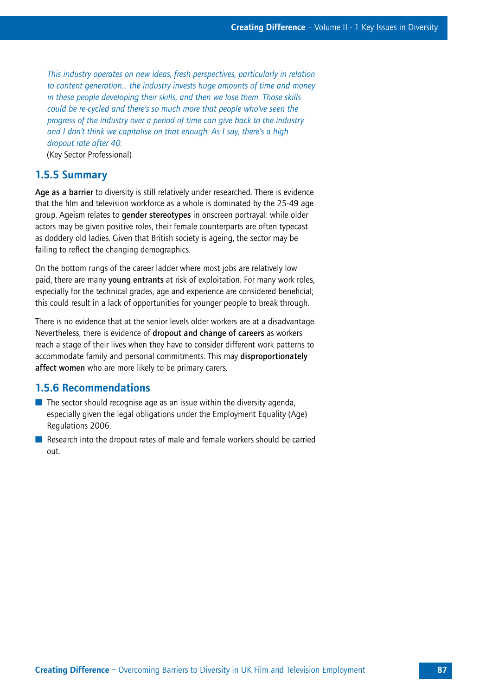*This industry operates on new ideas, fresh perspectives, particularly in relation to content generation… the industry invests huge amounts of time and money in these people developing their skills, and then we lose them. Those skills could be re-cycled and there's so much more that people who've seen the progress of the industry over a period of time can give back to the industry and I don't think we capitalise on that enough. As I say, there's a high dropout rate after 40.* 

(Key Sector Professional)

### 1.5.5 Summary

Age as a barrier to diversity is still relatively under researched. There is evidence that the film and television workforce as a whole is dominated by the 25-49 age group. Ageism relates to gender stereotypes in onscreen portrayal: while older actors may be given positive roles, their female counterparts are often typecast as doddery old ladies. Given that British society is ageing, the sector may be failing to reflect the changing demographics.

On the bottom rungs of the career ladder where most jobs are relatively low paid, there are many young entrants at risk of exploitation. For many work roles, especially for the technical grades, age and experience are considered beneficial; this could result in a lack of opportunities for younger people to break through.

There is no evidence that at the senior levels older workers are at a disadvantage. Nevertheless, there is evidence of dropout and change of careers as workers reach a stage of their lives when they have to consider different work patterns to accommodate family and personal commitments. This may disproportionately affect women who are more likely to be primary carers.

### 1.5.6 Recommendations

- $\blacksquare$  The sector should recognise age as an issue within the diversity agenda, especially given the legal obligations under the Employment Equality (Age) Regulations 2006.
- Research into the dropout rates of male and female workers should be carried out.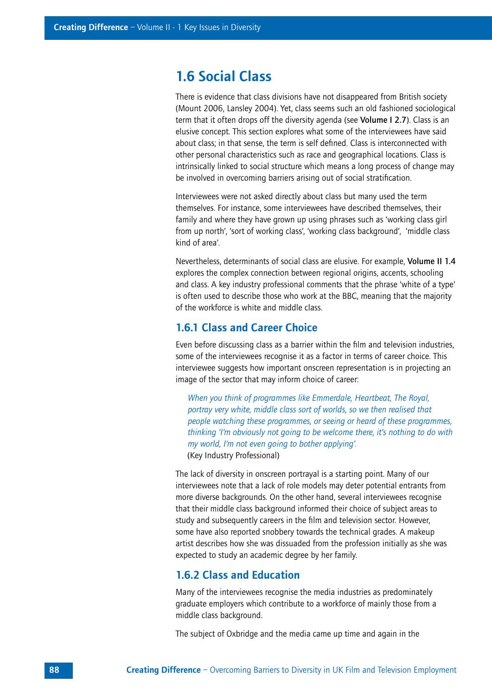# 1.6 Social Class

There is evidence that class divisions have not disappeared from British society (Mount 2006, Lansley 2004). Yet, class seems such an old fashioned sociological term that it often drops off the diversity agenda (see Volume I 2.7). Class is an elusive concept. This section explores what some of the interviewees have said about class; in that sense, the term is self defined. Class is interconnected with other personal characteristics such as race and geographical locations. Class is intrinsically linked to social structure which means a long process of change may be involved in overcoming barriers arising out of social stratification.

Interviewees were not asked directly about class but many used the term themselves. For instance, some interviewees have described themselves, their family and where they have grown up using phrases such as 'working class girl from up north', 'sort of working class', 'working class background', 'middle class kind of area'.

Nevertheless, determinants of social class are elusive. For example, Volume II 1.4 explores the complex connection between regional origins, accents, schooling and class. A key industry professional comments that the phrase 'white of a type' is often used to describe those who work at the BBC, meaning that the majority of the workforce is white and middle class.

### 1.6.1 Class and Career Choice

Even before discussing class as a barrier within the film and television industries, some of the interviewees recognise it as a factor in terms of career choice. This interviewee suggests how important onscreen representation is in projecting an image of the sector that may inform choice of career:

*When you think of programmes like Emmerdale, Heartbeat, The Royal, portray very white, middle class sort of worlds, so we then realised that people watching these programmes, or seeing or heard of these programmes, thinking 'I'm obviously not going to be welcome there, it's nothing to do with my world, I'm not even going to bother applying'.* (Key Industry Professional)

The lack of diversity in onscreen portrayal is a starting point. Many of our interviewees note that a lack of role models may deter potential entrants from more diverse backgrounds. On the other hand, several interviewees recognise that their middle class background informed their choice of subject areas to study and subsequently careers in the film and television sector. However, some have also reported snobbery towards the technical grades. A makeup artist describes how she was dissuaded from the profession initially as she was expected to study an academic degree by her family.

### 1.6.2 Class and Education

Many of the interviewees recognise the media industries as predominately graduate employers which contribute to a workforce of mainly those from a middle class background.

The subject of Oxbridge and the media came up time and again in the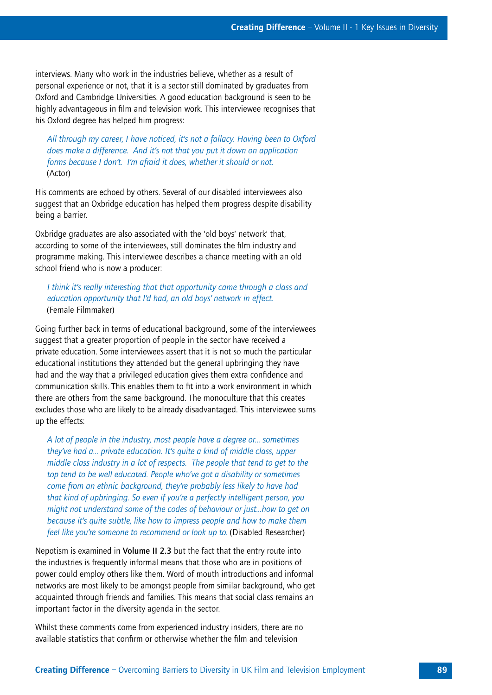interviews. Many who work in the industries believe, whether as a result of personal experience or not, that it is a sector still dominated by graduates from Oxford and Cambridge Universities. A good education background is seen to be highly advantageous in film and television work. This interviewee recognises that his Oxford degree has helped him progress:

*All through my career, I have noticed, it's not a fallacy. Having been to Oxford does make a difference. And it's not that you put it down on application forms because I don't. I'm afraid it does, whether it should or not.*  (Actor)

His comments are echoed by others. Several of our disabled interviewees also suggest that an Oxbridge education has helped them progress despite disability being a barrier.

Oxbridge graduates are also associated with the 'old boys' network' that, according to some of the interviewees, still dominates the film industry and programme making. This interviewee describes a chance meeting with an old school friend who is now a producer:

*I think it's really interesting that that opportunity came through a class and education opportunity that I'd had, an old boys' network in effect.*  (Female Filmmaker)

Going further back in terms of educational background, some of the interviewees suggest that a greater proportion of people in the sector have received a private education. Some interviewees assert that it is not so much the particular educational institutions they attended but the general upbringing they have had and the way that a privileged education gives them extra confidence and communication skills. This enables them to fit into a work environment in which there are others from the same background. The monoculture that this creates excludes those who are likely to be already disadvantaged. This interviewee sums up the effects:

*A lot of people in the industry, most people have a degree or… sometimes they've had a… private education. It's quite a kind of middle class, upper middle class industry in a lot of respects. The people that tend to get to the top tend to be well educated. People who've got a disability or sometimes come from an ethnic background, they're probably less likely to have had that kind of upbringing. So even if you're a perfectly intelligent person, you might not understand some of the codes of behaviour or just…how to get on because it's quite subtle, like how to impress people and how to make them feel like you're someone to recommend or look up to.* (Disabled Researcher)

Nepotism is examined in Volume II 2.3 but the fact that the entry route into the industries is frequently informal means that those who are in positions of power could employ others like them. Word of mouth introductions and informal networks are most likely to be amongst people from similar background, who get acquainted through friends and families. This means that social class remains an important factor in the diversity agenda in the sector.

Whilst these comments come from experienced industry insiders, there are no available statistics that confirm or otherwise whether the film and television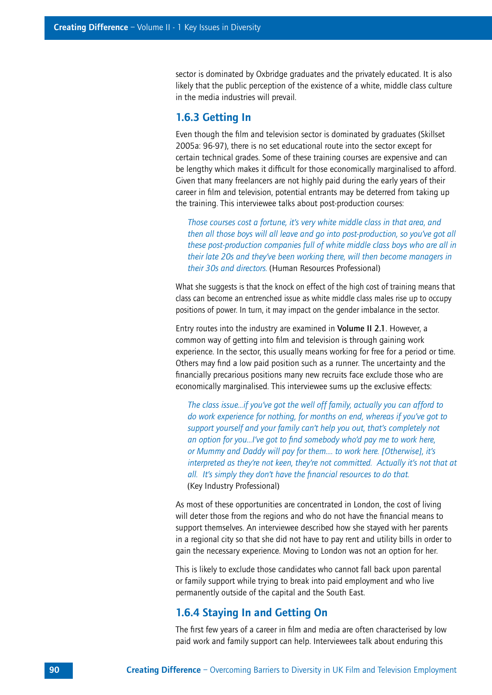sector is dominated by Oxbridge graduates and the privately educated. It is also likely that the public perception of the existence of a white, middle class culture in the media industries will prevail.

### 1.6.3 Getting In

Even though the film and television sector is dominated by graduates (Skillset 2005a: 96-97), there is no set educational route into the sector except for certain technical grades. Some of these training courses are expensive and can be lengthy which makes it difficult for those economically marginalised to afford. Given that many freelancers are not highly paid during the early years of their career in film and television, potential entrants may be deterred from taking up the training. This interviewee talks about post-production courses:

*Those courses cost a fortune, it's very white middle class in that area, and then all those boys will all leave and go into post-production, so you've got all these post-production companies full of white middle class boys who are all in their late 20s and they've been working there, will then become managers in their 30s and directors.* (Human Resources Professional)

What she suggests is that the knock on effect of the high cost of training means that class can become an entrenched issue as white middle class males rise up to occupy positions of power. In turn, it may impact on the gender imbalance in the sector.

Entry routes into the industry are examined in Volume II 2.1. However, a common way of getting into film and television is through gaining work experience. In the sector, this usually means working for free for a period or time. Others may find a low paid position such as a runner. The uncertainty and the financially precarious positions many new recruits face exclude those who are economically marginalised. This interviewee sums up the exclusive effects:

*The class issue…if you've got the well off family, actually you can afford to do work experience for nothing, for months on end, whereas if you've got to support yourself and your family can't help you out, that's completely not an option for you…I've got to find somebody who'd pay me to work here, or Mummy and Daddy will pay for them…. to work here. [Otherwise], it's interpreted as they're not keen, they're not committed. Actually it's not that at all. It's simply they don't have the financial resources to do that.*  (Key Industry Professional)

As most of these opportunities are concentrated in London, the cost of living will deter those from the regions and who do not have the financial means to support themselves. An interviewee described how she stayed with her parents in a regional city so that she did not have to pay rent and utility bills in order to gain the necessary experience. Moving to London was not an option for her.

This is likely to exclude those candidates who cannot fall back upon parental or family support while trying to break into paid employment and who live permanently outside of the capital and the South East.

### 1.6.4 Staying In and Getting On

The first few years of a career in film and media are often characterised by low paid work and family support can help. Interviewees talk about enduring this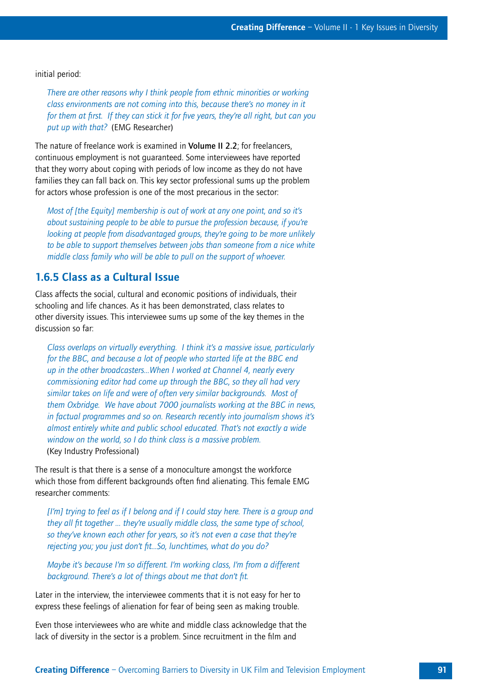initial period:

*There are other reasons why I think people from ethnic minorities or working class environments are not coming into this, because there's no money in it for them at first. If they can stick it for five years, they're all right, but can you put up with that?* (EMG Researcher)

The nature of freelance work is examined in Volume II 2.2; for freelancers, continuous employment is not guaranteed. Some interviewees have reported that they worry about coping with periods of low income as they do not have families they can fall back on. This key sector professional sums up the problem for actors whose profession is one of the most precarious in the sector:

*Most of [the Equity] membership is out of work at any one point, and so it's about sustaining people to be able to pursue the profession because, if you're looking at people from disadvantaged groups, they're going to be more unlikely to be able to support themselves between jobs than someone from a nice white middle class family who will be able to pull on the support of whoever.* 

### 1.6.5 Class as a Cultural Issue

Class affects the social, cultural and economic positions of individuals, their schooling and life chances. As it has been demonstrated, class relates to other diversity issues. This interviewee sums up some of the key themes in the discussion so far:

*Class overlaps on virtually everything. I think it's a massive issue, particularly for the BBC, and because a lot of people who started life at the BBC end up in the other broadcasters…When I worked at Channel 4, nearly every commissioning editor had come up through the BBC, so they all had very similar takes on life and were of often very similar backgrounds. Most of them Oxbridge. We have about 7000 journalists working at the BBC in news, in factual programmes and so on. Research recently into journalism shows it's almost entirely white and public school educated. That's not exactly a wide window on the world, so I do think class is a massive problem.*  (Key Industry Professional)

The result is that there is a sense of a monoculture amongst the workforce which those from different backgrounds often find alienating. This female EMG researcher comments:

*[I'm] trying to feel as if I belong and if I could stay here. There is a group and they all fit together … they're usually middle class, the same type of school, so they've known each other for years, so it's not even a case that they're rejecting you; you just don't fit...So, lunchtimes, what do you do?*

*Maybe it's because I'm so different. I'm working class, I'm from a different background. There's a lot of things about me that don't fit.* 

Later in the interview, the interviewee comments that it is not easy for her to express these feelings of alienation for fear of being seen as making trouble.

Even those interviewees who are white and middle class acknowledge that the lack of diversity in the sector is a problem. Since recruitment in the film and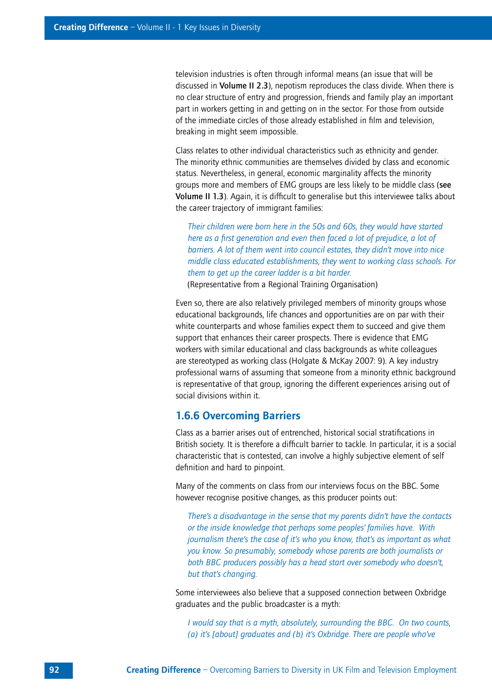television industries is often through informal means (an issue that will be discussed in Volume II 2.3), nepotism reproduces the class divide. When there is no clear structure of entry and progression, friends and family play an important part in workers getting in and getting on in the sector. For those from outside of the immediate circles of those already established in film and television, breaking in might seem impossible.

Class relates to other individual characteristics such as ethnicity and gender. The minority ethnic communities are themselves divided by class and economic status. Nevertheless, in general, economic marginality affects the minority groups more and members of EMG groups are less likely to be middle class (see Volume II 1.3). Again, it is difficult to generalise but this interviewee talks about the career trajectory of immigrant families:

*Their children were born here in the 50s and 60s, they would have started here as a first generation and even then faced a lot of prejudice, a lot of barriers. A lot of them went into council estates, they didn't move into nice middle class educated establishments, they went to working class schools. For them to get up the career ladder is a bit harder.*  (Representative from a Regional Training Organisation)

Even so, there are also relatively privileged members of minority groups whose educational backgrounds, life chances and opportunities are on par with their white counterparts and whose families expect them to succeed and give them support that enhances their career prospects. There is evidence that EMG workers with similar educational and class backgrounds as white colleagues are stereotyped as working class (Holgate & McKay 2007: 9). A key industry professional warns of assuming that someone from a minority ethnic background is representative of that group, ignoring the different experiences arising out of social divisions within it.

### 1.6.6 Overcoming Barriers

Class as a barrier arises out of entrenched, historical social stratifications in British society. It is therefore a difficult barrier to tackle. In particular, it is a social characteristic that is contested, can involve a highly subjective element of self definition and hard to pinpoint.

Many of the comments on class from our interviews focus on the BBC. Some however recognise positive changes, as this producer points out:

*There's a disadvantage in the sense that my parents didn't have the contacts or the inside knowledge that perhaps some peoples' families have. With journalism there's the case of it's who you know, that's as important as what you know. So presumably, somebody whose parents are both journalists or both BBC producers possibly has a head start over somebody who doesn't, but that's changing.* 

Some interviewees also believe that a supposed connection between Oxbridge graduates and the public broadcaster is a myth:

*I would say that is a myth, absolutely, surrounding the BBC. On two counts, (a) it's [about] graduates and (b) it's Oxbridge. There are people who've*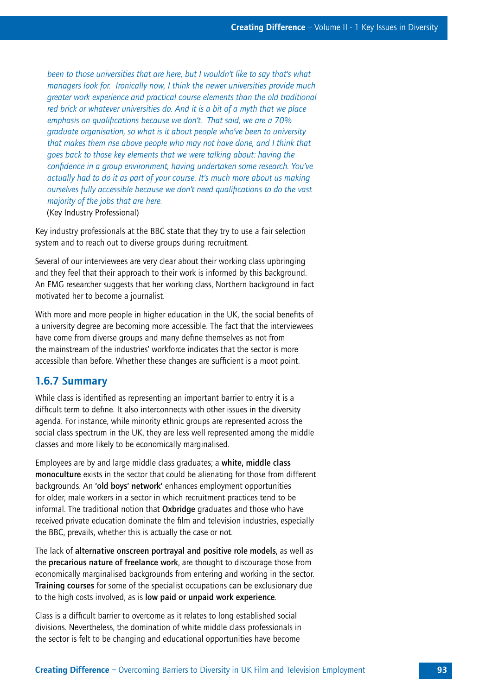*been to those universities that are here, but I wouldn't like to say that's what managers look for. Ironically now, I think the newer universities provide much greater work experience and practical course elements than the old traditional red brick or whatever universities do. And it is a bit of a myth that we place emphasis on qualifications because we don't. That said, we are a 70% graduate organisation, so what is it about people who've been to university that makes them rise above people who may not have done, and I think that goes back to those key elements that we were talking about: having the confidence in a group environment, having undertaken some research. You've actually had to do it as part of your course. It's much more about us making ourselves fully accessible because we don't need qualifications to do the vast majority of the jobs that are here.*  (Key Industry Professional)

Key industry professionals at the BBC state that they try to use a fair selection system and to reach out to diverse groups during recruitment.

Several of our interviewees are very clear about their working class upbringing and they feel that their approach to their work is informed by this background. An EMG researcher suggests that her working class, Northern background in fact motivated her to become a journalist.

With more and more people in higher education in the UK, the social benefits of a university degree are becoming more accessible. The fact that the interviewees have come from diverse groups and many define themselves as not from the mainstream of the industries' workforce indicates that the sector is more accessible than before. Whether these changes are sufficient is a moot point.

#### 1.6.7 Summary

While class is identified as representing an important barrier to entry it is a difficult term to define. It also interconnects with other issues in the diversity agenda. For instance, while minority ethnic groups are represented across the social class spectrum in the UK, they are less well represented among the middle classes and more likely to be economically marginalised.

Employees are by and large middle class graduates; a white, middle class monoculture exists in the sector that could be alienating for those from different backgrounds. An 'old boys' network' enhances employment opportunities for older, male workers in a sector in which recruitment practices tend to be informal. The traditional notion that Oxbridge graduates and those who have received private education dominate the film and television industries, especially the BBC, prevails, whether this is actually the case or not.

The lack of alternative onscreen portrayal and positive role models, as well as the precarious nature of freelance work, are thought to discourage those from economically marginalised backgrounds from entering and working in the sector. Training courses for some of the specialist occupations can be exclusionary due to the high costs involved, as is low paid or unpaid work experience.

Class is a difficult barrier to overcome as it relates to long established social divisions. Nevertheless, the domination of white middle class professionals in the sector is felt to be changing and educational opportunities have become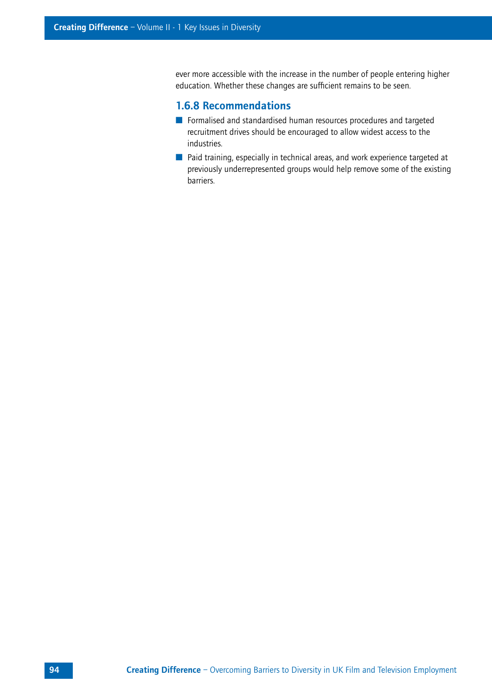ever more accessible with the increase in the number of people entering higher education. Whether these changes are sufficient remains to be seen.

### 1.6.8 Recommendations

- Formalised and standardised human resources procedures and targeted recruitment drives should be encouraged to allow widest access to the industries.
- Paid training, especially in technical areas, and work experience targeted at previously underrepresented groups would help remove some of the existing barriers.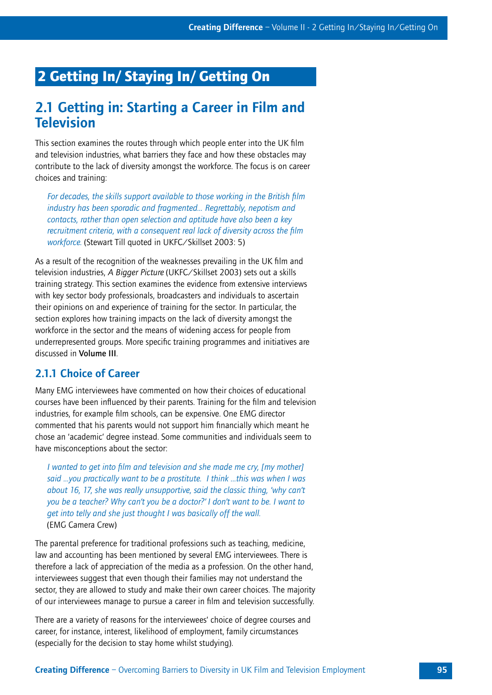# **2 Getting In/Staying In/Getting On**

# 2.1 Getting in: Starting a Career in Film and **Television**

This section examines the routes through which people enter into the UK film and television industries, what barriers they face and how these obstacles may contribute to the lack of diversity amongst the workforce. The focus is on career choices and training:

*For decades, the skills support available to those working in the British film industry has been sporadic and fragmented… Regrettably, nepotism and contacts, rather than open selection and aptitude have also been a key recruitment criteria, with a consequent real lack of diversity across the film workforce.* (Stewart Till quoted in UKFC/Skillset 2003: 5)

As a result of the recognition of the weaknesses prevailing in the UK film and television industries, *A Bigger Picture* (UKFC/Skillset 2003) sets out a skills training strategy. This section examines the evidence from extensive interviews with key sector body professionals, broadcasters and individuals to ascertain their opinions on and experience of training for the sector. In particular, the section explores how training impacts on the lack of diversity amongst the workforce in the sector and the means of widening access for people from underrepresented groups. More specific training programmes and initiatives are discussed in Volume III.

#### 2.1.1 Choice of Career

Many EMG interviewees have commented on how their choices of educational courses have been influenced by their parents. Training for the film and television industries, for example film schools, can be expensive. One EMG director commented that his parents would not support him financially which meant he chose an 'academic' degree instead. Some communities and individuals seem to have misconceptions about the sector:

*I* wanted to get into film and television and she made me cry, [my mother] *said …you practically want to be a prostitute. I think …this was when I was about 16, 17, she was really unsupportive, said the classic thing, 'why can't you be a teacher? Why can't you be a doctor?' I don't want to be. I want to get into telly and she just thought I was basically off the wall.*  (EMG Camera Crew)

The parental preference for traditional professions such as teaching, medicine, law and accounting has been mentioned by several EMG interviewees. There is therefore a lack of appreciation of the media as a profession. On the other hand, interviewees suggest that even though their families may not understand the sector, they are allowed to study and make their own career choices. The majority of our interviewees manage to pursue a career in film and television successfully.

There are a variety of reasons for the interviewees' choice of degree courses and career, for instance, interest, likelihood of employment, family circumstances (especially for the decision to stay home whilst studying).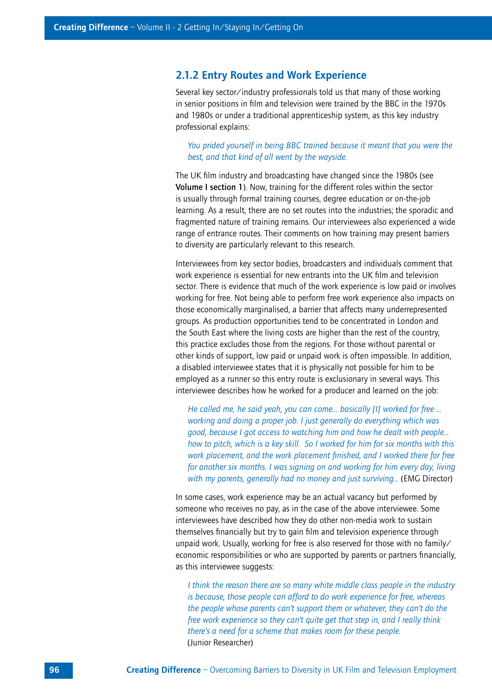### 2.1.2 Entry Routes and Work Experience

Several key sector/industry professionals told us that many of those working in senior positions in film and television were trained by the BBC in the 1970s and 1980s or under a traditional apprenticeship system, as this key industry professional explains:

#### *You prided yourself in being BBC trained because it meant that you were the best, and that kind of all went by the wayside.*

The UK film industry and broadcasting have changed since the 1980s (see Volume I section 1). Now, training for the different roles within the sector is usually through formal training courses, degree education or on-the-job learning. As a result, there are no set routes into the industries; the sporadic and fragmented nature of training remains. Our interviewees also experienced a wide range of entrance routes. Their comments on how training may present barriers to diversity are particularly relevant to this research.

Interviewees from key sector bodies, broadcasters and individuals comment that work experience is essential for new entrants into the UK film and television sector. There is evidence that much of the work experience is low paid or involves working for free. Not being able to perform free work experience also impacts on those economically marginalised, a barrier that affects many underrepresented groups. As production opportunities tend to be concentrated in London and the South East where the living costs are higher than the rest of the country, this practice excludes those from the regions. For those without parental or other kinds of support, low paid or unpaid work is often impossible. In addition, a disabled interviewee states that it is physically not possible for him to be employed as a runner so this entry route is exclusionary in several ways. This interviewee describes how he worked for a producer and learned on the job:

*He called me, he said yeah, you can come… basically [I] worked for free … working and doing a proper job. I just generally do everything which was good, because I got access to watching him and how he dealt with people… how to pitch, which is a key skill. So I worked for him for six months with this work placement, and the work placement finished, and I worked there for free for another six months. I was signing on and working for him every day, living*  with my parents, generally had no money and just surviving... (EMG Director)

In some cases, work experience may be an actual vacancy but performed by someone who receives no pay, as in the case of the above interviewee. Some interviewees have described how they do other non-media work to sustain themselves financially but try to gain film and television experience through unpaid work. Usually, working for free is also reserved for those with no family/ economic responsibilities or who are supported by parents or partners financially, as this interviewee suggests:

*I think the reason there are so many white middle class people in the industry is because, those people can afford to do work experience for free, whereas the people whose parents can't support them or whatever, they can't do the free work experience so they can't quite get that step in, and I really think there's a need for a scheme that makes room for these people.*  (Junior Researcher)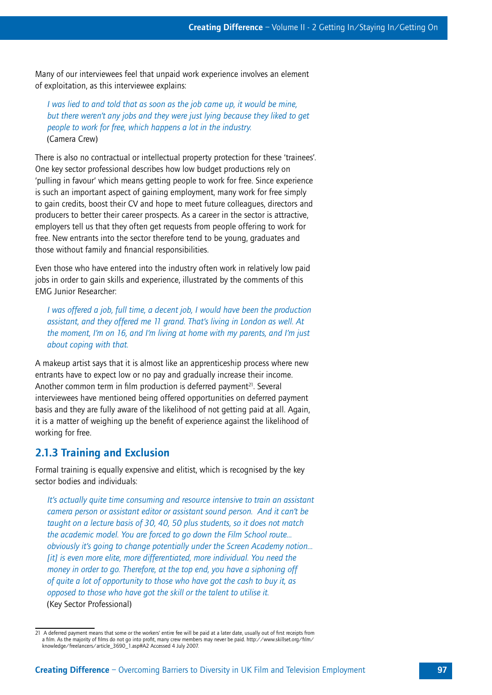Many of our interviewees feel that unpaid work experience involves an element of exploitation, as this interviewee explains:

*I* was lied to and told that as soon as the job came up, it would be mine, *but there weren't any jobs and they were just lying because they liked to get people to work for free, which happens a lot in the industry.*  (Camera Crew)

There is also no contractual or intellectual property protection for these 'trainees'. One key sector professional describes how low budget productions rely on 'pulling in favour' which means getting people to work for free. Since experience is such an important aspect of gaining employment, many work for free simply to gain credits, boost their CV and hope to meet future colleagues, directors and producers to better their career prospects. As a career in the sector is attractive, employers tell us that they often get requests from people offering to work for free. New entrants into the sector therefore tend to be young, graduates and those without family and financial responsibilities.

Even those who have entered into the industry often work in relatively low paid jobs in order to gain skills and experience, illustrated by the comments of this EMG Junior Researcher:

*I* was offered a job, full time, a decent job, *I* would have been the production *assistant, and they offered me 11 grand. That's living in London as well. At the moment, I'm on 16, and I'm living at home with my parents, and I'm just about coping with that.* 

A makeup artist says that it is almost like an apprenticeship process where new entrants have to expect low or no pay and gradually increase their income. Another common term in film production is deferred payment<sup>21</sup>. Several interviewees have mentioned being offered opportunities on deferred payment basis and they are fully aware of the likelihood of not getting paid at all. Again, it is a matter of weighing up the benefit of experience against the likelihood of working for free.

### 2.1.3 Training and Exclusion

Formal training is equally expensive and elitist, which is recognised by the key sector bodies and individuals:

*It's actually quite time consuming and resource intensive to train an assistant camera person or assistant editor or assistant sound person. And it can't be taught on a lecture basis of 30, 40, 50 plus students, so it does not match the academic model. You are forced to go down the Film School route... obviously it's going to change potentially under the Screen Academy notion... [it] is even more elite, more differentiated, more individual. You need the money in order to go. Therefore, at the top end, you have a siphoning off of quite a lot of opportunity to those who have got the cash to buy it, as opposed to those who have got the skill or the talent to utilise it.*  (Key Sector Professional)

<sup>21</sup> A deferred payment means that some or the workers' entire fee will be paid at a later date, usually out of first receipts from a film. As the majority of films do not go into profit, many crew members may never be paid. http://www.skillset.org/film/ knowledge/freelancers/article\_3690\_1.asp#A2 Accessed 4 July 2007.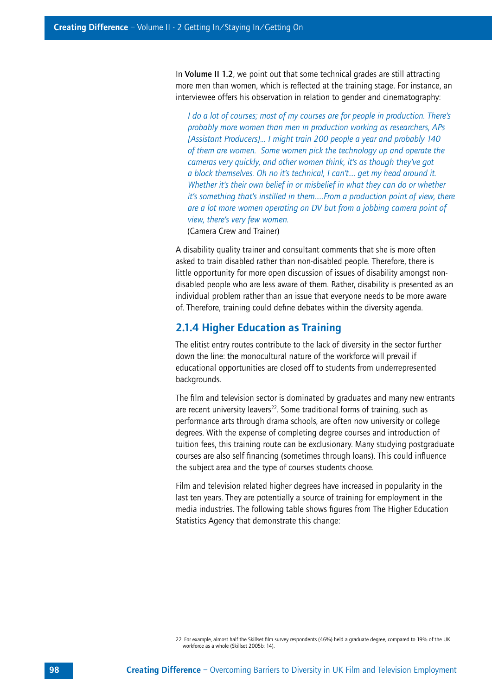In Volume II 1.2, we point out that some technical grades are still attracting more men than women, which is reflected at the training stage. For instance, an interviewee offers his observation in relation to gender and cinematography:

*I do a lot of courses; most of my courses are for people in production. There's probably more women than men in production working as researchers, APs [Assistant Producers]… I might train 200 people a year and probably 140 of them are women. Some women pick the technology up and operate the cameras very quickly, and other women think, it's as though they've got a block themselves. Oh no it's technical, I can't…. get my head around it. Whether it's their own belief in or misbelief in what they can do or whether it's something that's instilled in them.....From a production point of view, there are a lot more women operating on DV but from a jobbing camera point of view, there's very few women.*  (Camera Crew and Trainer)

A disability quality trainer and consultant comments that she is more often asked to train disabled rather than non-disabled people. Therefore, there is little opportunity for more open discussion of issues of disability amongst nondisabled people who are less aware of them. Rather, disability is presented as an individual problem rather than an issue that everyone needs to be more aware of. Therefore, training could define debates within the diversity agenda.

### 2.1.4 Higher Education as Training

The elitist entry routes contribute to the lack of diversity in the sector further down the line: the monocultural nature of the workforce will prevail if educational opportunities are closed off to students from underrepresented backgrounds.

The film and television sector is dominated by graduates and many new entrants are recent university leavers<sup>22</sup>. Some traditional forms of training, such as performance arts through drama schools, are often now university or college degrees. With the expense of completing degree courses and introduction of tuition fees, this training route can be exclusionary. Many studying postgraduate courses are also self financing (sometimes through loans). This could influence the subject area and the type of courses students choose.

Film and television related higher degrees have increased in popularity in the last ten years. They are potentially a source of training for employment in the media industries. The following table shows figures from The Higher Education Statistics Agency that demonstrate this change:

<sup>22</sup> For example, almost half the Skillset film survey respondents (46%) held a graduate degree, compared to 19% of the UK workforce as a whole (Skillset 2005b: 14).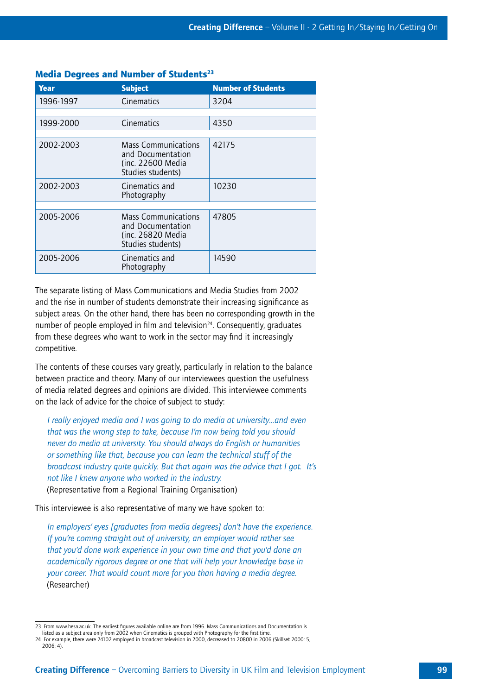| <b>Year</b> | <b>Subject</b>                                                                            | <b>Number of Students</b> |
|-------------|-------------------------------------------------------------------------------------------|---------------------------|
| 1996-1997   | Cinematics                                                                                | 3204                      |
|             |                                                                                           |                           |
| 1999-2000   | Cinematics                                                                                | 4350                      |
|             |                                                                                           |                           |
| 2002-2003   | <b>Mass Communications</b><br>and Documentation<br>(inc. 22600 Media<br>Studies students) | 42175                     |
| 2002-2003   | Cinematics and<br>Photography                                                             | 10230                     |
|             |                                                                                           |                           |
| 2005-2006   | <b>Mass Communications</b><br>and Documentation<br>(inc. 26820 Media<br>Studies students) | 47805                     |
| 2005-2006   | Cinematics and<br>Photography                                                             | 14590                     |

#### **Media Degrees and Number of Students**<sup>23</sup>

The separate listing of Mass Communications and Media Studies from 2002 and the rise in number of students demonstrate their increasing significance as subject areas. On the other hand, there has been no corresponding growth in the number of people employed in film and television $24$ . Consequently, graduates from these degrees who want to work in the sector may find it increasingly competitive.

The contents of these courses vary greatly, particularly in relation to the balance between practice and theory. Many of our interviewees question the usefulness of media related degrees and opinions are divided. This interviewee comments on the lack of advice for the choice of subject to study:

*I really enjoyed media and I was going to do media at university…and even that was the wrong step to take, because I'm now being told you should never do media at university. You should always do English or humanities or something like that, because you can learn the technical stuff of the broadcast industry quite quickly. But that again was the advice that I got. It's not like I knew anyone who worked in the industry.*  (Representative from a Regional Training Organisation)

This interviewee is also representative of many we have spoken to:

*In employers' eyes [graduates from media degrees] don't have the experience. If you're coming straight out of university, an employer would rather see that you'd done work experience in your own time and that you'd done an academically rigorous degree or one that will help your knowledge base in your career. That would count more for you than having a media degree.*  (Researcher)

<sup>23</sup> From www.hesa.ac.uk. The earliest figures available online are from 1996. Mass Communications and Documentation is listed as a subject area only from 2002 when Cinematics is grouped with Photography for the first time

<sup>24</sup> For example, there were 24102 employed in broadcast television in 2000, decreased to 20800 in 2006 (Skillset 2000: 5, 2006: 4).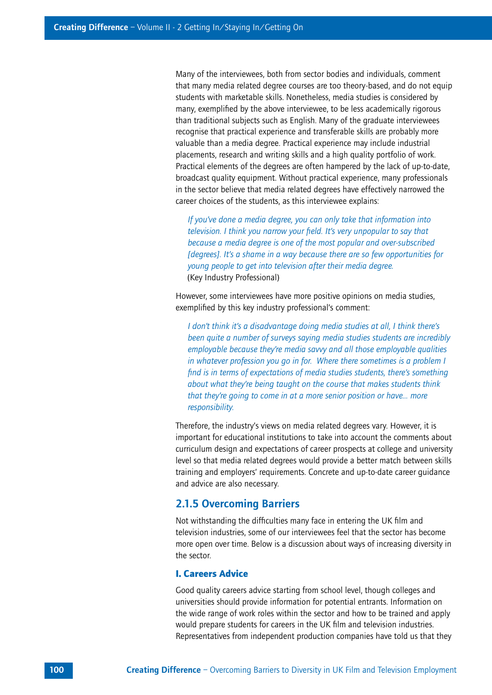Many of the interviewees, both from sector bodies and individuals, comment that many media related degree courses are too theory-based, and do not equip students with marketable skills. Nonetheless, media studies is considered by many, exemplified by the above interviewee, to be less academically rigorous than traditional subjects such as English. Many of the graduate interviewees recognise that practical experience and transferable skills are probably more valuable than a media degree. Practical experience may include industrial placements, research and writing skills and a high quality portfolio of work. Practical elements of the degrees are often hampered by the lack of up-to-date, broadcast quality equipment. Without practical experience, many professionals in the sector believe that media related degrees have effectively narrowed the career choices of the students, as this interviewee explains:

*If you've done a media degree, you can only take that information into television. I think you narrow your field. It's very unpopular to say that because a media degree is one of the most popular and over-subscribed [degrees]. It's a shame in a way because there are so few opportunities for young people to get into television after their media degree.*  (Key Industry Professional)

However, some interviewees have more positive opinions on media studies, exemplified by this key industry professional's comment:

*I don't think it's a disadvantage doing media studies at all, I think there's been quite a number of surveys saying media studies students are incredibly employable because they're media savvy and all those employable qualities in whatever profession you go in for. Where there sometimes is a problem I find is in terms of expectations of media studies students, there's something about what they're being taught on the course that makes students think that they're going to come in at a more senior position or have… more responsibility.* 

Therefore, the industry's views on media related degrees vary. However, it is important for educational institutions to take into account the comments about curriculum design and expectations of career prospects at college and university level so that media related degrees would provide a better match between skills training and employers' requirements. Concrete and up-to-date career guidance and advice are also necessary.

#### 2.1.5 Overcoming Barriers

Not withstanding the difficulties many face in entering the UK film and television industries, some of our interviewees feel that the sector has become more open over time. Below is a discussion about ways of increasing diversity in the sector.

#### **I. Careers Advice**

Good quality careers advice starting from school level, though colleges and universities should provide information for potential entrants. Information on the wide range of work roles within the sector and how to be trained and apply would prepare students for careers in the UK film and television industries. Representatives from independent production companies have told us that they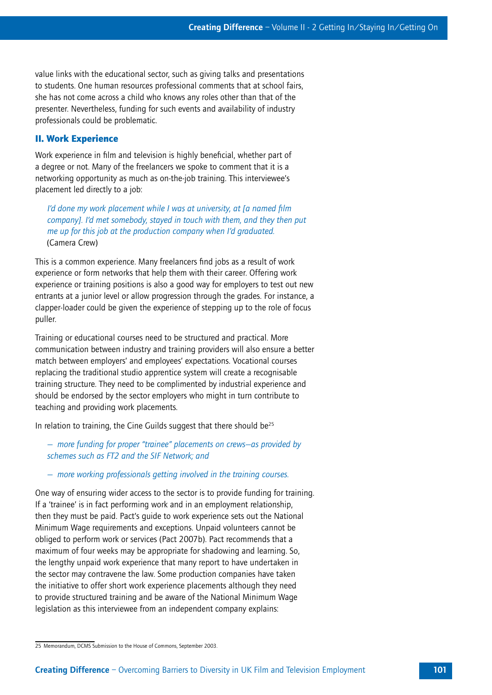value links with the educational sector, such as giving talks and presentations to students. One human resources professional comments that at school fairs, she has not come across a child who knows any roles other than that of the presenter. Nevertheless, funding for such events and availability of industry professionals could be problematic.

#### **II. Work Experience**

Work experience in film and television is highly beneficial, whether part of a degree or not. Many of the freelancers we spoke to comment that it is a networking opportunity as much as on-the-job training. This interviewee's placement led directly to a job:

*I'd done my work placement while I was at university, at [a named film company]. I'd met somebody, stayed in touch with them, and they then put me up for this job at the production company when I'd graduated.*  (Camera Crew)

This is a common experience. Many freelancers find jobs as a result of work experience or form networks that help them with their career. Offering work experience or training positions is also a good way for employers to test out new entrants at a junior level or allow progression through the grades. For instance, a clapper-loader could be given the experience of stepping up to the role of focus puller.

Training or educational courses need to be structured and practical. More communication between industry and training providers will also ensure a better match between employers' and employees' expectations. Vocational courses replacing the traditional studio apprentice system will create a recognisable training structure. They need to be complimented by industrial experience and should be endorsed by the sector employers who might in turn contribute to teaching and providing work placements.

In relation to training, the Cine Guilds suggest that there should be $25$ 

*— more funding for proper "trainee" placements on crews—as provided by schemes such as FT2 and the SIF Network; and*

*— more working professionals getting involved in the training courses.*

One way of ensuring wider access to the sector is to provide funding for training. If a 'trainee' is in fact performing work and in an employment relationship, then they must be paid. Pact's guide to work experience sets out the National Minimum Wage requirements and exceptions. Unpaid volunteers cannot be obliged to perform work or services (Pact 2007b). Pact recommends that a maximum of four weeks may be appropriate for shadowing and learning. So, the lengthy unpaid work experience that many report to have undertaken in the sector may contravene the law. Some production companies have taken the initiative to offer short work experience placements although they need to provide structured training and be aware of the National Minimum Wage legislation as this interviewee from an independent company explains:

<sup>25</sup> Memorandum, DCMS Submission to the House of Commons, September 2003.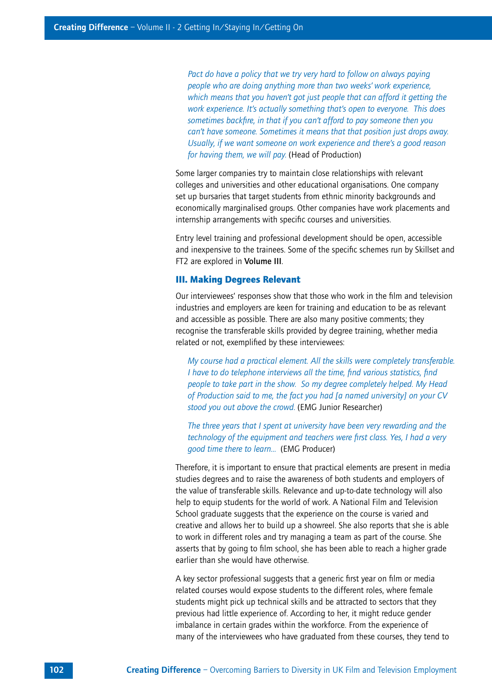Pact do have a policy that we try very hard to follow on always paying *people who are doing anything more than two weeks' work experience, which means that you haven't got just people that can afford it getting the work experience. It's actually something that's open to everyone. This does sometimes backfire, in that if you can't afford to pay someone then you can't have someone. Sometimes it means that that position just drops away. Usually, if we want someone on work experience and there's a good reason for having them, we will pay.* (Head of Production)

Some larger companies try to maintain close relationships with relevant colleges and universities and other educational organisations. One company set up bursaries that target students from ethnic minority backgrounds and economically marginalised groups. Other companies have work placements and internship arrangements with specific courses and universities.

Entry level training and professional development should be open, accessible and inexpensive to the trainees. Some of the specific schemes run by Skillset and FT2 are explored in Volume III.

#### **III. Making Degrees Relevant**

Our interviewees' responses show that those who work in the film and television industries and employers are keen for training and education to be as relevant and accessible as possible. There are also many positive comments; they recognise the transferable skills provided by degree training, whether media related or not, exemplified by these interviewees:

*My course had a practical element. All the skills were completely transferable. I have to do telephone interviews all the time, find various statistics, find people to take part in the show. So my degree completely helped. My Head of Production said to me, the fact you had [a named university] on your CV stood you out above the crowd.* (EMG Junior Researcher)

*The three years that I spent at university have been very rewarding and the technology of the equipment and teachers were first class. Yes, I had a very good time there to learn...* (EMG Producer)

Therefore, it is important to ensure that practical elements are present in media studies degrees and to raise the awareness of both students and employers of the value of transferable skills. Relevance and up-to-date technology will also help to equip students for the world of work. A National Film and Television School graduate suggests that the experience on the course is varied and creative and allows her to build up a showreel. She also reports that she is able to work in different roles and try managing a team as part of the course. She asserts that by going to film school, she has been able to reach a higher grade earlier than she would have otherwise.

A key sector professional suggests that a generic first year on film or media related courses would expose students to the different roles, where female students might pick up technical skills and be attracted to sectors that they previous had little experience of. According to her, it might reduce gender imbalance in certain grades within the workforce. From the experience of many of the interviewees who have graduated from these courses, they tend to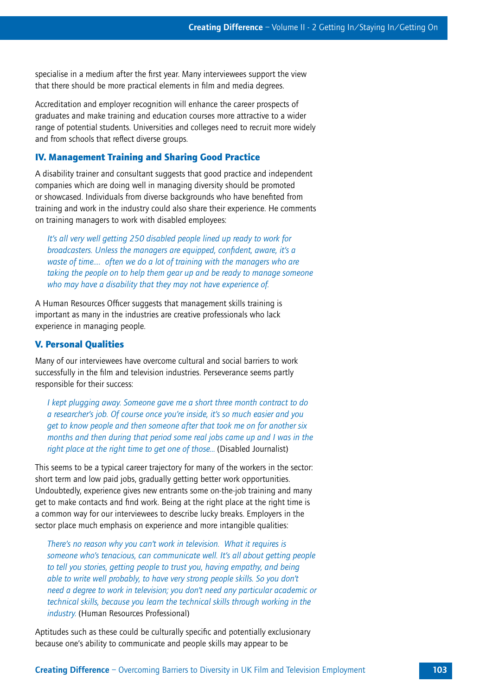specialise in a medium after the first year. Many interviewees support the view that there should be more practical elements in film and media degrees.

Accreditation and employer recognition will enhance the career prospects of graduates and make training and education courses more attractive to a wider range of potential students. Universities and colleges need to recruit more widely and from schools that reflect diverse groups.

#### **IV. Management Training and Sharing Good Practice**

A disability trainer and consultant suggests that good practice and independent companies which are doing well in managing diversity should be promoted or showcased. Individuals from diverse backgrounds who have benefited from training and work in the industry could also share their experience. He comments on training managers to work with disabled employees:

*It's all very well getting 250 disabled people lined up ready to work for broadcasters. Unless the managers are equipped, confident, aware, it's a waste of time.... often we do a lot of training with the managers who are taking the people on to help them gear up and be ready to manage someone who may have a disability that they may not have experience of.*

A Human Resources Officer suggests that management skills training is important as many in the industries are creative professionals who lack experience in managing people.

#### **V. Personal Qualities**

Many of our interviewees have overcome cultural and social barriers to work successfully in the film and television industries. Perseverance seems partly responsible for their success:

*I kept plugging away. Someone gave me a short three month contract to do a researcher's job. Of course once you're inside, it's so much easier and you get to know people and then someone after that took me on for another six months and then during that period some real jobs came up and I was in the right place at the right time to get one of those...* (Disabled Journalist)

This seems to be a typical career trajectory for many of the workers in the sector: short term and low paid jobs, gradually getting better work opportunities. Undoubtedly, experience gives new entrants some on-the-job training and many get to make contacts and find work. Being at the right place at the right time is a common way for our interviewees to describe lucky breaks. Employers in the sector place much emphasis on experience and more intangible qualities:

*There's no reason why you can't work in television. What it requires is someone who's tenacious, can communicate well. It's all about getting people to tell you stories, getting people to trust you, having empathy, and being able to write well probably, to have very strong people skills. So you don't need a degree to work in television; you don't need any particular academic or technical skills, because you learn the technical skills through working in the industry.* (Human Resources Professional)

Aptitudes such as these could be culturally specific and potentially exclusionary because one's ability to communicate and people skills may appear to be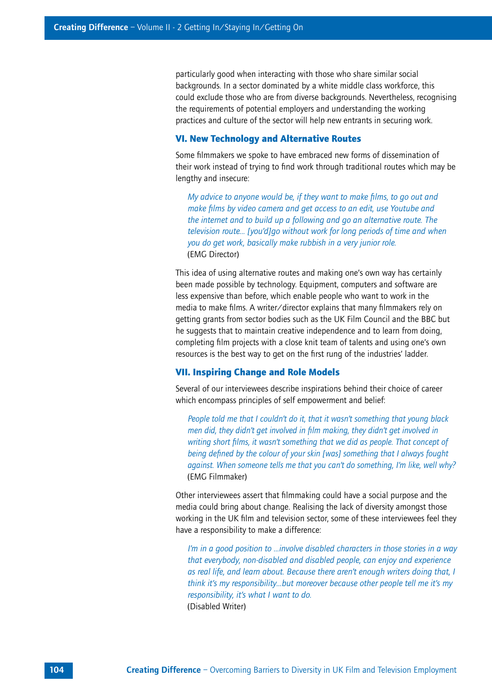particularly good when interacting with those who share similar social backgrounds. In a sector dominated by a white middle class workforce, this could exclude those who are from diverse backgrounds. Nevertheless, recognising the requirements of potential employers and understanding the working practices and culture of the sector will help new entrants in securing work.

#### **VI. New Technology and Alternative Routes**

Some filmmakers we spoke to have embraced new forms of dissemination of their work instead of trying to find work through traditional routes which may be lengthy and insecure:

*My advice to anyone would be, if they want to make films, to go out and make films by video camera and get access to an edit, use Youtube and the internet and to build up a following and go an alternative route. The television route... [you'd]go without work for long periods of time and when you do get work, basically make rubbish in a very junior role.*  (EMG Director)

This idea of using alternative routes and making one's own way has certainly been made possible by technology. Equipment, computers and software are less expensive than before, which enable people who want to work in the media to make films. A writer/director explains that many filmmakers rely on getting grants from sector bodies such as the UK Film Council and the BBC but he suggests that to maintain creative independence and to learn from doing, completing film projects with a close knit team of talents and using one's own resources is the best way to get on the first rung of the industries' ladder.

#### **VII. Inspiring Change and Role Models**

Several of our interviewees describe inspirations behind their choice of career which encompass principles of self empowerment and belief:

*People told me that I couldn't do it, that it wasn't something that young black men did, they didn't get involved in film making, they didn't get involved in writing short films, it wasn't something that we did as people. That concept of being defined by the colour of your skin [was] something that I always fought against. When someone tells me that you can't do something, I'm like, well why?*  (EMG Filmmaker)

Other interviewees assert that filmmaking could have a social purpose and the media could bring about change. Realising the lack of diversity amongst those working in the UK film and television sector, some of these interviewees feel they have a responsibility to make a difference:

*I'm in a good position to ...involve disabled characters in those stories in a way that everybody, non-disabled and disabled people, can enjoy and experience as real life, and learn about. Because there aren't enough writers doing that, I think it's my responsibility…but moreover because other people tell me it's my responsibility, it's what I want to do.*  (Disabled Writer)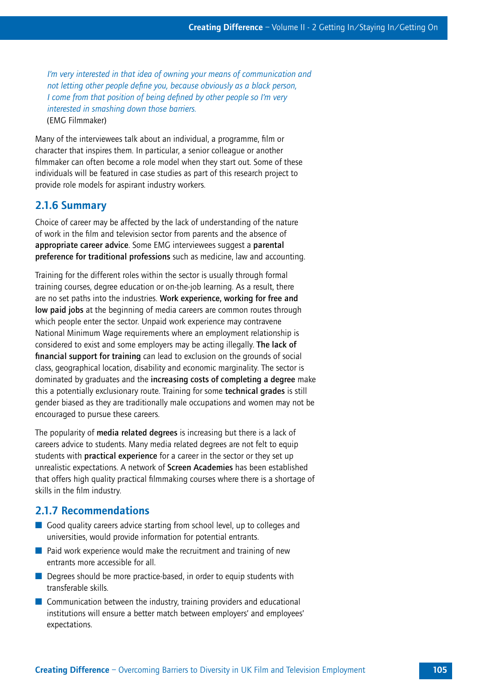*I'm very interested in that idea of owning your means of communication and not letting other people define you, because obviously as a black person, I come from that position of being defined by other people so I'm very interested in smashing down those barriers.*  (EMG Filmmaker)

Many of the interviewees talk about an individual, a programme, film or character that inspires them. In particular, a senior colleague or another filmmaker can often become a role model when they start out. Some of these individuals will be featured in case studies as part of this research project to provide role models for aspirant industry workers.

#### 2.1.6 Summary

Choice of career may be affected by the lack of understanding of the nature of work in the film and television sector from parents and the absence of appropriate career advice. Some EMG interviewees suggest a parental preference for traditional professions such as medicine, law and accounting.

Training for the different roles within the sector is usually through formal training courses, degree education or on-the-job learning. As a result, there are no set paths into the industries. Work experience, working for free and low paid jobs at the beginning of media careers are common routes through which people enter the sector. Unpaid work experience may contravene National Minimum Wage requirements where an employment relationship is considered to exist and some employers may be acting illegally. The lack of financial support for training can lead to exclusion on the grounds of social class, geographical location, disability and economic marginality. The sector is dominated by graduates and the increasing costs of completing a degree make this a potentially exclusionary route. Training for some technical grades is still gender biased as they are traditionally male occupations and women may not be encouraged to pursue these careers.

The popularity of media related degrees is increasing but there is a lack of careers advice to students. Many media related degrees are not felt to equip students with practical experience for a career in the sector or they set up unrealistic expectations. A network of Screen Academies has been established that offers high quality practical filmmaking courses where there is a shortage of skills in the film industry.

### 2.1.7 Recommendations

- Good quality careers advice starting from school level, up to colleges and universities, would provide information for potential entrants.
- $\blacksquare$  Paid work experience would make the recruitment and training of new entrants more accessible for all.
- Degrees should be more practice-based, in order to equip students with transferable skills.
- $\blacksquare$  Communication between the industry, training providers and educational institutions will ensure a better match between employers' and employees' expectations.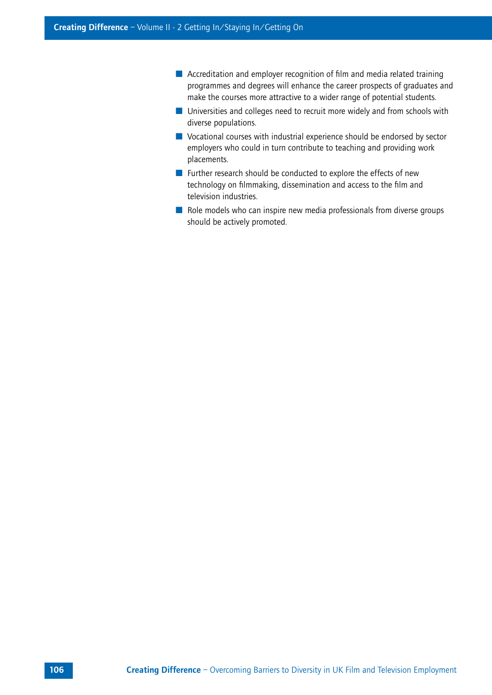- Accreditation and employer recognition of film and media related training programmes and degrees will enhance the career prospects of graduates and make the courses more attractive to a wider range of potential students.
- Universities and colleges need to recruit more widely and from schools with diverse populations.
- Vocational courses with industrial experience should be endorsed by sector employers who could in turn contribute to teaching and providing work placements.
- Further research should be conducted to explore the effects of new technology on filmmaking, dissemination and access to the film and television industries.
- $\blacksquare$  Role models who can inspire new media professionals from diverse groups should be actively promoted.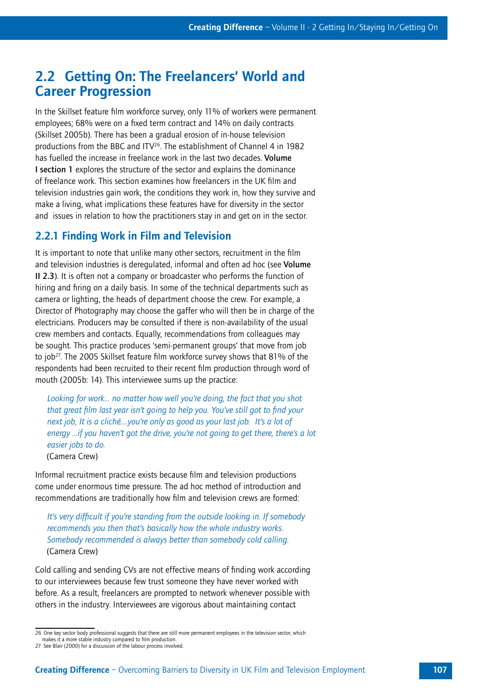# 2.2 Getting On: The Freelancers' World and Career Progression

In the Skillset feature film workforce survey, only 11% of workers were permanent employees; 68% were on a fixed term contract and 14% on daily contracts (Skillset 2005b). There has been a gradual erosion of in-house television productions from the BBC and ITV26. The establishment of Channel 4 in 1982 has fuelled the increase in freelance work in the last two decades. Volume I section 1 explores the structure of the sector and explains the dominance of freelance work. This section examines how freelancers in the UK film and television industries gain work, the conditions they work in, how they survive and make a living, what implications these features have for diversity in the sector and issues in relation to how the practitioners stay in and get on in the sector.

### 2.2.1 Finding Work in Film and Television

It is important to note that unlike many other sectors, recruitment in the film and television industries is deregulated, informal and often ad hoc (see Volume II 2.3). It is often not a company or broadcaster who performs the function of hiring and firing on a daily basis. In some of the technical departments such as camera or lighting, the heads of department choose the crew. For example, a Director of Photography may choose the gaffer who will then be in charge of the electricians. Producers may be consulted if there is non-availability of the usual crew members and contacts. Equally, recommendations from colleagues may be sought. This practice produces 'semi-permanent groups' that move from job to job<sup>27</sup>. The 2005 Skillset feature film workforce survey shows that 81% of the respondents had been recruited to their recent film production through word of mouth (2005b: 14). This interviewee sums up the practice:

*Looking for work... no matter how well you're doing, the fact that you shot that great film last year isn't going to help you. You've still got to find your*  next job, It is a cliché....you're only as good as your last job. It's a lot of *energy …if you haven't got the drive, you're not going to get there, there's a lot easier jobs to do.*  (Camera Crew)

Informal recruitment practice exists because film and television productions come under enormous time pressure. The ad hoc method of introduction and recommendations are traditionally how film and television crews are formed:

*It's very difficult if you're standing from the outside looking in. If somebody recommends you then that's basically how the whole industry works. Somebody recommended is always better than somebody cold calling.*  (Camera Crew)

Cold calling and sending CVs are not effective means of finding work according to our interviewees because few trust someone they have never worked with before. As a result, freelancers are prompted to network whenever possible with others in the industry. Interviewees are vigorous about maintaining contact

<sup>26</sup> One key sector body professional suggests that there are still more permanent employees in the television sector, which makes it a more stable industry compared to film production.

<sup>27</sup> See Blair (2000) for a discussion of the labour process involved.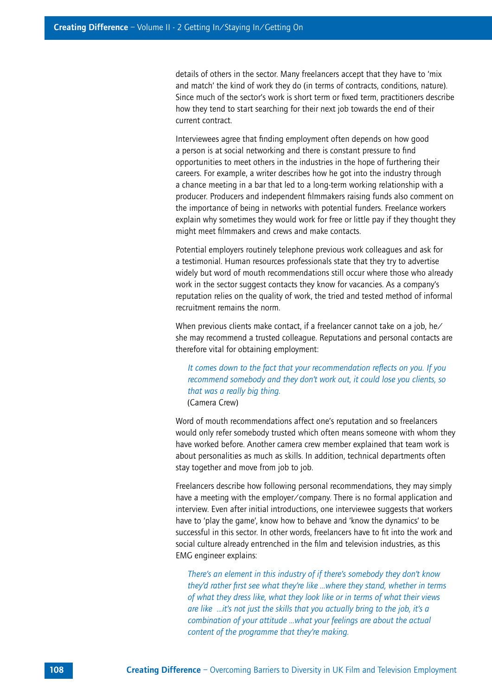details of others in the sector. Many freelancers accept that they have to 'mix and match' the kind of work they do (in terms of contracts, conditions, nature). Since much of the sector's work is short term or fixed term, practitioners describe how they tend to start searching for their next job towards the end of their current contract.

Interviewees agree that finding employment often depends on how good a person is at social networking and there is constant pressure to find opportunities to meet others in the industries in the hope of furthering their careers. For example, a writer describes how he got into the industry through a chance meeting in a bar that led to a long-term working relationship with a producer. Producers and independent filmmakers raising funds also comment on the importance of being in networks with potential funders. Freelance workers explain why sometimes they would work for free or little pay if they thought they might meet filmmakers and crews and make contacts.

Potential employers routinely telephone previous work colleagues and ask for a testimonial. Human resources professionals state that they try to advertise widely but word of mouth recommendations still occur where those who already work in the sector suggest contacts they know for vacancies. As a company's reputation relies on the quality of work, the tried and tested method of informal recruitment remains the norm.

When previous clients make contact, if a freelancer cannot take on a job, he/ she may recommend a trusted colleague. Reputations and personal contacts are therefore vital for obtaining employment:

*It comes down to the fact that your recommendation reflects on you. If you recommend somebody and they don't work out, it could lose you clients, so that was a really big thing.* (Camera Crew)

Word of mouth recommendations affect one's reputation and so freelancers would only refer somebody trusted which often means someone with whom they have worked before. Another camera crew member explained that team work is about personalities as much as skills. In addition, technical departments often stay together and move from job to job.

Freelancers describe how following personal recommendations, they may simply have a meeting with the employer/company. There is no formal application and interview. Even after initial introductions, one interviewee suggests that workers have to 'play the game', know how to behave and 'know the dynamics' to be successful in this sector. In other words, freelancers have to fit into the work and social culture already entrenched in the film and television industries, as this EMG engineer explains:

*There's an element in this industry of if there's somebody they don't know they'd rather first see what they're like …where they stand, whether in terms of what they dress like, what they look like or in terms of what their views are like …it's not just the skills that you actually bring to the job, it's a combination of your attitude …what your feelings are about the actual content of the programme that they're making.*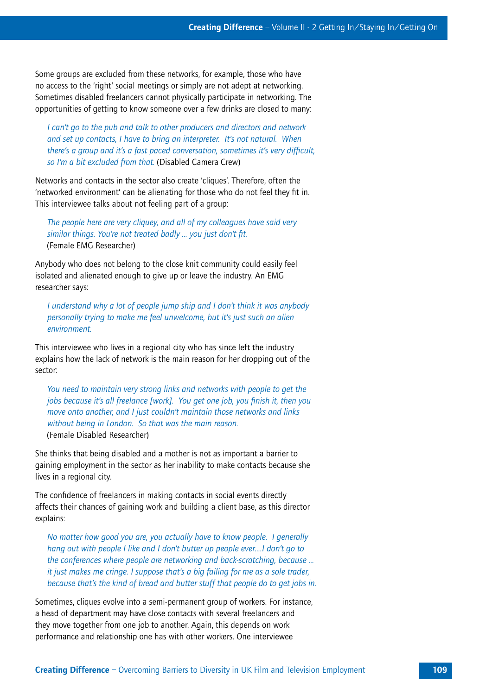Some groups are excluded from these networks, for example, those who have no access to the 'right' social meetings or simply are not adept at networking. Sometimes disabled freelancers cannot physically participate in networking. The opportunities of getting to know someone over a few drinks are closed to many:

*I can't go to the pub and talk to other producers and directors and network and set up contacts, I have to bring an interpreter. It's not natural. When there's a group and it's a fast paced conversation, sometimes it's very difficult, so I'm a bit excluded from that.* (Disabled Camera Crew)

Networks and contacts in the sector also create 'cliques'. Therefore, often the 'networked environment' can be alienating for those who do not feel they fit in. This interviewee talks about not feeling part of a group:

*The people here are very cliquey, and all of my colleagues have said very similar things. You're not treated badly … you just don't fit.*  (Female EMG Researcher)

Anybody who does not belong to the close knit community could easily feel isolated and alienated enough to give up or leave the industry. An EMG researcher says:

*I understand why a lot of people jump ship and I don't think it was anybody personally trying to make me feel unwelcome, but it's just such an alien environment.* 

This interviewee who lives in a regional city who has since left the industry explains how the lack of network is the main reason for her dropping out of the sector:

*You need to maintain very strong links and networks with people to get the jobs because it's all freelance [work]. You get one job, you finish it, then you move onto another, and I just couldn't maintain those networks and links without being in London. So that was the main reason.*  (Female Disabled Researcher)

She thinks that being disabled and a mother is not as important a barrier to gaining employment in the sector as her inability to make contacts because she lives in a regional city.

The confidence of freelancers in making contacts in social events directly affects their chances of gaining work and building a client base, as this director explains:

*No matter how good you are, you actually have to know people. I generally hang out with people I like and I don't butter up people ever….I don't go to the conferences where people are networking and back-scratching, because … it just makes me cringe. I suppose that's a big failing for me as a sole trader, because that's the kind of bread and butter stuff that people do to get jobs in.* 

Sometimes, cliques evolve into a semi-permanent group of workers. For instance, a head of department may have close contacts with several freelancers and they move together from one job to another. Again, this depends on work performance and relationship one has with other workers. One interviewee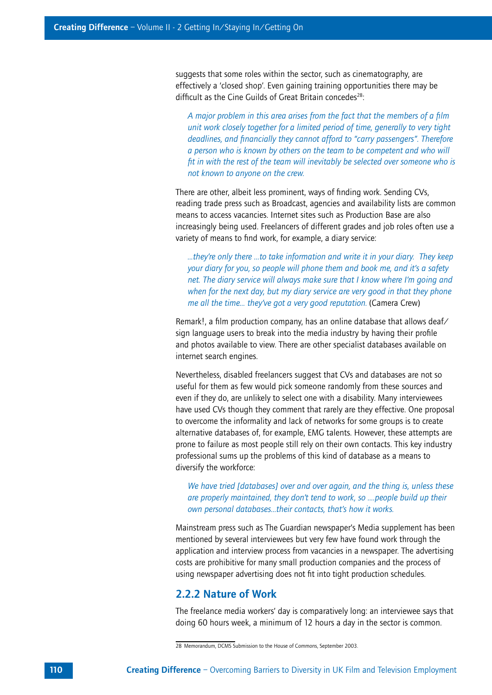suggests that some roles within the sector, such as cinematography, are effectively a 'closed shop'. Even gaining training opportunities there may be difficult as the Cine Guilds of Great Britain concedes<sup>28</sup>:

*A major problem in this area arises from the fact that the members of a film unit work closely together for a limited period of time, generally to very tight deadlines, and financially they cannot afford to "carry passengers". Therefore a person who is known by others on the team to be competent and who will fit in with the rest of the team will inevitably be selected over someone who is not known to anyone on the crew.*

There are other, albeit less prominent, ways of finding work. Sending CVs, reading trade press such as Broadcast, agencies and availability lists are common means to access vacancies. Internet sites such as Production Base are also increasingly being used. Freelancers of different grades and job roles often use a variety of means to find work, for example, a diary service:

*...they're only there …to take information and write it in your diary. They keep your diary for you, so people will phone them and book me, and it's a safety net. The diary service will always make sure that I know where I'm going and when for the next day, but my diary service are very good in that they phone me all the time... they've got a very good reputation.* (Camera Crew)

Remark!, a film production company, has an online database that allows deaf/ sign language users to break into the media industry by having their profile and photos available to view. There are other specialist databases available on internet search engines.

Nevertheless, disabled freelancers suggest that CVs and databases are not so useful for them as few would pick someone randomly from these sources and even if they do, are unlikely to select one with a disability. Many interviewees have used CVs though they comment that rarely are they effective. One proposal to overcome the informality and lack of networks for some groups is to create alternative databases of, for example, EMG talents. However, these attempts are prone to failure as most people still rely on their own contacts. This key industry professional sums up the problems of this kind of database as a means to diversify the workforce:

*We have tried [databases] over and over again, and the thing is, unless these are properly maintained, they don't tend to work, so ….people build up their own personal databases…their contacts, that's how it works.*

Mainstream press such as The Guardian newspaper's Media supplement has been mentioned by several interviewees but very few have found work through the application and interview process from vacancies in a newspaper. The advertising costs are prohibitive for many small production companies and the process of using newspaper advertising does not fit into tight production schedules.

### 2.2.2 Nature of Work

The freelance media workers' day is comparatively long: an interviewee says that doing 60 hours week, a minimum of 12 hours a day in the sector is common.

<sup>28</sup> Memorandum, DCMS Submission to the House of Commons, September 2003.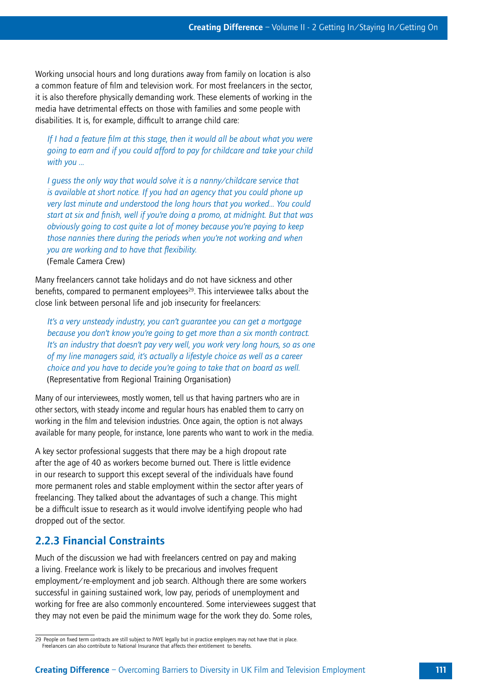Working unsocial hours and long durations away from family on location is also a common feature of film and television work. For most freelancers in the sector, it is also therefore physically demanding work. These elements of working in the media have detrimental effects on those with families and some people with disabilities. It is, for example, difficult to arrange child care:

*If I had a feature film at this stage, then it would all be about what you were going to earn and if you could afford to pay for childcare and take your child with you ...* 

*I guess the only way that would solve it is a nanny/childcare service that is available at short notice. If you had an agency that you could phone up very last minute and understood the long hours that you worked... You could start at six and finish, well if you're doing a promo, at midnight. But that was obviously going to cost quite a lot of money because you're paying to keep those nannies there during the periods when you're not working and when you are working and to have that flexibility.*  (Female Camera Crew)

Many freelancers cannot take holidays and do not have sickness and other benefits, compared to permanent employees<sup>29</sup>. This interviewee talks about the close link between personal life and job insecurity for freelancers:

*It's a very unsteady industry, you can't guarantee you can get a mortgage because you don't know you're going to get more than a six month contract. It's an industry that doesn't pay very well, you work very long hours, so as one of my line managers said, it's actually a lifestyle choice as well as a career choice and you have to decide you're going to take that on board as well.*  (Representative from Regional Training Organisation)

Many of our interviewees, mostly women, tell us that having partners who are in other sectors, with steady income and regular hours has enabled them to carry on working in the film and television industries. Once again, the option is not always available for many people, for instance, lone parents who want to work in the media.

A key sector professional suggests that there may be a high dropout rate after the age of 40 as workers become burned out. There is little evidence in our research to support this except several of the individuals have found more permanent roles and stable employment within the sector after years of freelancing. They talked about the advantages of such a change. This might be a difficult issue to research as it would involve identifying people who had dropped out of the sector.

### 2.2.3 Financial Constraints

Much of the discussion we had with freelancers centred on pay and making a living. Freelance work is likely to be precarious and involves frequent employment/re-employment and job search. Although there are some workers successful in gaining sustained work, low pay, periods of unemployment and working for free are also commonly encountered. Some interviewees suggest that they may not even be paid the minimum wage for the work they do. Some roles,

<sup>29</sup> People on fixed term contracts are still subject to PAYE legally but in practice employers may not have that in place. Freelancers can also contribute to National Insurance that affects their entitlement to benefits.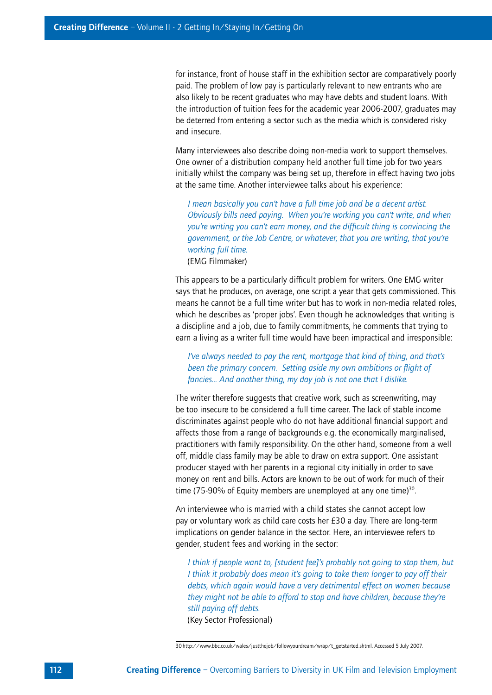for instance, front of house staff in the exhibition sector are comparatively poorly paid. The problem of low pay is particularly relevant to new entrants who are also likely to be recent graduates who may have debts and student loans. With the introduction of tuition fees for the academic year 2006-2007, graduates may be deterred from entering a sector such as the media which is considered risky and insecure.

Many interviewees also describe doing non-media work to support themselves. One owner of a distribution company held another full time job for two years initially whilst the company was being set up, therefore in effect having two jobs at the same time. Another interviewee talks about his experience:

*I mean basically you can't have a full time job and be a decent artist. Obviously bills need paying. When you're working you can't write, and when you're writing you can't earn money, and the difficult thing is convincing the government, or the Job Centre, or whatever, that you are writing, that you're working full time.*  (EMG Filmmaker)

This appears to be a particularly difficult problem for writers. One EMG writer says that he produces, on average, one script a year that gets commissioned. This means he cannot be a full time writer but has to work in non-media related roles, which he describes as 'proper jobs'. Even though he acknowledges that writing is a discipline and a job, due to family commitments, he comments that trying to earn a living as a writer full time would have been impractical and irresponsible:

*I've always needed to pay the rent, mortgage that kind of thing, and that's been the primary concern. Setting aside my own ambitions or flight of fancies... And another thing, my day job is not one that I dislike.* 

The writer therefore suggests that creative work, such as screenwriting, may be too insecure to be considered a full time career. The lack of stable income discriminates against people who do not have additional financial support and affects those from a range of backgrounds e.g. the economically marginalised, practitioners with family responsibility. On the other hand, someone from a well off, middle class family may be able to draw on extra support. One assistant producer stayed with her parents in a regional city initially in order to save money on rent and bills. Actors are known to be out of work for much of their time (75-90% of Equity members are unemployed at any one time) $30$ .

An interviewee who is married with a child states she cannot accept low pay or voluntary work as child care costs her £30 a day. There are long-term implications on gender balance in the sector. Here, an interviewee refers to gender, student fees and working in the sector:

*I think if people want to, [student fee]'s probably not going to stop them, but I think it probably does mean it's going to take them longer to pay off their debts, which again would have a very detrimental effect on women because they might not be able to afford to stop and have children, because they're still paying off debts.*

(Key Sector Professional)

<sup>30</sup> http://www.bbc.co.uk/wales/justthejob/followyourdream/wrap/t\_getstarted.shtml. Accessed 5 July 2007.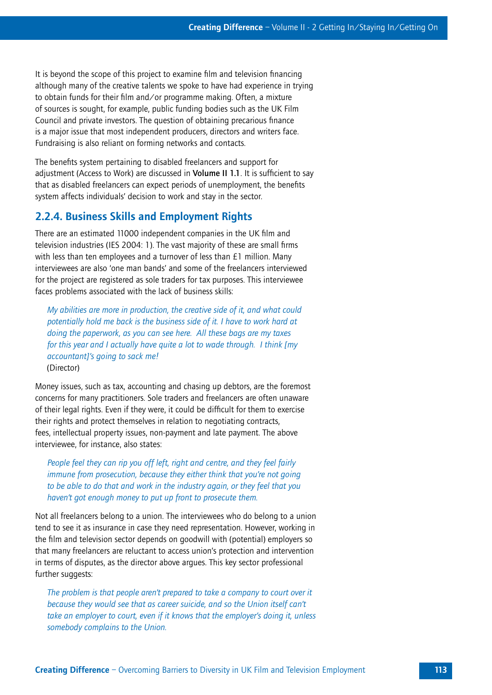It is beyond the scope of this project to examine film and television financing although many of the creative talents we spoke to have had experience in trying to obtain funds for their film and/or programme making. Often, a mixture of sources is sought, for example, public funding bodies such as the UK Film Council and private investors. The question of obtaining precarious finance is a major issue that most independent producers, directors and writers face. Fundraising is also reliant on forming networks and contacts.

The benefits system pertaining to disabled freelancers and support for adjustment (Access to Work) are discussed in Volume II 1.1. It is sufficient to say that as disabled freelancers can expect periods of unemployment, the benefits system affects individuals' decision to work and stay in the sector.

### 2.2.4. Business Skills and Employment Rights

There are an estimated 11000 independent companies in the UK film and television industries (IES 2004: 1). The vast majority of these are small firms with less than ten employees and a turnover of less than £1 million. Many interviewees are also 'one man bands' and some of the freelancers interviewed for the project are registered as sole traders for tax purposes. This interviewee faces problems associated with the lack of business skills:

*My abilities are more in production, the creative side of it, and what could potentially hold me back is the business side of it. I have to work hard at doing the paperwork, as you can see here. All these bags are my taxes for this year and I actually have quite a lot to wade through. I think [my accountant]'s going to sack me!* (Director)

Money issues, such as tax, accounting and chasing up debtors, are the foremost concerns for many practitioners. Sole traders and freelancers are often unaware of their legal rights. Even if they were, it could be difficult for them to exercise their rights and protect themselves in relation to negotiating contracts, fees, intellectual property issues, non-payment and late payment. The above interviewee, for instance, also states:

*People feel they can rip you off left, right and centre, and they feel fairly immune from prosecution, because they either think that you're not going to be able to do that and work in the industry again, or they feel that you haven't got enough money to put up front to prosecute them.* 

Not all freelancers belong to a union. The interviewees who do belong to a union tend to see it as insurance in case they need representation. However, working in the film and television sector depends on goodwill with (potential) employers so that many freelancers are reluctant to access union's protection and intervention in terms of disputes, as the director above argues. This key sector professional further suggests:

*The problem is that people aren't prepared to take a company to court over it because they would see that as career suicide, and so the Union itself can't take an employer to court, even if it knows that the employer's doing it, unless somebody complains to the Union.*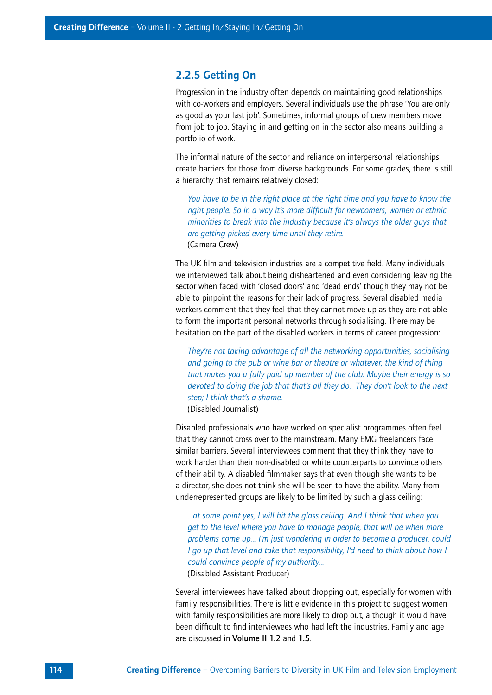### 2.2.5 Getting On

Progression in the industry often depends on maintaining good relationships with co-workers and employers. Several individuals use the phrase 'You are only as good as your last job'. Sometimes, informal groups of crew members move from job to job. Staying in and getting on in the sector also means building a portfolio of work.

The informal nature of the sector and reliance on interpersonal relationships create barriers for those from diverse backgrounds. For some grades, there is still a hierarchy that remains relatively closed:

*You have to be in the right place at the right time and you have to know the right people. So in a way it's more difficult for newcomers, women or ethnic minorities to break into the industry because it's always the older guys that are getting picked every time until they retire.*  (Camera Crew)

The UK film and television industries are a competitive field. Many individuals we interviewed talk about being disheartened and even considering leaving the sector when faced with 'closed doors' and 'dead ends' though they may not be able to pinpoint the reasons for their lack of progress. Several disabled media workers comment that they feel that they cannot move up as they are not able to form the important personal networks through socialising. There may be hesitation on the part of the disabled workers in terms of career progression:

*They're not taking advantage of all the networking opportunities, socialising and going to the pub or wine bar or theatre or whatever, the kind of thing that makes you a fully paid up member of the club. Maybe their energy is so devoted to doing the job that that's all they do. They don't look to the next step; I think that's a shame.* 

(Disabled Journalist)

Disabled professionals who have worked on specialist programmes often feel that they cannot cross over to the mainstream. Many EMG freelancers face similar barriers. Several interviewees comment that they think they have to work harder than their non-disabled or white counterparts to convince others of their ability. A disabled filmmaker says that even though she wants to be a director, she does not think she will be seen to have the ability. Many from underrepresented groups are likely to be limited by such a glass ceiling:

*...at some point yes, I will hit the glass ceiling. And I think that when you get to the level where you have to manage people, that will be when more problems come up... I'm just wondering in order to become a producer, could I go up that level and take that responsibility, I'd need to think about how I could convince people of my authority...*  (Disabled Assistant Producer)

Several interviewees have talked about dropping out, especially for women with family responsibilities. There is little evidence in this project to suggest women with family responsibilities are more likely to drop out, although it would have been difficult to find interviewees who had left the industries. Family and age are discussed in Volume II 1.2 and 1.5.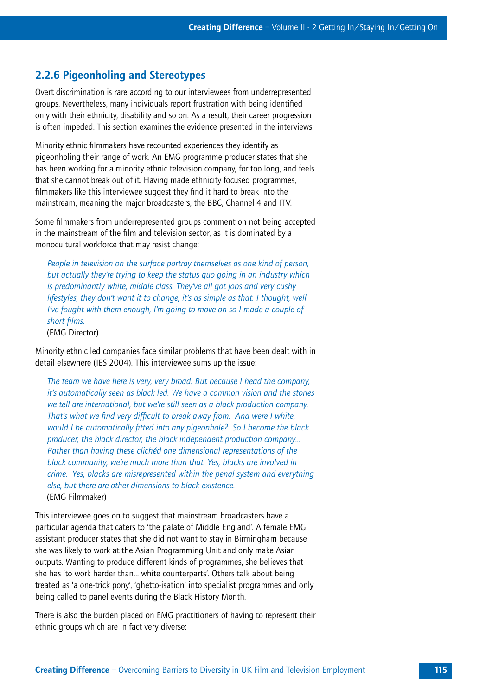### 2.2.6 Pigeonholing and Stereotypes

Overt discrimination is rare according to our interviewees from underrepresented groups. Nevertheless, many individuals report frustration with being identified only with their ethnicity, disability and so on. As a result, their career progression is often impeded. This section examines the evidence presented in the interviews.

Minority ethnic filmmakers have recounted experiences they identify as pigeonholing their range of work. An EMG programme producer states that she has been working for a minority ethnic television company, for too long, and feels that she cannot break out of it. Having made ethnicity focused programmes, filmmakers like this interviewee suggest they find it hard to break into the mainstream, meaning the major broadcasters, the BBC, Channel 4 and ITV.

Some filmmakers from underrepresented groups comment on not being accepted in the mainstream of the film and television sector, as it is dominated by a monocultural workforce that may resist change:

*People in television on the surface portray themselves as one kind of person, but actually they're trying to keep the status quo going in an industry which is predominantly white, middle class. They've all got jobs and very cushy lifestyles, they don't want it to change, it's as simple as that. I thought, well I've fought with them enough, I'm going to move on so I made a couple of short films.*

(EMG Director)

Minority ethnic led companies face similar problems that have been dealt with in detail elsewhere (IES 2004). This interviewee sums up the issue:

*The team we have here is very, very broad. But because I head the company, it's automatically seen as black led. We have a common vision and the stories we tell are international, but we're still seen as a black production company. That's what we find very difficult to break away from. And were I white, would I be automatically fitted into any pigeonhole? So I become the black producer, the black director, the black independent production company… Rather than having these clichéd one dimensional representations of the black community, we're much more than that. Yes, blacks are involved in crime. Yes, blacks are misrepresented within the penal system and everything else, but there are other dimensions to black existence.*  (EMG Filmmaker)

This interviewee goes on to suggest that mainstream broadcasters have a particular agenda that caters to 'the palate of Middle England'. A female EMG assistant producer states that she did not want to stay in Birmingham because she was likely to work at the Asian Programming Unit and only make Asian outputs. Wanting to produce different kinds of programmes, she believes that she has 'to work harder than… white counterparts'. Others talk about being treated as 'a one-trick pony', 'ghetto-isation' into specialist programmes and only being called to panel events during the Black History Month.

There is also the burden placed on EMG practitioners of having to represent their ethnic groups which are in fact very diverse: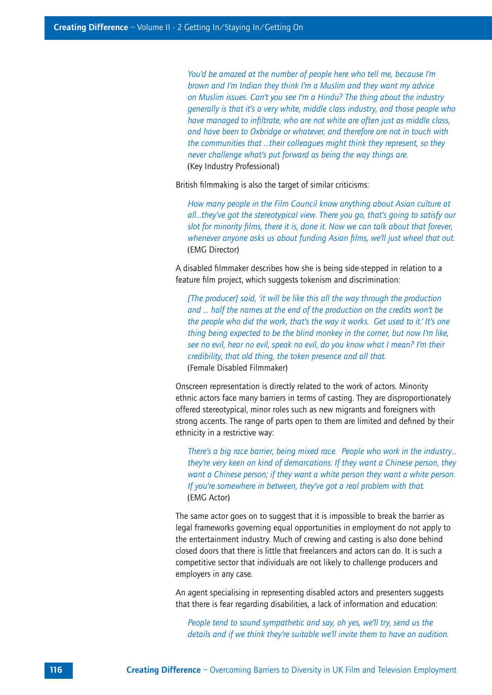*You'd be amazed at the number of people here who tell me, because I'm brown and I'm Indian they think I'm a Muslim and they want my advice on Muslim issues. Can't you see I'm a Hindu? The thing about the industry generally is that it's a very white, middle class industry, and those people who have managed to infiltrate, who are not white are often just as middle class, and have been to Oxbridge or whatever, and therefore are not in touch with the communities that …their colleagues might think they represent, so they never challenge what's put forward as being the way things are.*  (Key Industry Professional)

British filmmaking is also the target of similar criticisms:

*How many people in the Film Council know anything about Asian culture at all…they've got the stereotypical view. There you go, that's going to satisfy our slot for minority films, there it is, done it. Now we can talk about that forever, whenever anyone asks us about funding Asian films, we'll just wheel that out.* (EMG Director)

A disabled filmmaker describes how she is being side-stepped in relation to a feature film project, which suggests tokenism and discrimination:

*[The producer] said, 'it will be like this all the way through the production and ... half the names at the end of the production on the credits won't be the people who did the work, that's the way it works. Get used to it.' It's one thing being expected to be the blind monkey in the corner, but now I'm like, see no evil, hear no evil, speak no evil, do you know what I mean? I'm their credibility, that old thing, the token presence and all that.*  (Female Disabled Filmmaker)

Onscreen representation is directly related to the work of actors. Minority ethnic actors face many barriers in terms of casting. They are disproportionately offered stereotypical, minor roles such as new migrants and foreigners with strong accents. The range of parts open to them are limited and defined by their ethnicity in a restrictive way:

*There's a big race barrier, being mixed race. People who work in the industry… they're very keen on kind of demarcations: If they want a Chinese person, they want a Chinese person; if they want a white person they want a white person. If you're somewhere in between, they've got a real problem with that.*  (EMG Actor)

The same actor goes on to suggest that it is impossible to break the barrier as legal frameworks governing equal opportunities in employment do not apply to the entertainment industry. Much of crewing and casting is also done behind closed doors that there is little that freelancers and actors can do. It is such a competitive sector that individuals are not likely to challenge producers and employers in any case.

An agent specialising in representing disabled actors and presenters suggests that there is fear regarding disabilities, a lack of information and education:

*People tend to sound sympathetic and say, oh yes, we'll try, send us the details and if we think they're suitable we'll invite them to have an audition.*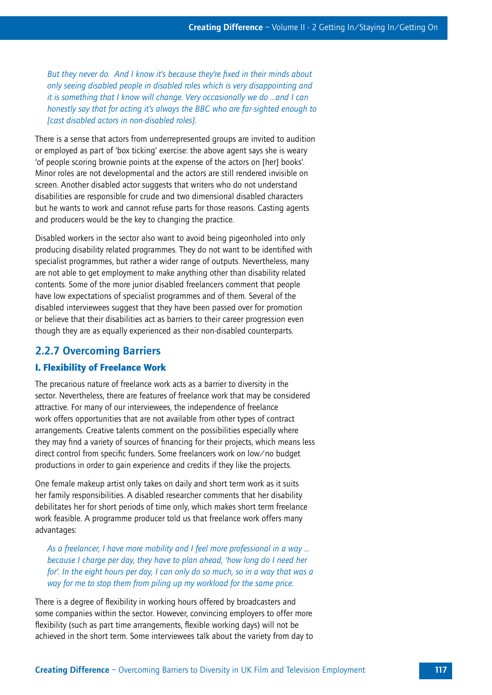*But they never do. And I know it's because they're fixed in their minds about only seeing disabled people in disabled roles which is very disappointing and it is something that I know will change. Very occasionally we do ... and I can honestly say that for acting it's always the BBC who are far-sighted enough to [cast disabled actors in non-disabled roles].* 

There is a sense that actors from underrepresented groups are invited to audition or employed as part of 'box ticking' exercise: the above agent says she is weary 'of people scoring brownie points at the expense of the actors on [her] books'. Minor roles are not developmental and the actors are still rendered invisible on screen. Another disabled actor suggests that writers who do not understand disabilities are responsible for crude and two dimensional disabled characters but he wants to work and cannot refuse parts for those reasons. Casting agents and producers would be the key to changing the practice.

Disabled workers in the sector also want to avoid being pigeonholed into only producing disability related programmes. They do not want to be identified with specialist programmes, but rather a wider range of outputs. Nevertheless, many are not able to get employment to make anything other than disability related contents. Some of the more junior disabled freelancers comment that people have low expectations of specialist programmes and of them. Several of the disabled interviewees suggest that they have been passed over for promotion or believe that their disabilities act as barriers to their career progression even though they are as equally experienced as their non-disabled counterparts.

### 2.2.7 Overcoming Barriers

### **I. Flexibility of Freelance Work**

The precarious nature of freelance work acts as a barrier to diversity in the sector. Nevertheless, there are features of freelance work that may be considered attractive. For many of our interviewees, the independence of freelance work offers opportunities that are not available from other types of contract arrangements. Creative talents comment on the possibilities especially where they may find a variety of sources of financing for their projects, which means less direct control from specific funders. Some freelancers work on low/no budget productions in order to gain experience and credits if they like the projects.

One female makeup artist only takes on daily and short term work as it suits her family responsibilities. A disabled researcher comments that her disability debilitates her for short periods of time only, which makes short term freelance work feasible. A programme producer told us that freelance work offers many advantages:

*As a freelancer, I have more mobility and I feel more professional in a way … because I charge per day, they have to plan ahead, 'how long do I need her for'. In the eight hours per day, I can only do so much, so in a way that was a way for me to stop them from piling up my workload for the same price.* 

There is a degree of flexibility in working hours offered by broadcasters and some companies within the sector. However, convincing employers to offer more flexibility (such as part time arrangements, flexible working days) will not be achieved in the short term. Some interviewees talk about the variety from day to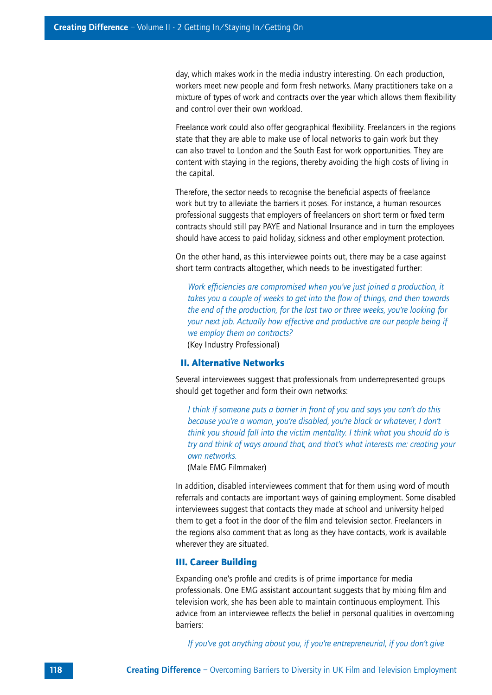day, which makes work in the media industry interesting. On each production, workers meet new people and form fresh networks. Many practitioners take on a mixture of types of work and contracts over the year which allows them flexibility and control over their own workload.

Freelance work could also offer geographical flexibility. Freelancers in the regions state that they are able to make use of local networks to gain work but they can also travel to London and the South East for work opportunities. They are content with staying in the regions, thereby avoiding the high costs of living in the capital.

Therefore, the sector needs to recognise the beneficial aspects of freelance work but try to alleviate the barriers it poses. For instance, a human resources professional suggests that employers of freelancers on short term or fixed term contracts should still pay PAYE and National Insurance and in turn the employees should have access to paid holiday, sickness and other employment protection.

On the other hand, as this interviewee points out, there may be a case against short term contracts altogether, which needs to be investigated further:

*Work efficiencies are compromised when you've just joined a production, it takes you a couple of weeks to get into the flow of things, and then towards the end of the production, for the last two or three weeks, you're looking for your next job. Actually how effective and productive are our people being if we employ them on contracts?*  (Key Industry Professional)

#### **II. Alternative Networks**

Several interviewees suggest that professionals from underrepresented groups should get together and form their own networks:

*I think if someone puts a barrier in front of you and says you can't do this because you're a woman, you're disabled, you're black or whatever, I don't think you should fall into the victim mentality. I think what you should do is try and think of ways around that, and that's what interests me: creating your own networks.* 

(Male EMG Filmmaker)

In addition, disabled interviewees comment that for them using word of mouth referrals and contacts are important ways of gaining employment. Some disabled interviewees suggest that contacts they made at school and university helped them to get a foot in the door of the film and television sector. Freelancers in the regions also comment that as long as they have contacts, work is available wherever they are situated.

#### **III. Career Building**

Expanding one's profile and credits is of prime importance for media professionals. One EMG assistant accountant suggests that by mixing film and television work, she has been able to maintain continuous employment. This advice from an interviewee reflects the belief in personal qualities in overcoming barriers:

*If you've got anything about you, if you're entrepreneurial, if you don't give*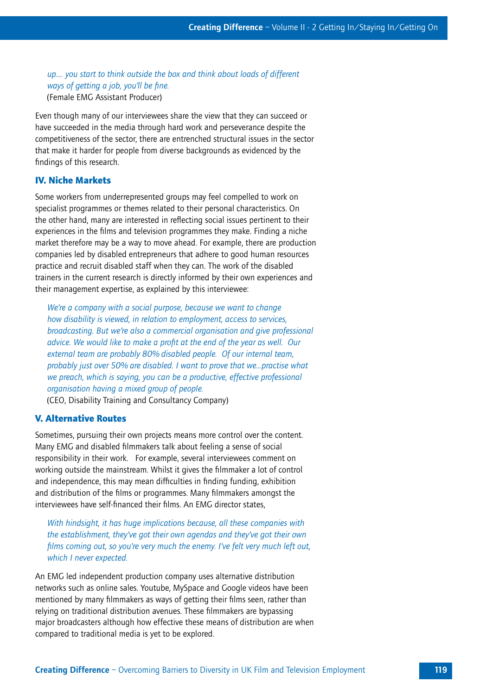*up.... you start to think outside the box and think about loads of different ways of getting a job, you'll be fine.*  (Female EMG Assistant Producer)

Even though many of our interviewees share the view that they can succeed or have succeeded in the media through hard work and perseverance despite the competitiveness of the sector, there are entrenched structural issues in the sector that make it harder for people from diverse backgrounds as evidenced by the findings of this research.

#### **IV. Niche Markets**

Some workers from underrepresented groups may feel compelled to work on specialist programmes or themes related to their personal characteristics. On the other hand, many are interested in reflecting social issues pertinent to their experiences in the films and television programmes they make. Finding a niche market therefore may be a way to move ahead. For example, there are production companies led by disabled entrepreneurs that adhere to good human resources practice and recruit disabled staff when they can. The work of the disabled trainers in the current research is directly informed by their own experiences and their management expertise, as explained by this interviewee:

*We're a company with a social purpose, because we want to change how disability is viewed, in relation to employment, access to services, broadcasting. But we're also a commercial organisation and give professional advice. We would like to make a profit at the end of the year as well. Our external team are probably 80% disabled people. Of our internal team, probably just over 50% are disabled. I want to prove that we…practise what we preach, which is saying, you can be a productive, effective professional organisation having a mixed group of people.* 

(CEO, Disability Training and Consultancy Company)

#### **V. Alternative Routes**

Sometimes, pursuing their own projects means more control over the content. Many EMG and disabled filmmakers talk about feeling a sense of social responsibility in their work. For example, several interviewees comment on working outside the mainstream. Whilst it gives the filmmaker a lot of control and independence, this may mean difficulties in finding funding, exhibition and distribution of the films or programmes. Many filmmakers amongst the interviewees have self-financed their films. An EMG director states,

*With hindsight, it has huge implications because, all these companies with the establishment, they've got their own agendas and they've got their own films coming out, so you're very much the enemy. I've felt very much left out, which I never expected.*

An EMG led independent production company uses alternative distribution networks such as online sales. Youtube, MySpace and Google videos have been mentioned by many filmmakers as ways of getting their films seen, rather than relying on traditional distribution avenues. These filmmakers are bypassing major broadcasters although how effective these means of distribution are when compared to traditional media is yet to be explored.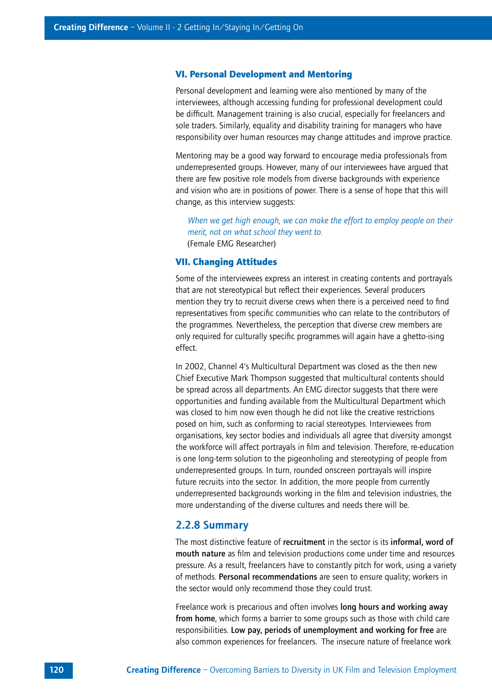#### **VI. Personal Development and Mentoring**

Personal development and learning were also mentioned by many of the interviewees, although accessing funding for professional development could be difficult. Management training is also crucial, especially for freelancers and sole traders. Similarly, equality and disability training for managers who have responsibility over human resources may change attitudes and improve practice.

Mentoring may be a good way forward to encourage media professionals from underrepresented groups. However, many of our interviewees have argued that there are few positive role models from diverse backgrounds with experience and vision who are in positions of power. There is a sense of hope that this will change, as this interview suggests:

When we get high enough, we can make the effort to employ people on their *merit, not on what school they went to.*  (Female EMG Researcher)

#### **VII. Changing Attitudes**

Some of the interviewees express an interest in creating contents and portrayals that are not stereotypical but reflect their experiences. Several producers mention they try to recruit diverse crews when there is a perceived need to find representatives from specific communities who can relate to the contributors of the programmes. Nevertheless, the perception that diverse crew members are only required for culturally specific programmes will again have a ghetto-ising effect.

In 2002, Channel 4's Multicultural Department was closed as the then new Chief Executive Mark Thompson suggested that multicultural contents should be spread across all departments. An EMG director suggests that there were opportunities and funding available from the Multicultural Department which was closed to him now even though he did not like the creative restrictions posed on him, such as conforming to racial stereotypes. Interviewees from organisations, key sector bodies and individuals all agree that diversity amongst the workforce will affect portrayals in film and television. Therefore, re-education is one long-term solution to the pigeonholing and stereotyping of people from underrepresented groups. In turn, rounded onscreen portrayals will inspire future recruits into the sector. In addition, the more people from currently underrepresented backgrounds working in the film and television industries, the more understanding of the diverse cultures and needs there will be.

### 2.2.8 Summary

The most distinctive feature of recruitment in the sector is its informal, word of mouth nature as film and television productions come under time and resources pressure. As a result, freelancers have to constantly pitch for work, using a variety of methods. Personal recommendations are seen to ensure quality; workers in the sector would only recommend those they could trust.

Freelance work is precarious and often involves long hours and working away from home, which forms a barrier to some groups such as those with child care responsibilities. Low pay, periods of unemployment and working for free are also common experiences for freelancers. The insecure nature of freelance work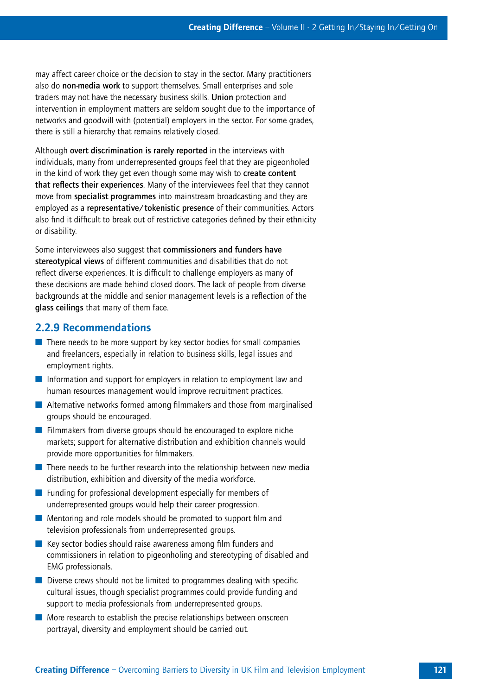may affect career choice or the decision to stay in the sector. Many practitioners also do non-media work to support themselves. Small enterprises and sole traders may not have the necessary business skills. Union protection and intervention in employment matters are seldom sought due to the importance of networks and goodwill with (potential) employers in the sector. For some grades, there is still a hierarchy that remains relatively closed.

Although overt discrimination is rarely reported in the interviews with individuals, many from underrepresented groups feel that they are pigeonholed in the kind of work they get even though some may wish to create content that reflects their experiences. Many of the interviewees feel that they cannot move from specialist programmes into mainstream broadcasting and they are employed as a representative/tokenistic presence of their communities. Actors also find it difficult to break out of restrictive categories defined by their ethnicity or disability.

Some interviewees also suggest that commissioners and funders have stereotypical views of different communities and disabilities that do not reflect diverse experiences. It is difficult to challenge employers as many of these decisions are made behind closed doors. The lack of people from diverse backgrounds at the middle and senior management levels is a reflection of the glass ceilings that many of them face.

### 2.2.9 Recommendations

- $\blacksquare$  There needs to be more support by key sector bodies for small companies and freelancers, especially in relation to business skills, legal issues and employment rights.
- Information and support for employers in relation to employment law and human resources management would improve recruitment practices.
- Alternative networks formed among filmmakers and those from marginalised groups should be encouraged.
- Filmmakers from diverse groups should be encouraged to explore niche markets; support for alternative distribution and exhibition channels would provide more opportunities for filmmakers.
- There needs to be further research into the relationship between new media distribution, exhibition and diversity of the media workforce.
- $\blacksquare$  Funding for professional development especially for members of underrepresented groups would help their career progression.
- Mentoring and role models should be promoted to support film and television professionals from underrepresented groups.
- Key sector bodies should raise awareness among film funders and commissioners in relation to pigeonholing and stereotyping of disabled and EMG professionals.
- $\blacksquare$  Diverse crews should not be limited to programmes dealing with specific cultural issues, though specialist programmes could provide funding and support to media professionals from underrepresented groups.
- More research to establish the precise relationships between onscreen portrayal, diversity and employment should be carried out.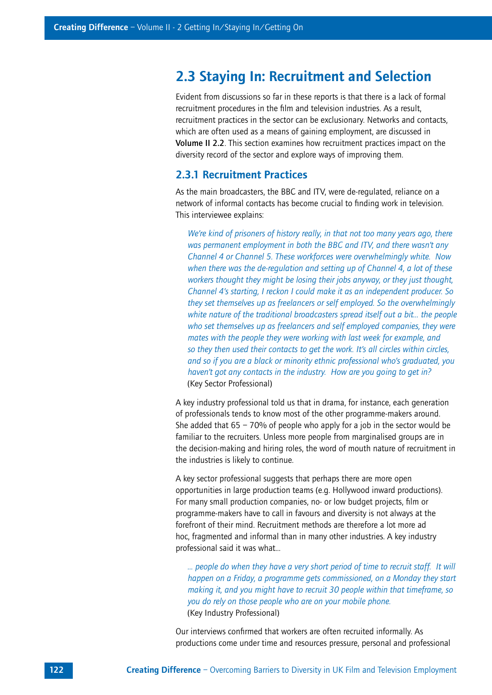### 2.3 Staying In: Recruitment and Selection

Evident from discussions so far in these reports is that there is a lack of formal recruitment procedures in the film and television industries. As a result, recruitment practices in the sector can be exclusionary. Networks and contacts, which are often used as a means of gaining employment, are discussed in Volume II 2.2. This section examines how recruitment practices impact on the diversity record of the sector and explore ways of improving them.

### 2.3.1 Recruitment Practices

As the main broadcasters, the BBC and ITV, were de-regulated, reliance on a network of informal contacts has become crucial to finding work in television. This interviewee explains:

*We're kind of prisoners of history really, in that not too many years ago, there was permanent employment in both the BBC and ITV, and there wasn't any Channel 4 or Channel 5. These workforces were overwhelmingly white. Now when there was the de-regulation and setting up of Channel 4, a lot of these workers thought they might be losing their jobs anyway, or they just thought, Channel 4's starting, I reckon I could make it as an independent producer. So they set themselves up as freelancers or self employed. So the overwhelmingly white nature of the traditional broadcasters spread itself out a bit… the people*  who set themselves up as freelancers and self employed companies, they were *mates with the people they were working with last week for example, and so they then used their contacts to get the work. It's all circles within circles, and so if you are a black or minority ethnic professional who's graduated, you haven't got any contacts in the industry. How are you going to get in?*  (Key Sector Professional)

A key industry professional told us that in drama, for instance, each generation of professionals tends to know most of the other programme-makers around. She added that  $65 - 70\%$  of people who apply for a job in the sector would be familiar to the recruiters. Unless more people from marginalised groups are in the decision-making and hiring roles, the word of mouth nature of recruitment in the industries is likely to continue.

A key sector professional suggests that perhaps there are more open opportunities in large production teams (e.g. Hollywood inward productions). For many small production companies, no- or low budget projects, film or programme-makers have to call in favours and diversity is not always at the forefront of their mind. Recruitment methods are therefore a lot more ad hoc, fragmented and informal than in many other industries. A key industry professional said it was what...

*... people do when they have a very short period of time to recruit staff. It will happen on a Friday, a programme gets commissioned, on a Monday they start making it, and you might have to recruit 30 people within that timeframe, so you do rely on those people who are on your mobile phone.*  (Key Industry Professional)

Our interviews confirmed that workers are often recruited informally. As productions come under time and resources pressure, personal and professional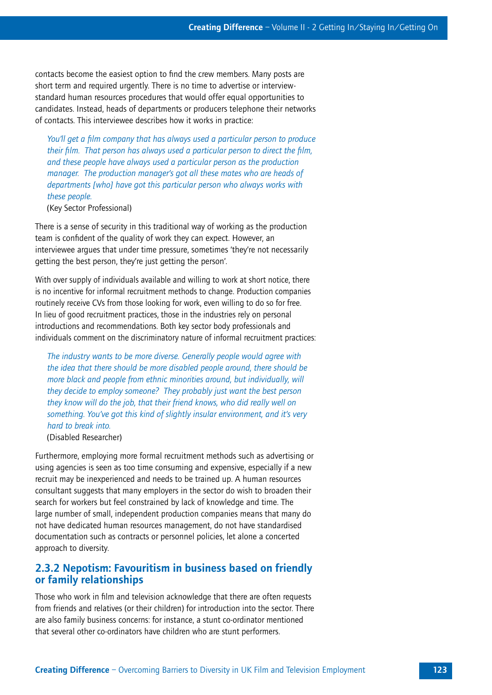contacts become the easiest option to find the crew members. Many posts are short term and required urgently. There is no time to advertise or interviewstandard human resources procedures that would offer equal opportunities to candidates. Instead, heads of departments or producers telephone their networks of contacts. This interviewee describes how it works in practice:

*You'll get a film company that has always used a particular person to produce their film. That person has always used a particular person to direct the film, and these people have always used a particular person as the production manager. The production manager's got all these mates who are heads of departments [who] have got this particular person who always works with these people.*

(Key Sector Professional)

There is a sense of security in this traditional way of working as the production team is confident of the quality of work they can expect. However, an interviewee argues that under time pressure, sometimes 'they're not necessarily getting the best person, they're just getting the person'.

With over supply of individuals available and willing to work at short notice, there is no incentive for informal recruitment methods to change. Production companies routinely receive CVs from those looking for work, even willing to do so for free. In lieu of good recruitment practices, those in the industries rely on personal introductions and recommendations. Both key sector body professionals and individuals comment on the discriminatory nature of informal recruitment practices:

*The industry wants to be more diverse. Generally people would agree with the idea that there should be more disabled people around, there should be more black and people from ethnic minorities around, but individually, will they decide to employ someone? They probably just want the best person they know will do the job, that their friend knows, who did really well on something. You've got this kind of slightly insular environment, and it's very hard to break into.* 

(Disabled Researcher)

Furthermore, employing more formal recruitment methods such as advertising or using agencies is seen as too time consuming and expensive, especially if a new recruit may be inexperienced and needs to be trained up. A human resources consultant suggests that many employers in the sector do wish to broaden their search for workers but feel constrained by lack of knowledge and time. The large number of small, independent production companies means that many do not have dedicated human resources management, do not have standardised documentation such as contracts or personnel policies, let alone a concerted approach to diversity.

### 2.3.2 Nepotism: Favouritism in business based on friendly or family relationships

Those who work in film and television acknowledge that there are often requests from friends and relatives (or their children) for introduction into the sector. There are also family business concerns: for instance, a stunt co-ordinator mentioned that several other co-ordinators have children who are stunt performers.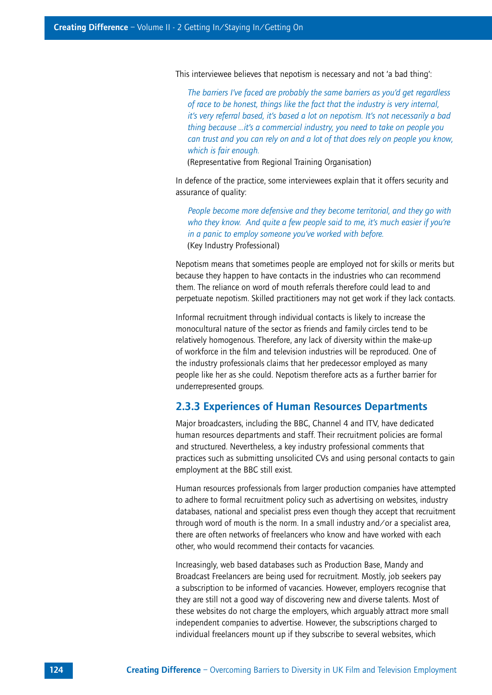This interviewee believes that nepotism is necessary and not 'a bad thing':

*The barriers I've faced are probably the same barriers as you'd get regardless of race to be honest, things like the fact that the industry is very internal, it's very referral based, it's based a lot on nepotism. It's not necessarily a bad thing because …it's a commercial industry, you need to take on people you can trust and you can rely on and a lot of that does rely on people you know, which is fair enough.* 

(Representative from Regional Training Organisation)

In defence of the practice, some interviewees explain that it offers security and assurance of quality:

*People become more defensive and they become territorial, and they go with who they know. And quite a few people said to me, it's much easier if you're in a panic to employ someone you've worked with before.*  (Key Industry Professional)

Nepotism means that sometimes people are employed not for skills or merits but because they happen to have contacts in the industries who can recommend them. The reliance on word of mouth referrals therefore could lead to and perpetuate nepotism. Skilled practitioners may not get work if they lack contacts.

Informal recruitment through individual contacts is likely to increase the monocultural nature of the sector as friends and family circles tend to be relatively homogenous. Therefore, any lack of diversity within the make-up of workforce in the film and television industries will be reproduced. One of the industry professionals claims that her predecessor employed as many people like her as she could. Nepotism therefore acts as a further barrier for underrepresented groups.

#### 2.3.3 Experiences of Human Resources Departments

Major broadcasters, including the BBC, Channel 4 and ITV, have dedicated human resources departments and staff. Their recruitment policies are formal and structured. Nevertheless, a key industry professional comments that practices such as submitting unsolicited CVs and using personal contacts to gain employment at the BBC still exist.

Human resources professionals from larger production companies have attempted to adhere to formal recruitment policy such as advertising on websites, industry databases, national and specialist press even though they accept that recruitment through word of mouth is the norm. In a small industry and/or a specialist area, there are often networks of freelancers who know and have worked with each other, who would recommend their contacts for vacancies.

Increasingly, web based databases such as Production Base, Mandy and Broadcast Freelancers are being used for recruitment. Mostly, job seekers pay a subscription to be informed of vacancies. However, employers recognise that they are still not a good way of discovering new and diverse talents. Most of these websites do not charge the employers, which arguably attract more small independent companies to advertise. However, the subscriptions charged to individual freelancers mount up if they subscribe to several websites, which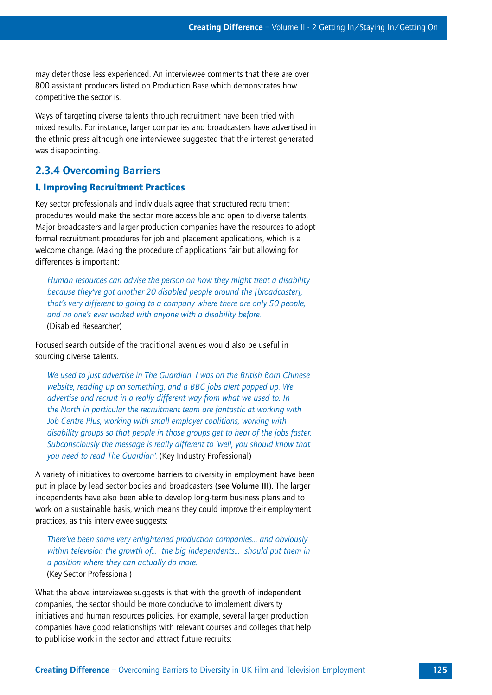may deter those less experienced. An interviewee comments that there are over 800 assistant producers listed on Production Base which demonstrates how competitive the sector is.

Ways of targeting diverse talents through recruitment have been tried with mixed results. For instance, larger companies and broadcasters have advertised in the ethnic press although one interviewee suggested that the interest generated was disappointing.

### 2.3.4 Overcoming Barriers

#### **I. Improving Recruitment Practices**

Key sector professionals and individuals agree that structured recruitment procedures would make the sector more accessible and open to diverse talents. Major broadcasters and larger production companies have the resources to adopt formal recruitment procedures for job and placement applications, which is a welcome change. Making the procedure of applications fair but allowing for differences is important:

*Human resources can advise the person on how they might treat a disability because they've got another 20 disabled people around the [broadcaster], that's very different to going to a company where there are only 50 people, and no one's ever worked with anyone with a disability before.*  (Disabled Researcher)

Focused search outside of the traditional avenues would also be useful in sourcing diverse talents.

*We used to just advertise in The Guardian. I was on the British Born Chinese website, reading up on something, and a BBC jobs alert popped up. We advertise and recruit in a really different way from what we used to. In the North in particular the recruitment team are fantastic at working with Job Centre Plus, working with small employer coalitions, working with disability groups so that people in those groups get to hear of the jobs faster. Subconsciously the message is really different to 'well, you should know that you need to read The Guardian'.* (Key Industry Professional)

A variety of initiatives to overcome barriers to diversity in employment have been put in place by lead sector bodies and broadcasters (see Volume III). The larger independents have also been able to develop long-term business plans and to work on a sustainable basis, which means they could improve their employment practices, as this interviewee suggests:

*There've been some very enlightened production companies... and obviously*  within television the growth of... the big independents... should put them in *a position where they can actually do more.*  (Key Sector Professional)

What the above interviewee suggests is that with the growth of independent companies, the sector should be more conducive to implement diversity initiatives and human resources policies. For example, several larger production companies have good relationships with relevant courses and colleges that help to publicise work in the sector and attract future recruits: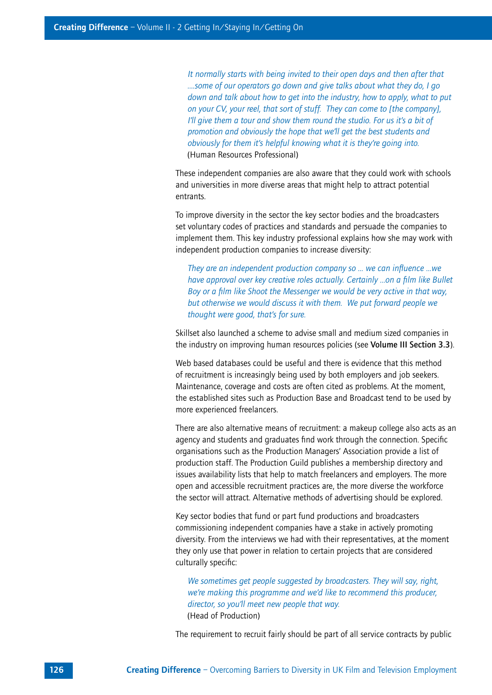*It normally starts with being invited to their open days and then after that ….some of our operators go down and give talks about what they do, I go down and talk about how to get into the industry, how to apply, what to put on your CV, your reel, that sort of stuff. They can come to [the company], I'll give them a tour and show them round the studio. For us it's a bit of promotion and obviously the hope that we'll get the best students and obviously for them it's helpful knowing what it is they're going into.*  (Human Resources Professional)

These independent companies are also aware that they could work with schools and universities in more diverse areas that might help to attract potential entrants.

To improve diversity in the sector the key sector bodies and the broadcasters set voluntary codes of practices and standards and persuade the companies to implement them. This key industry professional explains how she may work with independent production companies to increase diversity:

*They are an independent production company so … we can influence …we have approval over key creative roles actually. Certainly …on a film like Bullet Boy or a film like Shoot the Messenger we would be very active in that way, but otherwise we would discuss it with them. We put forward people we thought were good, that's for sure.* 

Skillset also launched a scheme to advise small and medium sized companies in the industry on improving human resources policies (see Volume III Section 3.3).

Web based databases could be useful and there is evidence that this method of recruitment is increasingly being used by both employers and job seekers. Maintenance, coverage and costs are often cited as problems. At the moment, the established sites such as Production Base and Broadcast tend to be used by more experienced freelancers.

There are also alternative means of recruitment: a makeup college also acts as an agency and students and graduates find work through the connection. Specific organisations such as the Production Managers' Association provide a list of production staff. The Production Guild publishes a membership directory and issues availability lists that help to match freelancers and employers. The more open and accessible recruitment practices are, the more diverse the workforce the sector will attract. Alternative methods of advertising should be explored.

Key sector bodies that fund or part fund productions and broadcasters commissioning independent companies have a stake in actively promoting diversity. From the interviews we had with their representatives, at the moment they only use that power in relation to certain projects that are considered culturally specific:

*We sometimes get people suggested by broadcasters. They will say, right, we're making this programme and we'd like to recommend this producer, director, so you'll meet new people that way.* (Head of Production)

The requirement to recruit fairly should be part of all service contracts by public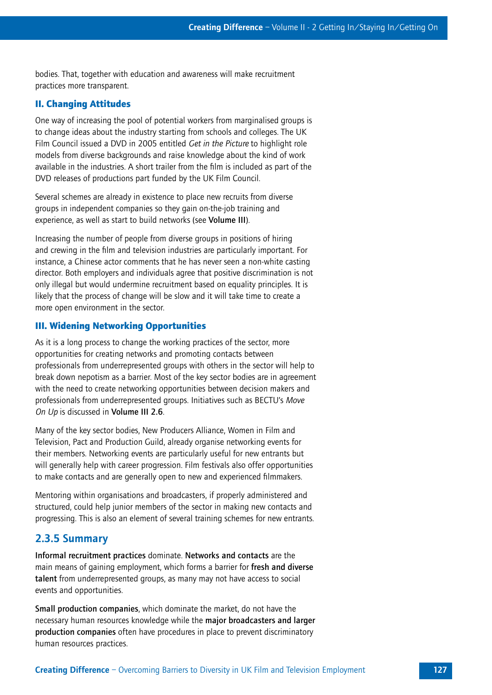bodies. That, together with education and awareness will make recruitment practices more transparent.

#### **II. Changing Attitudes**

One way of increasing the pool of potential workers from marginalised groups is to change ideas about the industry starting from schools and colleges. The UK Film Council issued a DVD in 2005 entitled *Get in the Picture* to highlight role models from diverse backgrounds and raise knowledge about the kind of work available in the industries. A short trailer from the film is included as part of the DVD releases of productions part funded by the UK Film Council.

Several schemes are already in existence to place new recruits from diverse groups in independent companies so they gain on-the-job training and experience, as well as start to build networks (see Volume III).

Increasing the number of people from diverse groups in positions of hiring and crewing in the film and television industries are particularly important. For instance, a Chinese actor comments that he has never seen a non-white casting director. Both employers and individuals agree that positive discrimination is not only illegal but would undermine recruitment based on equality principles. It is likely that the process of change will be slow and it will take time to create a more open environment in the sector.

#### **III. Widening Networking Opportunities**

As it is a long process to change the working practices of the sector, more opportunities for creating networks and promoting contacts between professionals from underrepresented groups with others in the sector will help to break down nepotism as a barrier. Most of the key sector bodies are in agreement with the need to create networking opportunities between decision makers and professionals from underrepresented groups. Initiatives such as BECTU's *Move On Up* is discussed in Volume III 2.6.

Many of the key sector bodies, New Producers Alliance, Women in Film and Television, Pact and Production Guild, already organise networking events for their members. Networking events are particularly useful for new entrants but will generally help with career progression. Film festivals also offer opportunities to make contacts and are generally open to new and experienced filmmakers.

Mentoring within organisations and broadcasters, if properly administered and structured, could help junior members of the sector in making new contacts and progressing. This is also an element of several training schemes for new entrants.

### 2.3.5 Summary

Informal recruitment practices dominate. Networks and contacts are the main means of gaining employment, which forms a barrier for fresh and diverse talent from underrepresented groups, as many may not have access to social events and opportunities.

Small production companies, which dominate the market, do not have the necessary human resources knowledge while the major broadcasters and larger production companies often have procedures in place to prevent discriminatory human resources practices.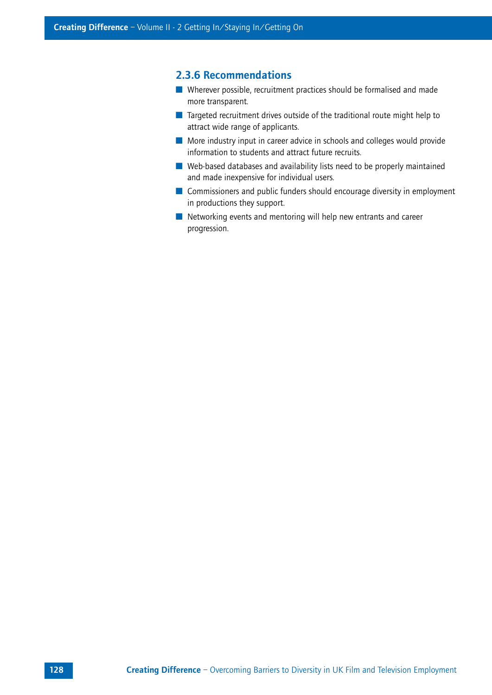### 2.3.6 Recommendations

- Wherever possible, recruitment practices should be formalised and made more transparent.
- Targeted recruitment drives outside of the traditional route might help to attract wide range of applicants.
- More industry input in career advice in schools and colleges would provide information to students and attract future recruits.
- Web-based databases and availability lists need to be properly maintained and made inexpensive for individual users.
- Commissioners and public funders should encourage diversity in employment in productions they support.
- Networking events and mentoring will help new entrants and career progression.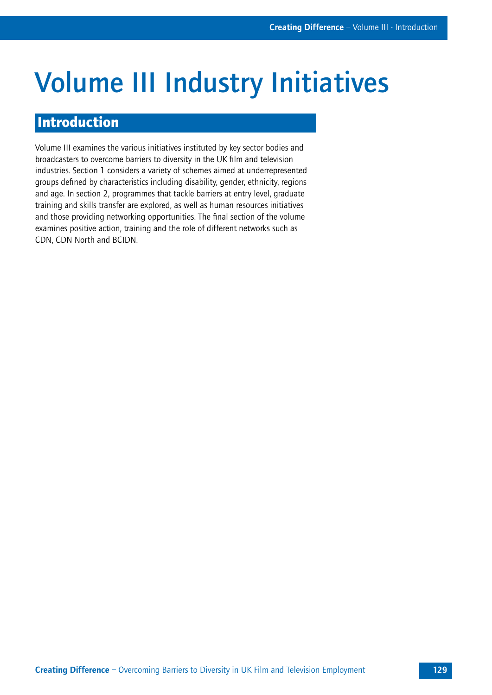# Volume III Industry Initiatives

# **Introduction**

Volume III examines the various initiatives instituted by key sector bodies and broadcasters to overcome barriers to diversity in the UK film and television industries. Section 1 considers a variety of schemes aimed at underrepresented groups defined by characteristics including disability, gender, ethnicity, regions and age. In section 2, programmes that tackle barriers at entry level, graduate training and skills transfer are explored, as well as human resources initiatives and those providing networking opportunities. The final section of the volume examines positive action, training and the role of different networks such as CDN, CDN North and BCIDN.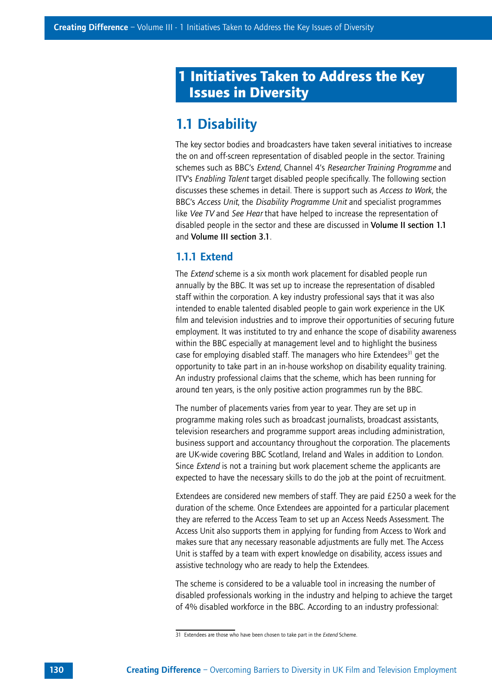# **1 Initiatives Taken to Address the Key Issues in Diversity**

# 1.1 Disability

The key sector bodies and broadcasters have taken several initiatives to increase the on and off-screen representation of disabled people in the sector. Training schemes such as BBC's *Extend*, Channel 4's *Researcher Training Programme* and ITV's *Enabling Talent* target disabled people specifically. The following section discusses these schemes in detail. There is support such as *Access to Work,* the BBC's *Access Unit*, the *Disability Programme Unit* and specialist programmes like *Vee TV* and *See Hear* that have helped to increase the representation of disabled people in the sector and these are discussed in Volume II section 1.1 and Volume III section 3.1.

### 1.1.1 Extend

The *Extend* scheme is a six month work placement for disabled people run annually by the BBC. It was set up to increase the representation of disabled staff within the corporation. A key industry professional says that it was also intended to enable talented disabled people to gain work experience in the UK film and television industries and to improve their opportunities of securing future employment. It was instituted to try and enhance the scope of disability awareness within the BBC especially at management level and to highlight the business case for employing disabled staff. The managers who hire Extendees<sup>31</sup> get the opportunity to take part in an in-house workshop on disability equality training. An industry professional claims that the scheme, which has been running for around ten years, is the only positive action programmes run by the BBC.

The number of placements varies from year to year. They are set up in programme making roles such as broadcast journalists, broadcast assistants, television researchers and programme support areas including administration, business support and accountancy throughout the corporation. The placements are UK-wide covering BBC Scotland, Ireland and Wales in addition to London. Since *Extend* is not a training but work placement scheme the applicants are expected to have the necessary skills to do the job at the point of recruitment.

Extendees are considered new members of staff. They are paid £250 a week for the duration of the scheme. Once Extendees are appointed for a particular placement they are referred to the Access Team to set up an Access Needs Assessment. The Access Unit also supports them in applying for funding from Access to Work and makes sure that any necessary reasonable adjustments are fully met. The Access Unit is staffed by a team with expert knowledge on disability, access issues and assistive technology who are ready to help the Extendees.

The scheme is considered to be a valuable tool in increasing the number of disabled professionals working in the industry and helping to achieve the target of 4% disabled workforce in the BBC. According to an industry professional:

<sup>31</sup> Extendees are those who have been chosen to take part in the *Extend* Scheme.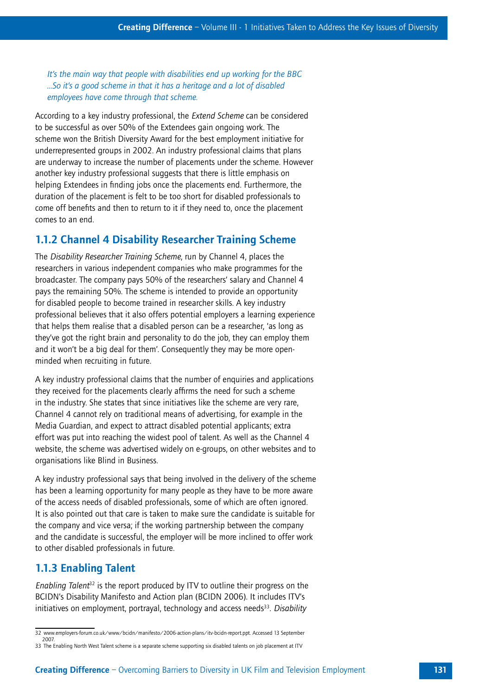*It's the main way that people with disabilities end up working for the BBC …So it's a good scheme in that it has a heritage and a lot of disabled employees have come through that scheme.* 

According to a key industry professional, the *Extend Scheme* can be considered to be successful as over 50% of the Extendees gain ongoing work. The scheme won the British Diversity Award for the best employment initiative for underrepresented groups in 2002. An industry professional claims that plans are underway to increase the number of placements under the scheme. However another key industry professional suggests that there is little emphasis on helping Extendees in finding jobs once the placements end. Furthermore, the duration of the placement is felt to be too short for disabled professionals to come off benefits and then to return to it if they need to, once the placement comes to an end.

### 1.1.2 Channel 4 Disability Researcher Training Scheme

The *Disability Researcher Training Scheme*, run by Channel 4, places the researchers in various independent companies who make programmes for the broadcaster. The company pays 50% of the researchers' salary and Channel 4 pays the remaining 50%. The scheme is intended to provide an opportunity for disabled people to become trained in researcher skills. A key industry professional believes that it also offers potential employers a learning experience that helps them realise that a disabled person can be a researcher, 'as long as they've got the right brain and personality to do the job, they can employ them and it won't be a big deal for them'. Consequently they may be more openminded when recruiting in future.

A key industry professional claims that the number of enquiries and applications they received for the placements clearly affirms the need for such a scheme in the industry. She states that since initiatives like the scheme are very rare, Channel 4 cannot rely on traditional means of advertising, for example in the Media Guardian, and expect to attract disabled potential applicants; extra effort was put into reaching the widest pool of talent. As well as the Channel 4 website, the scheme was advertised widely on e-groups, on other websites and to organisations like Blind in Business.

A key industry professional says that being involved in the delivery of the scheme has been a learning opportunity for many people as they have to be more aware of the access needs of disabled professionals, some of which are often ignored. It is also pointed out that care is taken to make sure the candidate is suitable for the company and vice versa; if the working partnership between the company and the candidate is successful, the employer will be more inclined to offer work to other disabled professionals in future.

### 1.1.3 Enabling Talent

*Enabling Talent*<sup>32</sup> is the report produced by ITV to outline their progress on the BCIDN's Disability Manifesto and Action plan (BCIDN 2006). It includes ITV's initiatives on employment, portrayal, technology and access needs<sup>33</sup>. Disability

<sup>32</sup> www.employers-forum.co.uk/www/bcidn/manifesto/2006-action-plans/itv-bcidn-report.ppt. Accessed 13 September 2007.

<sup>33</sup> The Enabling North West Talent scheme is a separate scheme supporting six disabled talents on job placement at ITV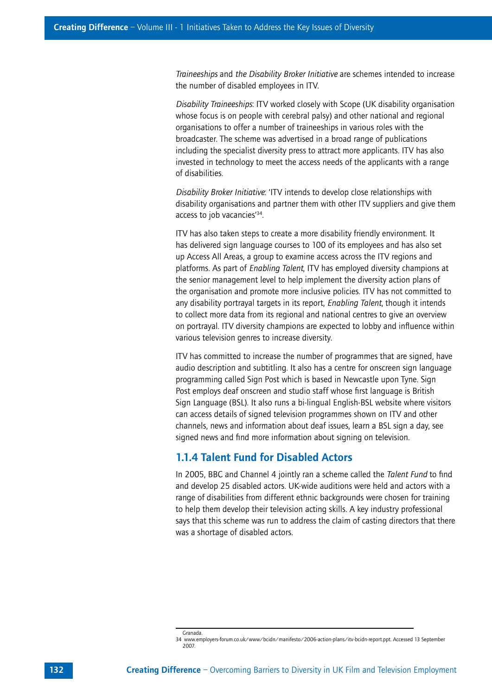*Traineeships* and *the Disability Broker Initiative* are schemes intended to increase the number of disabled employees in ITV.

*Disability Traineeships*: ITV worked closely with Scope (UK disability organisation whose focus is on people with cerebral palsy) and other national and regional organisations to offer a number of traineeships in various roles with the broadcaster. The scheme was advertised in a broad range of publications including the specialist diversity press to attract more applicants. ITV has also invested in technology to meet the access needs of the applicants with a range of disabilities.

*Disability Broker Initiative*: 'ITV intends to develop close relationships with disability organisations and partner them with other ITV suppliers and give them access to job vacancies'34.

ITV has also taken steps to create a more disability friendly environment. It has delivered sign language courses to 100 of its employees and has also set up Access All Areas, a group to examine access across the ITV regions and platforms. As part of *Enabling Talent*, ITV has employed diversity champions at the senior management level to help implement the diversity action plans of the organisation and promote more inclusive policies. ITV has not committed to any disability portrayal targets in its report, *Enabling Talent*, though it intends to collect more data from its regional and national centres to give an overview on portrayal. ITV diversity champions are expected to lobby and influence within various television genres to increase diversity.

ITV has committed to increase the number of programmes that are signed, have audio description and subtitling. It also has a centre for onscreen sign language programming called Sign Post which is based in Newcastle upon Tyne. Sign Post employs deaf onscreen and studio staff whose first language is British Sign Language (BSL). It also runs a bi-lingual English-BSL website where visitors can access details of signed television programmes shown on ITV and other channels, news and information about deaf issues, learn a BSL sign a day, see signed news and find more information about signing on television.

### 1.1.4 Talent Fund for Disabled Actors

In 2005, BBC and Channel 4 jointly ran a scheme called the *Talent Fund* to find and develop 25 disabled actors. UK-wide auditions were held and actors with a range of disabilities from different ethnic backgrounds were chosen for training to help them develop their television acting skills. A key industry professional says that this scheme was run to address the claim of casting directors that there was a shortage of disabled actors.

Granada.

<sup>34</sup> www.employers-forum.co.uk/www/bcidn/manifesto/2006-action-plans/itv-bcidn-report.ppt. Accessed 13 September 2007.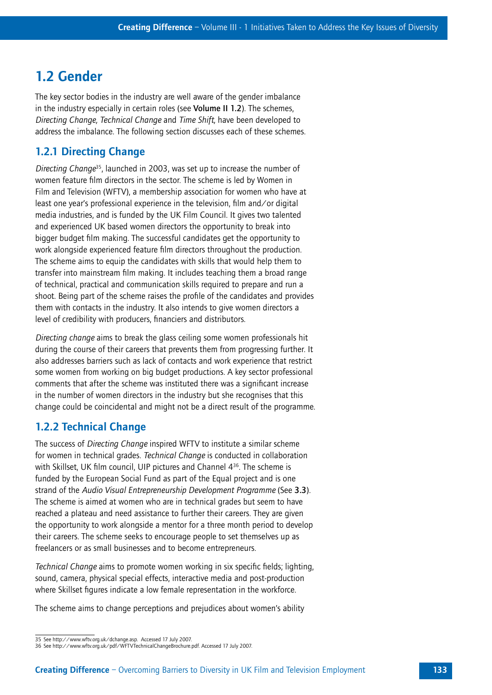# 1.2 Gender

The key sector bodies in the industry are well aware of the gender imbalance in the industry especially in certain roles (see Volume II 1.2). The schemes, *Directing Change, Technical Change* and *Time Shift,* have been developed to address the imbalance. The following section discusses each of these schemes.

### 1.2.1 Directing Change

*Directing Change*35, launched in 2003, was set up to increase the number of women feature film directors in the sector. The scheme is led by Women in Film and Television (WFTV), a membership association for women who have at least one year's professional experience in the television, film and/or digital media industries, and is funded by the UK Film Council. It gives two talented and experienced UK based women directors the opportunity to break into bigger budget film making. The successful candidates get the opportunity to work alongside experienced feature film directors throughout the production. The scheme aims to equip the candidates with skills that would help them to transfer into mainstream film making. It includes teaching them a broad range of technical, practical and communication skills required to prepare and run a shoot. Being part of the scheme raises the profile of the candidates and provides them with contacts in the industry. It also intends to give women directors a level of credibility with producers, financiers and distributors.

*Directing change* aims to break the glass ceiling some women professionals hit during the course of their careers that prevents them from progressing further. It also addresses barriers such as lack of contacts and work experience that restrict some women from working on big budget productions. A key sector professional comments that after the scheme was instituted there was a significant increase in the number of women directors in the industry but she recognises that this change could be coincidental and might not be a direct result of the programme.

### 1.2.2 Technical Change

The success of *Directing Change* inspired WFTV to institute a similar scheme for women in technical grades. *Technical Change* is conducted in collaboration with Skillset, UK film council, UIP pictures and Channel 4<sup>36</sup>. The scheme is funded by the European Social Fund as part of the Equal project and is one strand of the *Audio Visual Entrepreneurship Development Programme* (See 3.3). The scheme is aimed at women who are in technical grades but seem to have reached a plateau and need assistance to further their careers. They are given the opportunity to work alongside a mentor for a three month period to develop their careers. The scheme seeks to encourage people to set themselves up as freelancers or as small businesses and to become entrepreneurs.

*Technical Change* aims to promote women working in six specific fields; lighting, sound, camera, physical special effects, interactive media and post-production where Skillset figures indicate a low female representation in the workforce.

The scheme aims to change perceptions and prejudices about women's ability

<sup>35</sup> See http://www.wftv.org.uk/dchange.asp. Accessed 17 July 2007.

<sup>36</sup> See http://www.wftv.org.uk/pdf/WFTVTechnicalChangeBrochure.pdf. Accessed 17 July 2007.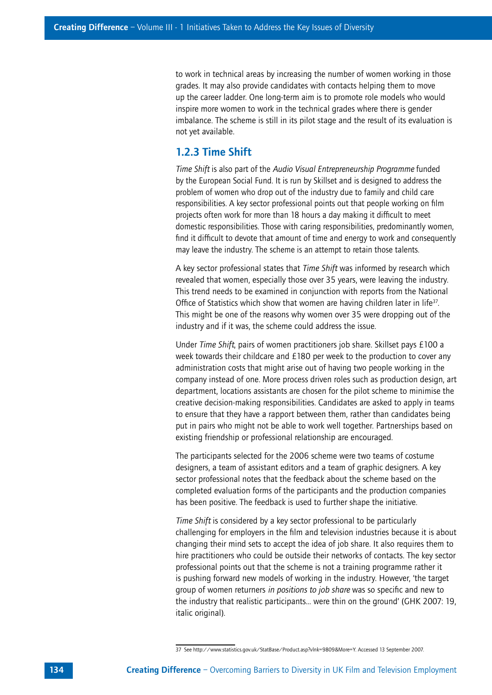to work in technical areas by increasing the number of women working in those grades. It may also provide candidates with contacts helping them to move up the career ladder. One long-term aim is to promote role models who would inspire more women to work in the technical grades where there is gender imbalance. The scheme is still in its pilot stage and the result of its evaluation is not yet available.

### 1.2.3 Time Shift

*Time Shift* is also part of the *Audio Visual Entrepreneurship Programme* funded by the European Social Fund. It is run by Skillset and is designed to address the problem of women who drop out of the industry due to family and child care responsibilities. A key sector professional points out that people working on film projects often work for more than 18 hours a day making it difficult to meet domestic responsibilities. Those with caring responsibilities, predominantly women, find it difficult to devote that amount of time and energy to work and consequently may leave the industry. The scheme is an attempt to retain those talents.

A key sector professional states that *Time Shift* was informed by research which revealed that women, especially those over 35 years, were leaving the industry. This trend needs to be examined in conjunction with reports from the National Office of Statistics which show that women are having children later in life<sup>37</sup>. This might be one of the reasons why women over 35 were dropping out of the industry and if it was, the scheme could address the issue.

Under *Time Shift*, pairs of women practitioners job share. Skillset pays £100 a week towards their childcare and £180 per week to the production to cover any administration costs that might arise out of having two people working in the company instead of one. More process driven roles such as production design, art department, locations assistants are chosen for the pilot scheme to minimise the creative decision-making responsibilities. Candidates are asked to apply in teams to ensure that they have a rapport between them, rather than candidates being put in pairs who might not be able to work well together. Partnerships based on existing friendship or professional relationship are encouraged.

The participants selected for the 2006 scheme were two teams of costume designers, a team of assistant editors and a team of graphic designers. A key sector professional notes that the feedback about the scheme based on the completed evaluation forms of the participants and the production companies has been positive. The feedback is used to further shape the initiative.

*Time Shift* is considered by a key sector professional to be particularly challenging for employers in the film and television industries because it is about changing their mind sets to accept the idea of job share. It also requires them to hire practitioners who could be outside their networks of contacts. The key sector professional points out that the scheme is not a training programme rather it is pushing forward new models of working in the industry. However, 'the target group of women returners *in positions to job share* was so specific and new to the industry that realistic participants... were thin on the ground' (GHK 2007: 19, italic original).

<sup>37</sup> See http://www.statistics.gov.uk/StatBase/Product.asp?vlnk=9809&More=Y. Accessed 13 September 2007.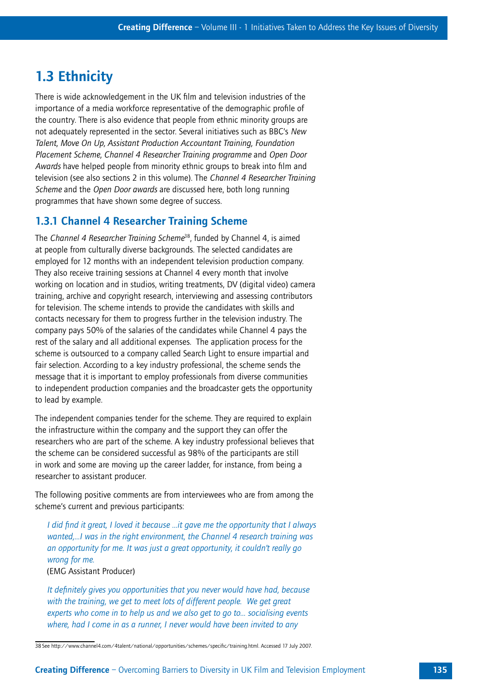# 1.3 Ethnicity

There is wide acknowledgement in the UK film and television industries of the importance of a media workforce representative of the demographic profile of the country. There is also evidence that people from ethnic minority groups are not adequately represented in the sector. Several initiatives such as BBC's *New Talent, Move On Up, Assistant Production Accountant Training, Foundation Placement Scheme, Channel 4 Researcher Training programme* and *Open Door Awards* have helped people from minority ethnic groups to break into film and television (see also sections 2 in this volume). The *Channel 4 Researcher Training Scheme* and the *Open Door awards* are discussed here, both long running programmes that have shown some degree of success.

### 1.3.1 Channel 4 Researcher Training Scheme

The *Channel 4 Researcher Training Scheme*38, funded by Channel 4, is aimed at people from culturally diverse backgrounds. The selected candidates are employed for 12 months with an independent television production company. They also receive training sessions at Channel 4 every month that involve working on location and in studios, writing treatments, DV (digital video) camera training, archive and copyright research, interviewing and assessing contributors for television. The scheme intends to provide the candidates with skills and contacts necessary for them to progress further in the television industry. The company pays 50% of the salaries of the candidates while Channel 4 pays the rest of the salary and all additional expenses. The application process for the scheme is outsourced to a company called Search Light to ensure impartial and fair selection. According to a key industry professional, the scheme sends the message that it is important to employ professionals from diverse communities to independent production companies and the broadcaster gets the opportunity to lead by example.

The independent companies tender for the scheme. They are required to explain the infrastructure within the company and the support they can offer the researchers who are part of the scheme. A key industry professional believes that the scheme can be considered successful as 98% of the participants are still in work and some are moving up the career ladder, for instance, from being a researcher to assistant producer.

The following positive comments are from interviewees who are from among the scheme's current and previous participants:

*I did find it great, I loved it because …it gave me the opportunity that I always wanted,…I was in the right environment, the Channel 4 research training was an opportunity for me. It was just a great opportunity, it couldn't really go wrong for me.*  (EMG Assistant Producer)

*It definitely gives you opportunities that you never would have had, because*  with the training, we get to meet lots of different people. We get great *experts who come in to help us and we also get to go to… socialising events where, had I come in as a runner, I never would have been invited to any* 

<sup>38</sup> See http://www.channel4.com/4talent/national/opportunities/schemes/specific/training.html. Accessed 17 July 2007.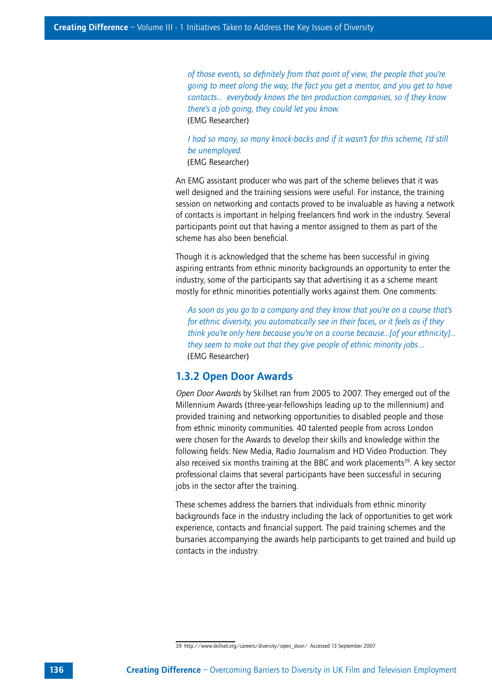*of those events, so definitely from that point of view, the people that you're going to meet along the way, the fact you get a mentor, and you get to have contacts… everybody knows the ten production companies, so if they know there's a job going, they could let you know.*  (EMG Researcher)

### *I had so many, so many knock-backs and if it wasn't for this scheme, I'd still be unemployed.*

(EMG Researcher)

An EMG assistant producer who was part of the scheme believes that it was well designed and the training sessions were useful. For instance, the training session on networking and contacts proved to be invaluable as having a network of contacts is important in helping freelancers find work in the industry. Several participants point out that having a mentor assigned to them as part of the scheme has also been beneficial.

Though it is acknowledged that the scheme has been successful in giving aspiring entrants from ethnic minority backgrounds an opportunity to enter the industry, some of the participants say that advertising it as a scheme meant mostly for ethnic minorities potentially works against them. One comments:

*As soon as you go to a company and they know that you're on a course that's for ethnic diversity, you automatically see in their faces, or it feels as if they think you're only here because you're on a course because…[of your ethnicity]... they seem to make out that they give people of ethnic minority jobs....*  (EMG Researcher)

### 1.3.2 Open Door Awards

*Open Door Awards* by Skillset ran from 2005 to 2007. They emerged out of the Millennium Awards (three-year-fellowships leading up to the millennium) and provided training and networking opportunities to disabled people and those from ethnic minority communities. 40 talented people from across London were chosen for the Awards to develop their skills and knowledge within the following fields: New Media, Radio Journalism and HD Video Production. They also received six months training at the BBC and work placements<sup>39</sup>. A key sector professional claims that several participants have been successful in securing jobs in the sector after the training.

These schemes address the barriers that individuals from ethnic minority backgrounds face in the industry including the lack of opportunities to get work experience, contacts and financial support. The paid training schemes and the bursaries accompanying the awards help participants to get trained and build up contacts in the industry.

<sup>39</sup> http://www.skillset.org/careers/diversity/open\_door/. Accessed 13 September 2007.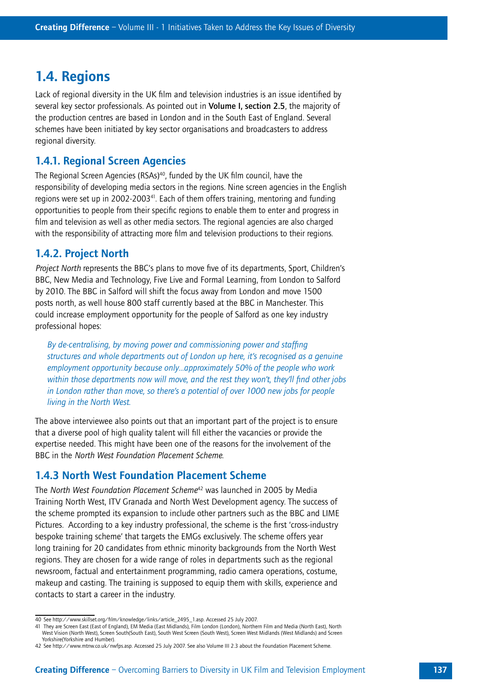# 1.4. Regions

Lack of regional diversity in the UK film and television industries is an issue identified by several key sector professionals. As pointed out in Volume I, section 2.5, the majority of the production centres are based in London and in the South East of England. Several schemes have been initiated by key sector organisations and broadcasters to address regional diversity.

### 1.4.1. Regional Screen Agencies

The Regional Screen Agencies (RSAs)<sup>40</sup>, funded by the UK film council, have the responsibility of developing media sectors in the regions. Nine screen agencies in the English regions were set up in 2002-200341. Each of them offers training, mentoring and funding opportunities to people from their specific regions to enable them to enter and progress in film and television as well as other media sectors. The regional agencies are also charged with the responsibility of attracting more film and television productions to their regions.

### 1.4.2. Project North

*Project North* represents the BBC's plans to move five of its departments, Sport, Children's BBC, New Media and Technology, Five Live and Formal Learning, from London to Salford by 2010. The BBC in Salford will shift the focus away from London and move 1500 posts north, as well house 800 staff currently based at the BBC in Manchester. This could increase employment opportunity for the people of Salford as one key industry professional hopes:

*By de-centralising, by moving power and commissioning power and staffing structures and whole departments out of London up here, it's recognised as a genuine employment opportunity because only…approximately 50% of the people who work within those departments now will move, and the rest they won't, they'll find other jobs in London rather than move, so there's a potential of over 1000 new jobs for people living in the North West.*

The above interviewee also points out that an important part of the project is to ensure that a diverse pool of high quality talent will fill either the vacancies or provide the expertise needed. This might have been one of the reasons for the involvement of the BBC in the *North West Foundation Placement Scheme*.

### 1.4.3 North West Foundation Placement Scheme

The *North West Foundation Placement Scheme*42 was launched in 2005 by Media Training North West, ITV Granada and North West Development agency. The success of the scheme prompted its expansion to include other partners such as the BBC and LIME Pictures. According to a key industry professional, the scheme is the first 'cross-industry bespoke training scheme' that targets the EMGs exclusively. The scheme offers year long training for 20 candidates from ethnic minority backgrounds from the North West regions. They are chosen for a wide range of roles in departments such as the regional newsroom, factual and entertainment programming, radio camera operations, costume, makeup and casting. The training is supposed to equip them with skills, experience and contacts to start a career in the industry.

<sup>40</sup> See http://www.skillset.org/film/knowledge/links/article\_2495\_1.asp. Accessed 25 July 2007.

<sup>41</sup> They are Screen East (East of England), EM Media (East Midlands), Film London (London), Northern Film and Media (North East), North West Vision (North West), Screen South(South East), South West Screen (South West), Screen West Midlands (West Midlands) and Screen Yorkshire(Yorkshire and Humber).

<sup>42</sup> See http://www.mtnw.co.uk/nwfps.asp. Accessed 25 July 2007. See also Volume III 2.3 about the Foundation Placement Scheme.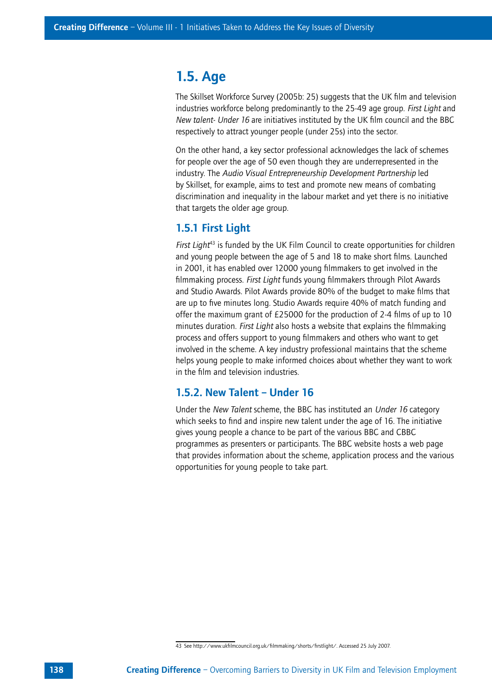### 1.5. Age

The Skillset Workforce Survey (2005b: 25) suggests that the UK film and television industries workforce belong predominantly to the 25-49 age group. *First Light* and *New talent- Under 16* are initiatives instituted by the UK film council and the BBC respectively to attract younger people (under 25s) into the sector.

On the other hand, a key sector professional acknowledges the lack of schemes for people over the age of 50 even though they are underrepresented in the industry. The *Audio Visual Entrepreneurship Development Partnership* led by Skillset, for example, aims to test and promote new means of combating discrimination and inequality in the labour market and yet there is no initiative that targets the older age group.

### 1.5.1 First Light

*First Light*43 is funded by the UK Film Council to create opportunities for children and young people between the age of 5 and 18 to make short films. Launched in 2001, it has enabled over 12000 young filmmakers to get involved in the filmmaking process. *First Light* funds young filmmakers through Pilot Awards and Studio Awards. Pilot Awards provide 80% of the budget to make films that are up to five minutes long. Studio Awards require 40% of match funding and offer the maximum grant of £25000 for the production of 2-4 films of up to 10 minutes duration. *First Light* also hosts a website that explains the filmmaking process and offers support to young filmmakers and others who want to get involved in the scheme. A key industry professional maintains that the scheme helps young people to make informed choices about whether they want to work in the film and television industries.

### 1.5.2. New Talent – Under 16

Under the *New Talent* scheme, the BBC has instituted an *Under 16* category which seeks to find and inspire new talent under the age of 16. The initiative gives young people a chance to be part of the various BBC and CBBC programmes as presenters or participants. The BBC website hosts a web page that provides information about the scheme, application process and the various opportunities for young people to take part.

<sup>43</sup> See http://www.ukfilmcouncil.org.uk/filmmaking/shorts/firstlight/. Accessed 25 July 2007.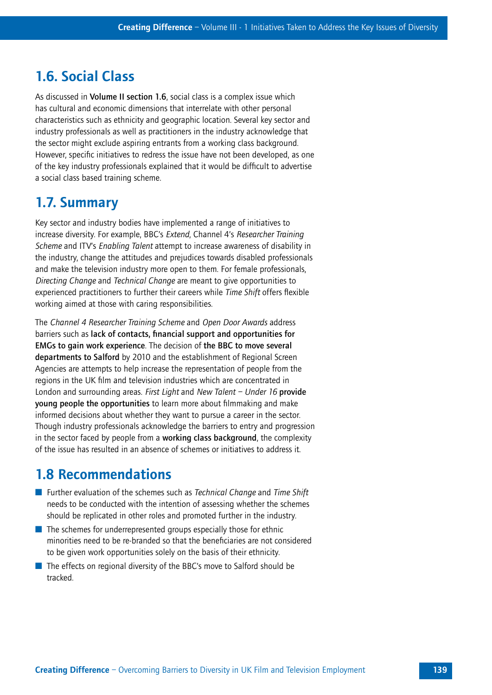# 1.6. Social Class

As discussed in Volume II section 1.6, social class is a complex issue which has cultural and economic dimensions that interrelate with other personal characteristics such as ethnicity and geographic location. Several key sector and industry professionals as well as practitioners in the industry acknowledge that the sector might exclude aspiring entrants from a working class background. However, specific initiatives to redress the issue have not been developed, as one of the key industry professionals explained that it would be difficult to advertise a social class based training scheme.

### 1.7. Summary

Key sector and industry bodies have implemented a range of initiatives to increase diversity. For example, BBC's *Extend*, Channel 4's *Researcher Training Scheme* and ITV's *Enabling Talent* attempt to increase awareness of disability in the industry, change the attitudes and prejudices towards disabled professionals and make the television industry more open to them. For female professionals, *Directing Change* and *Technical Change* are meant to give opportunities to experienced practitioners to further their careers while *Time Shift* offers flexible working aimed at those with caring responsibilities.

The *Channel 4 Researcher Training Scheme* and *Open Door Awards* address barriers such as lack of contacts, financial support and opportunities for EMGs to gain work experience. The decision of the BBC to move several departments to Salford by 2010 and the establishment of Regional Screen Agencies are attempts to help increase the representation of people from the regions in the UK film and television industries which are concentrated in London and surrounding areas. *First Light* and *New Talent – Under 16* provide young people the opportunities to learn more about filmmaking and make informed decisions about whether they want to pursue a career in the sector. Though industry professionals acknowledge the barriers to entry and progression in the sector faced by people from a working class background, the complexity of the issue has resulted in an absence of schemes or initiatives to address it.

# 1.8 Recommendations

- Further evaluation of the schemes such as *Technical Change* and *Time Shift* needs to be conducted with the intention of assessing whether the schemes should be replicated in other roles and promoted further in the industry.
- $\blacksquare$  The schemes for underrepresented groups especially those for ethnic minorities need to be re-branded so that the beneficiaries are not considered to be given work opportunities solely on the basis of their ethnicity.
- The effects on regional diversity of the BBC's move to Salford should be tracked.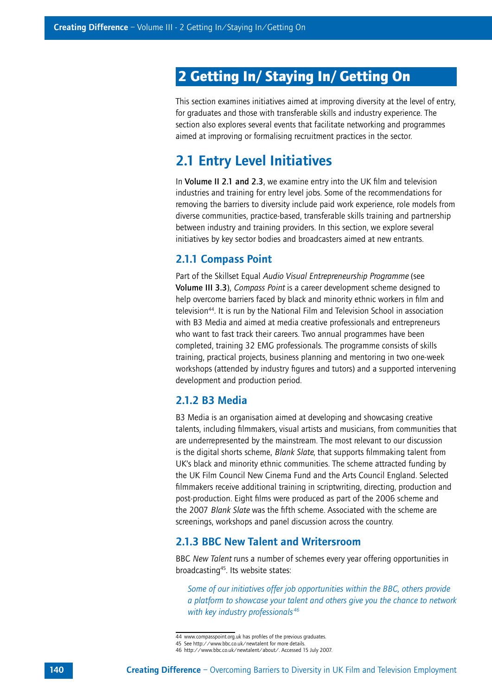# **2 Getting In/Staying In/Getting On**

This section examines initiatives aimed at improving diversity at the level of entry, for graduates and those with transferable skills and industry experience. The section also explores several events that facilitate networking and programmes aimed at improving or formalising recruitment practices in the sector.

# 2.1 Entry Level Initiatives

In Volume II 2.1 and 2.3, we examine entry into the UK film and television industries and training for entry level jobs. Some of the recommendations for removing the barriers to diversity include paid work experience, role models from diverse communities, practice-based, transferable skills training and partnership between industry and training providers. In this section, we explore several initiatives by key sector bodies and broadcasters aimed at new entrants.

### 2.1.1 Compass Point

Part of the Skillset Equal *Audio Visual Entrepreneurship Programme* (see Volume III 3.3), *Compass Point* is a career development scheme designed to help overcome barriers faced by black and minority ethnic workers in film and television<sup>44</sup>. It is run by the National Film and Television School in association with B3 Media and aimed at media creative professionals and entrepreneurs who want to fast track their careers. Two annual programmes have been completed, training 32 EMG professionals. The programme consists of skills training, practical projects, business planning and mentoring in two one-week workshops (attended by industry figures and tutors) and a supported intervening development and production period.

### 2.1.2 B3 Media

B3 Media is an organisation aimed at developing and showcasing creative talents, including filmmakers, visual artists and musicians, from communities that are underrepresented by the mainstream. The most relevant to our discussion is the digital shorts scheme, *Blank Slate*, that supports filmmaking talent from UK's black and minority ethnic communities. The scheme attracted funding by the UK Film Council New Cinema Fund and the Arts Council England. Selected filmmakers receive additional training in scriptwriting, directing, production and post-production. Eight films were produced as part of the 2006 scheme and the 2007 *Blank Slate* was the fifth scheme. Associated with the scheme are screenings, workshops and panel discussion across the country.

### 2.1.3 BBC New Talent and Writersroom

BBC *New Talent* runs a number of schemes every year offering opportunities in broadcasting45. Its website states:

*Some of our initiatives offer job opportunities within the BBC, others provide a platform to showcase your talent and others give you the chance to network with key industry professionals.46*

<sup>44</sup> www.compasspoint.org.uk has profiles of the previous graduates.

<sup>45</sup> See http://www.bbc.co.uk/newtalent for more details.

<sup>46</sup> http://www.bbc.co.uk/newtalent/about/. Accessed 15 July 2007.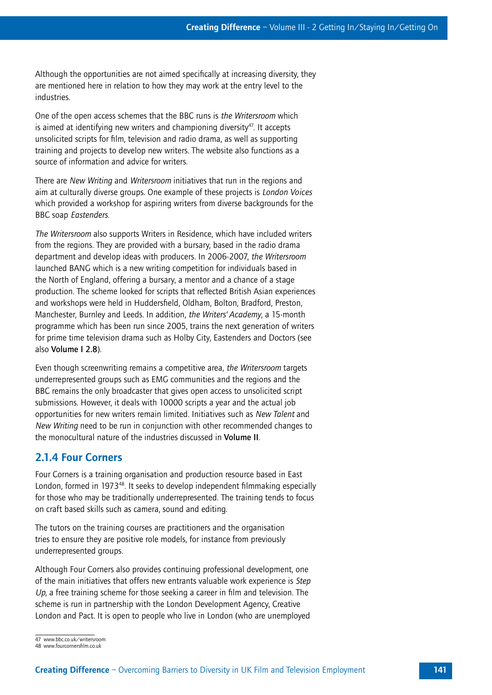Although the opportunities are not aimed specifically at increasing diversity, they are mentioned here in relation to how they may work at the entry level to the industries.

One of the open access schemes that the BBC runs is *the Writersroom* which is aimed at identifying new writers and championing diversity<sup>47</sup>. It accepts unsolicited scripts for film, television and radio drama, as well as supporting training and projects to develop new writers. The website also functions as a source of information and advice for writers.

There are *New Writing* and *Writersroom* initiatives that run in the regions and aim at culturally diverse groups. One example of these projects is *London Voices* which provided a workshop for aspiring writers from diverse backgrounds for the BBC soap *Eastenders*.

*The Writersroom* also supports Writers in Residence, which have included writers from the regions. They are provided with a bursary, based in the radio drama department and develop ideas with producers. In 2006-2007, *the Writersroom* launched BANG which is a new writing competition for individuals based in the North of England, offering a bursary, a mentor and a chance of a stage production. The scheme looked for scripts that reflected British Asian experiences and workshops were held in Huddersfield, Oldham, Bolton, Bradford, Preston, Manchester, Burnley and Leeds. In addition, *the Writers' Academy*, a 15-month programme which has been run since 2005, trains the next generation of writers for prime time television drama such as Holby City, Eastenders and Doctors (see also Volume I 2.8).

Even though screenwriting remains a competitive area, *the Writersroom* targets underrepresented groups such as EMG communities and the regions and the BBC remains the only broadcaster that gives open access to unsolicited script submissions. However, it deals with 10000 scripts a year and the actual job opportunities for new writers remain limited. Initiatives such as *New Talent* and *New Writing* need to be run in conjunction with other recommended changes to the monocultural nature of the industries discussed in Volume II.

### 2.1.4 Four Corners

Four Corners is a training organisation and production resource based in East London, formed in 1973<sup>48</sup>. It seeks to develop independent filmmaking especially for those who may be traditionally underrepresented. The training tends to focus on craft based skills such as camera, sound and editing.

The tutors on the training courses are practitioners and the organisation tries to ensure they are positive role models, for instance from previously underrepresented groups.

Although Four Corners also provides continuing professional development, one of the main initiatives that offers new entrants valuable work experience is *Step Up*, a free training scheme for those seeking a career in film and television. The scheme is run in partnership with the London Development Agency, Creative London and Pact. It is open to people who live in London (who are unemployed

<sup>47</sup> www.bbc.co.uk/writersroom

<sup>48</sup> www.fourcornersfilm.co.uk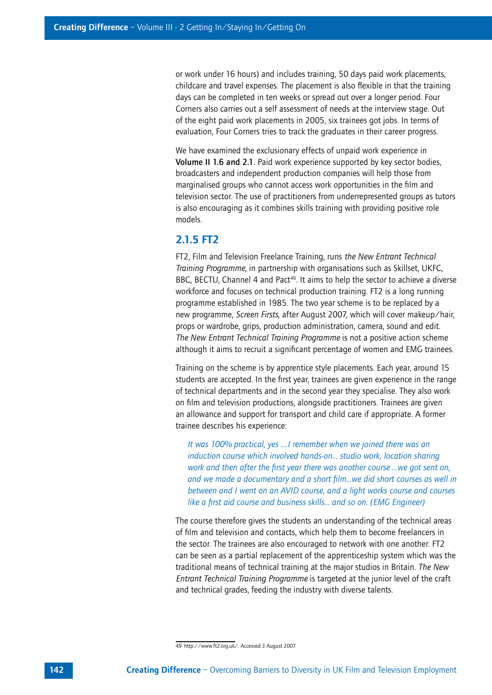or work under 16 hours) and includes training, 50 days paid work placements, childcare and travel expenses. The placement is also flexible in that the training days can be completed in ten weeks or spread out over a longer period. Four Corners also carries out a self assessment of needs at the interview stage. Out of the eight paid work placements in 2005, six trainees got jobs. In terms of evaluation, Four Corners tries to track the graduates in their career progress.

We have examined the exclusionary effects of unpaid work experience in Volume II 1.6 and 2.1. Paid work experience supported by key sector bodies, broadcasters and independent production companies will help those from marginalised groups who cannot access work opportunities in the film and television sector. The use of practitioners from underrepresented groups as tutors is also encouraging as it combines skills training with providing positive role models.

### 2.1.5 FT2

FT2, Film and Television Freelance Training, runs *the New Entrant Technical Training Programme*, in partnership with organisations such as Skillset, UKFC, BBC, BECTU, Channel 4 and Pact<sup>49</sup>. It aims to help the sector to achieve a diverse workforce and focuses on technical production training. FT2 is a long running programme established in 1985. The two year scheme is to be replaced by a new programme, *Screen Firsts*, after August 2007, which will cover makeup/hair, props or wardrobe, grips, production administration, camera, sound and edit. *The New Entrant Technical Training Programme* is not a positive action scheme although it aims to recruit a significant percentage of women and EMG trainees.

Training on the scheme is by apprentice style placements. Each year, around 15 students are accepted. In the first year, trainees are given experience in the range of technical departments and in the second year they specialise. They also work on film and television productions, alongside practitioners. Trainees are given an allowance and support for transport and child care if appropriate. A former trainee describes his experience:

*It was 100% practical, yes .…I remember when we joined there was an induction course which involved hands-on... studio work, location sharing work and then after the first year there was another course …we got sent on, and we made a documentary and a short film…we did short courses as well in*  between and I went on an AVID course, and a light works course and courses *like a first aid course and business skills... and so on. (EMG Engineer)*

The course therefore gives the students an understanding of the technical areas of film and television and contacts, which help them to become freelancers in the sector. The trainees are also encouraged to network with one another. FT2 can be seen as a partial replacement of the apprenticeship system which was the traditional means of technical training at the major studios in Britain. *The New Entrant Technical Training Programme* is targeted at the junior level of the craft and technical grades, feeding the industry with diverse talents.

<sup>49</sup> http://www.ft2.org.uk/. Accessed 3 August 2007.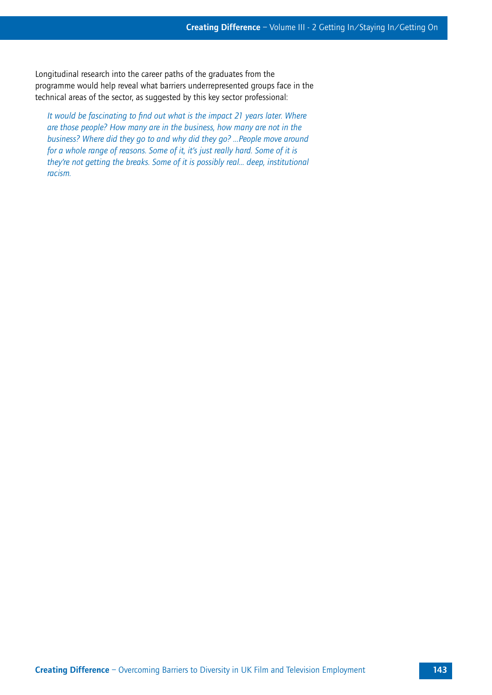Longitudinal research into the career paths of the graduates from the programme would help reveal what barriers underrepresented groups face in the technical areas of the sector, as suggested by this key sector professional:

*It would be fascinating to find out what is the impact 21 years later. Where are those people? How many are in the business, how many are not in the business? Where did they go to and why did they go? ...People move around for a whole range of reasons. Some of it, it's just really hard. Some of it is they're not getting the breaks. Some of it is possibly real... deep, institutional racism.*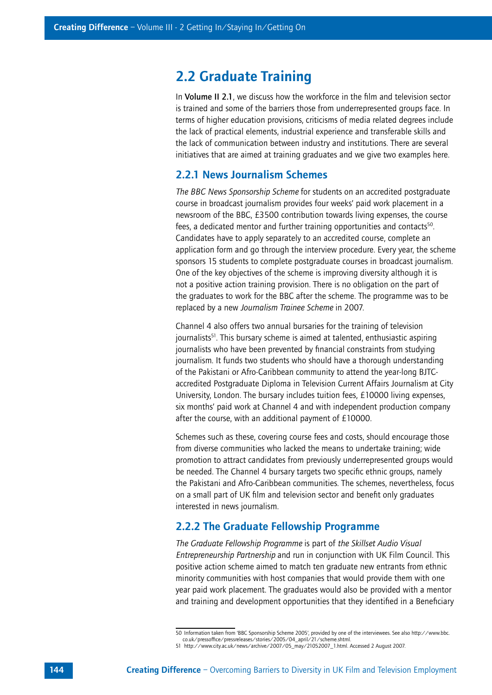### 2.2 Graduate Training

In Volume II 2.1, we discuss how the workforce in the film and television sector is trained and some of the barriers those from underrepresented groups face. In terms of higher education provisions, criticisms of media related degrees include the lack of practical elements, industrial experience and transferable skills and the lack of communication between industry and institutions. There are several initiatives that are aimed at training graduates and we give two examples here.

### 2.2.1 News Journalism Schemes

*The BBC News Sponsorship Scheme* for students on an accredited postgraduate course in broadcast journalism provides four weeks' paid work placement in a newsroom of the BBC, £3500 contribution towards living expenses, the course fees, a dedicated mentor and further training opportunities and contacts<sup>50</sup>. Candidates have to apply separately to an accredited course, complete an application form and go through the interview procedure. Every year, the scheme sponsors 15 students to complete postgraduate courses in broadcast journalism. One of the key objectives of the scheme is improving diversity although it is not a positive action training provision. There is no obligation on the part of the graduates to work for the BBC after the scheme. The programme was to be replaced by a new *Journalism Trainee Scheme* in 2007.

Channel 4 also offers two annual bursaries for the training of television journalists<sup>51</sup>. This bursary scheme is aimed at talented, enthusiastic aspiring journalists who have been prevented by financial constraints from studying journalism. It funds two students who should have a thorough understanding of the Pakistani or Afro-Caribbean community to attend the year-long BJTCaccredited Postgraduate Diploma in Television Current Affairs Journalism at City University, London. The bursary includes tuition fees, £10000 living expenses, six months' paid work at Channel 4 and with independent production company after the course, with an additional payment of £10000.

Schemes such as these, covering course fees and costs, should encourage those from diverse communities who lacked the means to undertake training; wide promotion to attract candidates from previously underrepresented groups would be needed. The Channel 4 bursary targets two specific ethnic groups, namely the Pakistani and Afro-Caribbean communities. The schemes, nevertheless, focus on a small part of UK film and television sector and benefit only graduates interested in news journalism.

### 2.2.2 The Graduate Fellowship Programme

*The Graduate Fellowship Programme* is part of *the Skillset Audio Visual Entrepreneurship Partnership* and run in conjunction with UK Film Council. This positive action scheme aimed to match ten graduate new entrants from ethnic minority communities with host companies that would provide them with one year paid work placement. The graduates would also be provided with a mentor and training and development opportunities that they identified in a Beneficiary

<sup>50</sup> Information taken from 'BBC Sponsorship Scheme 2005', provided by one of the interviewees. See also http://www.bbc. co.uk/pressoffice/pressreleases/stories/2005/04\_april/21/scheme.shtml.

<sup>51</sup> http://www.city.ac.uk/news/archive/2007/05\_may/21052007\_1.html. Accessed 2 August 2007.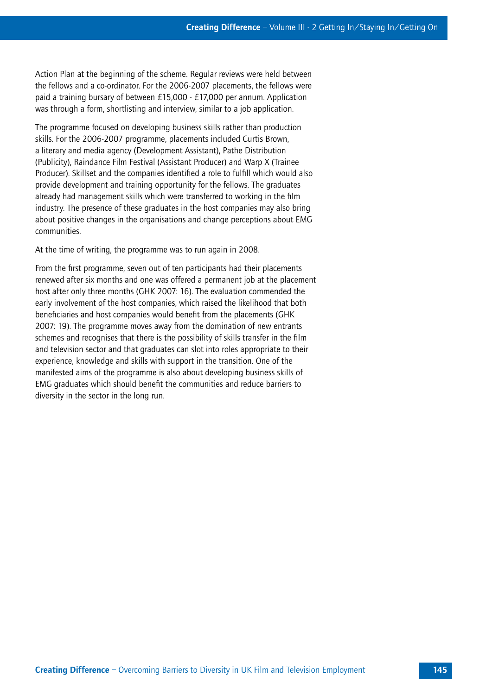Action Plan at the beginning of the scheme. Regular reviews were held between the fellows and a co-ordinator. For the 2006-2007 placements, the fellows were paid a training bursary of between £15,000 - £17,000 per annum. Application was through a form, shortlisting and interview, similar to a job application.

The programme focused on developing business skills rather than production skills. For the 2006-2007 programme, placements included Curtis Brown, a literary and media agency (Development Assistant), Pathe Distribution (Publicity), Raindance Film Festival (Assistant Producer) and Warp X (Trainee Producer). Skillset and the companies identified a role to fulfill which would also provide development and training opportunity for the fellows. The graduates already had management skills which were transferred to working in the film industry. The presence of these graduates in the host companies may also bring about positive changes in the organisations and change perceptions about EMG communities.

At the time of writing, the programme was to run again in 2008.

From the first programme, seven out of ten participants had their placements renewed after six months and one was offered a permanent job at the placement host after only three months (GHK 2007: 16). The evaluation commended the early involvement of the host companies, which raised the likelihood that both beneficiaries and host companies would benefit from the placements (GHK 2007: 19). The programme moves away from the domination of new entrants schemes and recognises that there is the possibility of skills transfer in the film and television sector and that graduates can slot into roles appropriate to their experience, knowledge and skills with support in the transition. One of the manifested aims of the programme is also about developing business skills of EMG graduates which should benefit the communities and reduce barriers to diversity in the sector in the long run.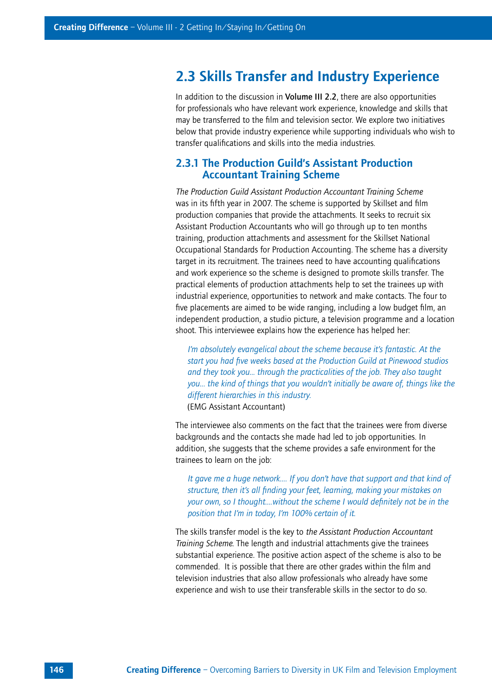## 2.3 Skills Transfer and Industry Experience

In addition to the discussion in Volume III 2.2, there are also opportunities for professionals who have relevant work experience, knowledge and skills that may be transferred to the film and television sector. We explore two initiatives below that provide industry experience while supporting individuals who wish to transfer qualifications and skills into the media industries.

### 2.3.1 The Production Guild's Assistant Production Accountant Training Scheme

*The Production Guild Assistant Production Accountant Training Scheme* was in its fifth year in 2007. The scheme is supported by Skillset and film production companies that provide the attachments. It seeks to recruit six Assistant Production Accountants who will go through up to ten months training, production attachments and assessment for the Skillset National Occupational Standards for Production Accounting. The scheme has a diversity target in its recruitment. The trainees need to have accounting qualifications and work experience so the scheme is designed to promote skills transfer. The practical elements of production attachments help to set the trainees up with industrial experience, opportunities to network and make contacts. The four to five placements are aimed to be wide ranging, including a low budget film, an independent production, a studio picture, a television programme and a location shoot. This interviewee explains how the experience has helped her:

*I'm absolutely evangelical about the scheme because it's fantastic. At the start you had five weeks based at the Production Guild at Pinewood studios and they took you... through the practicalities of the job. They also taught you... the kind of things that you wouldn't initially be aware of, things like the different hierarchies in this industry.*  (EMG Assistant Accountant)

The interviewee also comments on the fact that the trainees were from diverse backgrounds and the contacts she made had led to job opportunities. In addition, she suggests that the scheme provides a safe environment for the trainees to learn on the job:

*It gave me a huge network.... If you don't have that support and that kind of structure, then it's all finding your feet, learning, making your mistakes on your own, so I thought….without the scheme I would definitely not be in the position that I'm in today, I'm 100% certain of it.*

The skills transfer model is the key to *the Assistant Production Accountant Training Scheme*. The length and industrial attachments give the trainees substantial experience. The positive action aspect of the scheme is also to be commended. It is possible that there are other grades within the film and television industries that also allow professionals who already have some experience and wish to use their transferable skills in the sector to do so.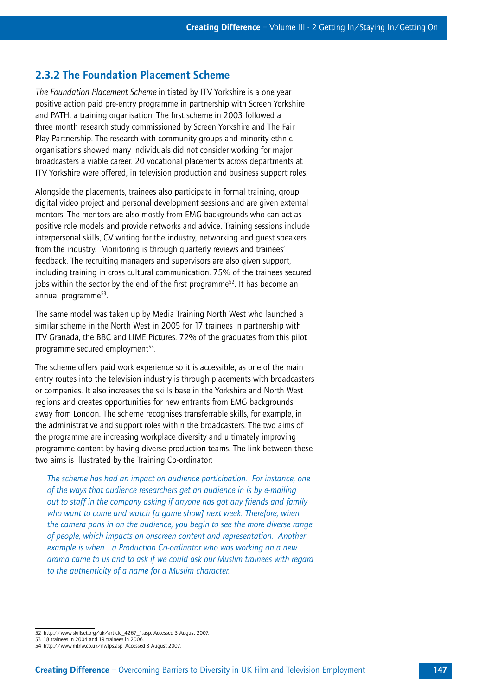### 2.3.2 The Foundation Placement Scheme

*The Foundation Placement Scheme* initiated by ITV Yorkshire is a one year positive action paid pre-entry programme in partnership with Screen Yorkshire and PATH, a training organisation. The first scheme in 2003 followed a three month research study commissioned by Screen Yorkshire and The Fair Play Partnership. The research with community groups and minority ethnic organisations showed many individuals did not consider working for major broadcasters a viable career. 20 vocational placements across departments at ITV Yorkshire were offered, in television production and business support roles.

Alongside the placements, trainees also participate in formal training, group digital video project and personal development sessions and are given external mentors. The mentors are also mostly from EMG backgrounds who can act as positive role models and provide networks and advice. Training sessions include interpersonal skills, CV writing for the industry, networking and guest speakers from the industry. Monitoring is through quarterly reviews and trainees' feedback. The recruiting managers and supervisors are also given support, including training in cross cultural communication. 75% of the trainees secured jobs within the sector by the end of the first programme<sup>52</sup>. It has become an annual programme<sup>53</sup>.

The same model was taken up by Media Training North West who launched a similar scheme in the North West in 2005 for 17 trainees in partnership with ITV Granada, the BBC and LIME Pictures. 72% of the graduates from this pilot programme secured employment<sup>54</sup>.

The scheme offers paid work experience so it is accessible, as one of the main entry routes into the television industry is through placements with broadcasters or companies. It also increases the skills base in the Yorkshire and North West regions and creates opportunities for new entrants from EMG backgrounds away from London. The scheme recognises transferrable skills, for example, in the administrative and support roles within the broadcasters. The two aims of the programme are increasing workplace diversity and ultimately improving programme content by having diverse production teams. The link between these two aims is illustrated by the Training Co-ordinator:

*The scheme has had an impact on audience participation. For instance, one of the ways that audience researchers get an audience in is by e-mailing out to staff in the company asking if anyone has got any friends and family who want to come and watch [a game show] next week. Therefore, when the camera pans in on the audience, you begin to see the more diverse range of people, which impacts on onscreen content and representation. Another example is when …a Production Co-ordinator who was working on a new drama came to us and to ask if we could ask our Muslim trainees with regard to the authenticity of a name for a Muslim character.*

<sup>52</sup> http://www.skillset.org/uk/article\_4267\_1.asp. Accessed 3 August 2007.

<sup>53 18</sup> trainees in 2004 and 19 trainees in 2006.

<sup>54</sup> http://www.mtnw.co.uk/nwfps.asp. Accessed 3 August 2007.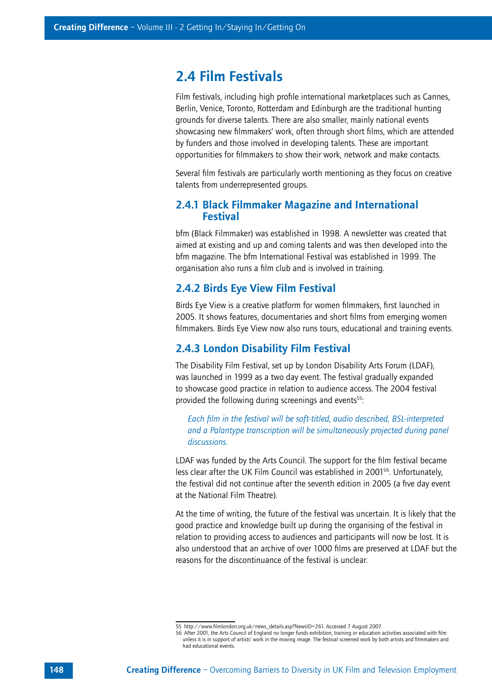## 2.4 Film Festivals

Film festivals, including high profile international marketplaces such as Cannes, Berlin, Venice, Toronto, Rotterdam and Edinburgh are the traditional hunting grounds for diverse talents. There are also smaller, mainly national events showcasing new filmmakers' work, often through short films, which are attended by funders and those involved in developing talents. These are important opportunities for filmmakers to show their work, network and make contacts.

Several film festivals are particularly worth mentioning as they focus on creative talents from underrepresented groups.

### 2.4.1 Black Filmmaker Magazine and International Festival

bfm (Black Filmmaker) was established in 1998. A newsletter was created that aimed at existing and up and coming talents and was then developed into the bfm magazine. The bfm International Festival was established in 1999. The organisation also runs a film club and is involved in training.

#### 2.4.2 Birds Eye View Film Festival

Birds Eye View is a creative platform for women filmmakers, first launched in 2005. It shows features, documentaries and short films from emerging women filmmakers. Birds Eye View now also runs tours, educational and training events.

#### 2.4.3 London Disability Film Festival

The Disability Film Festival, set up by London Disability Arts Forum (LDAF), was launched in 1999 as a two day event. The festival gradually expanded to showcase good practice in relation to audience access. The 2004 festival provided the following during screenings and events<sup>55</sup>:

*Each film in the festival will be soft-titled, audio described, BSL-interpreted*  and a Palantype transcription will be simultaneously projected during panel *discussions.*

LDAF was funded by the Arts Council. The support for the film festival became less clear after the UK Film Council was established in 200156. Unfortunately, the festival did not continue after the seventh edition in 2005 (a five day event at the National Film Theatre).

At the time of writing, the future of the festival was uncertain. It is likely that the good practice and knowledge built up during the organising of the festival in relation to providing access to audiences and participants will now be lost. It is also understood that an archive of over 1000 films are preserved at LDAF but the reasons for the discontinuance of the festival is unclear.

<sup>55</sup> http://www.filmlondon.org.uk/news\_details.asp?NewsID=261. Accessed 7 August 2007.

<sup>56</sup> After 2001, the Arts Council of England no longer funds exhibition, training or education activities associated with film unless it is in support of artists' work in the moving image. The festival screened work by both artists and filmmakers and had educational events.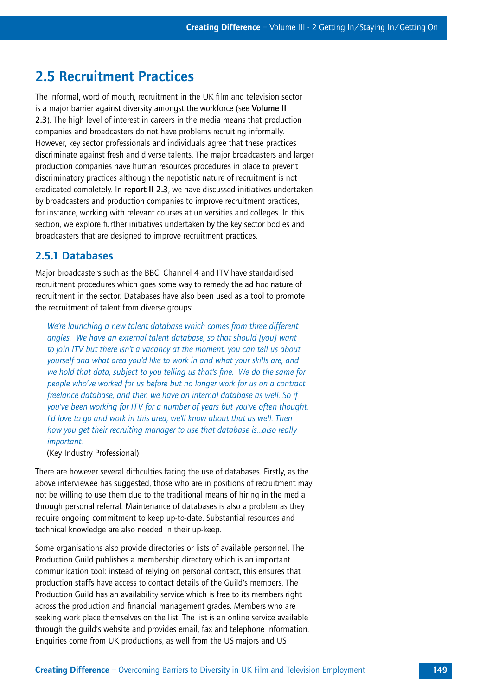## 2.5 Recruitment Practices

The informal, word of mouth, recruitment in the UK film and television sector is a major barrier against diversity amongst the workforce (see Volume II 2.3). The high level of interest in careers in the media means that production companies and broadcasters do not have problems recruiting informally. However, key sector professionals and individuals agree that these practices discriminate against fresh and diverse talents. The major broadcasters and larger production companies have human resources procedures in place to prevent discriminatory practices although the nepotistic nature of recruitment is not eradicated completely. In report II 2.3, we have discussed initiatives undertaken by broadcasters and production companies to improve recruitment practices, for instance, working with relevant courses at universities and colleges. In this section, we explore further initiatives undertaken by the key sector bodies and broadcasters that are designed to improve recruitment practices.

#### 2.5.1 Databases

Major broadcasters such as the BBC, Channel 4 and ITV have standardised recruitment procedures which goes some way to remedy the ad hoc nature of recruitment in the sector. Databases have also been used as a tool to promote the recruitment of talent from diverse groups:

*We're launching a new talent database which comes from three different angles. We have an external talent database, so that should [you] want to join ITV but there isn't a vacancy at the moment, you can tell us about yourself and what area you'd like to work in and what your skills are, and we hold that data, subject to you telling us that's fine. We do the same for people who've worked for us before but no longer work for us on a contract freelance database, and then we have an internal database as well. So if you've been working for ITV for a number of years but you've often thought, I'd love to go and work in this area, we'll know about that as well. Then how you get their recruiting manager to use that database is…also really important.* 

(Key Industry Professional)

There are however several difficulties facing the use of databases. Firstly, as the above interviewee has suggested, those who are in positions of recruitment may not be willing to use them due to the traditional means of hiring in the media through personal referral. Maintenance of databases is also a problem as they require ongoing commitment to keep up-to-date. Substantial resources and technical knowledge are also needed in their up-keep.

Some organisations also provide directories or lists of available personnel. The Production Guild publishes a membership directory which is an important communication tool: instead of relying on personal contact, this ensures that production staffs have access to contact details of the Guild's members. The Production Guild has an availability service which is free to its members right across the production and financial management grades. Members who are seeking work place themselves on the list. The list is an online service available through the guild's website and provides email, fax and telephone information. Enquiries come from UK productions, as well from the US majors and US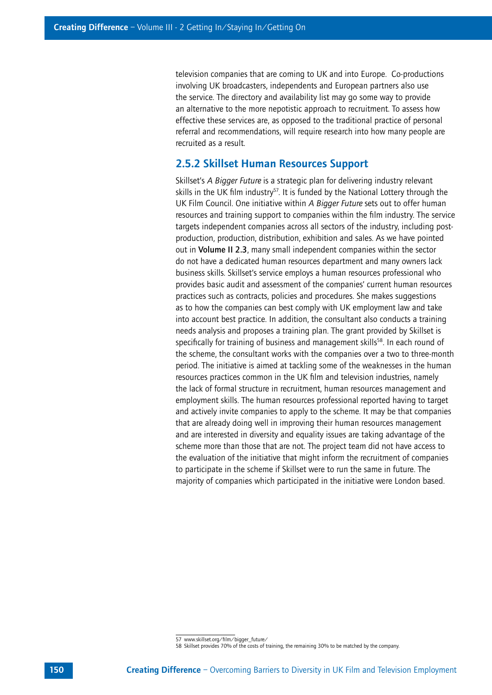television companies that are coming to UK and into Europe. Co-productions involving UK broadcasters, independents and European partners also use the service. The directory and availability list may go some way to provide an alternative to the more nepotistic approach to recruitment. To assess how effective these services are, as opposed to the traditional practice of personal referral and recommendations, will require research into how many people are recruited as a result.

#### 2.5.2 Skillset Human Resources Support

Skillset's *A Bigger Future* is a strategic plan for delivering industry relevant skills in the UK film industry<sup>57</sup>. It is funded by the National Lottery through the UK Film Council. One initiative within *A Bigger Future* sets out to offer human resources and training support to companies within the film industry. The service targets independent companies across all sectors of the industry, including postproduction, production, distribution, exhibition and sales. As we have pointed out in Volume II 2.3, many small independent companies within the sector do not have a dedicated human resources department and many owners lack business skills. Skillset's service employs a human resources professional who provides basic audit and assessment of the companies' current human resources practices such as contracts, policies and procedures. She makes suggestions as to how the companies can best comply with UK employment law and take into account best practice. In addition, the consultant also conducts a training needs analysis and proposes a training plan. The grant provided by Skillset is specifically for training of business and management skills<sup>58</sup>. In each round of the scheme, the consultant works with the companies over a two to three-month period. The initiative is aimed at tackling some of the weaknesses in the human resources practices common in the UK film and television industries, namely the lack of formal structure in recruitment, human resources management and employment skills. The human resources professional reported having to target and actively invite companies to apply to the scheme. It may be that companies that are already doing well in improving their human resources management and are interested in diversity and equality issues are taking advantage of the scheme more than those that are not. The project team did not have access to the evaluation of the initiative that might inform the recruitment of companies to participate in the scheme if Skillset were to run the same in future. The majority of companies which participated in the initiative were London based.

<sup>57</sup> www.skillset.org/film/bigger\_future/

<sup>58</sup> Skillset provides 70% of the costs of training, the remaining 30% to be matched by the company.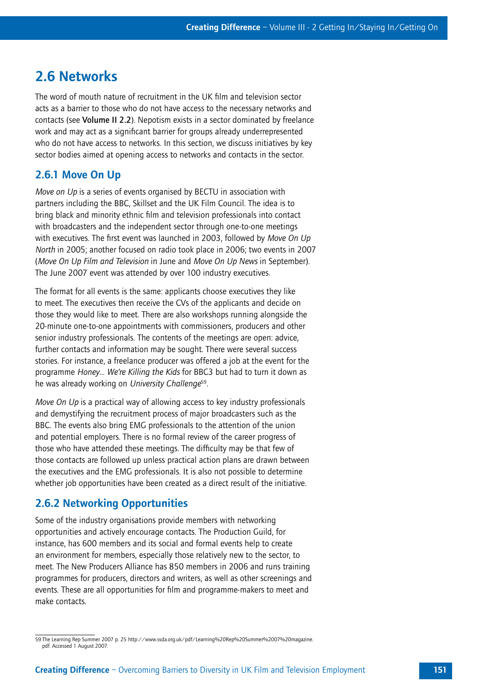## 2.6 Networks

The word of mouth nature of recruitment in the UK film and television sector acts as a barrier to those who do not have access to the necessary networks and contacts (see Volume II 2.2). Nepotism exists in a sector dominated by freelance work and may act as a significant barrier for groups already underrepresented who do not have access to networks. In this section, we discuss initiatives by key sector bodies aimed at opening access to networks and contacts in the sector.

### 2.6.1 Move On Up

*Move on Up* is a series of events organised by BECTU in association with partners including the BBC, Skillset and the UK Film Council. The idea is to bring black and minority ethnic film and television professionals into contact with broadcasters and the independent sector through one-to-one meetings with executives. The first event was launched in 2003, followed by *Move On Up North* in 2005; another focused on radio took place in 2006; two events in 2007 (*Move On Up Film and Television* in June and *Move On Up News* in September). The June 2007 event was attended by over 100 industry executives.

The format for all events is the same: applicants choose executives they like to meet. The executives then receive the CVs of the applicants and decide on those they would like to meet. There are also workshops running alongside the 20-minute one-to-one appointments with commissioners, producers and other senior industry professionals. The contents of the meetings are open: advice, further contacts and information may be sought. There were several success stories. For instance, a freelance producer was offered a job at the event for the programme *Honey… We're Killing the Kids* for BBC3 but had to turn it down as he was already working on *University Challenge*59.

*Move On Up* is a practical way of allowing access to key industry professionals and demystifying the recruitment process of major broadcasters such as the BBC. The events also bring EMG professionals to the attention of the union and potential employers. There is no formal review of the career progress of those who have attended these meetings. The difficulty may be that few of those contacts are followed up unless practical action plans are drawn between the executives and the EMG professionals. It is also not possible to determine whether job opportunities have been created as a direct result of the initiative.

### 2.6.2 Networking Opportunities

Some of the industry organisations provide members with networking opportunities and actively encourage contacts. The Production Guild, for instance, has 600 members and its social and formal events help to create an environment for members, especially those relatively new to the sector, to meet. The New Producers Alliance has 850 members in 2006 and runs training programmes for producers, directors and writers, as well as other screenings and events. These are all opportunities for film and programme-makers to meet and make contacts.

<sup>59</sup> The Learning Rep Summer 2007 p. 25 http://www.ssda.org.uk/pdf/Learning%20Rep%20Summer%2007%20magazine. pdf. Accessed 1 August 2007.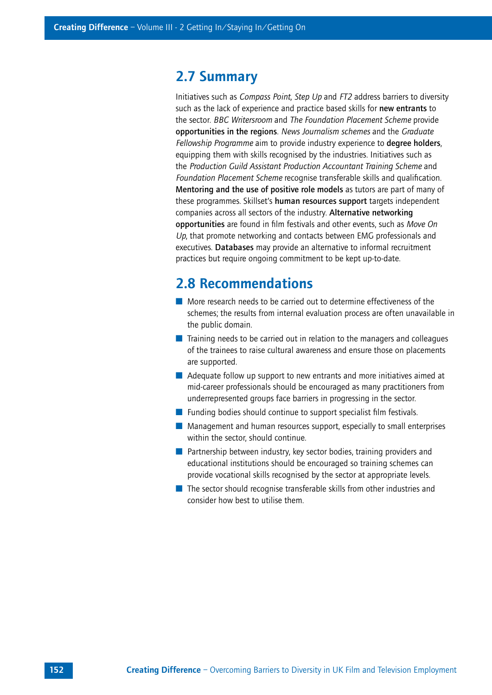### 2.7 Summary

Initiatives such as *Compass Point, Step Up* and *FT2* address barriers to diversity such as the lack of experience and practice based skills for new entrants to the sector. *BBC Writersroom* and *The Foundation Placement Scheme* provide opportunities in the regions. *News Journalism schemes* and the *Graduate Fellowship Programme* aim to provide industry experience to degree holders, equipping them with skills recognised by the industries. Initiatives such as the *Production Guild Assistant Production Accountant Training Scheme* and *Foundation Placement Scheme* recognise transferable skills and qualification. Mentoring and the use of positive role models as tutors are part of many of these programmes. Skillset's human resources support targets independent companies across all sectors of the industry. Alternative networking opportunities are found in film festivals and other events, such as *Move On Up*, that promote networking and contacts between EMG professionals and executives. Databases may provide an alternative to informal recruitment practices but require ongoing commitment to be kept up-to-date.

# 2.8 Recommendations

- More research needs to be carried out to determine effectiveness of the schemes; the results from internal evaluation process are often unavailable in the public domain.
- Training needs to be carried out in relation to the managers and colleagues of the trainees to raise cultural awareness and ensure those on placements are supported.
- $\blacksquare$  Adequate follow up support to new entrants and more initiatives aimed at mid-career professionals should be encouraged as many practitioners from underrepresented groups face barriers in progressing in the sector.
- Funding bodies should continue to support specialist film festivals.
- Management and human resources support, especially to small enterprises within the sector, should continue.
- Partnership between industry, key sector bodies, training providers and educational institutions should be encouraged so training schemes can provide vocational skills recognised by the sector at appropriate levels.
- The sector should recognise transferable skills from other industries and consider how best to utilise them.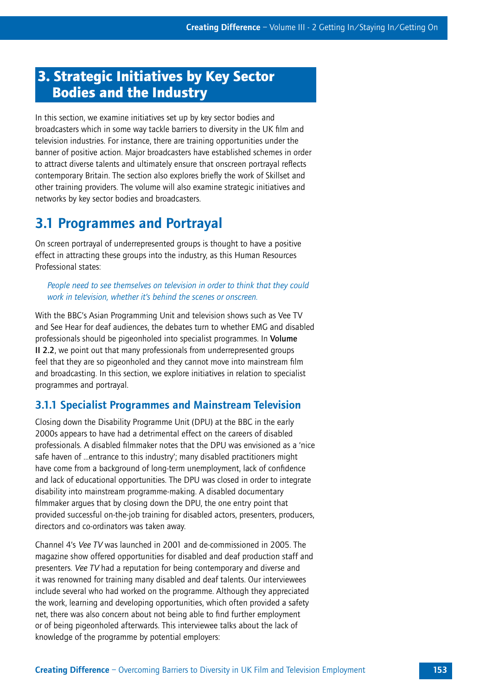# **3. Strategic Initiatives by Key Sector Bodies and the Industry**

In this section, we examine initiatives set up by key sector bodies and broadcasters which in some way tackle barriers to diversity in the UK film and television industries. For instance, there are training opportunities under the banner of positive action. Major broadcasters have established schemes in order to attract diverse talents and ultimately ensure that onscreen portrayal reflects contemporary Britain. The section also explores briefly the work of Skillset and other training providers. The volume will also examine strategic initiatives and networks by key sector bodies and broadcasters.

## 3.1 Programmes and Portrayal

On screen portrayal of underrepresented groups is thought to have a positive effect in attracting these groups into the industry, as this Human Resources Professional states:

*People need to see themselves on television in order to think that they could work in television, whether it's behind the scenes or onscreen.* 

With the BBC's Asian Programming Unit and television shows such as Vee TV and See Hear for deaf audiences, the debates turn to whether EMG and disabled professionals should be pigeonholed into specialist programmes. In Volume II 2.2, we point out that many professionals from underrepresented groups feel that they are so pigeonholed and they cannot move into mainstream film and broadcasting. In this section, we explore initiatives in relation to specialist programmes and portrayal.

### 3.1.1 Specialist Programmes and Mainstream Television

Closing down the Disability Programme Unit (DPU) at the BBC in the early 2000s appears to have had a detrimental effect on the careers of disabled professionals. A disabled filmmaker notes that the DPU was envisioned as a 'nice safe haven of …entrance to this industry'; many disabled practitioners might have come from a background of long-term unemployment, lack of confidence and lack of educational opportunities. The DPU was closed in order to integrate disability into mainstream programme-making. A disabled documentary filmmaker argues that by closing down the DPU, the one entry point that provided successful on-the-job training for disabled actors, presenters, producers, directors and co-ordinators was taken away.

Channel 4's *Vee TV* was launched in 2001 and de-commissioned in 2005. The magazine show offered opportunities for disabled and deaf production staff and presenters. *Vee TV* had a reputation for being contemporary and diverse and it was renowned for training many disabled and deaf talents. Our interviewees include several who had worked on the programme. Although they appreciated the work, learning and developing opportunities, which often provided a safety net, there was also concern about not being able to find further employment or of being pigeonholed afterwards. This interviewee talks about the lack of knowledge of the programme by potential employers: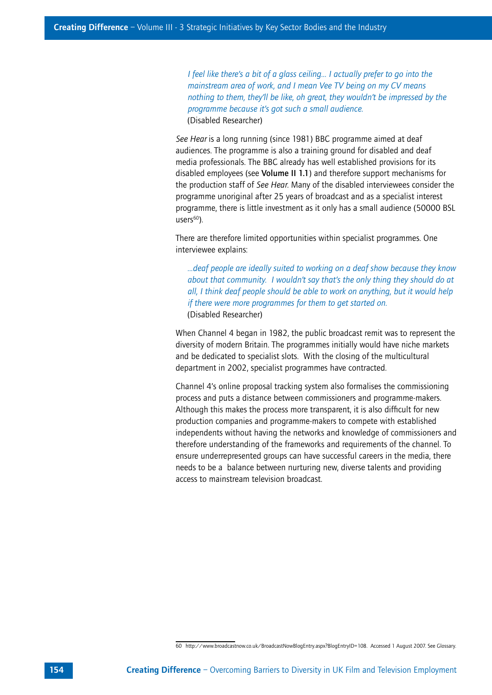*I* feel like there's a bit of a glass ceiling... I actually prefer to go into the *mainstream area of work, and I mean Vee TV being on my CV means nothing to them, they'll be like, oh great, they wouldn't be impressed by the programme because it's got such a small audience.*  (Disabled Researcher)

*See Hear* is a long running (since 1981) BBC programme aimed at deaf audiences. The programme is also a training ground for disabled and deaf media professionals. The BBC already has well established provisions for its disabled employees (see Volume II 1.1) and therefore support mechanisms for the production staff of *See Hear*. Many of the disabled interviewees consider the programme unoriginal after 25 years of broadcast and as a specialist interest programme, there is little investment as it only has a small audience (50000 BSL  $uses<sup>60</sup>$ ).

There are therefore limited opportunities within specialist programmes. One interviewee explains:

*...deaf people are ideally suited to working on a deaf show because they know about that community. I wouldn't say that's the only thing they should do at all, I think deaf people should be able to work on anything, but it would help if there were more programmes for them to get started on.*  (Disabled Researcher)

When Channel 4 began in 1982, the public broadcast remit was to represent the diversity of modern Britain. The programmes initially would have niche markets and be dedicated to specialist slots. With the closing of the multicultural department in 2002, specialist programmes have contracted.

Channel 4's online proposal tracking system also formalises the commissioning process and puts a distance between commissioners and programme-makers. Although this makes the process more transparent, it is also difficult for new production companies and programme-makers to compete with established independents without having the networks and knowledge of commissioners and therefore understanding of the frameworks and requirements of the channel. To ensure underrepresented groups can have successful careers in the media, there needs to be a balance between nurturing new, diverse talents and providing access to mainstream television broadcast.

<sup>60</sup> http://www.broadcastnow.co.uk/BroadcastNowBlogEntry.aspx?BlogEntryID=108. Accessed 1 August 2007. See Glossary.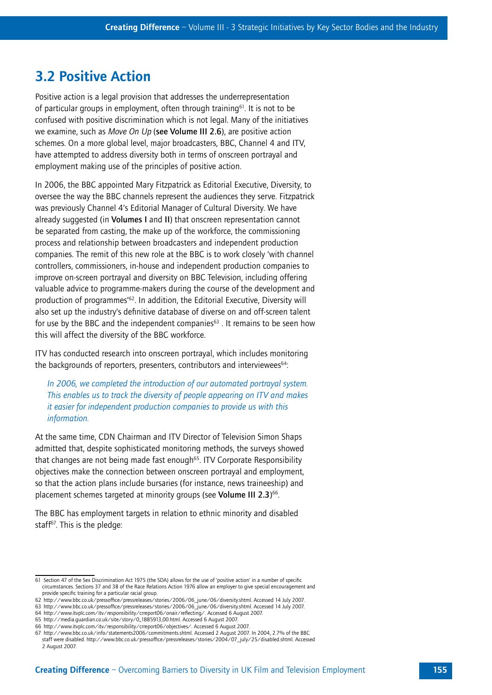# 3.2 Positive Action

Positive action is a legal provision that addresses the underrepresentation of particular groups in employment, often through training<sup>61</sup>. It is not to be confused with positive discrimination which is not legal. Many of the initiatives we examine, such as *Move On Up* (see Volume III 2.6), are positive action schemes. On a more global level, major broadcasters, BBC, Channel 4 and ITV, have attempted to address diversity both in terms of onscreen portrayal and employment making use of the principles of positive action.

In 2006, the BBC appointed Mary Fitzpatrick as Editorial Executive, Diversity, to oversee the way the BBC channels represent the audiences they serve. Fitzpatrick was previously Channel 4's Editorial Manager of Cultural Diversity. We have already suggested (in Volumes I and II) that onscreen representation cannot be separated from casting, the make up of the workforce, the commissioning process and relationship between broadcasters and independent production companies. The remit of this new role at the BBC is to work closely 'with channel controllers, commissioners, in-house and independent production companies to improve on-screen portrayal and diversity on BBC Television, including offering valuable advice to programme-makers during the course of the development and production of programmes'62. In addition, the Editorial Executive, Diversity will also set up the industry's definitive database of diverse on and off-screen talent for use by the BBC and the independent companies $63$ . It remains to be seen how this will affect the diversity of the BBC workforce.

ITV has conducted research into onscreen portrayal, which includes monitoring the backgrounds of reporters, presenters, contributors and interviewees<sup>64</sup>:

*In 2006, we completed the introduction of our automated portrayal system. This enables us to track the diversity of people appearing on ITV and makes it easier for independent production companies to provide us with this information.*

At the same time, CDN Chairman and ITV Director of Television Simon Shaps admitted that, despite sophisticated monitoring methods, the surveys showed that changes are not being made fast enough<sup>65</sup>. ITV Corporate Responsibility objectives make the connection between onscreen portrayal and employment, so that the action plans include bursaries (for instance, news traineeship) and placement schemes targeted at minority groups (see Volume III 2.3)<sup>66</sup>.

The BBC has employment targets in relation to ethnic minority and disabled staff<sup>67</sup>. This is the pledge:

<sup>61</sup> Section 47 of the Sex Discrimination Act 1975 (the SDA) allows for the use of 'positive action' in a number of specific circumstances. Sections 37 and 38 of the Race Relations Action 1976 allow an employer to give special encouragement and provide specific training for a particular racial group.

<sup>62</sup> http://www.bbc.co.uk/pressoffice/pressreleases/stories/2006/06\_june/06/diversity.shtml. Accessed 14 July 2007.

<sup>63</sup> http://www.bbc.co.uk/pressoffice/pressreleases/stories/2006/06\_june/06/diversity.shtml. Accessed 14 July 2007.

<sup>64</sup> http://www.itvplc.com/itv/responsibility/crreport06/onair/reflecting/. Accessed 6 August 2007. 65 http://media.guardian.co.uk/site/story/0,,1885913,00.html. Accessed 6 August 2007.

<sup>66</sup> http://www.itvplc.com/itv/responsibility/crreport06/objectives/. Accessed 6 August 2007.

<sup>67</sup> http://www.bbc.co.uk/info/statements2006/commitments.shtml. Accessed 2 August 2007. In 2004, 2.7% of the BBC

staff were disabled. http://www.bbc.co.uk/pressoffice/pressreleases/stories/2004/07\_july/25/disabled.shtml. Accessed 2 August 2007.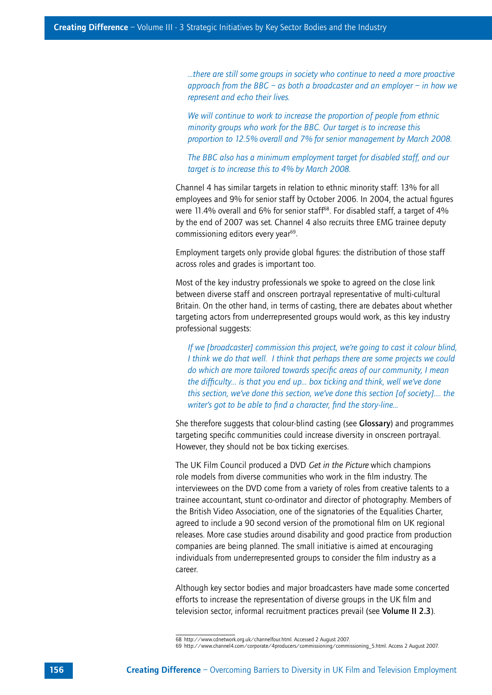*…there are still some groups in society who continue to need a more proactive approach from the BBC – as both a broadcaster and an employer – in how we represent and echo their lives.* 

*We will continue to work to increase the proportion of people from ethnic minority groups who work for the BBC. Our target is to increase this proportion to 12.5% overall and 7% for senior management by March 2008.* 

*The BBC also has a minimum employment target for disabled staff, and our target is to increase this to 4% by March 2008.* 

Channel 4 has similar targets in relation to ethnic minority staff: 13% for all employees and 9% for senior staff by October 2006. In 2004, the actual figures were 11.4% overall and 6% for senior staff<sup>68</sup>. For disabled staff, a target of 4% by the end of 2007 was set. Channel 4 also recruits three EMG trainee deputy commissioning editors every year<sup>69</sup>.

Employment targets only provide global figures: the distribution of those staff across roles and grades is important too.

Most of the key industry professionals we spoke to agreed on the close link between diverse staff and onscreen portrayal representative of multi-cultural Britain. On the other hand, in terms of casting, there are debates about whether targeting actors from underrepresented groups would work, as this key industry professional suggests:

*If we [broadcaster] commission this project, we're going to cast it colour blind, I think we do that well. I think that perhaps there are some projects we could do which are more tailored towards specific areas of our community, I mean the difficulty… is that you end up… box ticking and think, well we've done this section, we've done this section, we've done this section [of society]…. the writer's got to be able to find a character, find the story-line...*

She therefore suggests that colour-blind casting (see Glossary) and programmes targeting specific communities could increase diversity in onscreen portrayal. However, they should not be box ticking exercises.

The UK Film Council produced a DVD *Get in the Picture* which champions role models from diverse communities who work in the film industry. The interviewees on the DVD come from a variety of roles from creative talents to a trainee accountant, stunt co-ordinator and director of photography. Members of the British Video Association, one of the signatories of the Equalities Charter, agreed to include a 90 second version of the promotional film on UK regional releases. More case studies around disability and good practice from production companies are being planned. The small initiative is aimed at encouraging individuals from underrepresented groups to consider the film industry as a career.

Although key sector bodies and major broadcasters have made some concerted efforts to increase the representation of diverse groups in the UK film and television sector, informal recruitment practices prevail (see Volume II 2.3).

<sup>68</sup> http://www.cdnetwork.org.uk/channelfour.html. Accessed 2 August 2007.

<sup>69</sup> http://www.channel4.com/corporate/4producers/commissioning/commissioning\_5.html. Access 2 August 2007.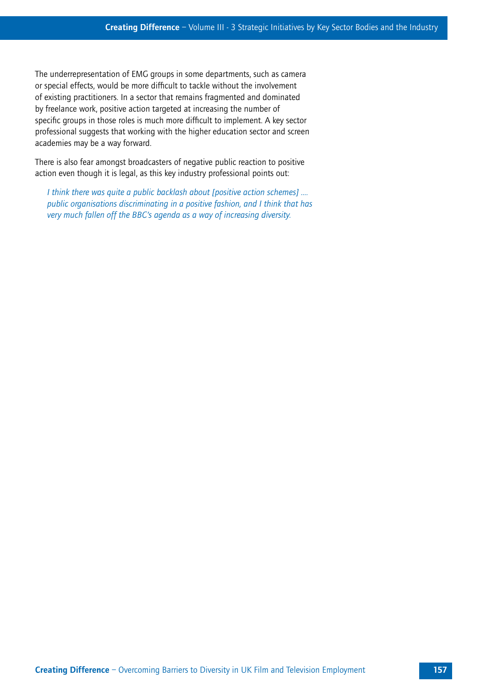The underrepresentation of EMG groups in some departments, such as camera or special effects, would be more difficult to tackle without the involvement of existing practitioners. In a sector that remains fragmented and dominated by freelance work, positive action targeted at increasing the number of specific groups in those roles is much more difficult to implement. A key sector professional suggests that working with the higher education sector and screen academies may be a way forward.

There is also fear amongst broadcasters of negative public reaction to positive action even though it is legal, as this key industry professional points out:

*I think there was quite a public backlash about [positive action schemes] …. public organisations discriminating in a positive fashion, and I think that has very much fallen off the BBC's agenda as a way of increasing diversity.*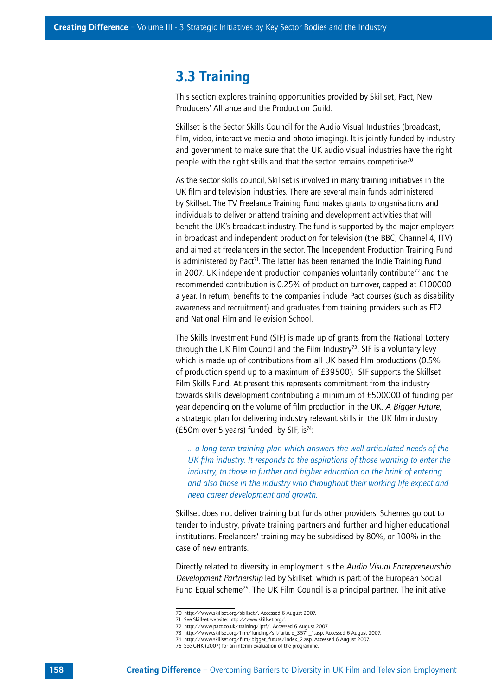# 3.3 Training

This section explores training opportunities provided by Skillset, Pact, New Producers' Alliance and the Production Guild.

Skillset is the Sector Skills Council for the Audio Visual Industries (broadcast, film, video, interactive media and photo imaging). It is jointly funded by industry and government to make sure that the UK audio visual industries have the right people with the right skills and that the sector remains competitive<sup>70</sup>.

As the sector skills council, Skillset is involved in many training initiatives in the UK film and television industries. There are several main funds administered by Skillset. The TV Freelance Training Fund makes grants to organisations and individuals to deliver or attend training and development activities that will benefit the UK's broadcast industry. The fund is supported by the major employers in broadcast and independent production for television (the BBC, Channel 4, ITV) and aimed at freelancers in the sector. The Independent Production Training Fund is administered by Pact<sup>71</sup>. The latter has been renamed the Indie Training Fund in 2007. UK independent production companies voluntarily contribute<sup>72</sup> and the recommended contribution is 0.25% of production turnover, capped at £100000 a year. In return, benefits to the companies include Pact courses (such as disability awareness and recruitment) and graduates from training providers such as FT2 and National Film and Television School.

The Skills Investment Fund (SIF) is made up of grants from the National Lottery through the UK Film Council and the Film Industry<sup>73</sup>. SIF is a voluntary levy which is made up of contributions from all UK based film productions (0.5% of production spend up to a maximum of £39500). SIF supports the Skillset Film Skills Fund. At present this represents commitment from the industry towards skills development contributing a minimum of £500000 of funding per year depending on the volume of film production in the UK. *A Bigger Future*, a strategic plan for delivering industry relevant skills in the UK film industry (£50m over 5 years) funded by SIF,  $is^{74}$ :

*… a long-term training plan which answers the well articulated needs of the UK film industry. It responds to the aspirations of those wanting to enter the industry, to those in further and higher education on the brink of entering and also those in the industry who throughout their working life expect and need career development and growth.*

Skillset does not deliver training but funds other providers. Schemes go out to tender to industry, private training partners and further and higher educational institutions. Freelancers' training may be subsidised by 80%, or 100% in the case of new entrants.

Directly related to diversity in employment is the *Audio Visual Entrepreneurship Development Partnership* led by Skillset, which is part of the European Social Fund Equal scheme75. The UK Film Council is a principal partner. The initiative

<sup>70</sup> http://www.skillset.org/skillset/. Accessed 6 August 2007.

<sup>71</sup> See Skillset website: http://www.skillset.org/.

<sup>72</sup> http://www.pact.co.uk/training/iptf/. Accessed 6 August 2007.

<sup>73</sup> http://www.skillset.org/film/funding/sif/article\_3571\_1.asp. Accessed 6 August 2007. 74 http://www.skillset.org/film/bigger\_future/index\_2.asp. Accessed 6 August 2007.

<sup>75</sup> See GHK (2007) for an interim evaluation of the programme.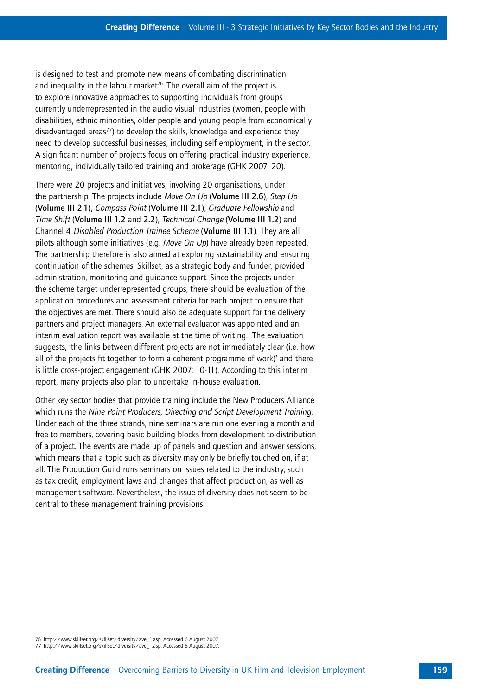is designed to test and promote new means of combating discrimination and inequality in the labour market $76$ . The overall aim of the project is to explore innovative approaches to supporting individuals from groups currently underrepresented in the audio visual industries (women, people with disabilities, ethnic minorities, older people and young people from economically disadvantaged areas<sup>77</sup>) to develop the skills, knowledge and experience they need to develop successful businesses, including self employment, in the sector. A significant number of projects focus on offering practical industry experience, mentoring, individually tailored training and brokerage (GHK 2007: 20).

There were 20 projects and initiatives, involving 20 organisations, under the partnership. The projects include *Move On Up* (Volume III 2.6), *Step Up* (Volume III 2.1), *Compass Point* (Volume III 2.1), *Graduate Fellowship* and *Time Shift* (Volume III 1.2 and 2.2), *Technical Change* (Volume III 1.2) and Channel 4 *Disabled Production Trainee Scheme* (Volume III 1.1). They are all pilots although some initiatives (e.g. *Move On Up*) have already been repeated. The partnership therefore is also aimed at exploring sustainability and ensuring continuation of the schemes. Skillset, as a strategic body and funder, provided administration, monitoring and guidance support. Since the projects under the scheme target underrepresented groups, there should be evaluation of the application procedures and assessment criteria for each project to ensure that the objectives are met. There should also be adequate support for the delivery partners and project managers. An external evaluator was appointed and an interim evaluation report was available at the time of writing. The evaluation suggests, 'the links between different projects are not immediately clear (i.e. how all of the projects fit together to form a coherent programme of work)' and there is little cross-project engagement (GHK 2007: 10-11). According to this interim report, many projects also plan to undertake in-house evaluation.

Other key sector bodies that provide training include the New Producers Alliance which runs the *Nine Point Producers, Directing and Script Development Training*. Under each of the three strands, nine seminars are run one evening a month and free to members, covering basic building blocks from development to distribution of a project. The events are made up of panels and question and answer sessions, which means that a topic such as diversity may only be briefly touched on, if at all. The Production Guild runs seminars on issues related to the industry, such as tax credit, employment laws and changes that affect production, as well as management software. Nevertheless, the issue of diversity does not seem to be central to these management training provisions.

<sup>76</sup> http://www.skillset.org/skillset/diversity/ave\_1.asp. Accessed 6 August 2007.

<sup>77</sup> http://www.skillset.org/skillset/diversity/ave\_1.asp. Accessed 6 August 2007.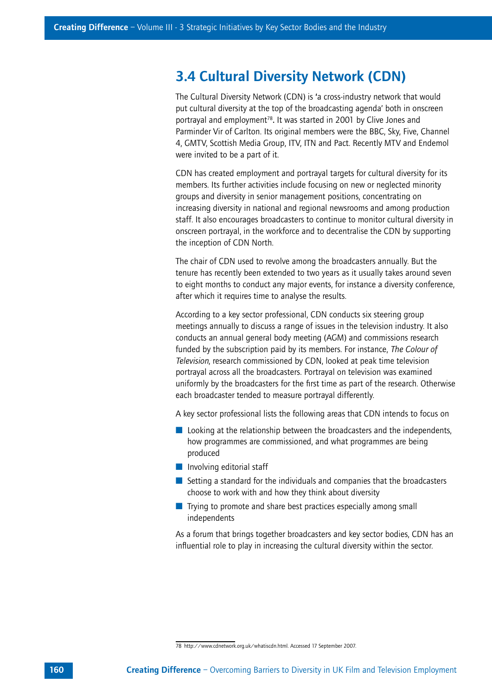## 3.4 Cultural Diversity Network (CDN)

The Cultural Diversity Network (CDN) is 'a cross-industry network that would put cultural diversity at the top of the broadcasting agenda' both in onscreen portrayal and employment<sup>78</sup>. It was started in 2001 by Clive Jones and Parminder Vir of Carlton. Its original members were the BBC, Sky, Five, Channel 4, GMTV, Scottish Media Group, ITV, ITN and Pact. Recently MTV and Endemol were invited to be a part of it.

CDN has created employment and portrayal targets for cultural diversity for its members. Its further activities include focusing on new or neglected minority groups and diversity in senior management positions, concentrating on increasing diversity in national and regional newsrooms and among production staff. It also encourages broadcasters to continue to monitor cultural diversity in onscreen portrayal, in the workforce and to decentralise the CDN by supporting the inception of CDN North.

The chair of CDN used to revolve among the broadcasters annually. But the tenure has recently been extended to two years as it usually takes around seven to eight months to conduct any major events, for instance a diversity conference, after which it requires time to analyse the results.

According to a key sector professional, CDN conducts six steering group meetings annually to discuss a range of issues in the television industry. It also conducts an annual general body meeting (AGM) and commissions research funded by the subscription paid by its members. For instance, *The Colour of Television*, research commissioned by CDN, looked at peak time television portrayal across all the broadcasters. Portrayal on television was examined uniformly by the broadcasters for the first time as part of the research. Otherwise each broadcaster tended to measure portrayal differently.

A key sector professional lists the following areas that CDN intends to focus on

- $\blacksquare$  Looking at the relationship between the broadcasters and the independents, how programmes are commissioned, and what programmes are being produced
- Involving editorial staff
- $\blacksquare$  Setting a standard for the individuals and companies that the broadcasters choose to work with and how they think about diversity
- $\blacksquare$  Trying to promote and share best practices especially among small independents

As a forum that brings together broadcasters and key sector bodies, CDN has an influential role to play in increasing the cultural diversity within the sector.

<sup>78</sup> http://www.cdnetwork.org.uk/whatiscdn.html. Accessed 17 September 2007.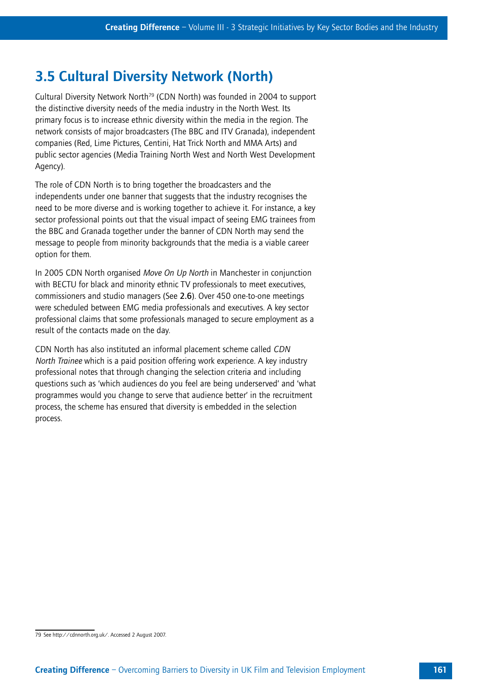# 3.5 Cultural Diversity Network (North)

Cultural Diversity Network North79 (CDN North) was founded in 2004 to support the distinctive diversity needs of the media industry in the North West. Its primary focus is to increase ethnic diversity within the media in the region. The network consists of major broadcasters (The BBC and ITV Granada), independent companies (Red, Lime Pictures, Centini, Hat Trick North and MMA Arts) and public sector agencies (Media Training North West and North West Development Agency).

The role of CDN North is to bring together the broadcasters and the independents under one banner that suggests that the industry recognises the need to be more diverse and is working together to achieve it. For instance, a key sector professional points out that the visual impact of seeing EMG trainees from the BBC and Granada together under the banner of CDN North may send the message to people from minority backgrounds that the media is a viable career option for them.

In 2005 CDN North organised *Move On Up North* in Manchester in conjunction with BECTU for black and minority ethnic TV professionals to meet executives, commissioners and studio managers (See 2.6). Over 450 one-to-one meetings were scheduled between EMG media professionals and executives. A key sector professional claims that some professionals managed to secure employment as a result of the contacts made on the day.

CDN North has also instituted an informal placement scheme called *CDN North Trainee* which is a paid position offering work experience. A key industry professional notes that through changing the selection criteria and including questions such as 'which audiences do you feel are being underserved' and 'what programmes would you change to serve that audience better' in the recruitment process, the scheme has ensured that diversity is embedded in the selection process.

<sup>79</sup> See http://cdnnorth.org.uk/. Accessed 2 August 2007.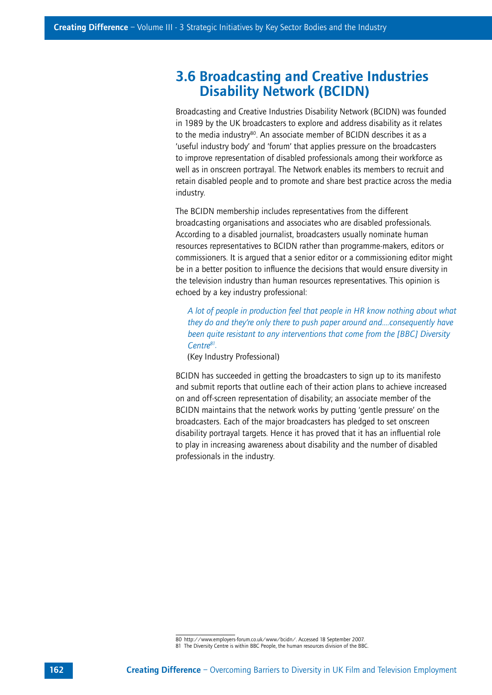## 3.6 Broadcasting and Creative Industries Disability Network (BCIDN)

Broadcasting and Creative Industries Disability Network (BCIDN) was founded in 1989 by the UK broadcasters to explore and address disability as it relates to the media industry<sup>80</sup>. An associate member of BCIDN describes it as a 'useful industry body' and 'forum' that applies pressure on the broadcasters to improve representation of disabled professionals among their workforce as well as in onscreen portrayal. The Network enables its members to recruit and retain disabled people and to promote and share best practice across the media industry.

The BCIDN membership includes representatives from the different broadcasting organisations and associates who are disabled professionals. According to a disabled journalist, broadcasters usually nominate human resources representatives to BCIDN rather than programme-makers, editors or commissioners. It is argued that a senior editor or a commissioning editor might be in a better position to influence the decisions that would ensure diversity in the television industry than human resources representatives. This opinion is echoed by a key industry professional:

*A lot of people in production feel that people in HR know nothing about what they do and they're only there to push paper around and….consequently have been quite resistant to any interventions that come from the [BBC] Diversity Centre81.* 

(Key Industry Professional)

BCIDN has succeeded in getting the broadcasters to sign up to its manifesto and submit reports that outline each of their action plans to achieve increased on and off-screen representation of disability; an associate member of the BCIDN maintains that the network works by putting 'gentle pressure' on the broadcasters. Each of the major broadcasters has pledged to set onscreen disability portrayal targets. Hence it has proved that it has an influential role to play in increasing awareness about disability and the number of disabled professionals in the industry.

<sup>80</sup> http://www.employers-forum.co.uk/www/bcidn/. Accessed 18 September 2007.

<sup>81</sup> The Diversity Centre is within BBC People, the human resources division of the BBC.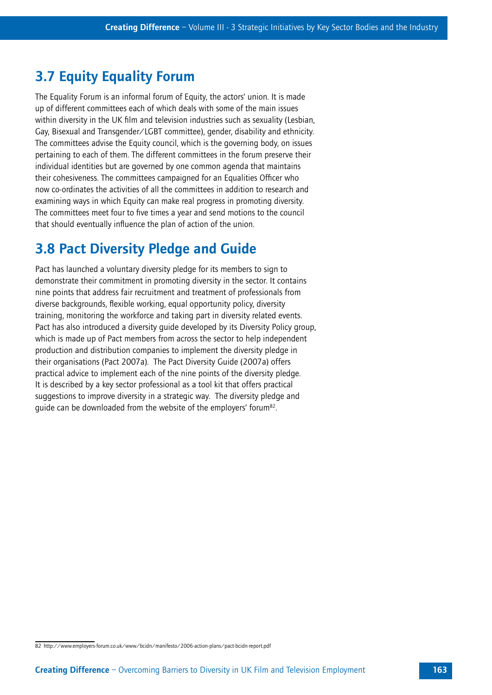## 3.7 Equity Equality Forum

The Equality Forum is an informal forum of Equity, the actors' union. It is made up of different committees each of which deals with some of the main issues within diversity in the UK film and television industries such as sexuality (Lesbian, Gay, Bisexual and Transgender/LGBT committee), gender, disability and ethnicity. The committees advise the Equity council, which is the governing body, on issues pertaining to each of them. The different committees in the forum preserve their individual identities but are governed by one common agenda that maintains their cohesiveness. The committees campaigned for an Equalities Officer who now co-ordinates the activities of all the committees in addition to research and examining ways in which Equity can make real progress in promoting diversity. The committees meet four to five times a year and send motions to the council that should eventually influence the plan of action of the union.

# 3.8 Pact Diversity Pledge and Guide

Pact has launched a voluntary diversity pledge for its members to sign to demonstrate their commitment in promoting diversity in the sector. It contains nine points that address fair recruitment and treatment of professionals from diverse backgrounds, flexible working, equal opportunity policy, diversity training, monitoring the workforce and taking part in diversity related events. Pact has also introduced a diversity guide developed by its Diversity Policy group, which is made up of Pact members from across the sector to help independent production and distribution companies to implement the diversity pledge in their organisations (Pact 2007a). The Pact Diversity Guide (2007a) offers practical advice to implement each of the nine points of the diversity pledge. It is described by a key sector professional as a tool kit that offers practical suggestions to improve diversity in a strategic way. The diversity pledge and guide can be downloaded from the website of the employers' forum<sup>82</sup>.

<sup>82</sup> http://www.employers-forum.co.uk/www/bcidn/manifesto/2006-action-plans/pact-bcidn-report.pdf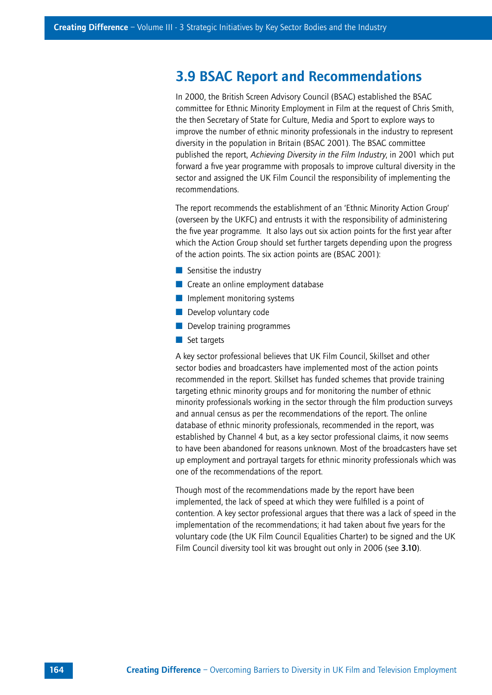### 3.9 BSAC Report and Recommendations

In 2000, the British Screen Advisory Council (BSAC) established the BSAC committee for Ethnic Minority Employment in Film at the request of Chris Smith, the then Secretary of State for Culture, Media and Sport to explore ways to improve the number of ethnic minority professionals in the industry to represent diversity in the population in Britain (BSAC 2001). The BSAC committee published the report, *Achieving Diversity in the Film Industry*, in 2001 which put forward a five year programme with proposals to improve cultural diversity in the sector and assigned the UK Film Council the responsibility of implementing the recommendations.

The report recommends the establishment of an 'Ethnic Minority Action Group' (overseen by the UKFC) and entrusts it with the responsibility of administering the five year programme. It also lays out six action points for the first year after which the Action Group should set further targets depending upon the progress of the action points. The six action points are (BSAC 2001):

- $\blacksquare$  Sensitise the industry
- Create an online employment database
- Implement monitoring systems
- Develop voluntary code
- Develop training programmes
- Set targets

A key sector professional believes that UK Film Council, Skillset and other sector bodies and broadcasters have implemented most of the action points recommended in the report. Skillset has funded schemes that provide training targeting ethnic minority groups and for monitoring the number of ethnic minority professionals working in the sector through the film production surveys and annual census as per the recommendations of the report. The online database of ethnic minority professionals, recommended in the report, was established by Channel 4 but, as a key sector professional claims, it now seems to have been abandoned for reasons unknown. Most of the broadcasters have set up employment and portrayal targets for ethnic minority professionals which was one of the recommendations of the report.

Though most of the recommendations made by the report have been implemented, the lack of speed at which they were fulfilled is a point of contention. A key sector professional argues that there was a lack of speed in the implementation of the recommendations; it had taken about five years for the voluntary code (the UK Film Council Equalities Charter) to be signed and the UK Film Council diversity tool kit was brought out only in 2006 (see 3.10).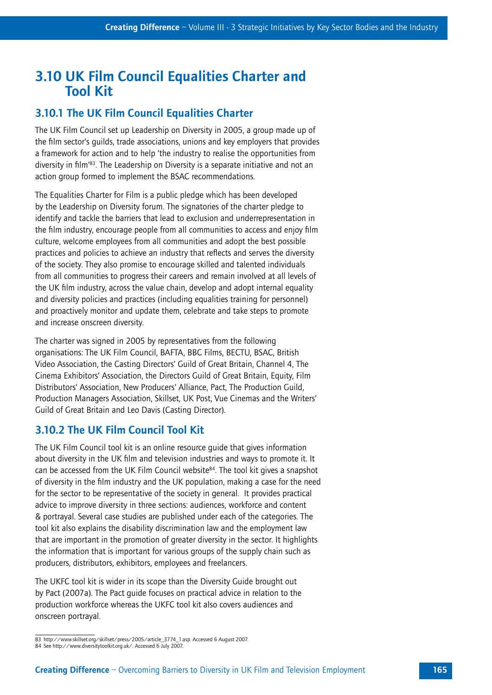# 3.10 UK Film Council Equalities Charter and Tool Kit

### 3.10.1 The UK Film Council Equalities Charter

The UK Film Council set up Leadership on Diversity in 2005, a group made up of the film sector's guilds, trade associations, unions and key employers that provides a framework for action and to help 'the industry to realise the opportunities from diversity in film<sup>'83</sup>. The Leadership on Diversity is a separate initiative and not an action group formed to implement the BSAC recommendations.

The Equalities Charter for Film is a public pledge which has been developed by the Leadership on Diversity forum. The signatories of the charter pledge to identify and tackle the barriers that lead to exclusion and underrepresentation in the film industry, encourage people from all communities to access and enjoy film culture, welcome employees from all communities and adopt the best possible practices and policies to achieve an industry that reflects and serves the diversity of the society. They also promise to encourage skilled and talented individuals from all communities to progress their careers and remain involved at all levels of the UK film industry, across the value chain, develop and adopt internal equality and diversity policies and practices (including equalities training for personnel) and proactively monitor and update them, celebrate and take steps to promote and increase onscreen diversity.

The charter was signed in 2005 by representatives from the following organisations: The UK Film Council, BAFTA, BBC Films, BECTU, BSAC, British Video Association, the Casting Directors' Guild of Great Britain, Channel 4, The Cinema Exhibitors' Association, the Directors Guild of Great Britain, Equity, Film Distributors' Association, New Producers' Alliance, Pact, The Production Guild, Production Managers Association, Skillset, UK Post, Vue Cinemas and the Writers' Guild of Great Britain and Leo Davis (Casting Director).

### 3.10.2 The UK Film Council Tool Kit

The UK Film Council tool kit is an online resource guide that gives information about diversity in the UK film and television industries and ways to promote it. It can be accessed from the UK Film Council website<sup>84</sup>. The tool kit gives a snapshot of diversity in the film industry and the UK population, making a case for the need for the sector to be representative of the society in general. It provides practical advice to improve diversity in three sections: audiences, workforce and content & portrayal. Several case studies are published under each of the categories. The tool kit also explains the disability discrimination law and the employment law that are important in the promotion of greater diversity in the sector. It highlights the information that is important for various groups of the supply chain such as producers, distributors, exhibitors, employees and freelancers.

The UKFC tool kit is wider in its scope than the Diversity Guide brought out by Pact (2007a). The Pact guide focuses on practical advice in relation to the production workforce whereas the UKFC tool kit also covers audiences and onscreen portrayal.

<sup>83</sup> http://www.skillset.org/skillset/press/2005/article\_3774\_1.asp. Accessed 6 August 2007.

<sup>84</sup> See http://www.diversitytoolkit.org.uk/. Accessed 6 July 2007.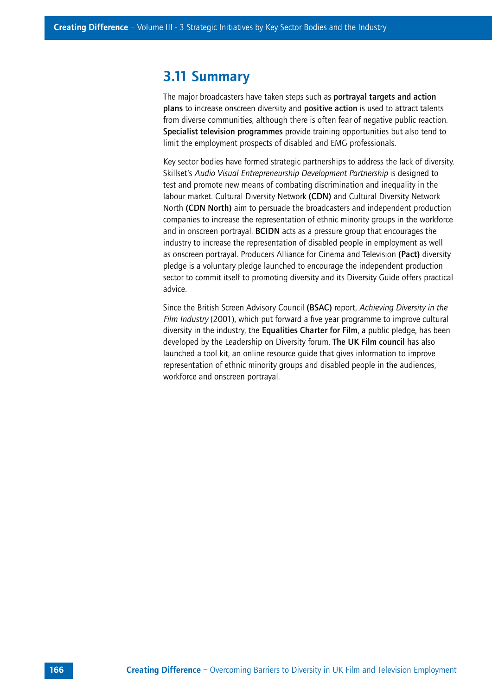## 3.11 Summary

The major broadcasters have taken steps such as **portraval targets and action** plans to increase onscreen diversity and positive action is used to attract talents from diverse communities, although there is often fear of negative public reaction. Specialist television programmes provide training opportunities but also tend to limit the employment prospects of disabled and EMG professionals.

Key sector bodies have formed strategic partnerships to address the lack of diversity. Skillset's Audio Visual Entrepreneurship Development Partnership is designed to test and promote new means of combating discrimination and inequality in the labour market. Cultural Diversity Network (CDN) and Cultural Diversity Network North (CDN North) aim to persuade the broadcasters and independent production companies to increase the representation of ethnic minority groups in the workforce and in onscreen portrayal. BCIDN acts as a pressure group that encourages the industry to increase the representation of disabled people in employment as well as onscreen portrayal. Producers Alliance for Cinema and Television (Pact) diversity pledge is a voluntary pledge launched to encourage the independent production sector to commit itself to promoting diversity and its Diversity Guide offers practical advice.

Since the British Screen Advisory Council (BSAC) report, *Achieving Diversity in the Film Industry* (2001), which put forward a five year programme to improve cultural diversity in the industry, the Equalities Charter for Film, a public pledge, has been developed by the Leadership on Diversity forum. The UK Film council has also launched a tool kit, an online resource guide that gives information to improve representation of ethnic minority groups and disabled people in the audiences, workforce and onscreen portrayal.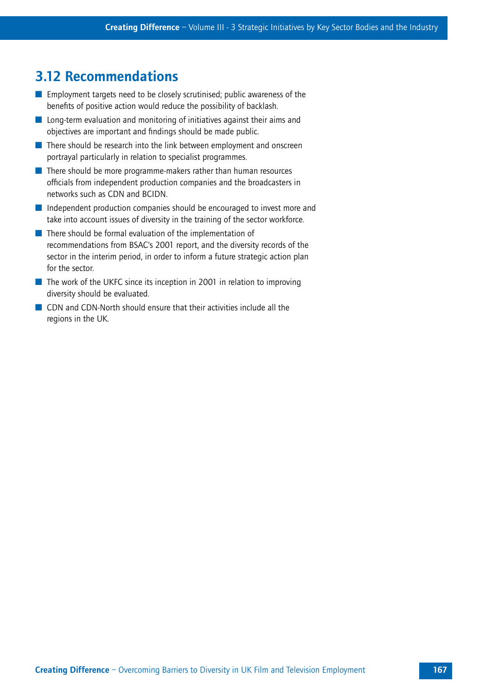# 3.12 Recommendations

- Employment targets need to be closely scrutinised; public awareness of the benefits of positive action would reduce the possibility of backlash.
- Long-term evaluation and monitoring of initiatives against their aims and objectives are important and findings should be made public.
- There should be research into the link between employment and onscreen portrayal particularly in relation to specialist programmes.
- $\blacksquare$  There should be more programme-makers rather than human resources officials from independent production companies and the broadcasters in networks such as CDN and BCIDN.
- Independent production companies should be encouraged to invest more and take into account issues of diversity in the training of the sector workforce.
- There should be formal evaluation of the implementation of recommendations from BSAC's 2001 report, and the diversity records of the sector in the interim period, in order to inform a future strategic action plan for the sector.
- The work of the UKFC since its inception in 2001 in relation to improving diversity should be evaluated.
- CDN and CDN-North should ensure that their activities include all the regions in the UK.